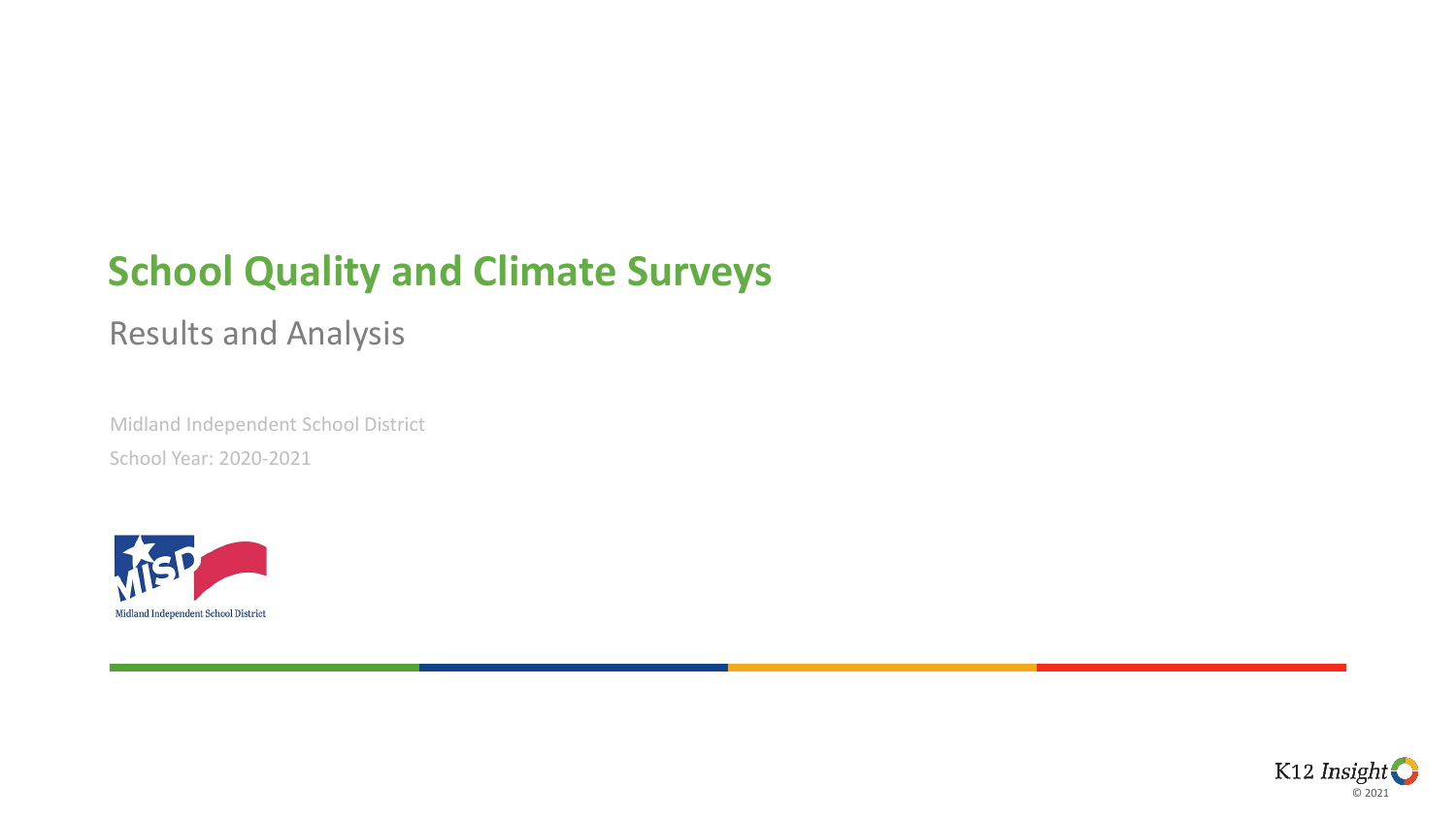### **School Quality and Climate Surveys**

#### Results and Analysis

Midland Independent School District School Year: 2020-2021



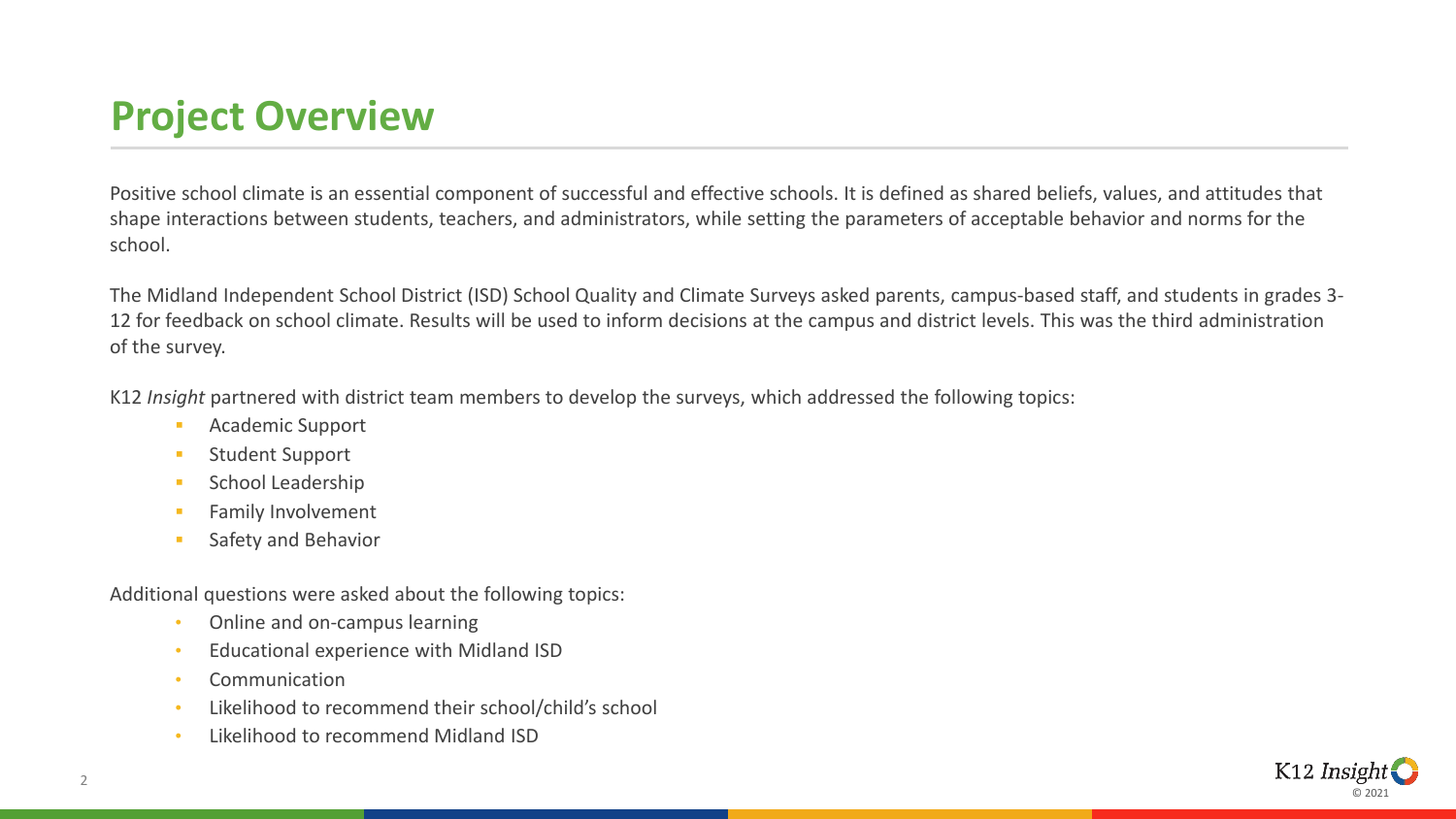# **Project Overview**

Positive school climate is an essential component of successful and effective schools. It is defined as shared beliefs, values, and attitudes that shape interactions between students, teachers, and administrators, while setting the parameters of acceptable behavior and norms for the school.

The Midland Independent School District (ISD) School Quality and Climate Surveys asked parents, campus-based staff, and students in grades 3- 12 for feedback on school climate. Results will be used to inform decisions at the campus and district levels. This was the third administration of the survey.

K12 *Insight* partnered with district team members to develop the surveys, which addressed the following topics:

- **Academic Support**
- **Student Support**
- School Leadership
- Family Involvement
- Safety and Behavior

Additional questions were asked about the following topics:

- Online and on-campus learning
- Educational experience with Midland ISD
- Communication
- Likelihood to recommend their school/child's school
- Likelihood to recommend Midland ISD

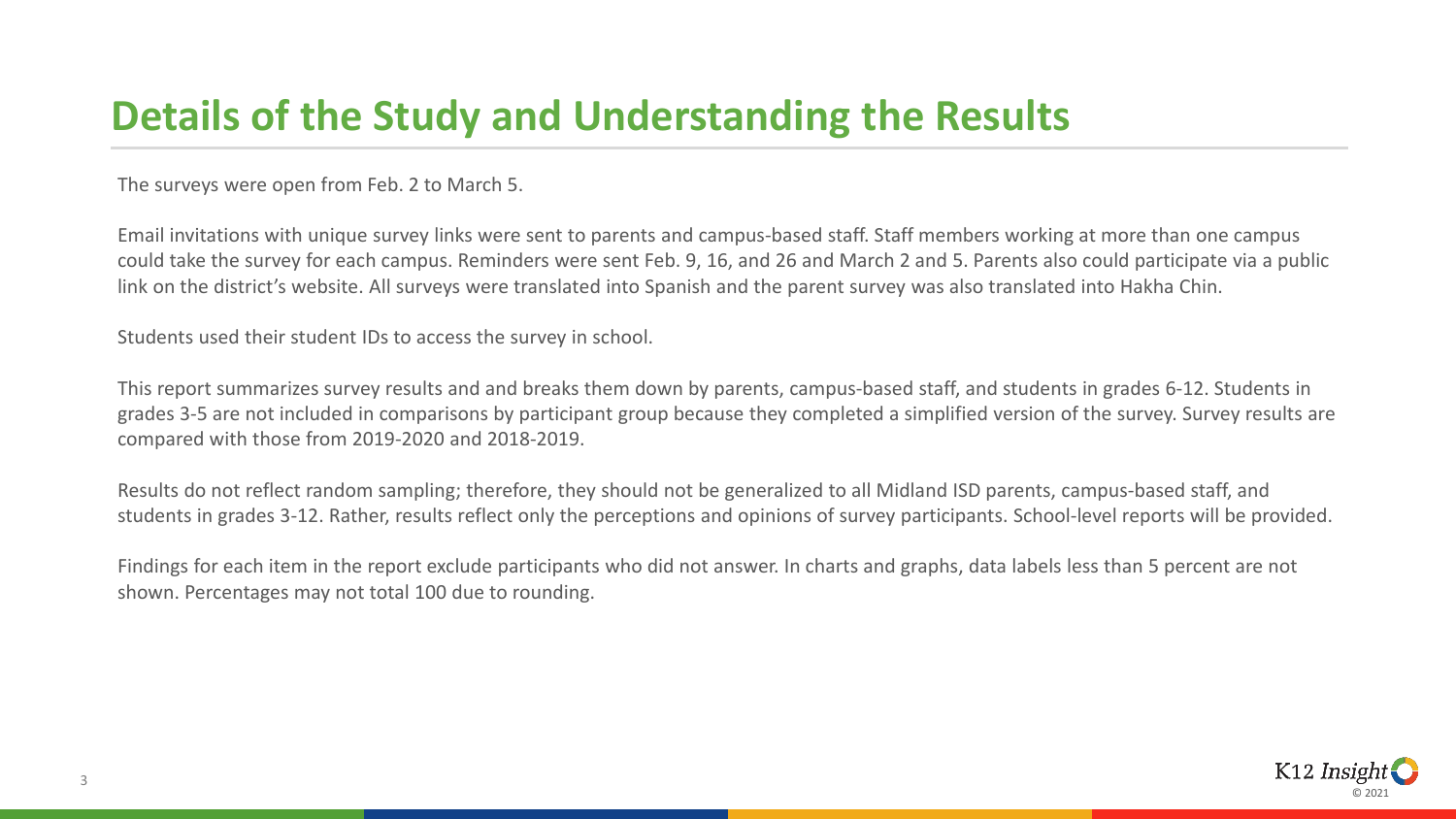### **Details of the Study and Understanding the Results**

The surveys were open from Feb. 2 to March 5.

Email invitations with unique survey links were sent to parents and campus-based staff. Staff members working at more than one campus could take the survey for each campus. Reminders were sent Feb. 9, 16, and 26 and March 2 and 5. Parents also could participate via a public link on the district's website. All surveys were translated into Spanish and the parent survey was also translated into Hakha Chin.

Students used their student IDs to access the survey in school.

This report summarizes survey results and and breaks them down by parents, campus-based staff, and students in grades 6-12. Students in grades 3-5 are not included in comparisons by participant group because they completed a simplified version of the survey. Survey results are compared with those from 2019-2020 and 2018-2019.

Results do not reflect random sampling; therefore, they should not be generalized to all Midland ISD parents, campus-based staff, and students in grades 3-12. Rather, results reflect only the perceptions and opinions of survey participants. School-level reports will be provided.

Findings for each item in the report exclude participants who did not answer. In charts and graphs, data labels less than 5 percent are not shown. Percentages may not total 100 due to rounding.

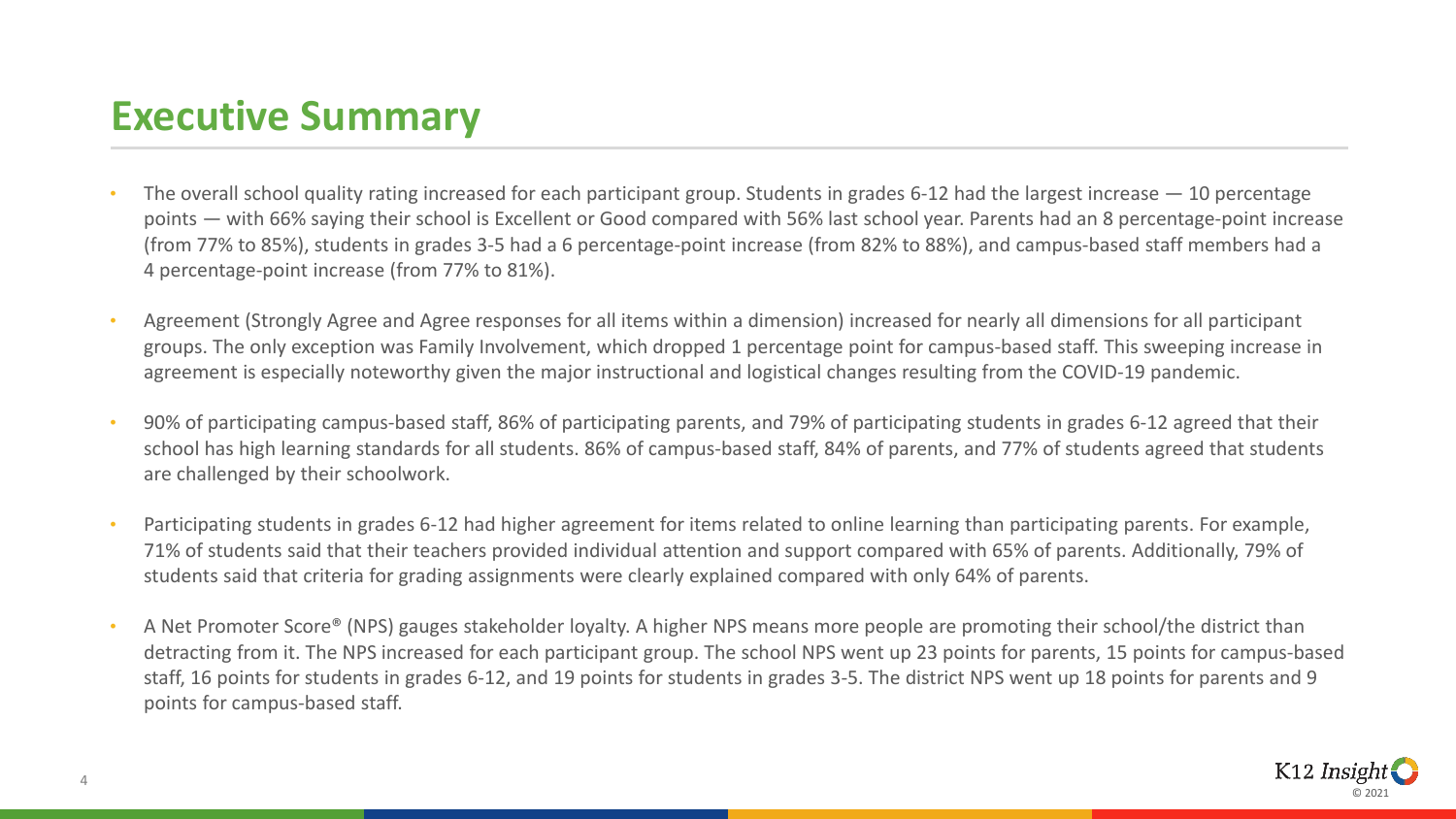# **Executive Summary**

- The overall school quality rating increased for each participant group. Students in grades 6-12 had the largest increase  $-10$  percentage points — with 66% saying their school is Excellent or Good compared with 56% last school year. Parents had an 8 percentage-point increase (from 77% to 85%), students in grades 3-5 had a 6 percentage-point increase (from 82% to 88%), and campus-based staff members had a 4 percentage-point increase (from 77% to 81%).
- Agreement (Strongly Agree and Agree responses for all items within a dimension) increased for nearly all dimensions for all participant groups. The only exception was Family Involvement, which dropped 1 percentage point for campus-based staff. This sweeping increase in agreement is especially noteworthy given the major instructional and logistical changes resulting from the COVID-19 pandemic.
- 90% of participating campus-based staff, 86% of participating parents, and 79% of participating students in grades 6-12 agreed that their school has high learning standards for all students. 86% of campus-based staff, 84% of parents, and 77% of students agreed that students are challenged by their schoolwork.
- Participating students in grades 6-12 had higher agreement for items related to online learning than participating parents. For example, 71% of students said that their teachers provided individual attention and support compared with 65% of parents. Additionally, 79% of students said that criteria for grading assignments were clearly explained compared with only 64% of parents.
- A Net Promoter Score® (NPS) gauges stakeholder loyalty. A higher NPS means more people are promoting their school/the district than detracting from it. The NPS increased for each participant group. The school NPS went up 23 points for parents, 15 points for campus-based staff, 16 points for students in grades 6-12, and 19 points for students in grades 3-5. The district NPS went up 18 points for parents and 9 points for campus-based staff.

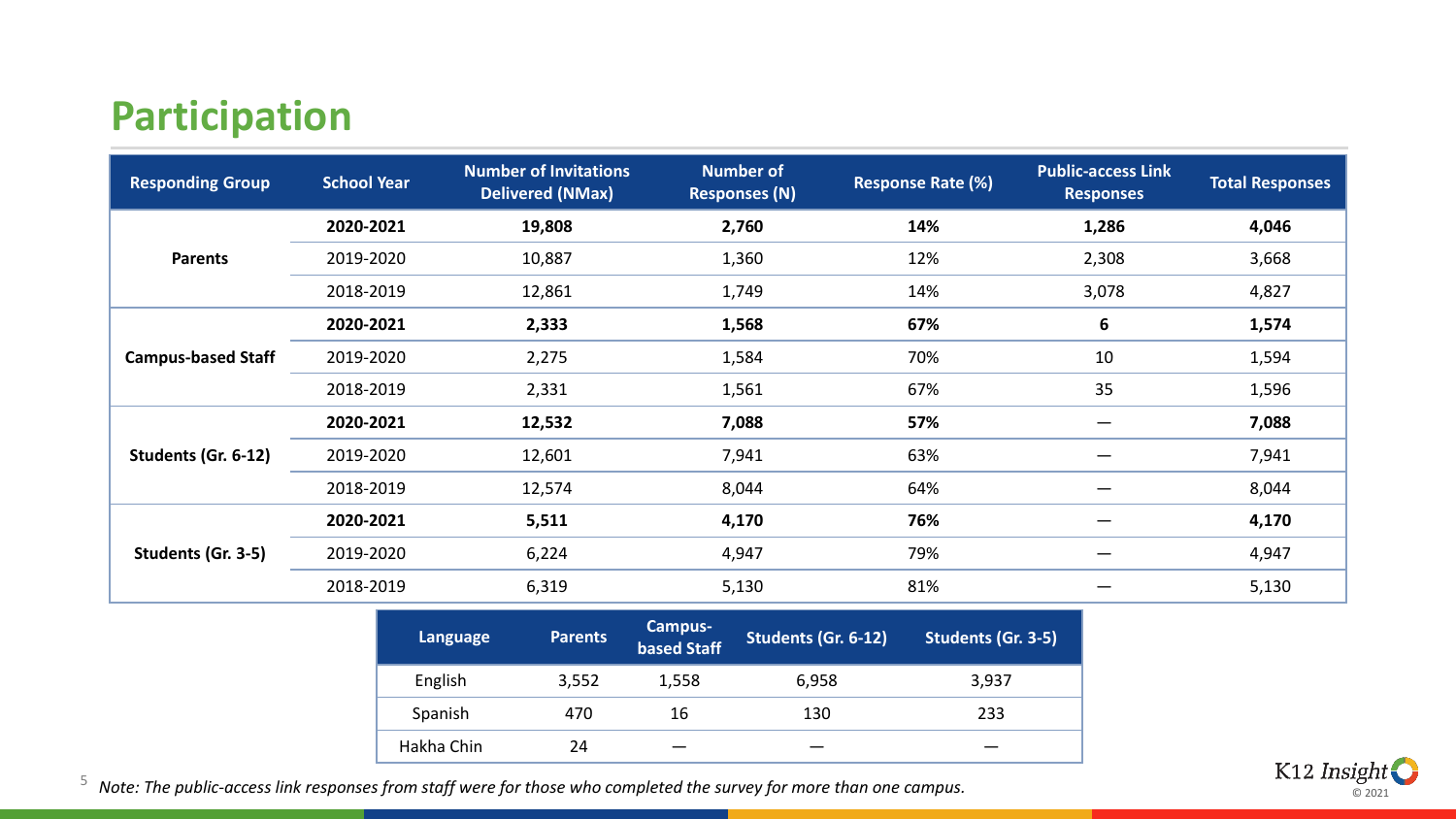### **Participation**

| <b>Responding Group</b>   | <b>School Year</b> | <b>Number of Invitations</b><br><b>Delivered (NMax)</b> | <b>Number of</b><br><b>Responses (N)</b> | <b>Response Rate (%)</b> | <b>Public-access Link</b><br><b>Responses</b> | <b>Total Responses</b> |
|---------------------------|--------------------|---------------------------------------------------------|------------------------------------------|--------------------------|-----------------------------------------------|------------------------|
|                           | 2020-2021          | 19,808                                                  | 2,760                                    | 14%                      | 1,286                                         | 4,046                  |
| <b>Parents</b>            | 2019-2020          | 10,887                                                  | 1,360                                    | 12%                      | 2,308                                         | 3,668                  |
|                           | 2018-2019          | 12,861                                                  | 1,749                                    | 14%                      | 3,078                                         | 4,827                  |
|                           | 2020-2021          | 2,333                                                   | 1,568                                    | 67%                      | 6                                             | 1,574                  |
| <b>Campus-based Staff</b> | 2019-2020          | 2,275                                                   | 1,584                                    | 70%                      | 10                                            | 1,594                  |
|                           | 2018-2019          | 2,331                                                   | 1,561                                    | 67%                      | 35                                            | 1,596                  |
|                           | 2020-2021          | 12,532                                                  | 7,088                                    | 57%                      |                                               | 7,088                  |
| Students (Gr. 6-12)       | 2019-2020          | 12,601                                                  | 7,941                                    | 63%                      |                                               | 7,941                  |
|                           | 2018-2019          | 12,574                                                  | 8,044                                    | 64%                      |                                               | 8,044                  |
|                           | 2020-2021          | 5,511                                                   | 4,170                                    | 76%                      |                                               | 4,170                  |
| Students (Gr. 3-5)        | 2019-2020          | 6,224                                                   | 4,947                                    | 79%                      |                                               | 4,947                  |
|                           | 2018-2019          | 6,319                                                   | 5,130                                    | 81%                      |                                               | 5,130                  |

| Language   | <b>Parents</b> | <b>Campus-</b><br>based Staff | Students (Gr. 6-12) | Students (Gr. 3-5) |
|------------|----------------|-------------------------------|---------------------|--------------------|
| English    | 3,552          | 1,558                         | 6,958               | 3,937              |
| Spanish    | 470            | 16                            | 130                 | 233                |
| Hakha Chin | 24             |                               |                     |                    |



<sup>5</sup> *Note: The public-access link responses from staff were for those who completed the survey for more than one campus.*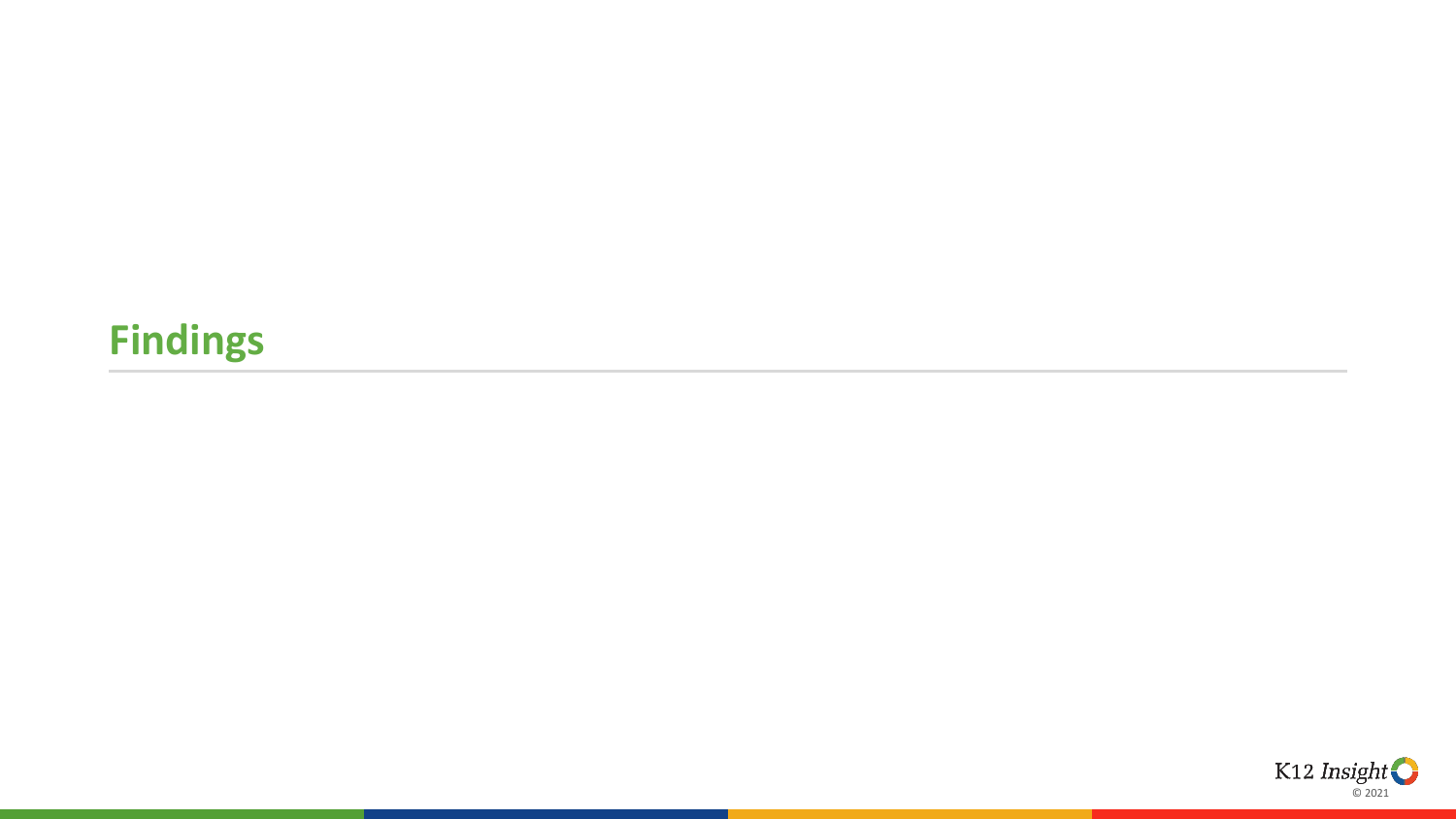# **Findings**

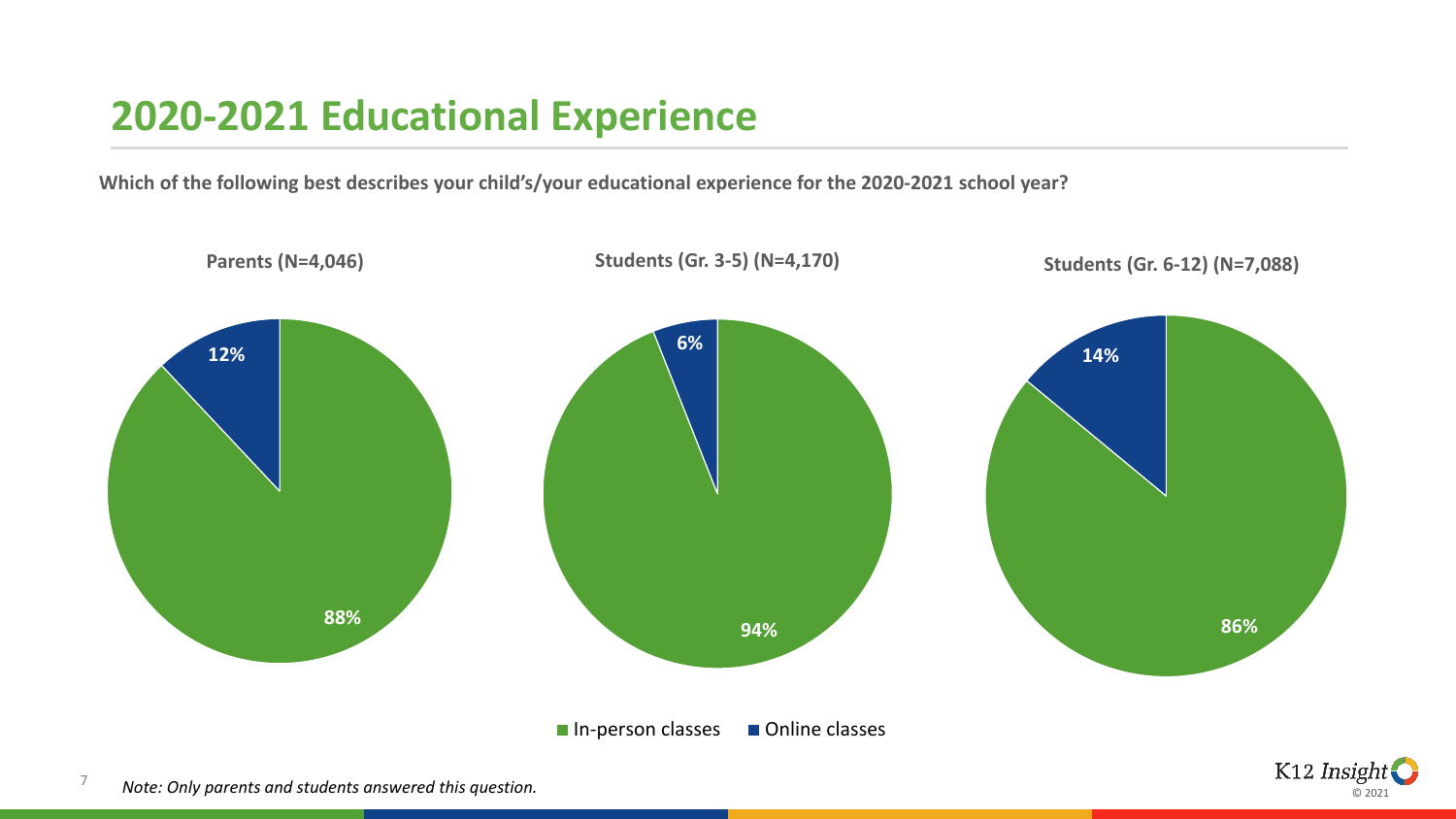#### **2020-2021 Educational Experience**

**Which of the following best describes your child's/your educational experience for the 2020-2021 school year?**



7 *Note: Only parents and students answered this question.* K12 Insight © 2021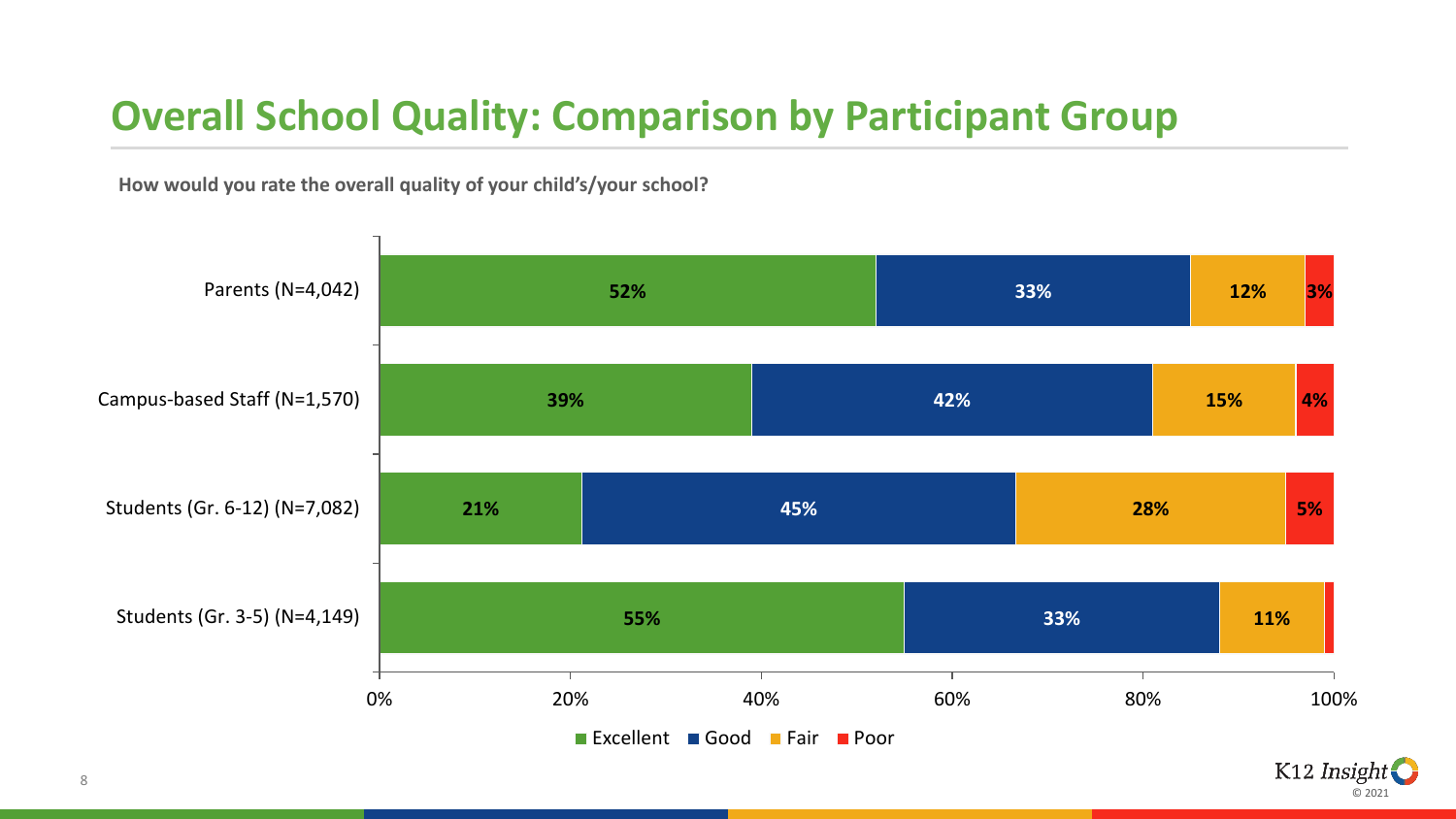### **Overall School Quality: Comparison by Participant Group**

**How would you rate the overall quality of your child's/your school?** 



© 2021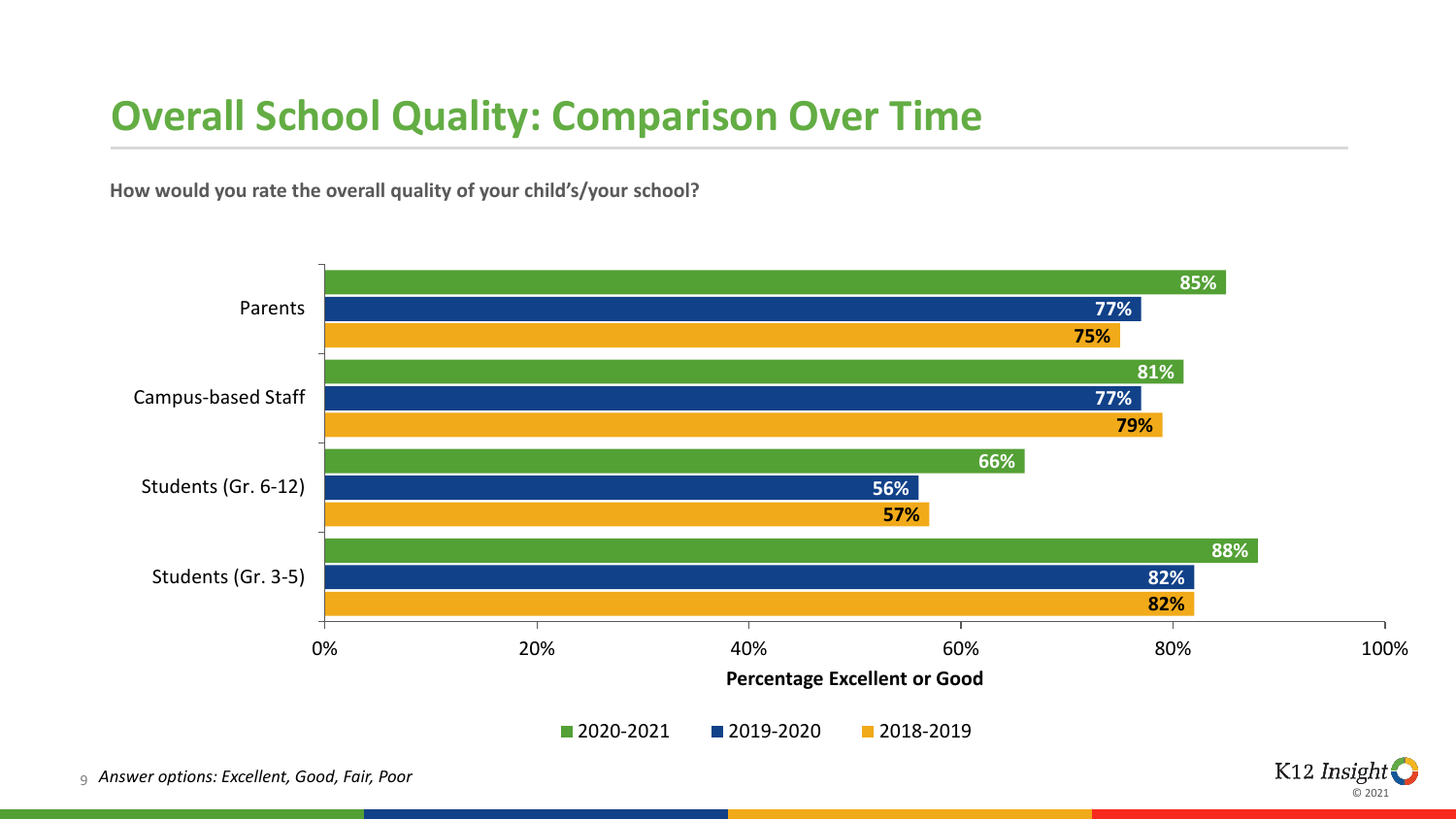#### **Overall School Quality: Comparison Over Time**

**How would you rate the overall quality of your child's/your school?** 



© 2021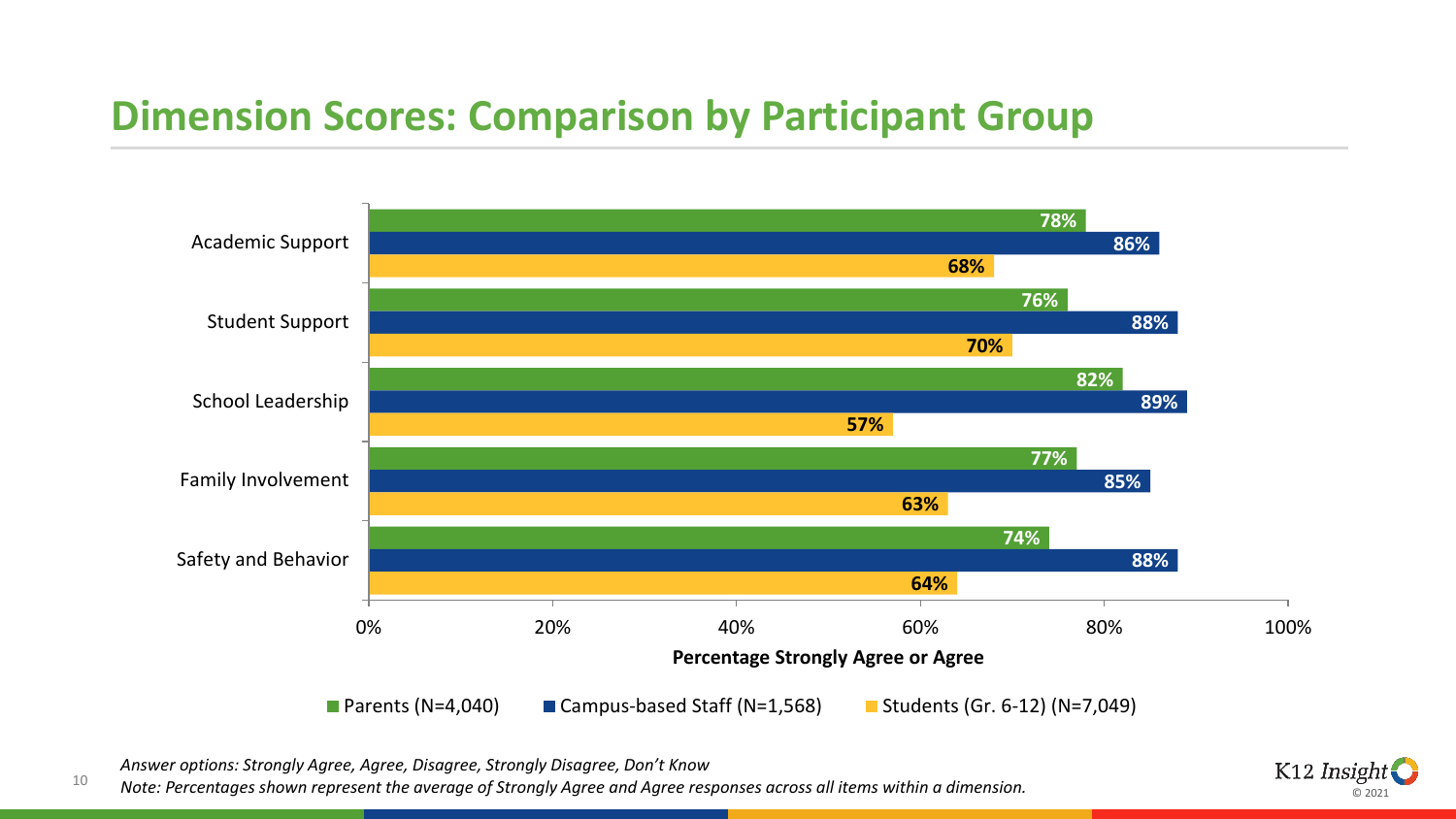#### **Dimension Scores: Comparison by Participant Group**



*Answer options: Strongly Agree, Agree, Disagree, Strongly Disagree, Don't Know*

*Note: Percentages shown represent the average of Strongly Agree and Agree responses across all items within a dimension.*



10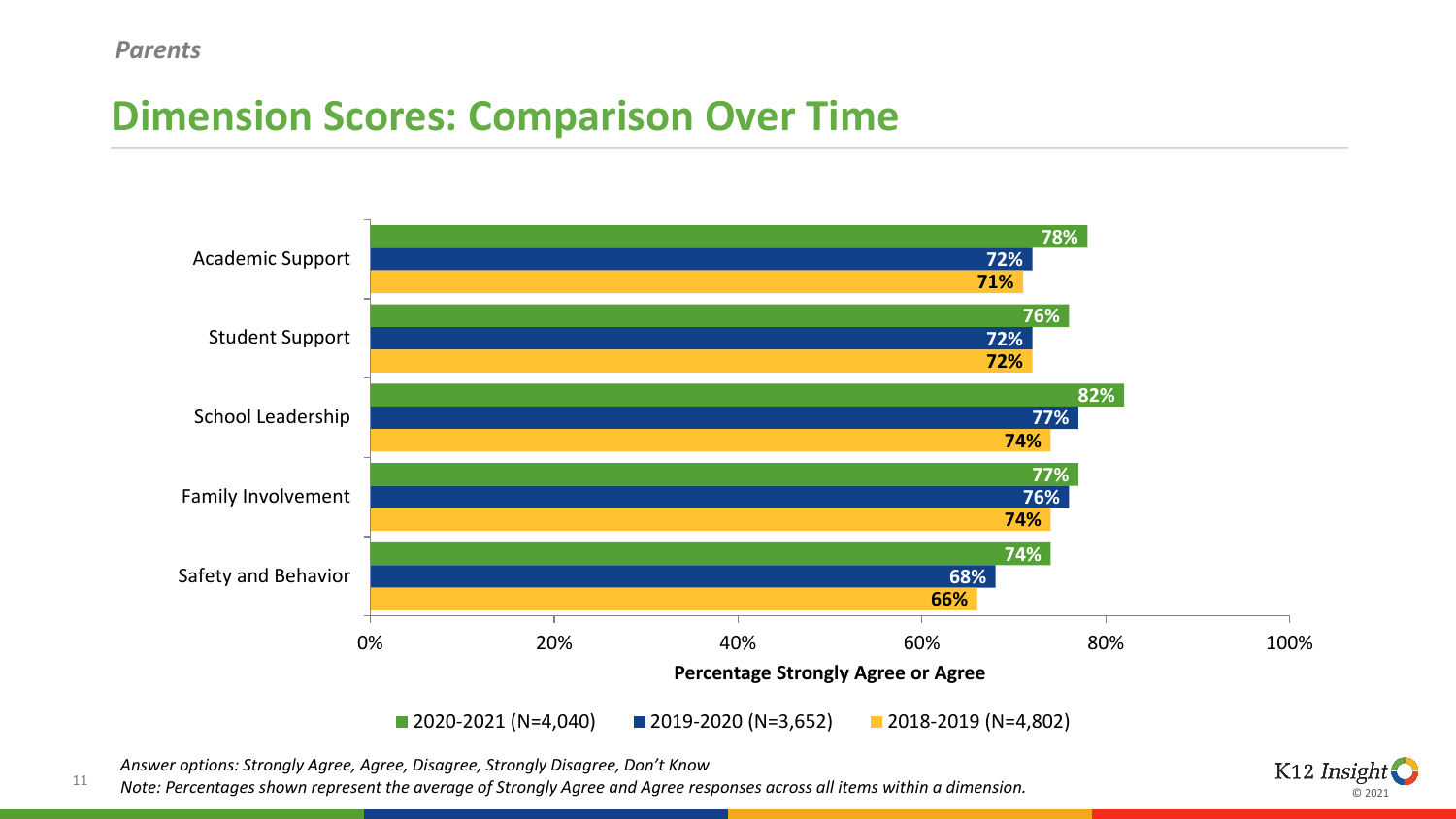#### **Dimension Scores: Comparison Over Time**



*Answer options: Strongly Agree, Agree, Disagree, Strongly Disagree, Don't Know*

11 *Note: Percentages shown represent the average of Strongly Agree and Agree responses across all items within a dimension.*

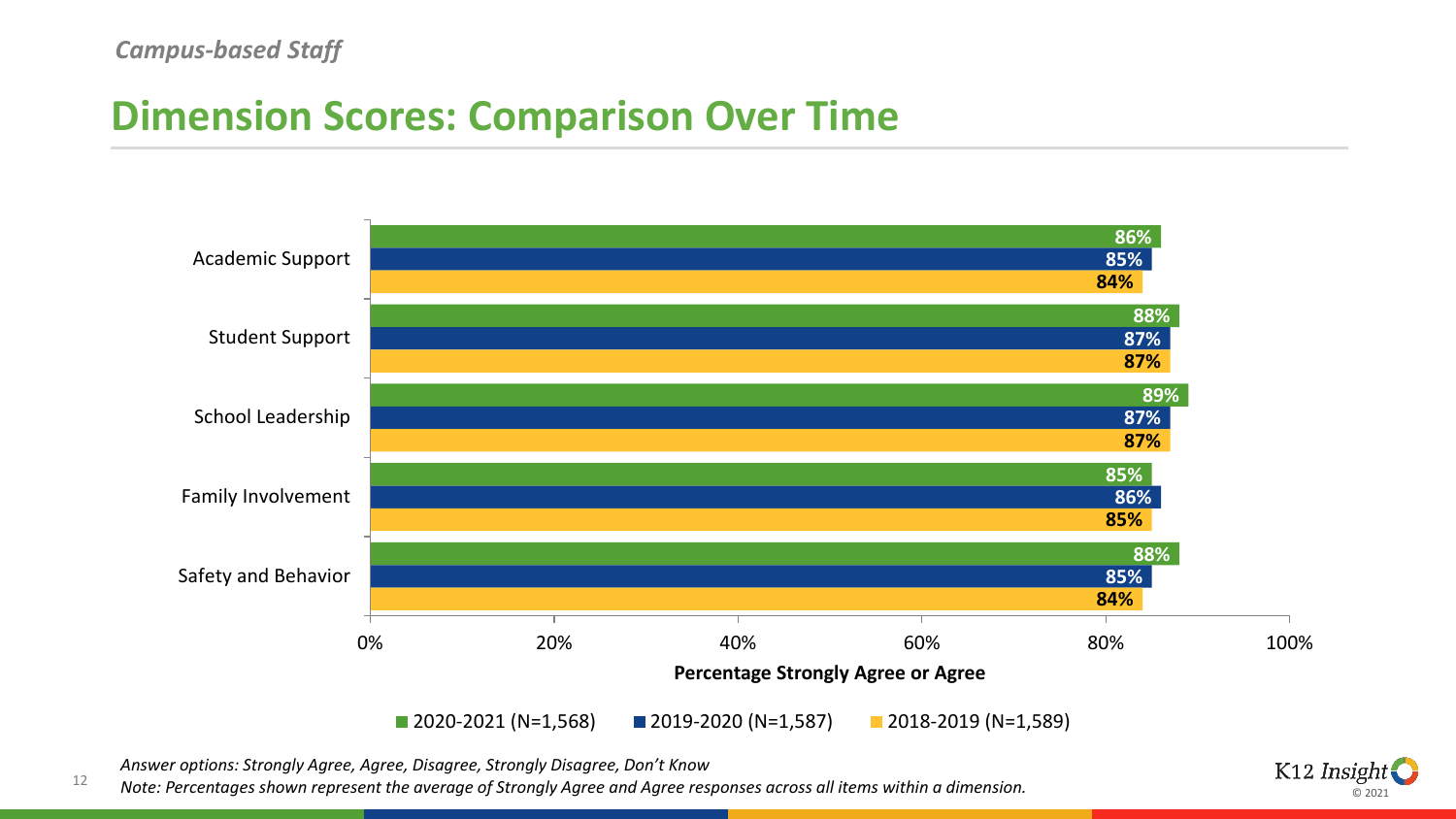#### **Dimension Scores: Comparison Over Time**



*Answer options: Strongly Agree, Agree, Disagree, Strongly Disagree, Don't Know*

12 *Note: Percentages shown represent the average of Strongly Agree and Agree responses across all items within a dimension.*

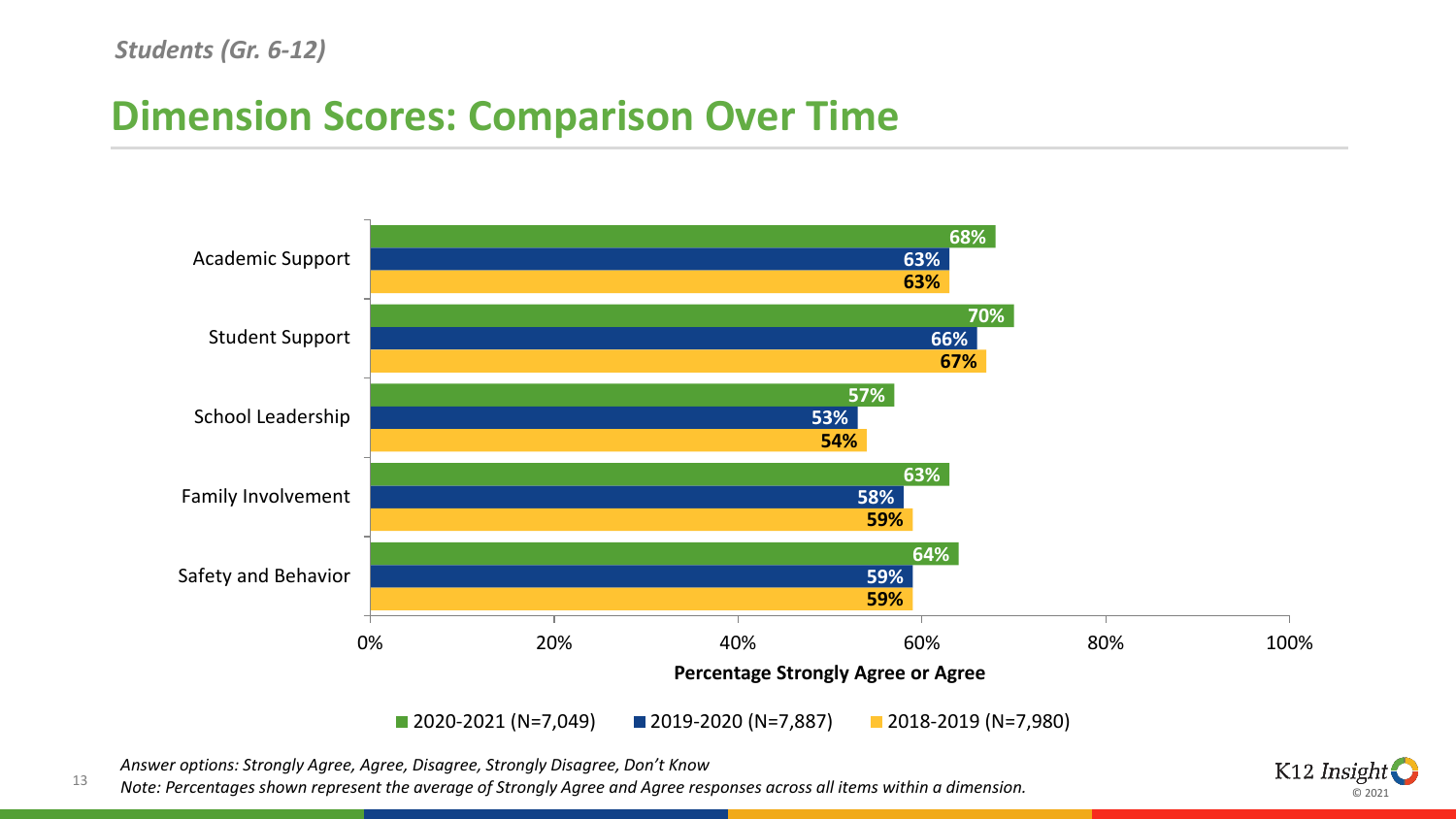#### **Dimension Scores: Comparison Over Time**



*Answer options: Strongly Agree, Agree, Disagree, Strongly Disagree, Don't Know*

13 *Note: Percentages shown represent the average of Strongly Agree and Agree responses across all items within a dimension.*

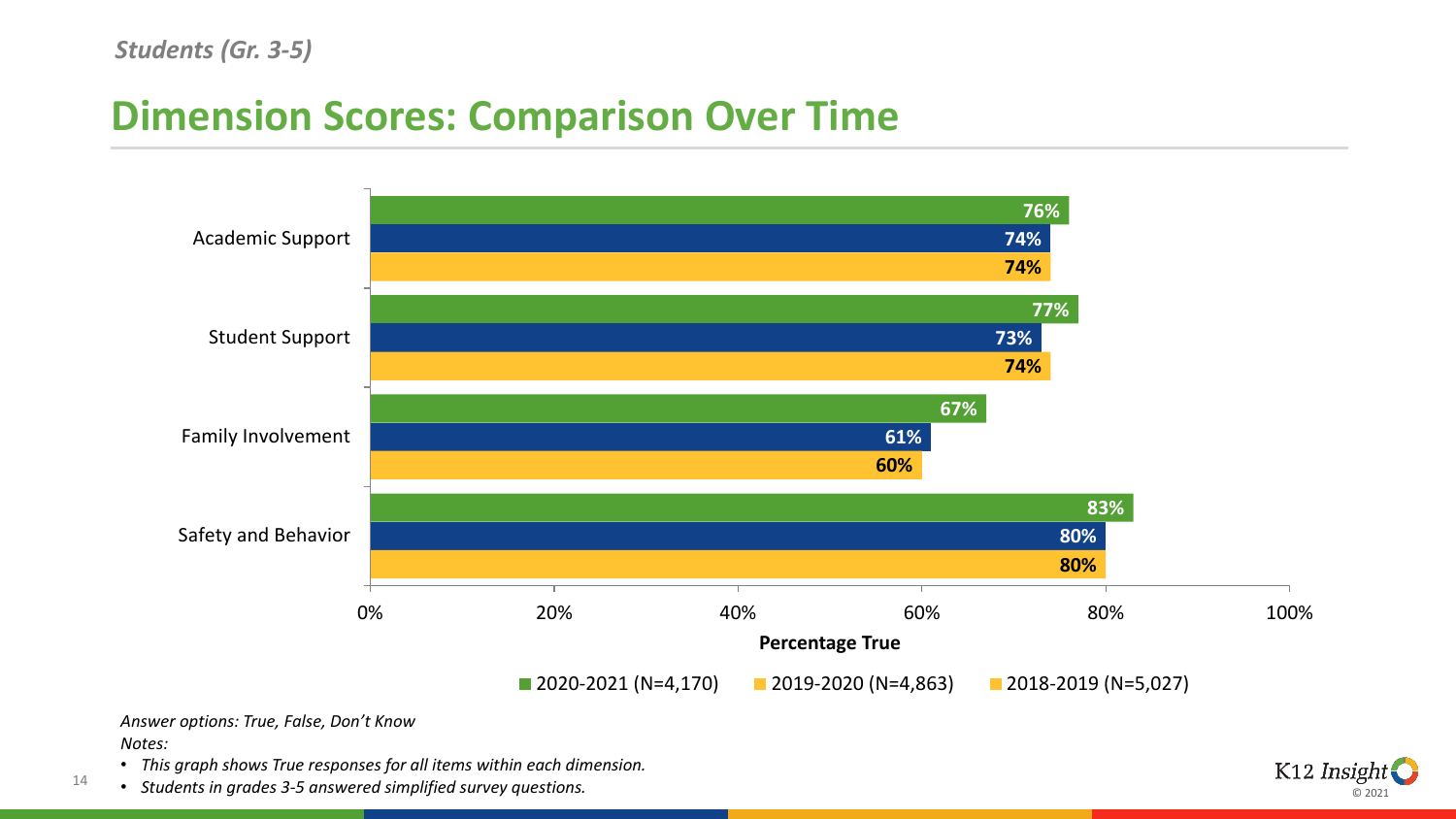#### *Students (Gr. 3-5)*

#### **Dimension Scores: Comparison Over Time**



#### *Answer options: True, False, Don't Know Notes:*

14

- *This graph shows True responses for all items within each dimension.*
- *Students in grades 3-5 answered simplified survey questions.*

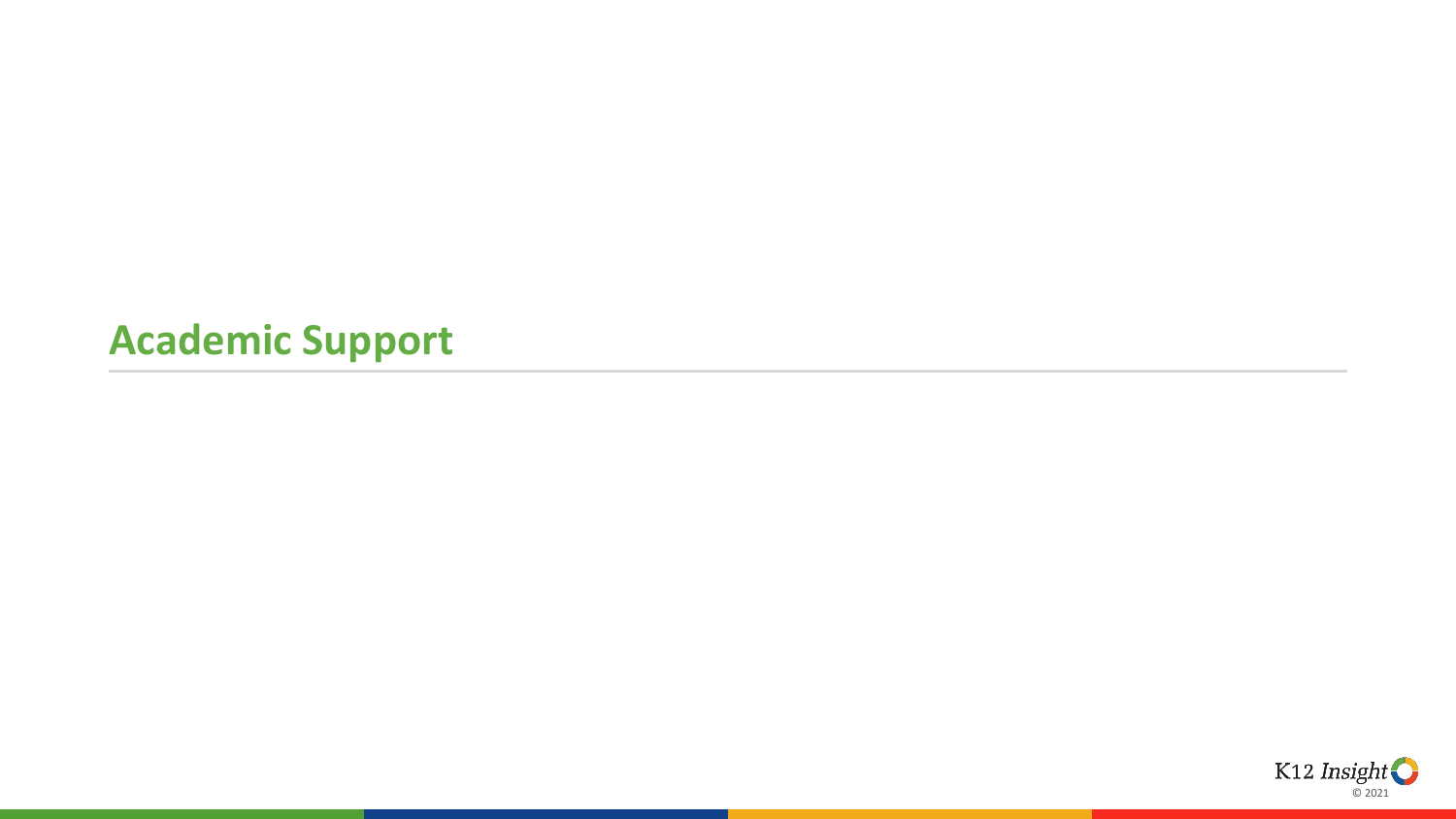### **Academic Support**

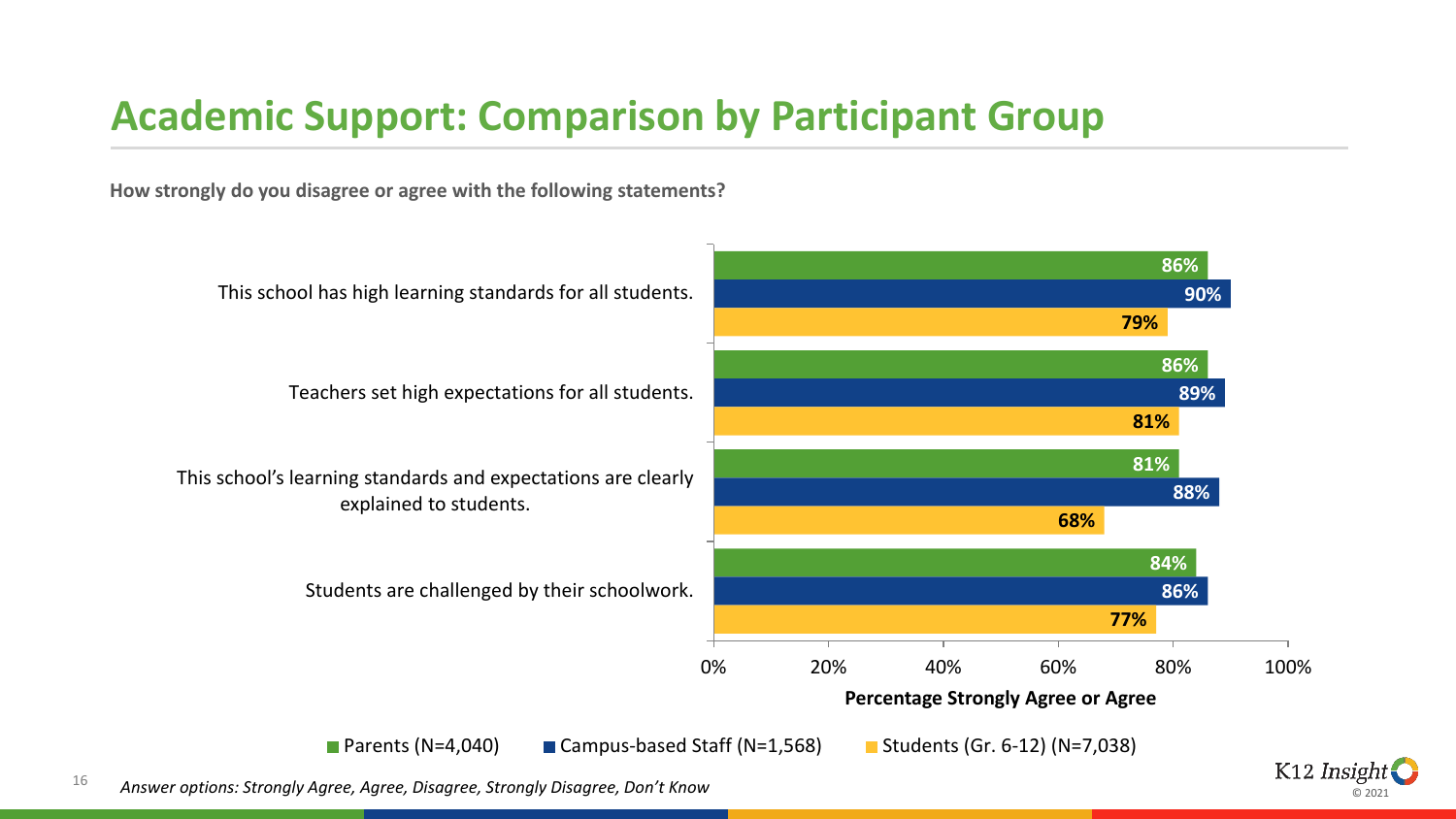#### **Academic Support: Comparison by Participant Group**

**How strongly do you disagree or agree with the following statements?**



<sup>16</sup> *Answer options: Strongly Agree, Agree, Disagree, Strongly Disagree, Don't Know*

K12 Insight © 2021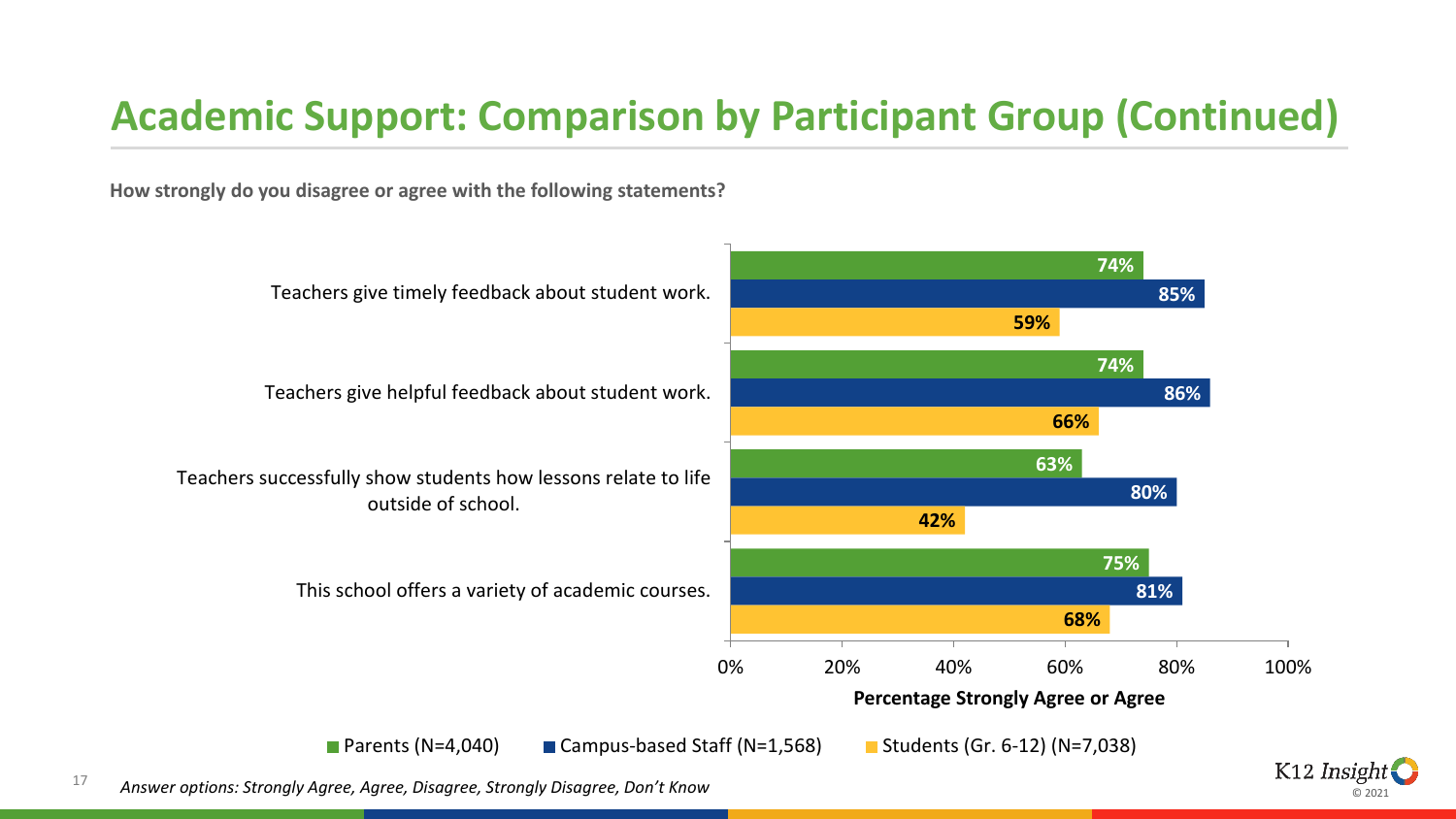# **Academic Support: Comparison by Participant Group (Continued)**

**How strongly do you disagree or agree with the following statements?**



ര ാ∩ാ∙

<sup>17</sup> *Answer options: Strongly Agree, Agree, Disagree, Strongly Disagree, Don't Know*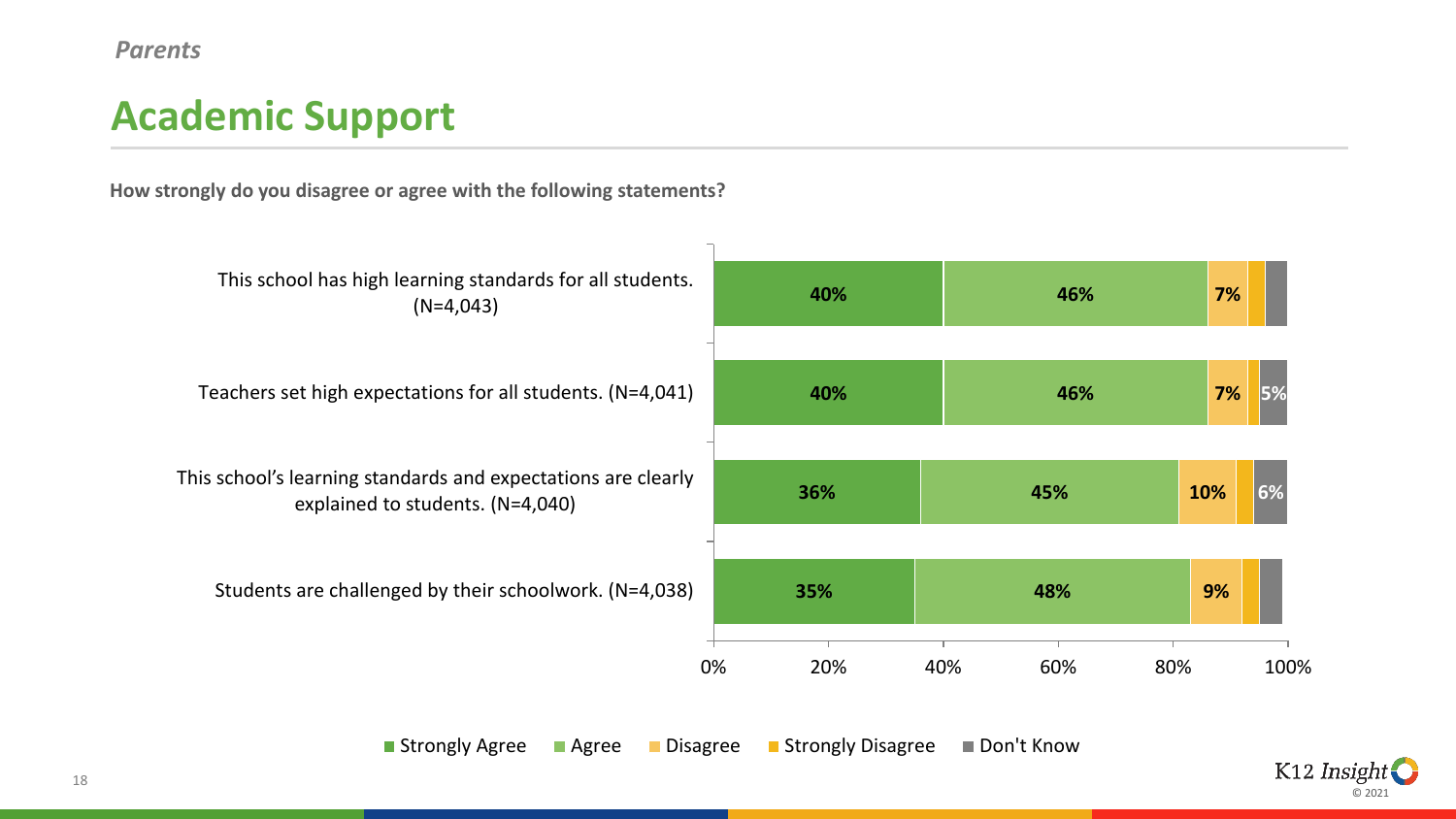# **Academic Support**

**How strongly do you disagree or agree with the following statements?**



■ Strongly Agree ■ Agree ■ Disagree ■ Strongly Disagree ■ Don't Know

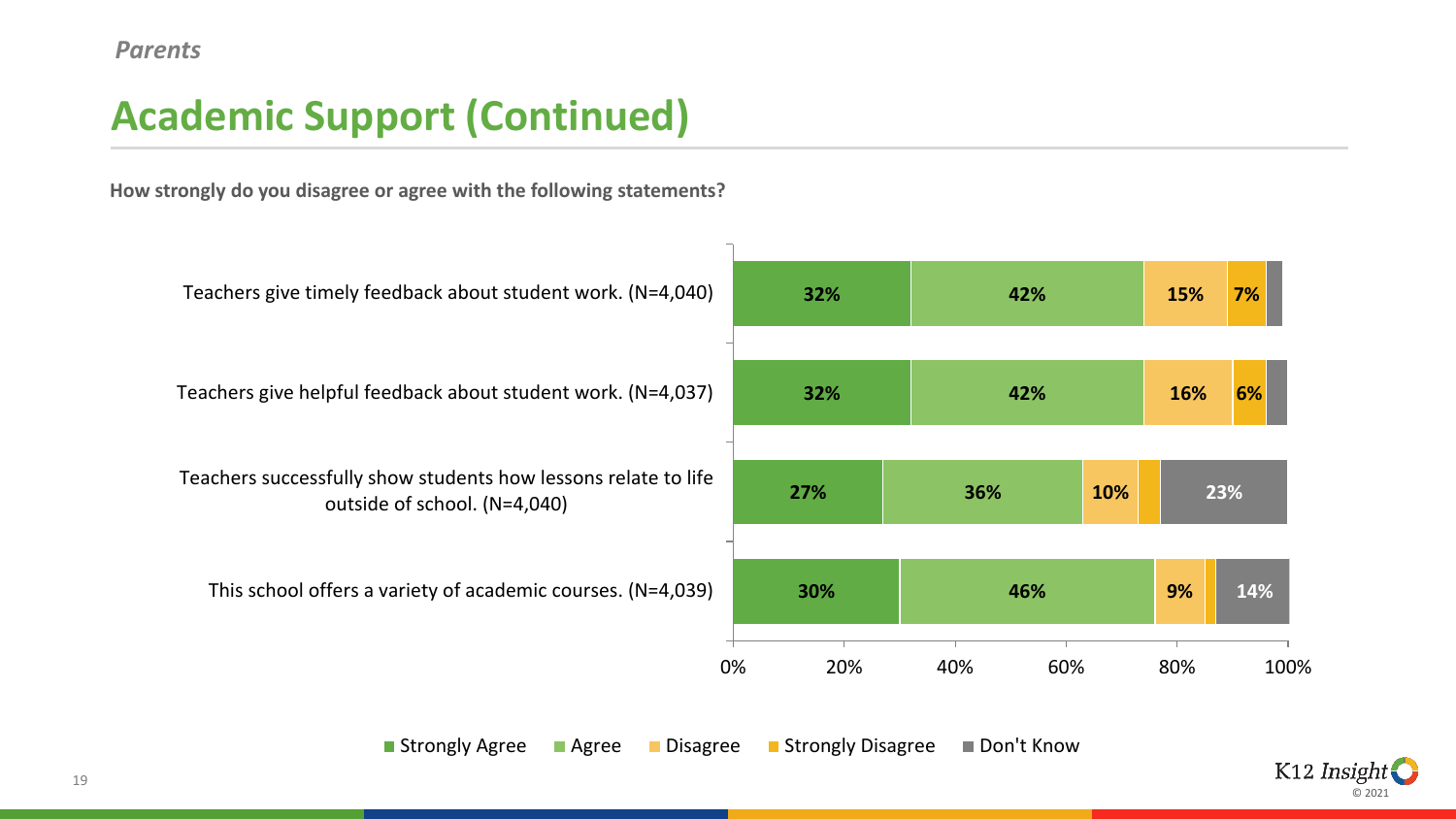# **Academic Support (Continued)**

**How strongly do you disagree or agree with the following statements?**



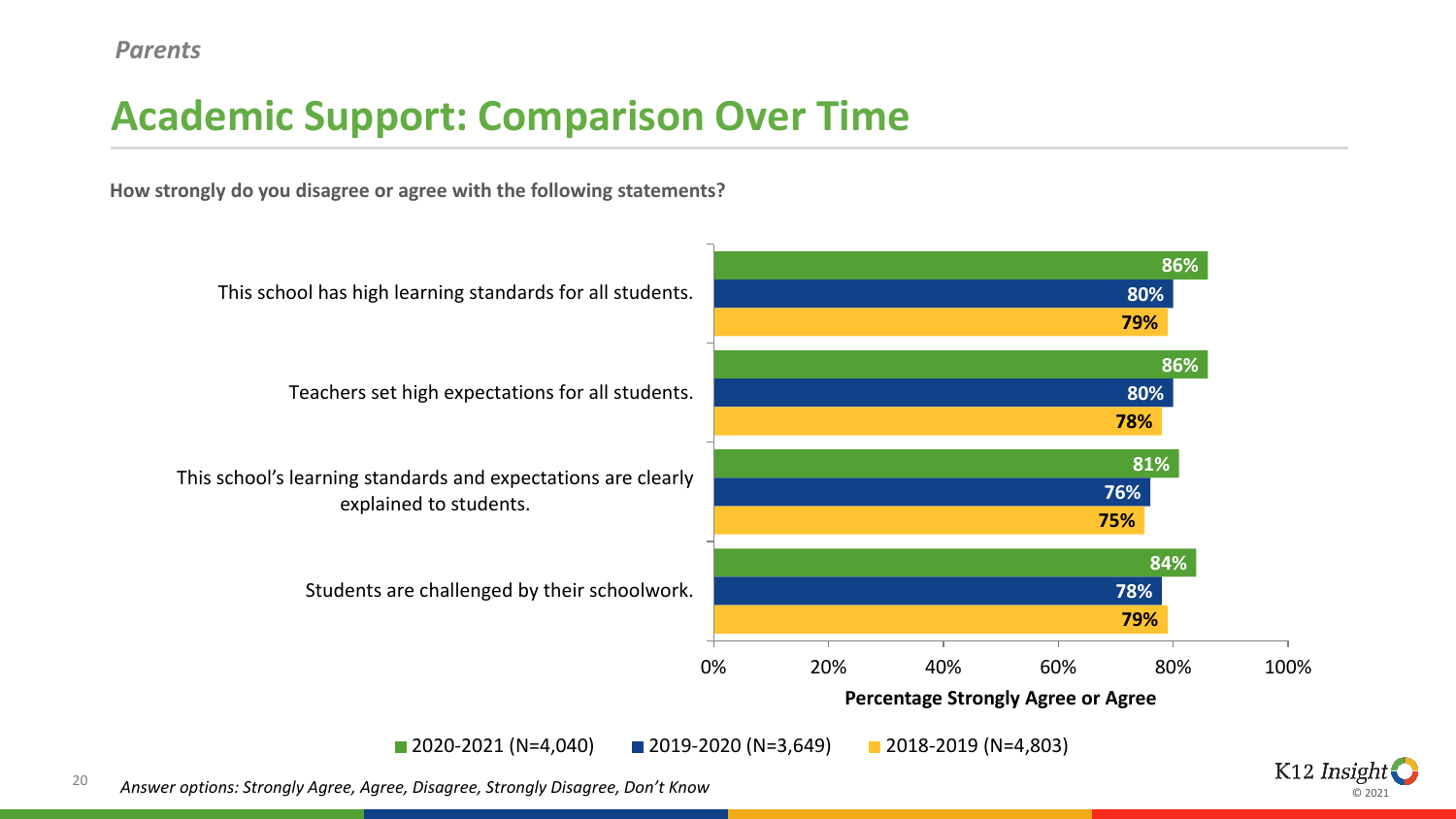# **Academic Support: Comparison Over Time**

**How strongly do you disagree or agree with the following statements?**



© 2021

20 *Answer options: Strongly Agree, Agree, Disagree, Strongly Disagree, Don't Know*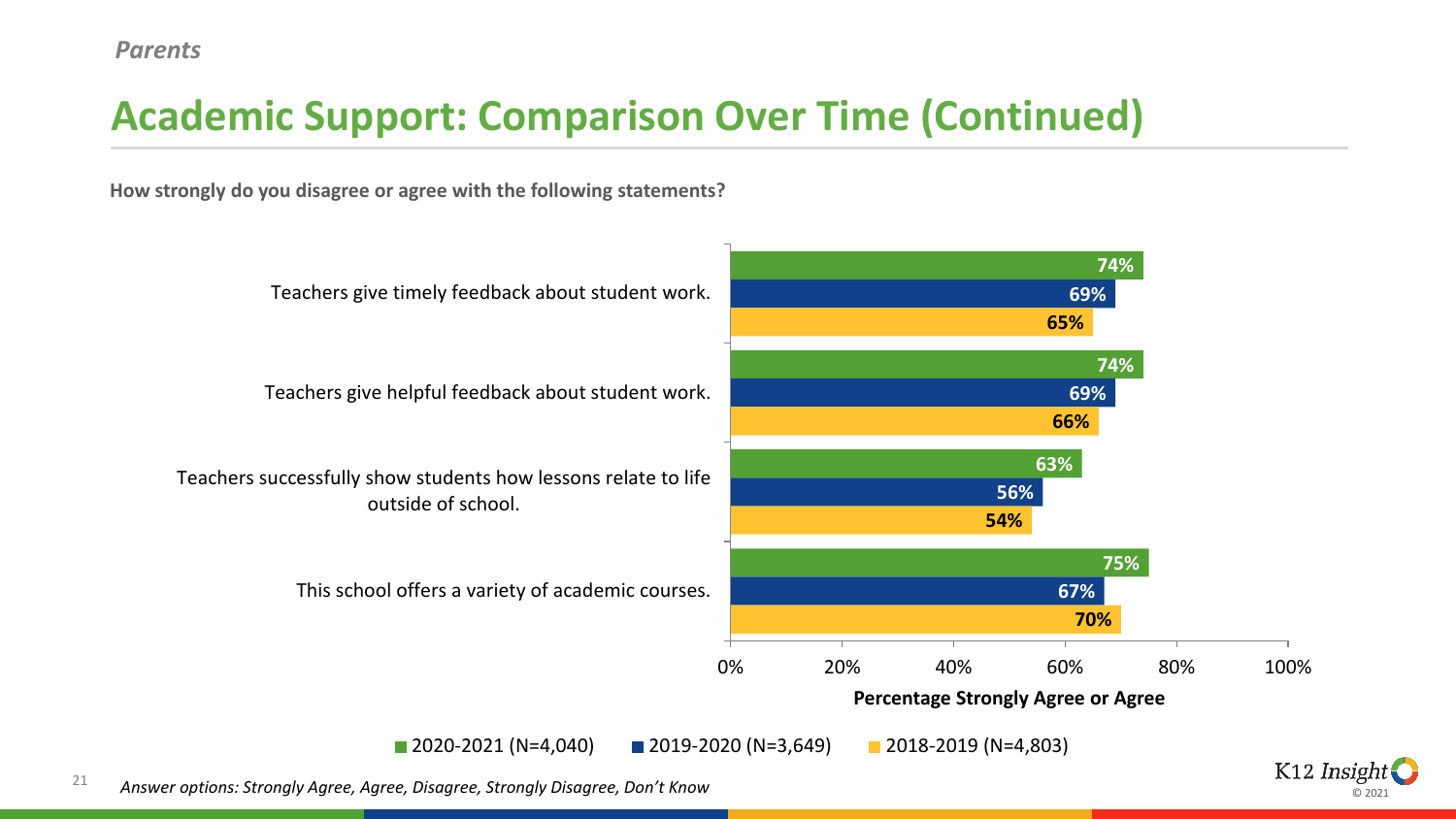# **Academic Support: Comparison Over Time (Continued)**

**How strongly do you disagree or agree with the following statements?**



⊚ ാ∩ാ

21 *Answer options: Strongly Agree, Agree, Disagree, Strongly Disagree, Don't Know*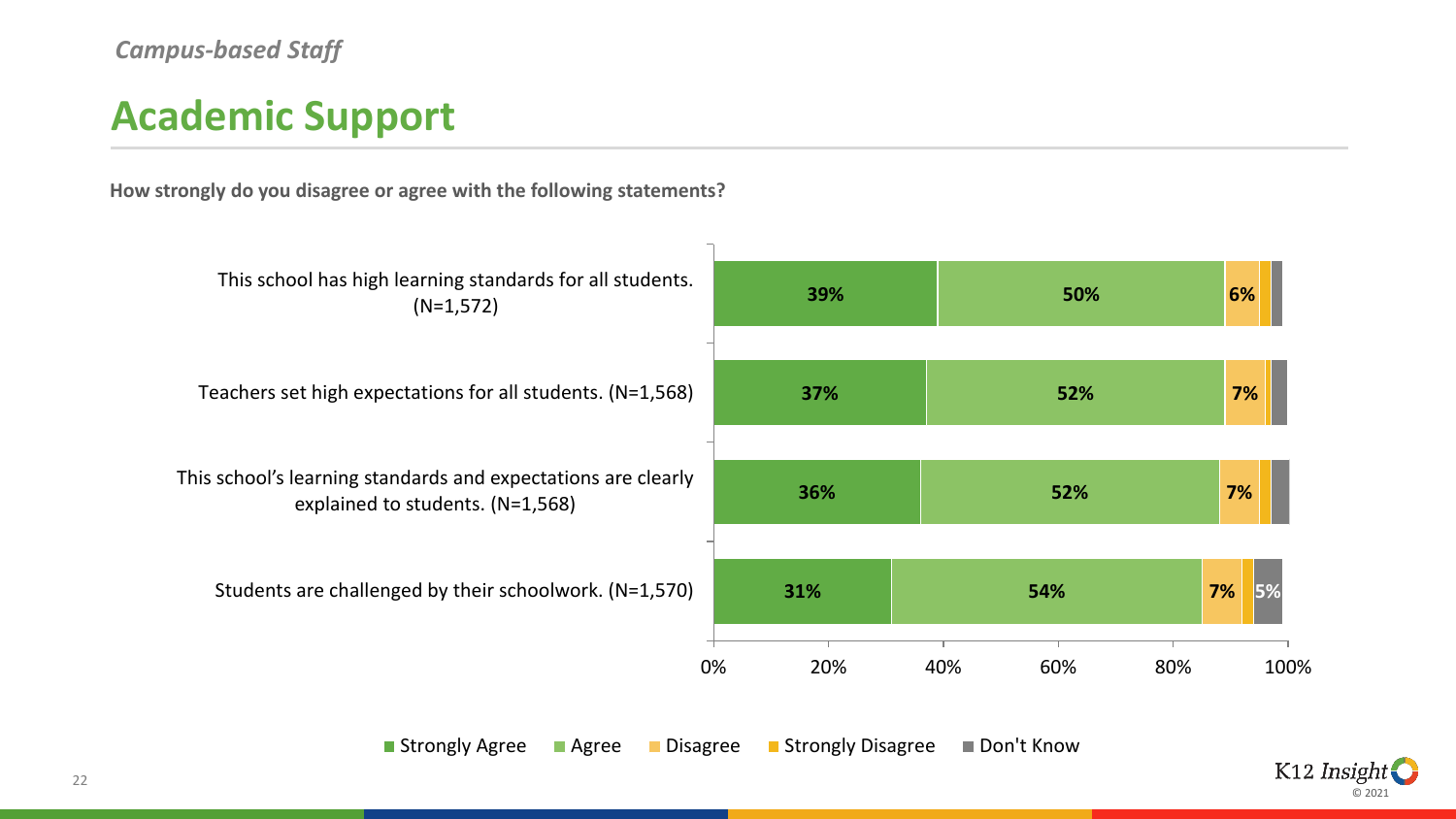### **Academic Support**

**How strongly do you disagree or agree with the following statements?**



■ Strongly Agree ■ Agree ■ Disagree ■ Strongly Disagree ■ Don't Know

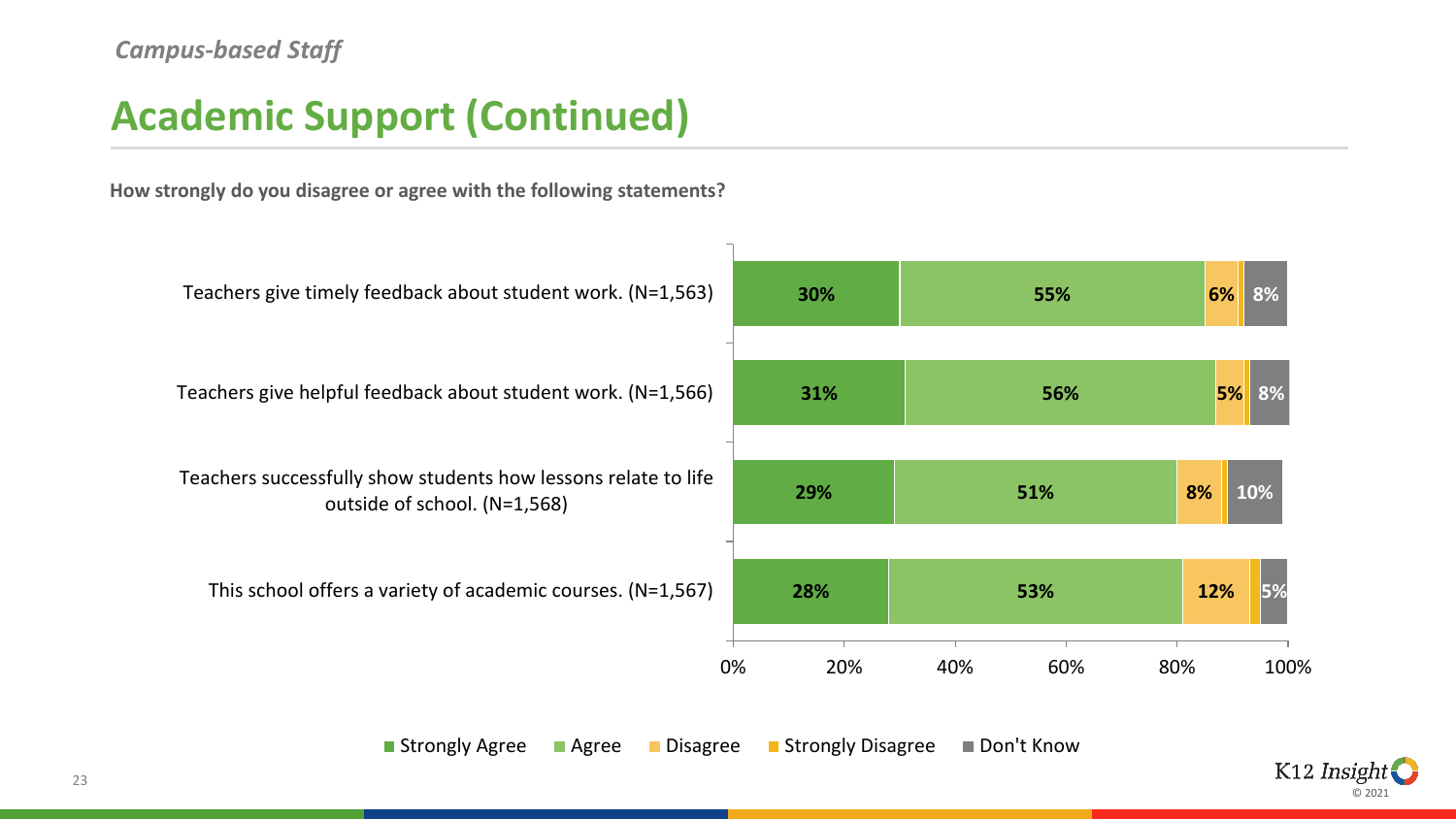### **Academic Support (Continued)**

**How strongly do you disagree or agree with the following statements?**



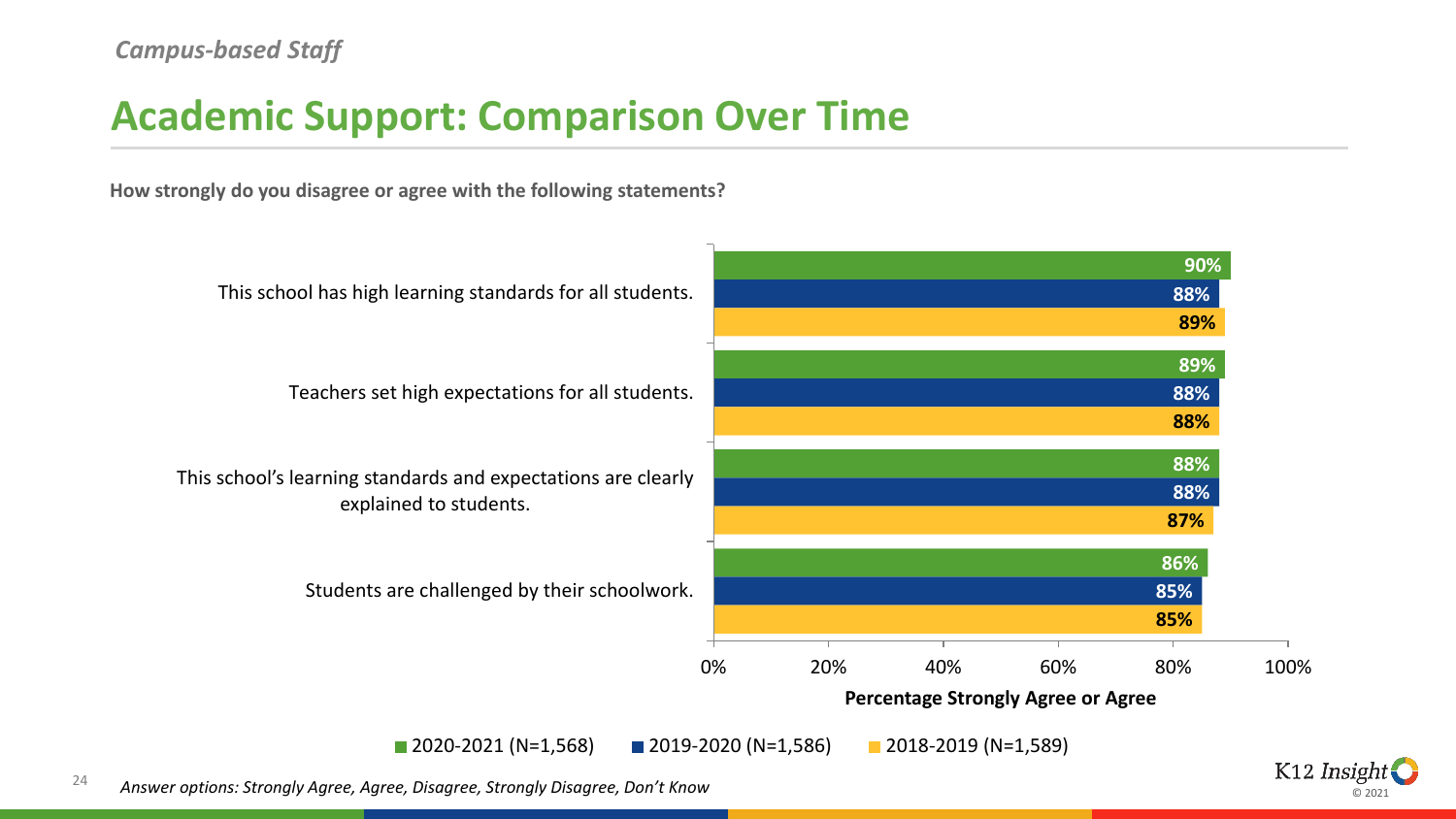### **Academic Support: Comparison Over Time**

**How strongly do you disagree or agree with the following statements?**



⊚ ാ∩ാ

24 *Answer options: Strongly Agree, Agree, Disagree, Strongly Disagree, Don't Know*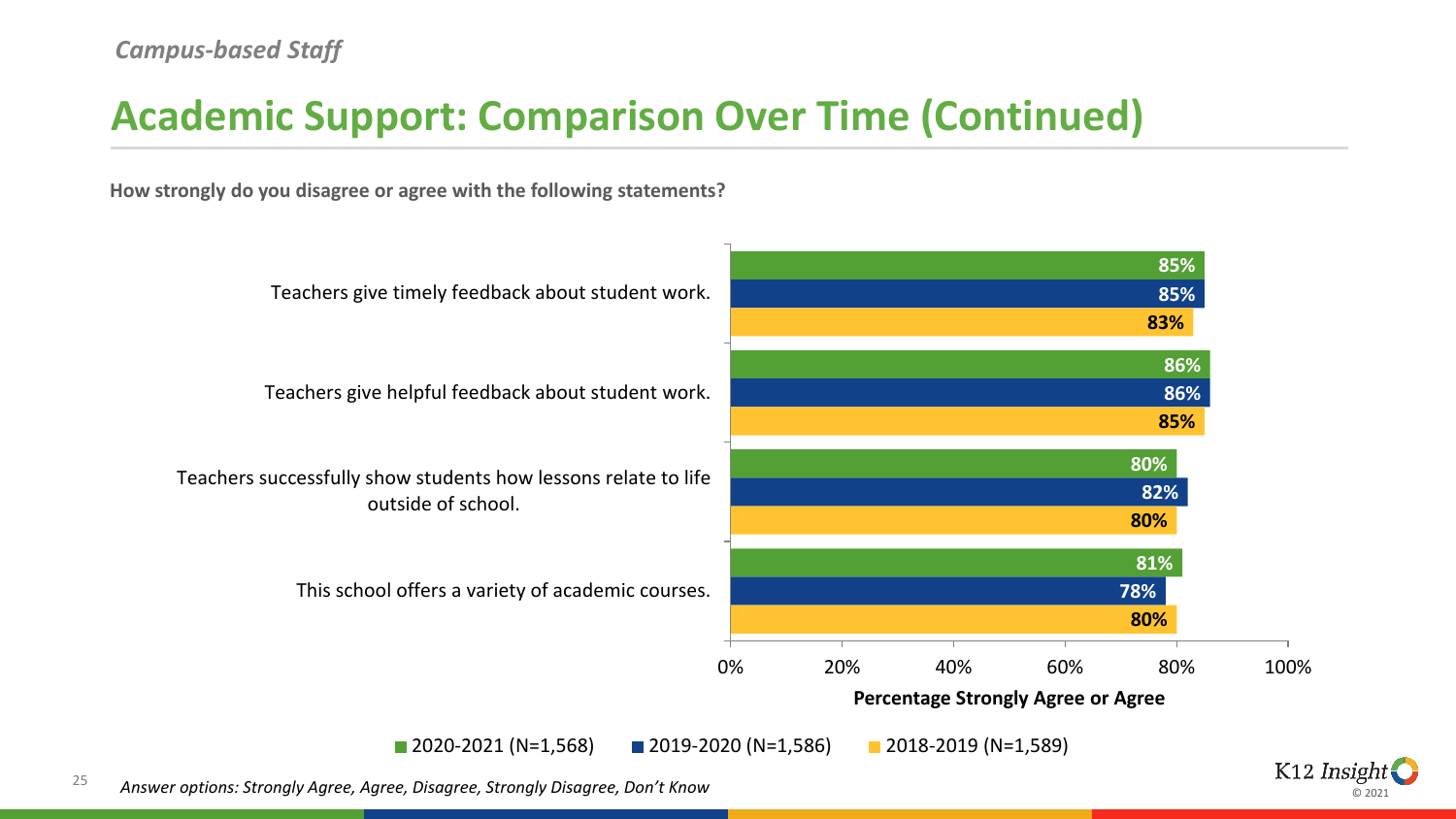### **Academic Support: Comparison Over Time (Continued)**

**How strongly do you disagree or agree with the following statements?**



ര ാ∩ാ∙

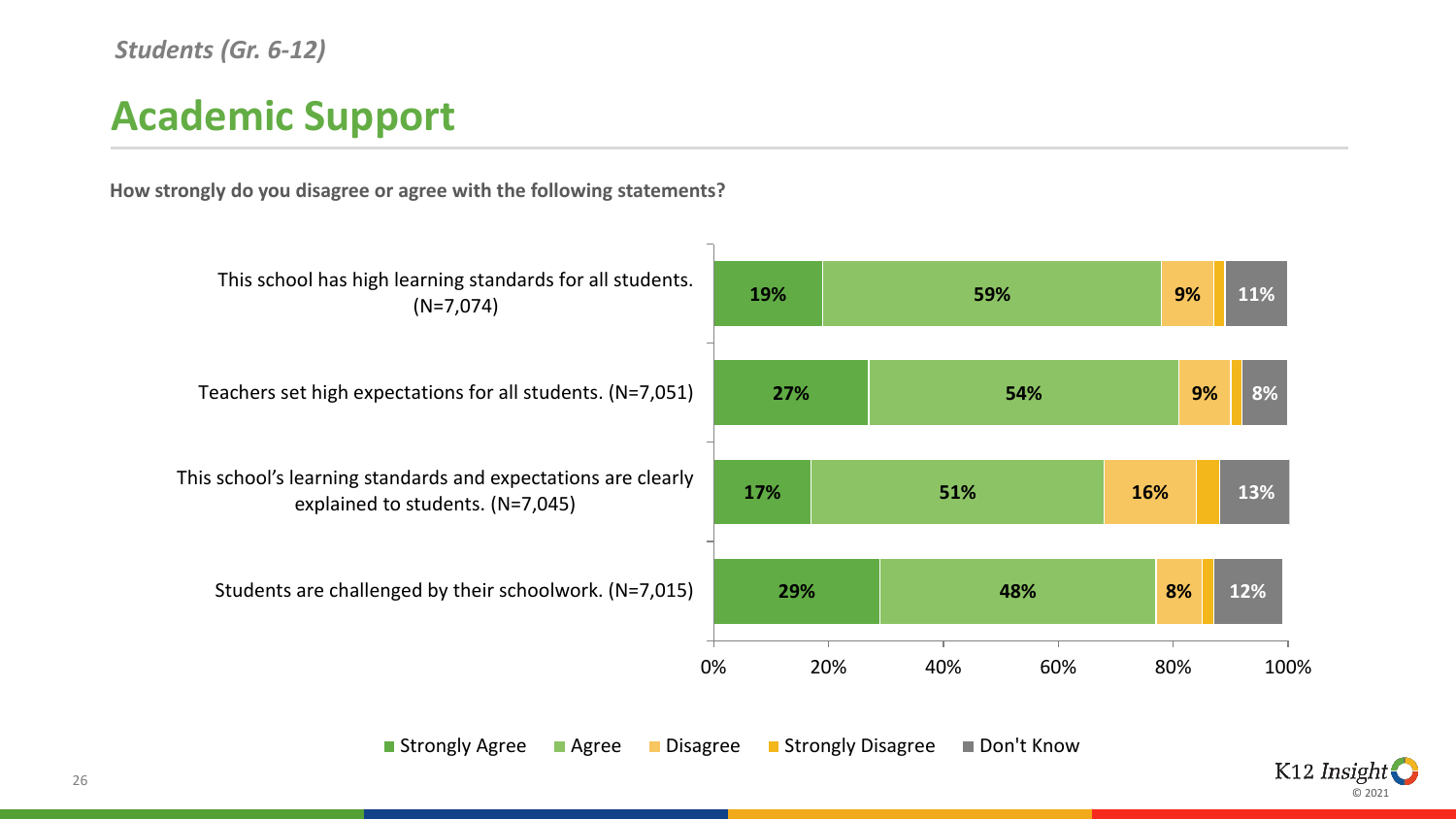### **Academic Support**

**How strongly do you disagree or agree with the following statements?**



■ Strongly Agree ■ Agree ■ Disagree ■ Strongly Disagree ■ Don't Know

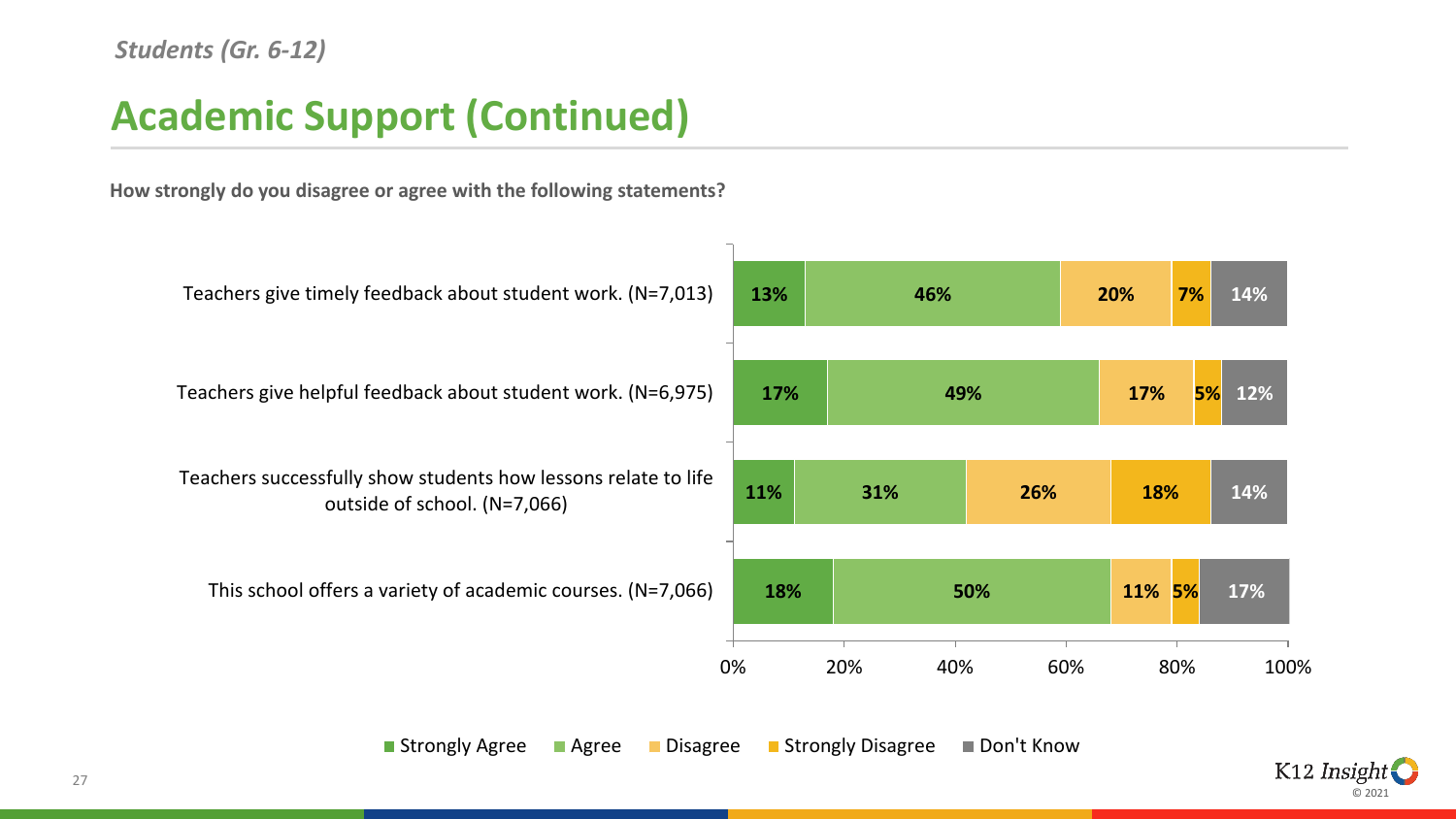### **Academic Support (Continued)**

**How strongly do you disagree or agree with the following statements?**



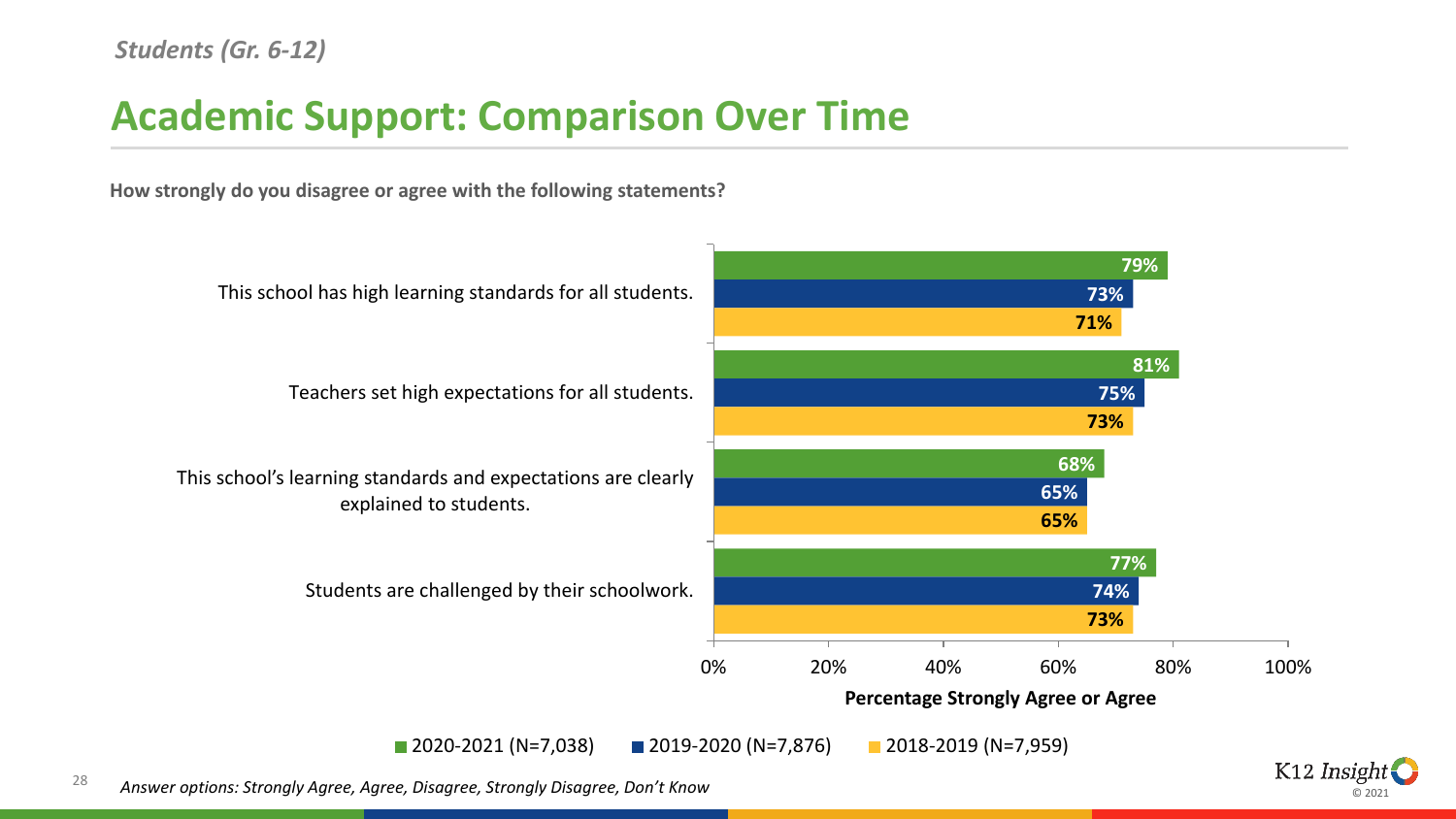### **Academic Support: Comparison Over Time**

**How strongly do you disagree or agree with the following statements?**



⊚ ാ∩ാ

28 *Answer options: Strongly Agree, Agree, Disagree, Strongly Disagree, Don't Know*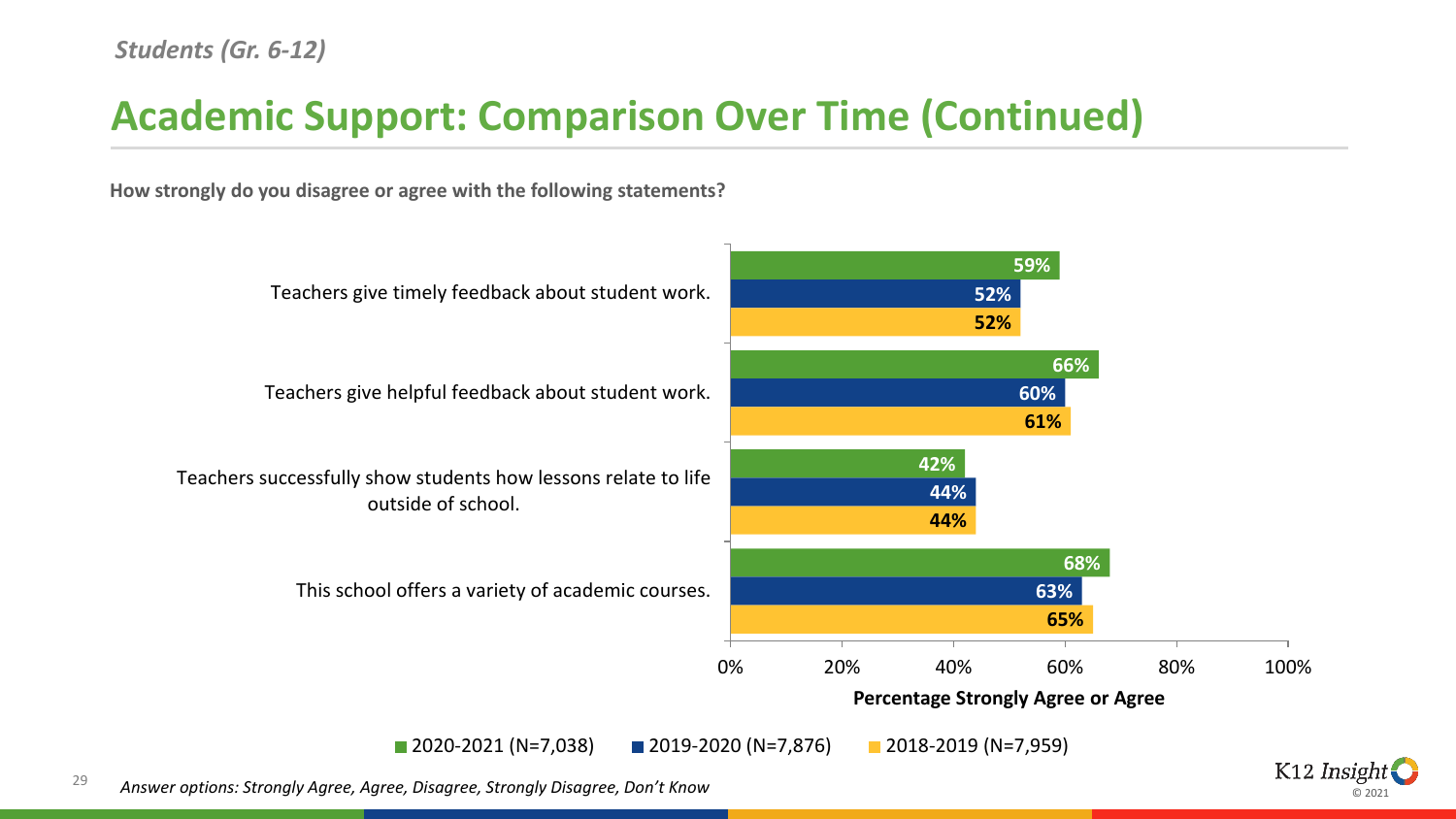### **Academic Support: Comparison Over Time (Continued)**

**How strongly do you disagree or agree with the following statements?**



ര ാ∩ാ∙

29 *Answer options: Strongly Agree, Agree, Disagree, Strongly Disagree, Don't Know*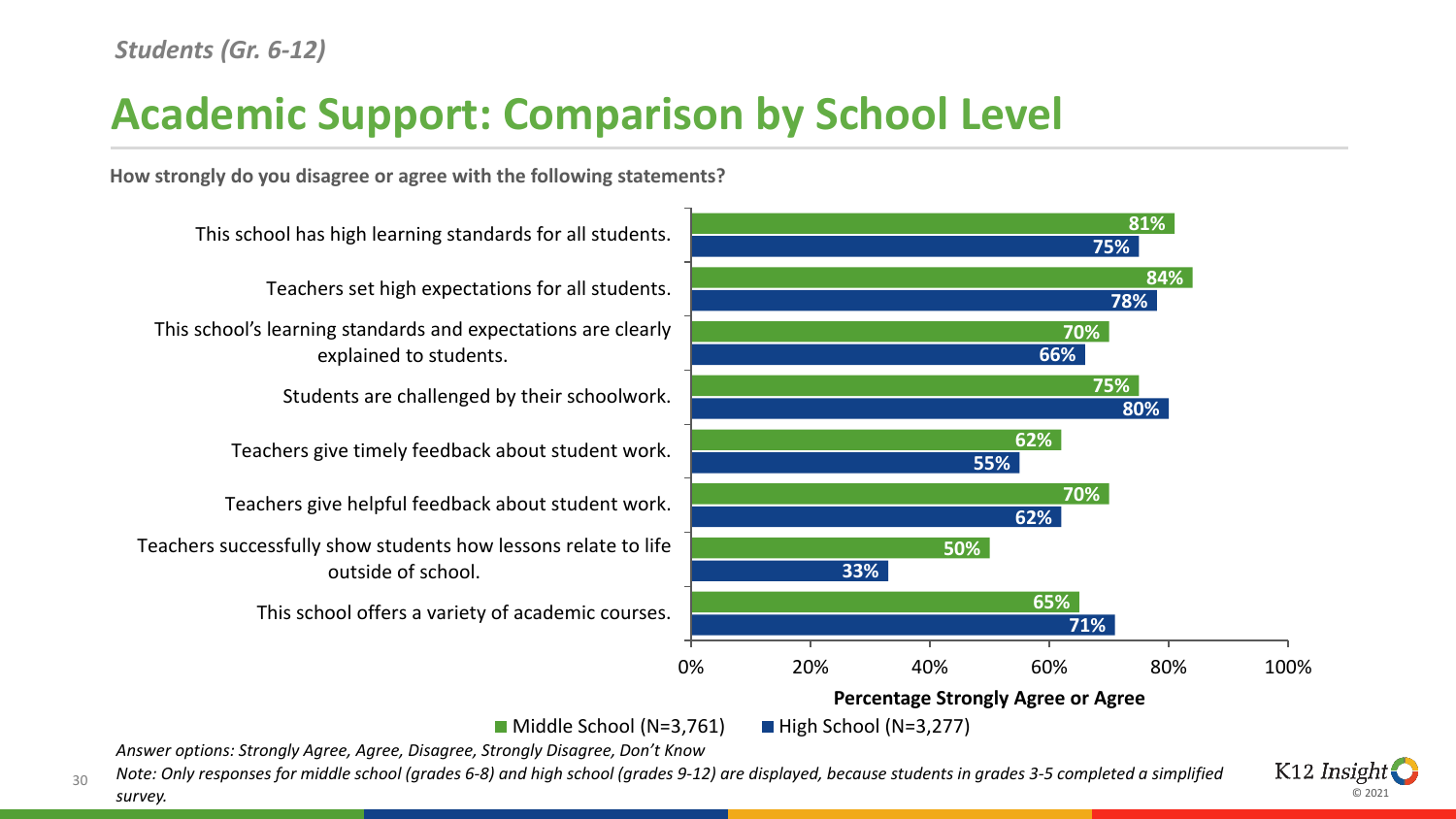# **Academic Support: Comparison by School Level**

**How strongly do you disagree or agree with the following statements?**



 $\blacksquare$  Middle School (N=3,761)  $\blacksquare$  High School (N=3,277)

*Answer options: Strongly Agree, Agree, Disagree, Strongly Disagree, Don't Know*

*Note: Only responses for middle school (grades 6-8) and high school (grades 9-12) are displayed, because students in grades 3-5 completed a simplified* 

ര ാ∩ാ∙

K<sub>12</sub> Insight

30

*survey.*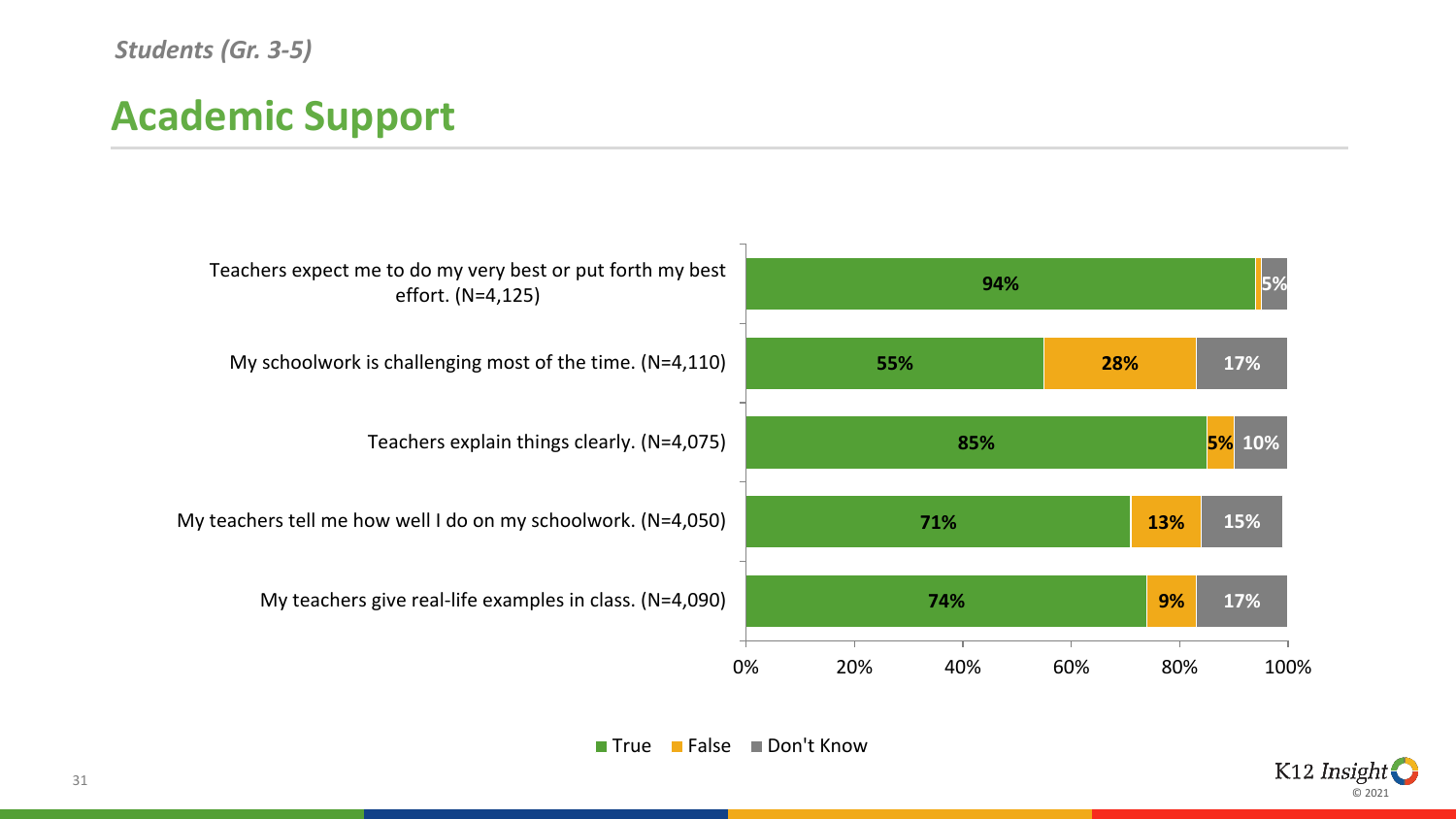#### *Students (Gr. 3-5)*

# **Academic Support**



■ True ■ False ■ Don't Know

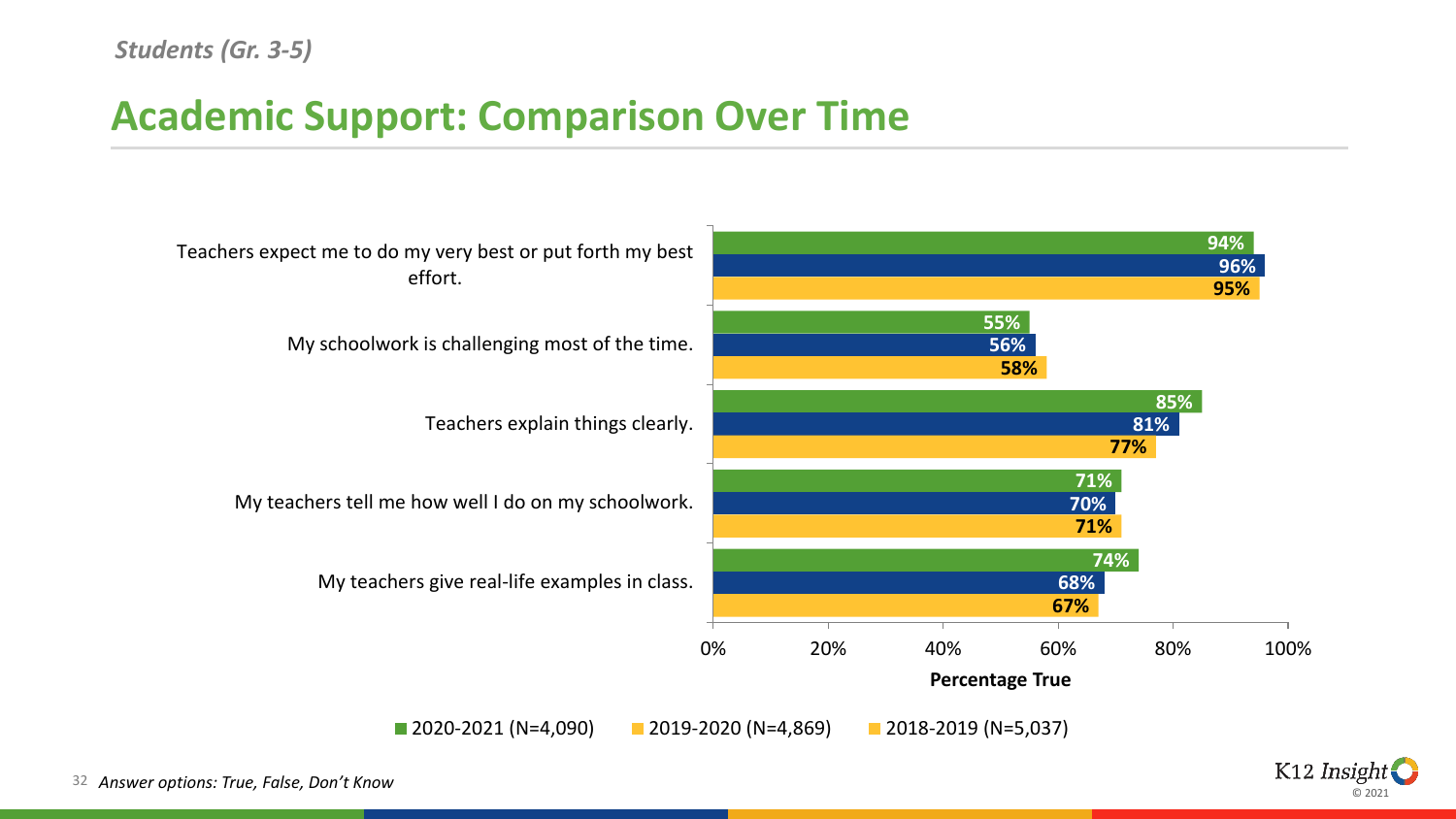### **Academic Support: Comparison Over Time**



© 2021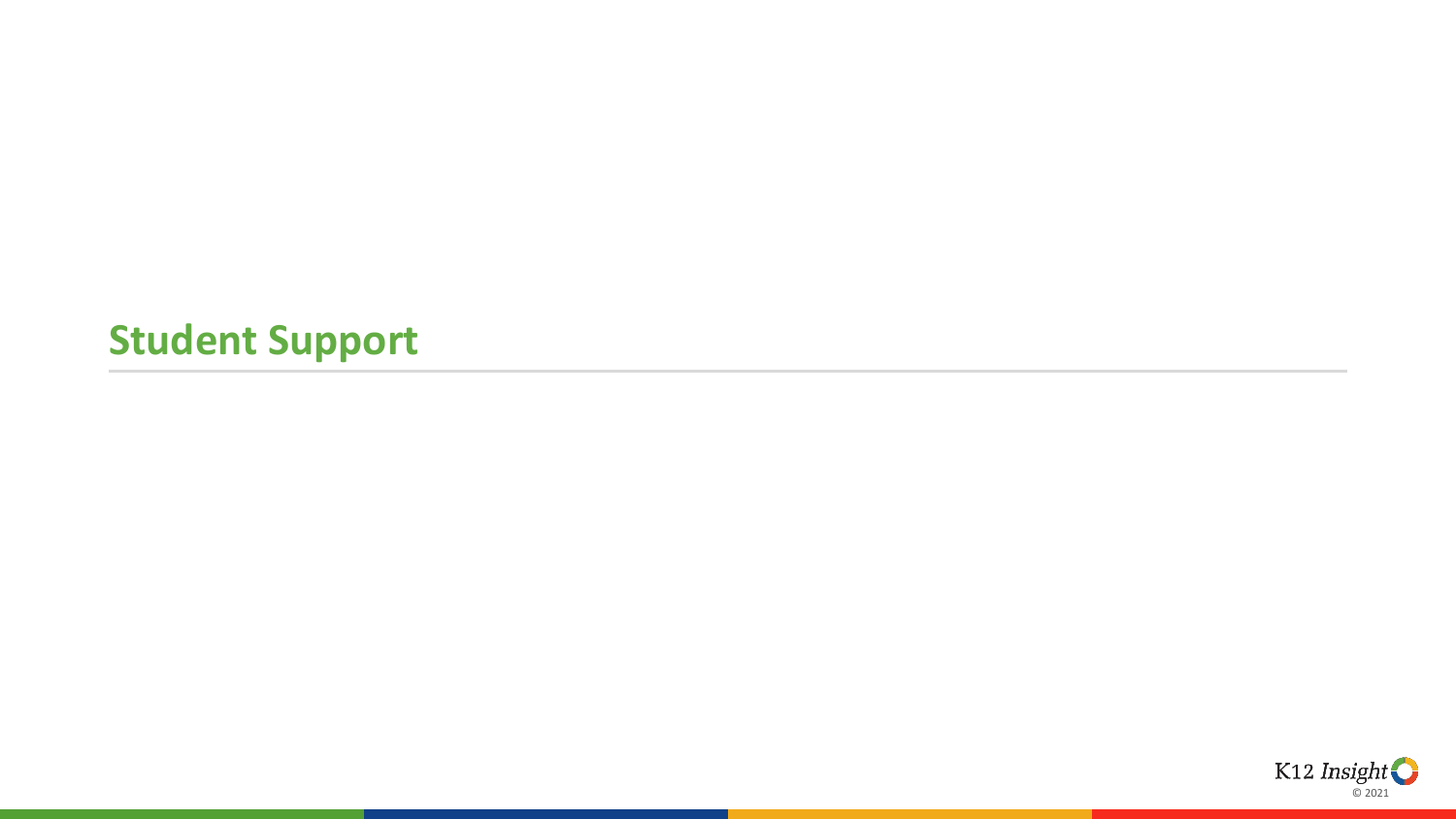### **Student Support**

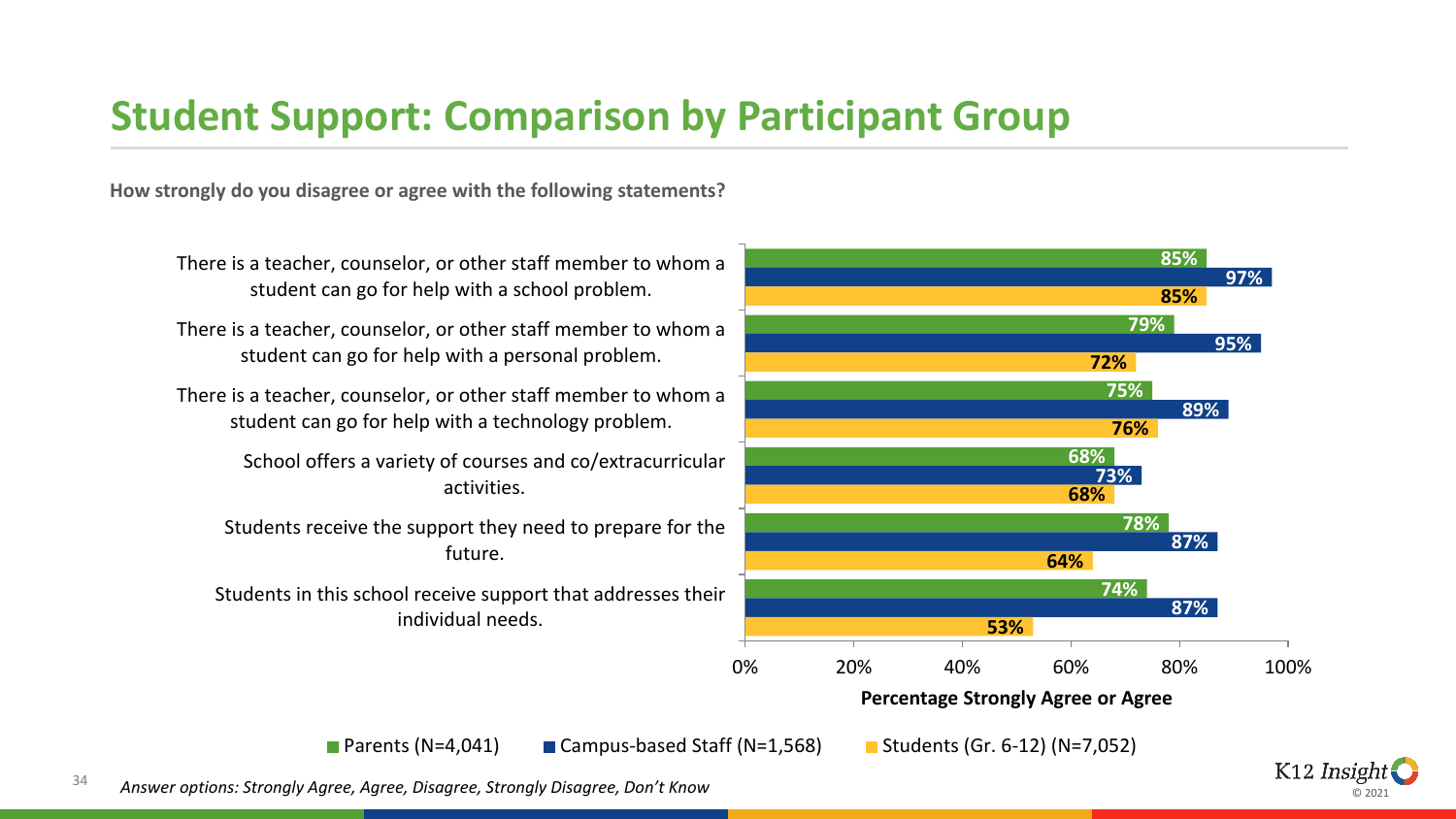#### **Student Support: Comparison by Participant Group**

**How strongly do you disagree or agree with the following statements?**



© 2021

<sup>34</sup> *Answer options: Strongly Agree, Agree, Disagree, Strongly Disagree, Don't Know*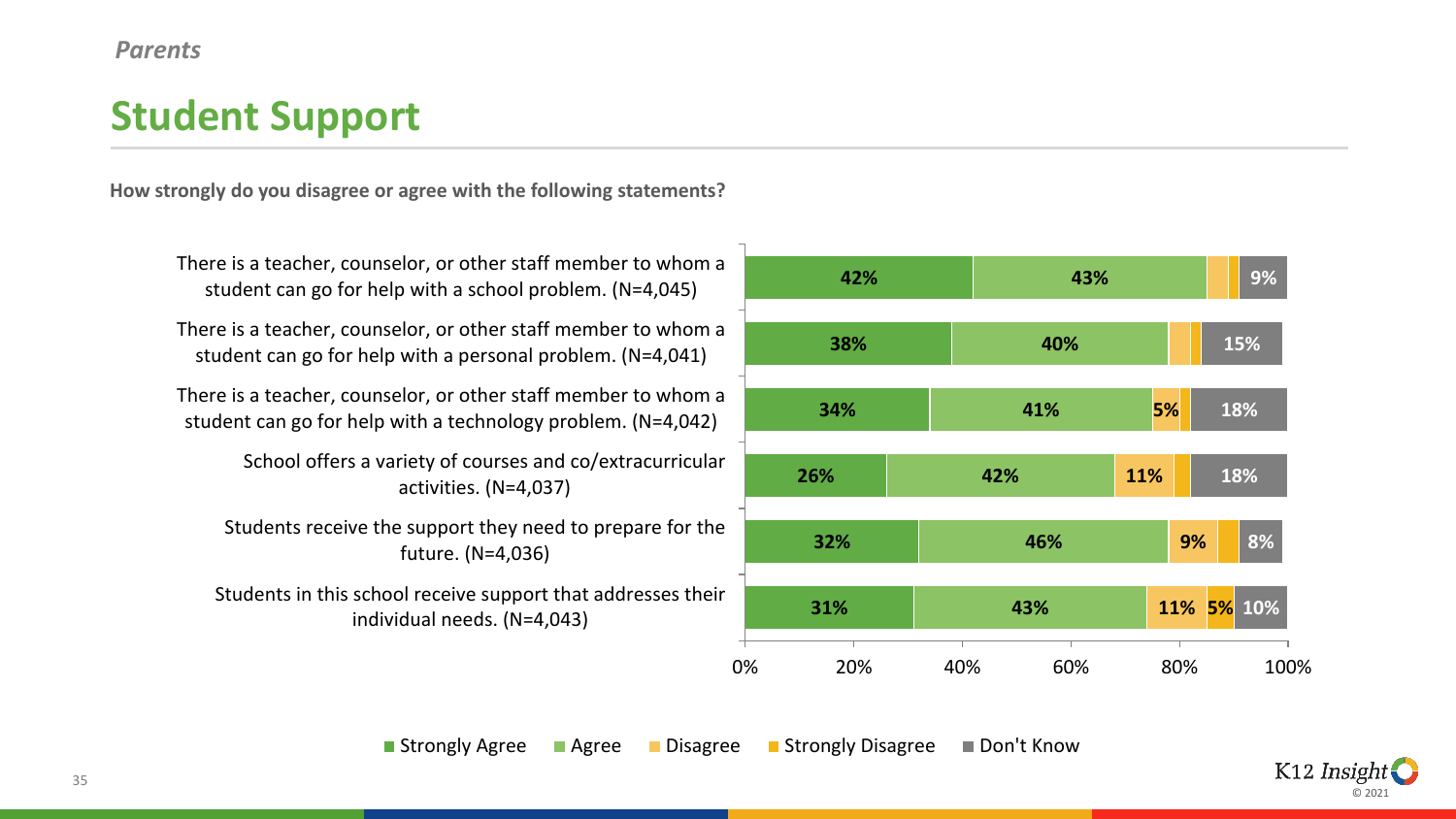#### **Student Support**

**How strongly do you disagree or agree with the following statements?**

There is a teacher, counselor, or other staff member to whom a student can go for help with a school problem. (N=4,045)

There is a teacher, counselor, or other staff member to whom a student can go for help with a personal problem. (N=4,041)

There is a teacher, counselor, or other staff member to whom a student can go for help with a technology problem. (N=4,042)

> School offers a variety of courses and co/extracurricular activities. (N=4,037)

Students receive the support they need to prepare for the future. (N=4,036)

Students in this school receive support that addresses their individual needs. (N=4,043)



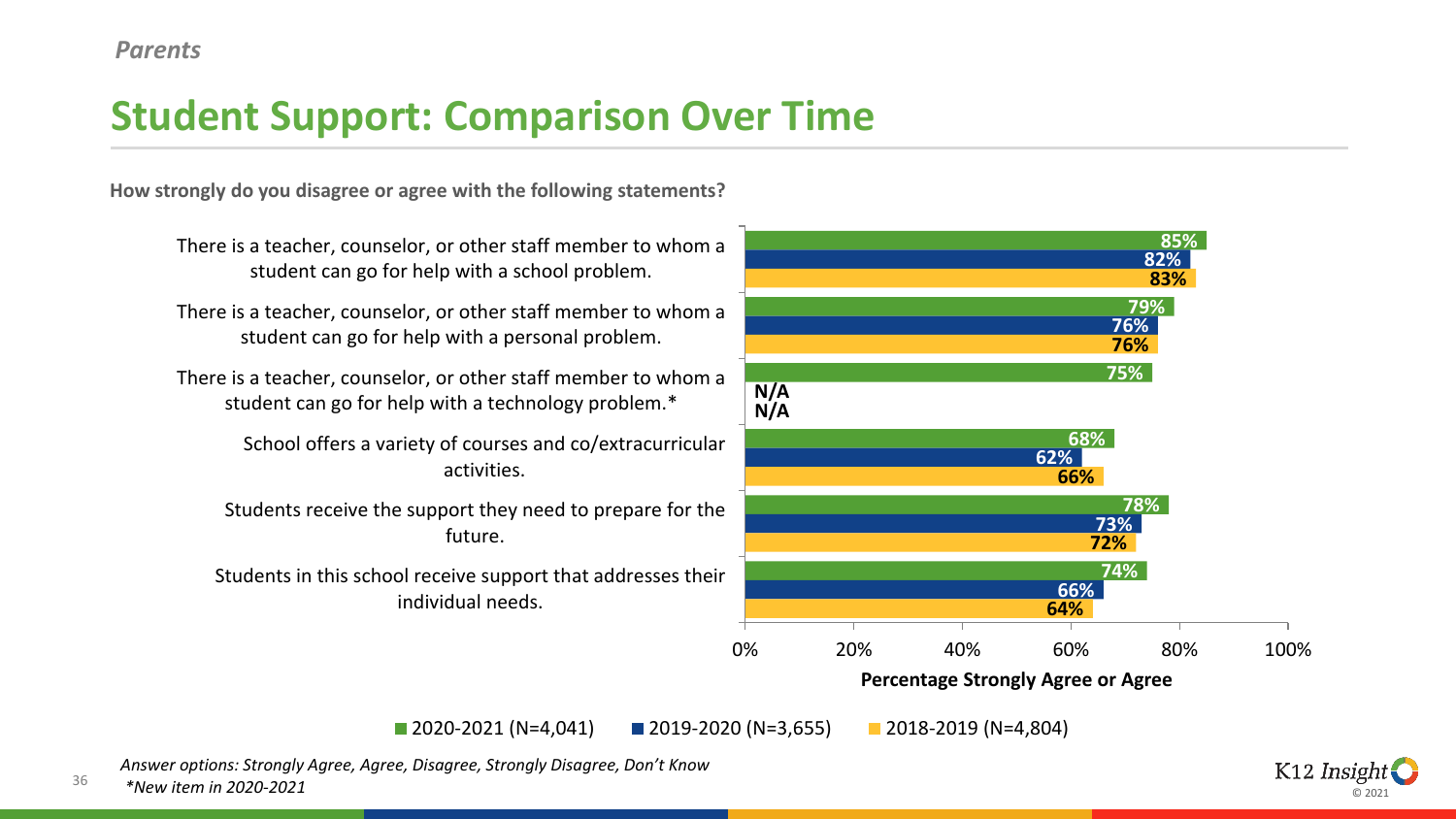### **Student Support: Comparison Over Time**

**How strongly do you disagree or agree with the following statements?**

**85% 79% 75% 68% 78% 74% 82% 76% N/A 62% 73% 66% 83% 76% N/A 66% 72% 64%** 0% 20% 40% 60% 80% 100% There is a teacher, counselor, or other staff member to whom a student can go for help with a school problem. There is a teacher, counselor, or other staff member to whom a student can go for help with a personal problem. There is a teacher, counselor, or other staff member to whom a student can go for help with a technology problem.\* School offers a variety of courses and co/extracurricular activities. Students receive the support they need to prepare for the future. Students in this school receive support that addresses their individual needs.

**Percentage Strongly Agree or Agree**

2020-2021 (N=4,041) 2019-2020 (N=3,655) 2018-2019 (N=4,804)

*Answer options: Strongly Agree, Agree, Disagree, Strongly Disagree, Don't Know*

36 *\*New item in 2020-2021*

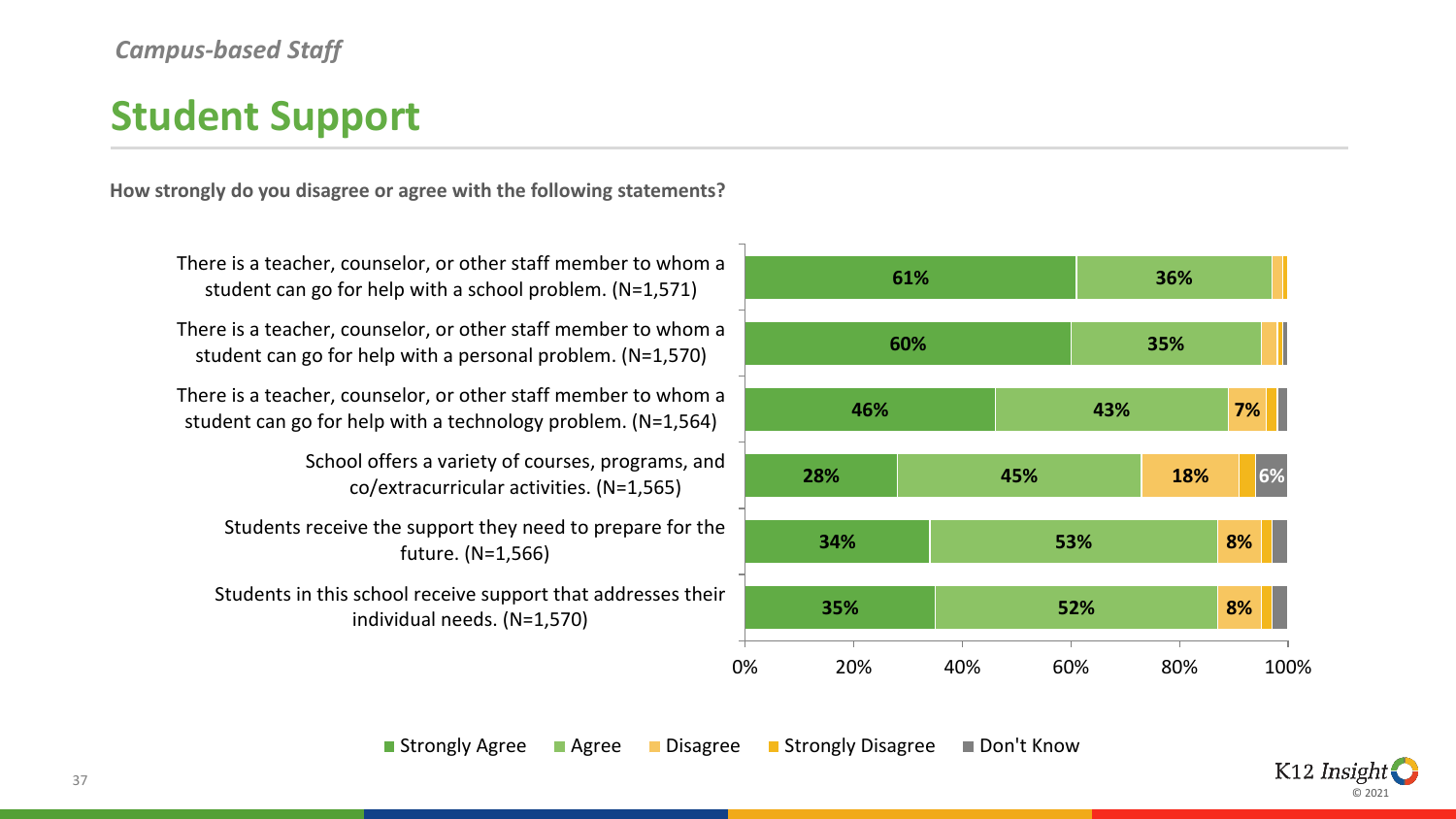#### *Campus-based Staff*

### **Student Support**

**How strongly do you disagree or agree with the following statements?**

There is a teacher, counselor, or other staff member to whom a student can go for help with a school problem. (N=1,571)

There is a teacher, counselor, or other staff member to whom a student can go for help with a personal problem. (N=1,570)

There is a teacher, counselor, or other staff member to whom a student can go for help with a technology problem. (N=1,564)

> School offers a variety of courses, programs, and co/extracurricular activities. (N=1,565)

Students receive the support they need to prepare for the future. (N=1,566)

Students in this school receive support that addresses their individual needs. (N=1,570)



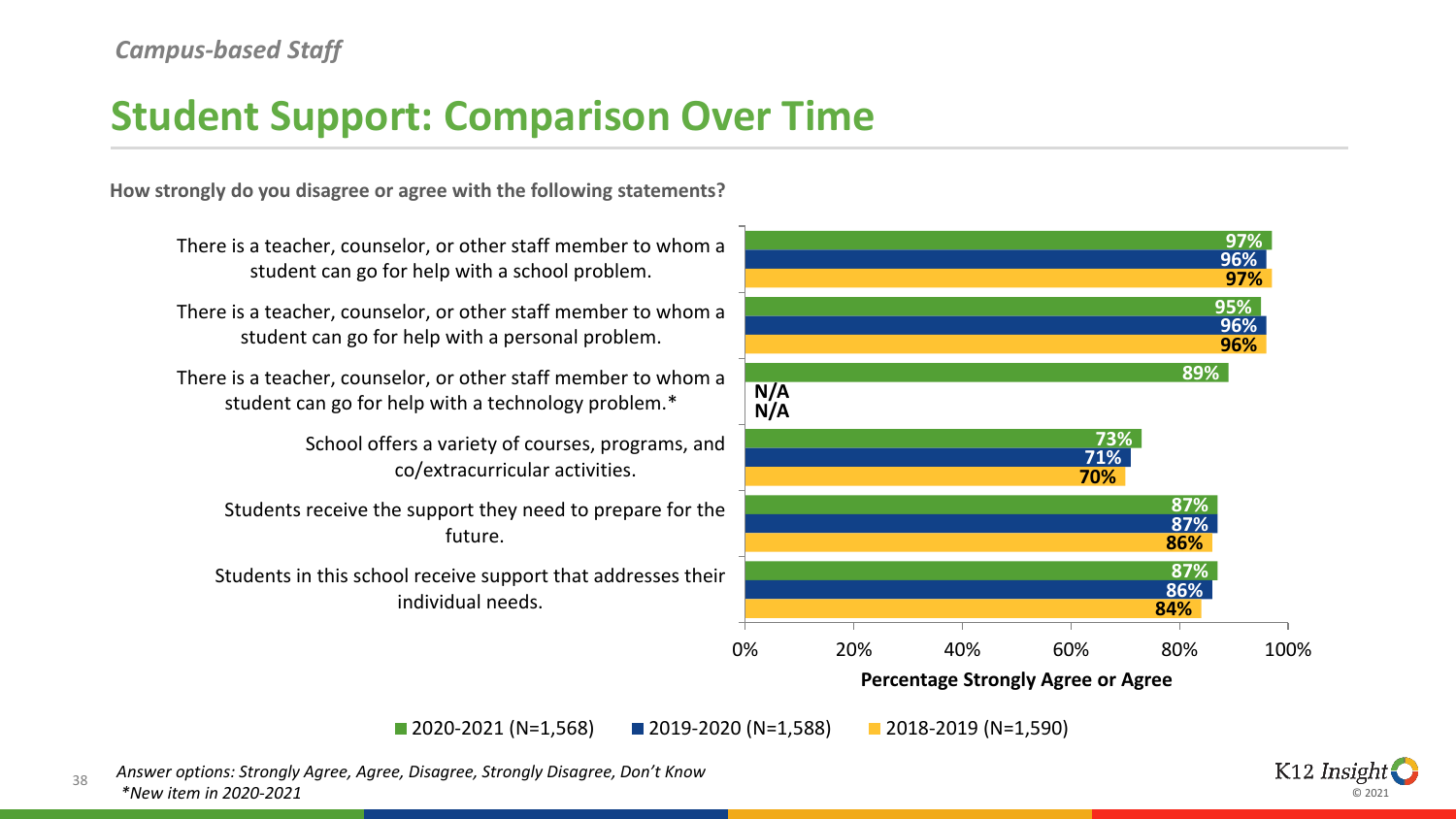#### *Campus-based Staff*

### **Student Support: Comparison Over Time**

**How strongly do you disagree or agree with the following statements?**



2020-2021 (N=1,568) 2019-2020 (N=1,588) 2018-2019 (N=1,590)

38 *Answer options: Strongly Agree, Agree, Disagree, Strongly Disagree, Don't Know \*New item in 2020-2021*

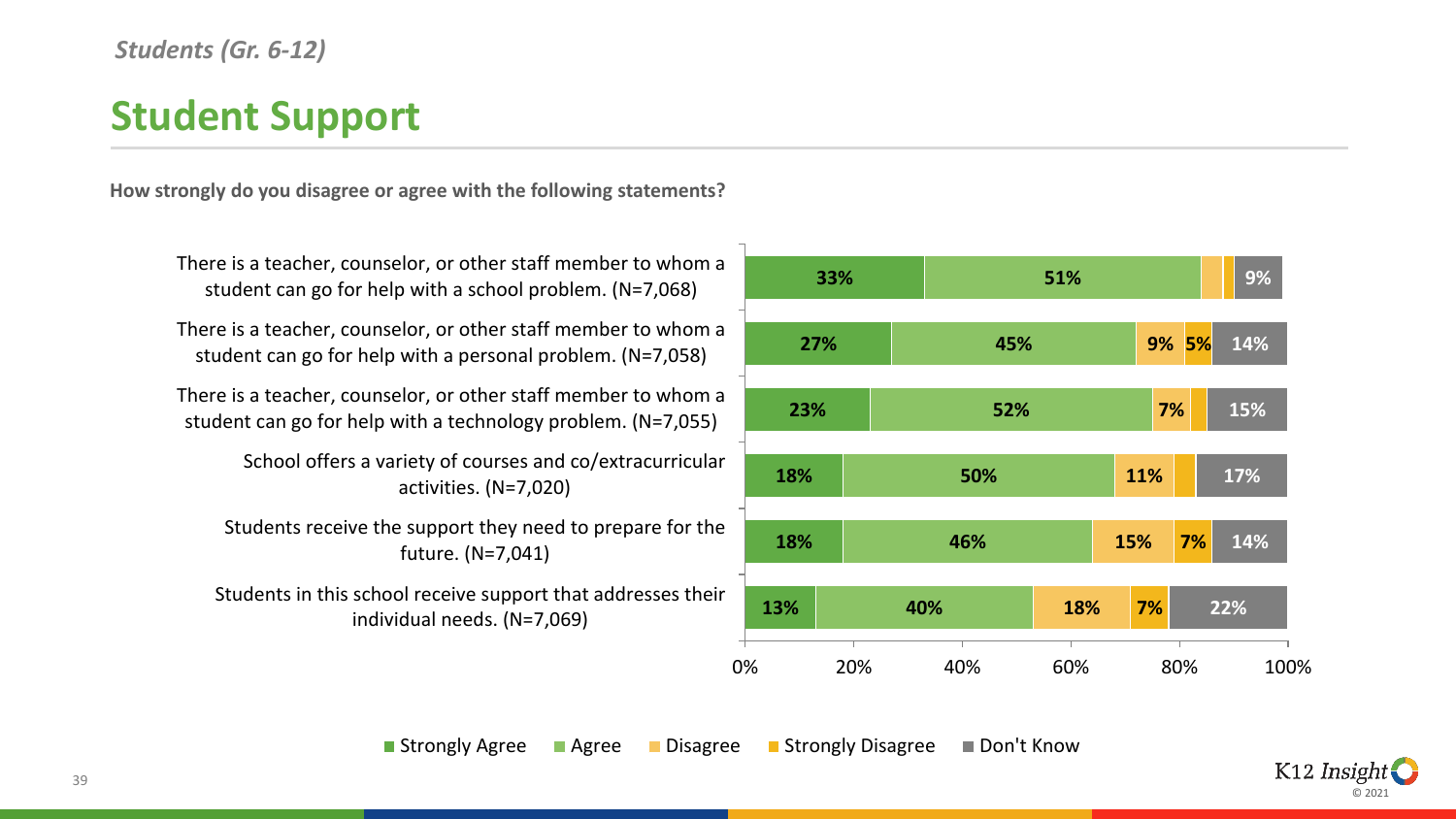#### *Students (Gr. 6-12)*

## **Student Support**

**How strongly do you disagree or agree with the following statements?**

There is a teacher, counselor, or other staff member to whom a student can go for help with a school problem. (N=7,068)

There is a teacher, counselor, or other staff member to whom a student can go for help with a personal problem. (N=7,058)

There is a teacher, counselor, or other staff member to whom a student can go for help with a technology problem. (N=7,055)

> School offers a variety of courses and co/extracurricular activities. (N=7,020)

Students receive the support they need to prepare for the future. (N=7,041)

Students in this school receive support that addresses their individual needs. (N=7,069)



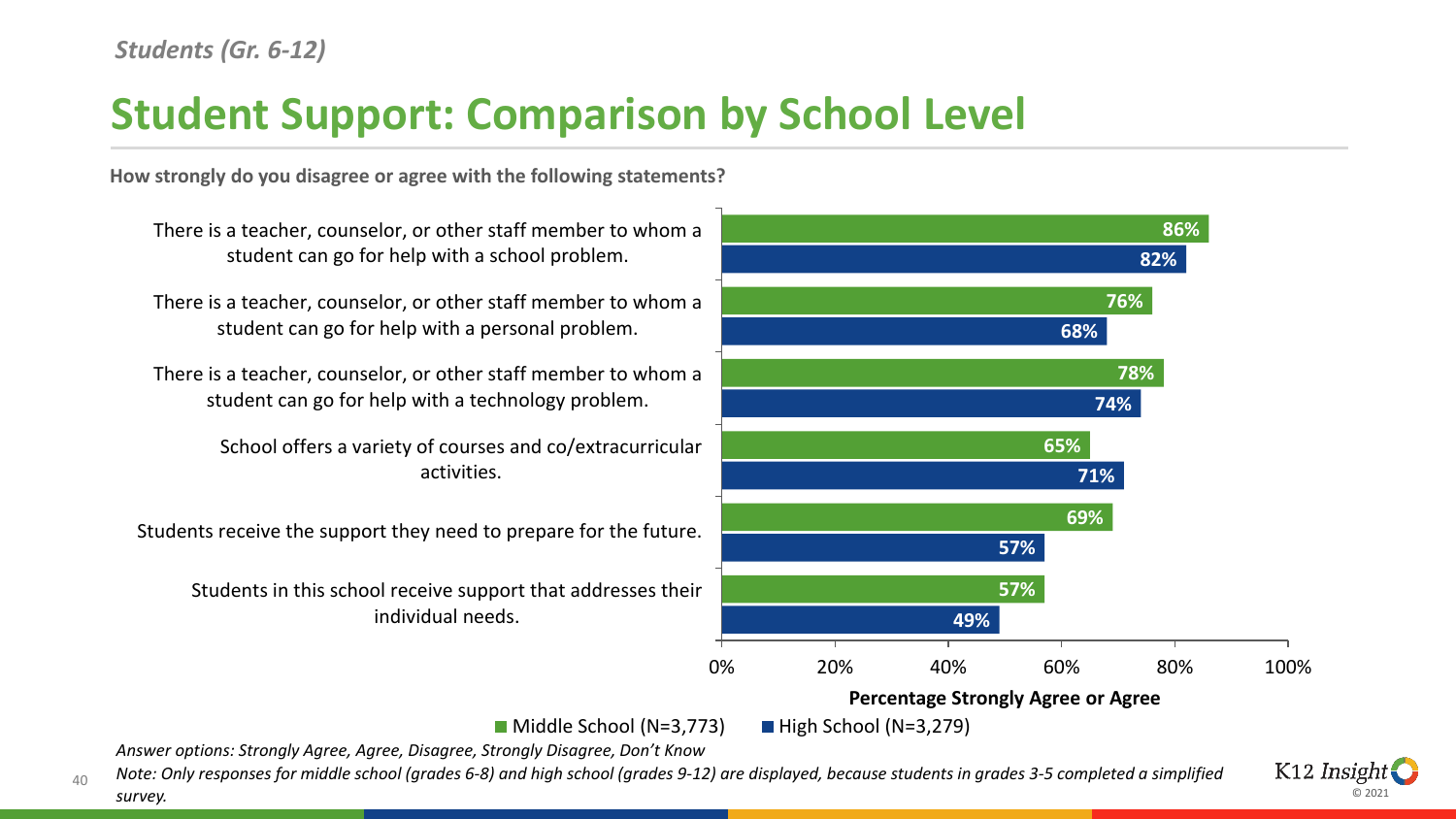# **Student Support: Comparison by School Level**

**How strongly do you disagree or agree with the following statements?**



© 2021

K12 *Insight* 

*Answer options: Strongly Agree, Agree, Disagree, Strongly Disagree, Don't Know*

*Note: Only responses for middle school (grades 6-8) and high school (grades 9-12) are displayed, because students in grades 3-5 completed a simplified* 

 $40$ 

*survey.*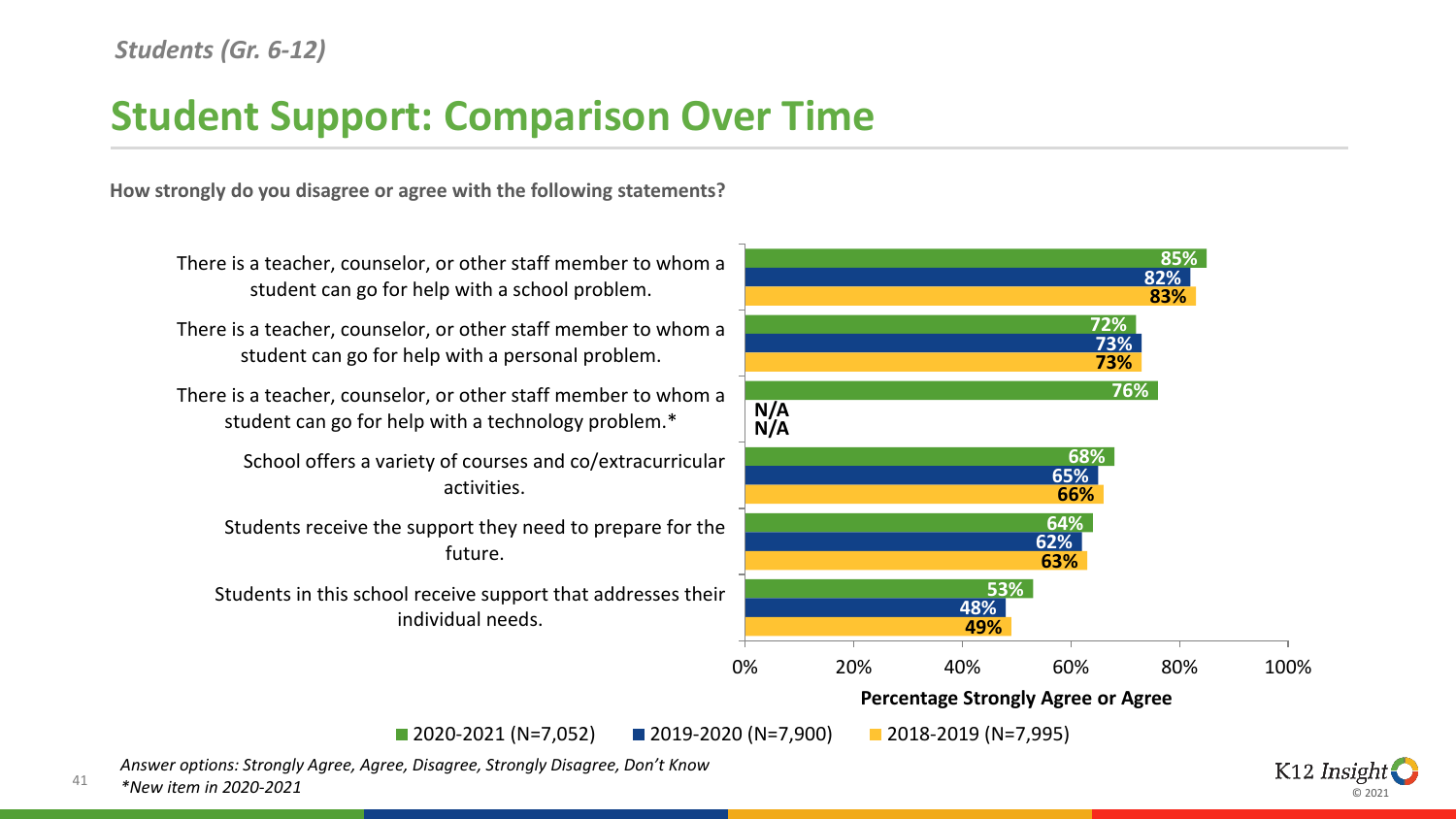### **Student Support: Comparison Over Time**

**How strongly do you disagree or agree with the following statements?**



*Answer options: Strongly Agree, Agree, Disagree, Strongly Disagree, Don't Know*

41 *\*New item in 2020-2021*

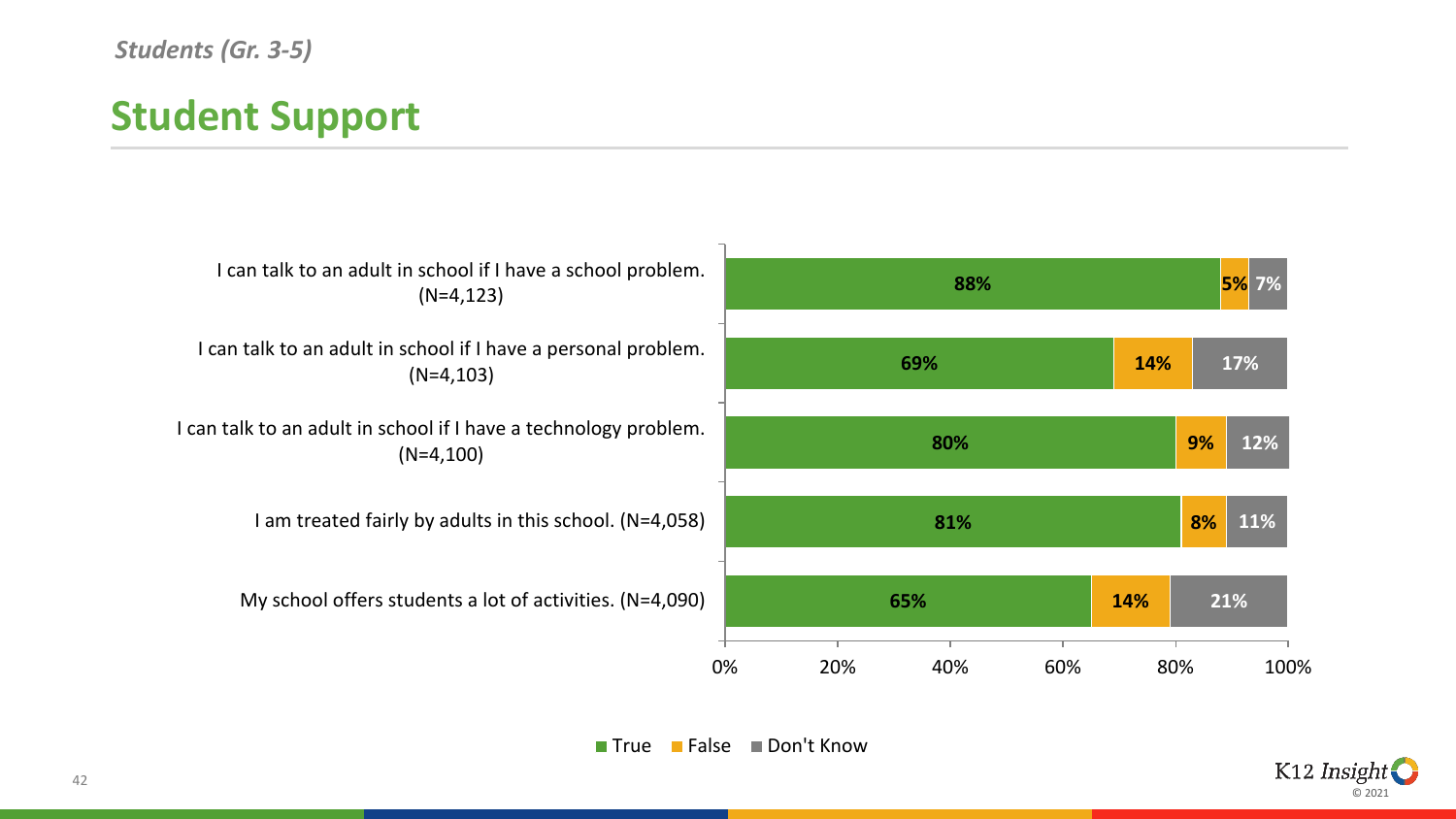# **Student Support**

| I can talk to an adult in school if I have a school problem.<br>$(N=4, 123)$    |    | 88%               |     |     |     | <b>5%</b> 7% |     |  |
|---------------------------------------------------------------------------------|----|-------------------|-----|-----|-----|--------------|-----|--|
| I can talk to an adult in school if I have a personal problem.<br>$(N=4, 103)$  |    |                   | 69% |     |     | 17%          |     |  |
| I can talk to an adult in school if I have a technology problem.<br>$(N=4,100)$ |    |                   | 80% |     |     | 9%           | 12% |  |
| I am treated fairly by adults in this school. $(N=4,058)$                       |    | 81%               |     |     |     | 8%           | 11% |  |
| My school offers students a lot of activities. $(N=4,090)$                      |    | 65%               |     | 14% | 21% |              |     |  |
|                                                                                 | 0% | 20%<br>40%<br>60% |     | 80% |     | 100%         |     |  |

■ True ■ False ■ Don't Know

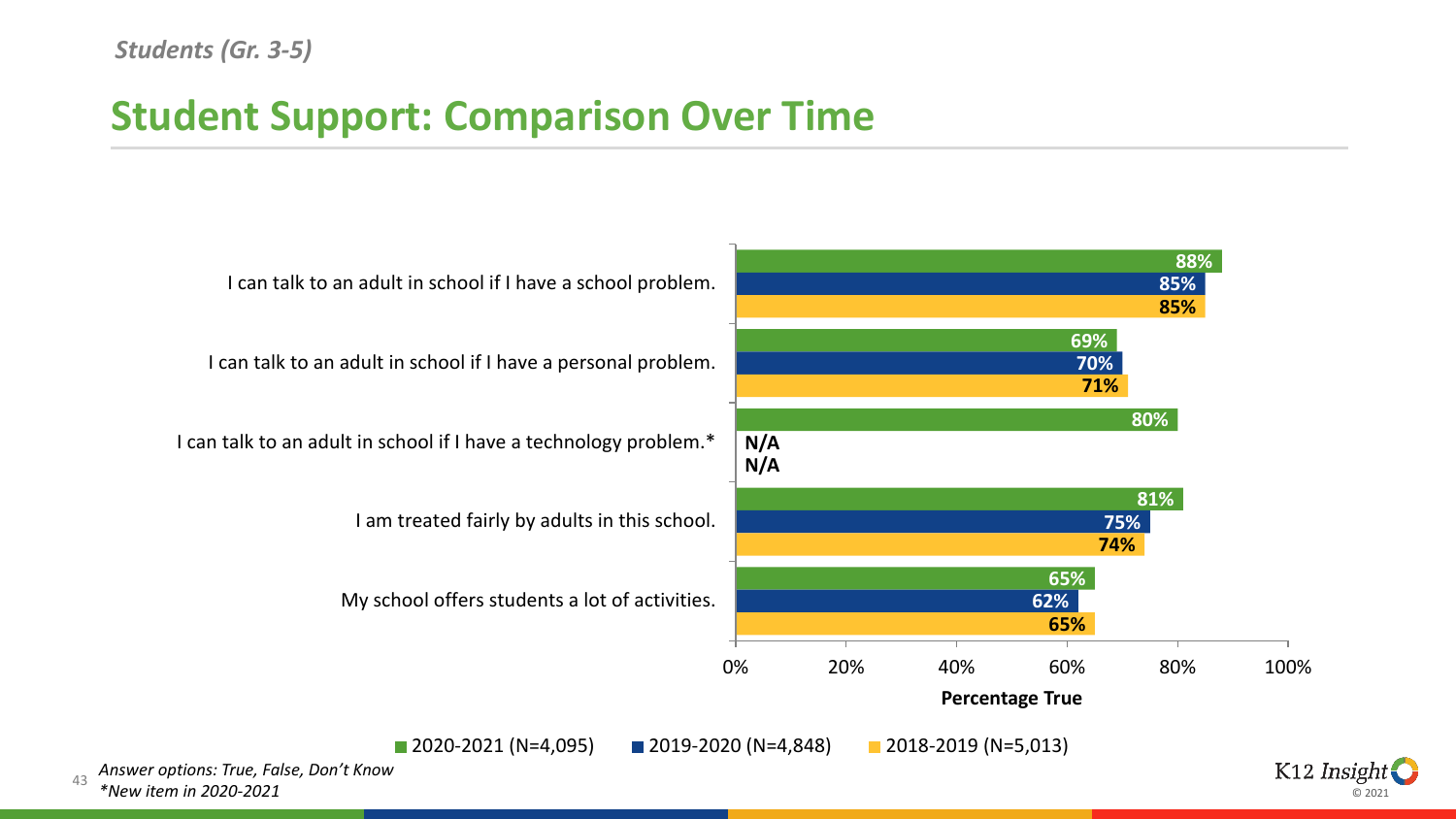#### *Students (Gr. 3-5)*

43

### **Student Support: Comparison Over Time**

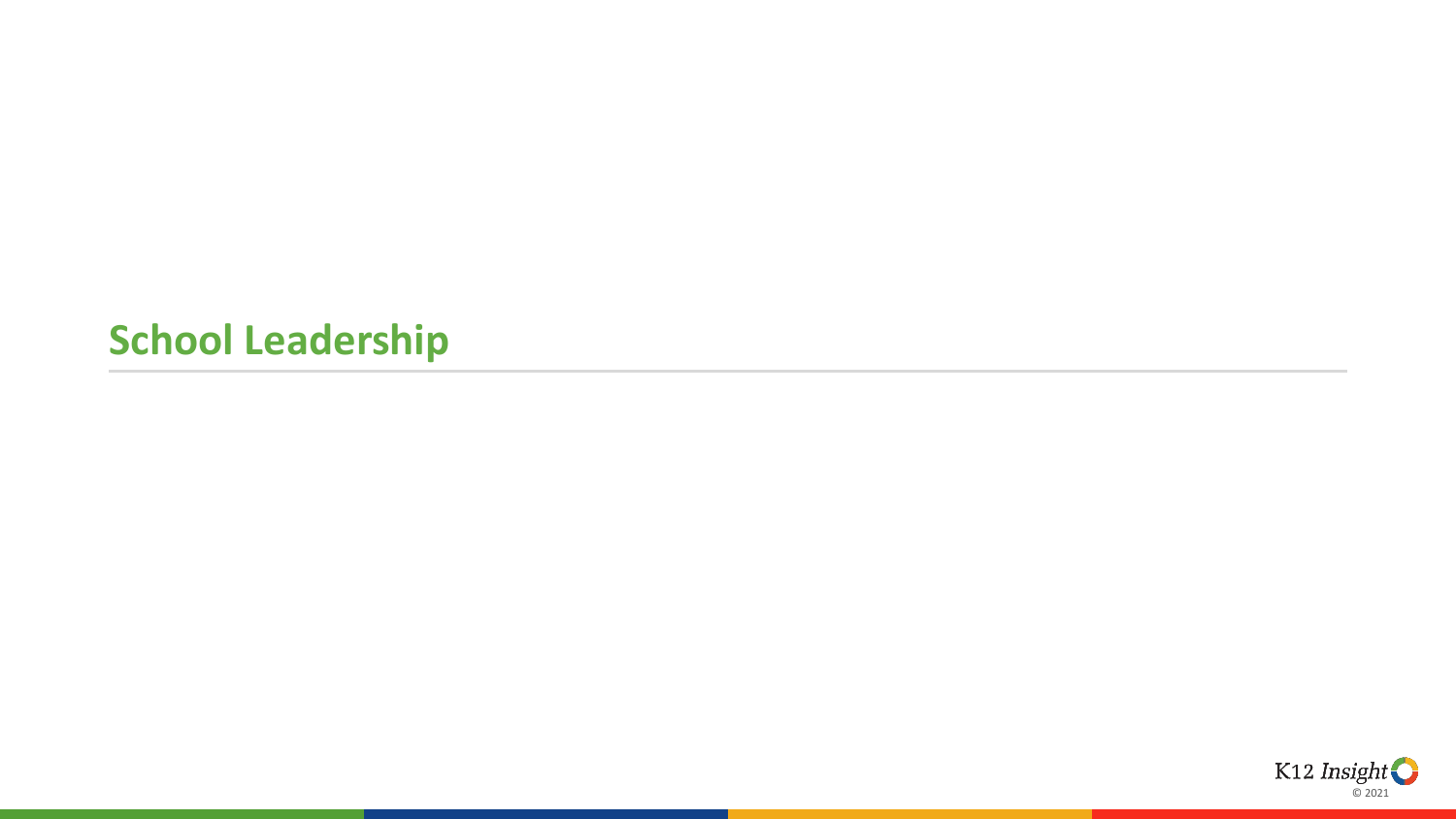#### **School Leadership**

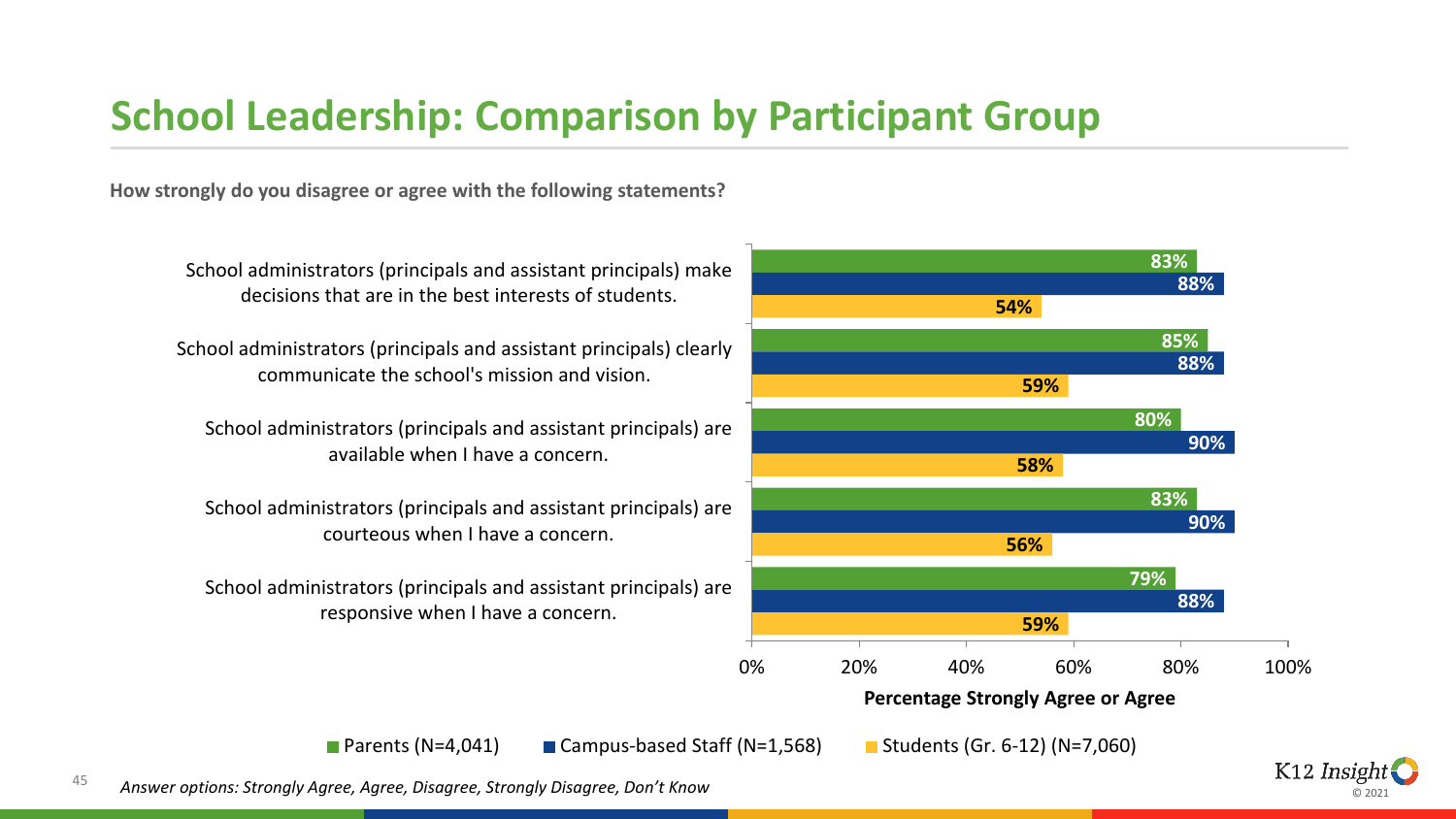### **School Leadership: Comparison by Participant Group**

**How strongly do you disagree or agree with the following statements?**



K12 Insight © 2021

School administrators (principals and assistant principals) clearly communicate the school's mission and vision.

decisions that are in the best interests of students.

School administrators (principals and assistant principals) are available when I have a concern.

School administrators (principals and assistant principals) are courteous when I have a concern.

School administrators (principals and assistant principals) are responsive when I have a concern.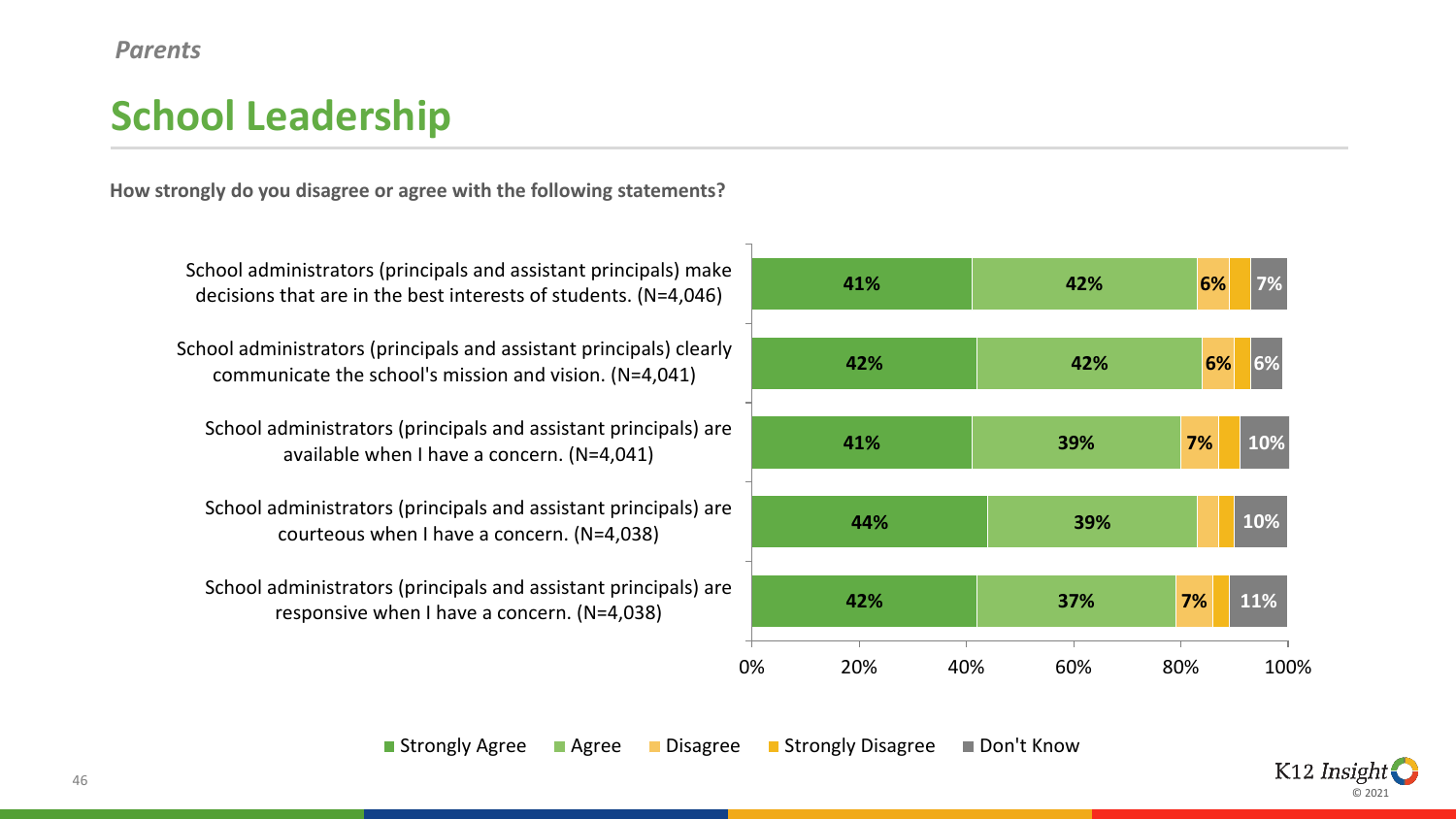#### *Parents*

# **School Leadership**

**How strongly do you disagree or agree with the following statements?**



School administrators (principals and assistant principals) make decisions that are in the best interests of students. (N=4,046)

School administrators (principals and assistant principals) clearly communicate the school's mission and vision. (N=4,041)

School administrators (principals and assistant principals) are available when I have a concern. (N=4,041)

School administrators (principals and assistant principals) are courteous when I have a concern. (N=4,038)

School administrators (principals and assistant principals) are responsive when I have a concern. (N=4,038)

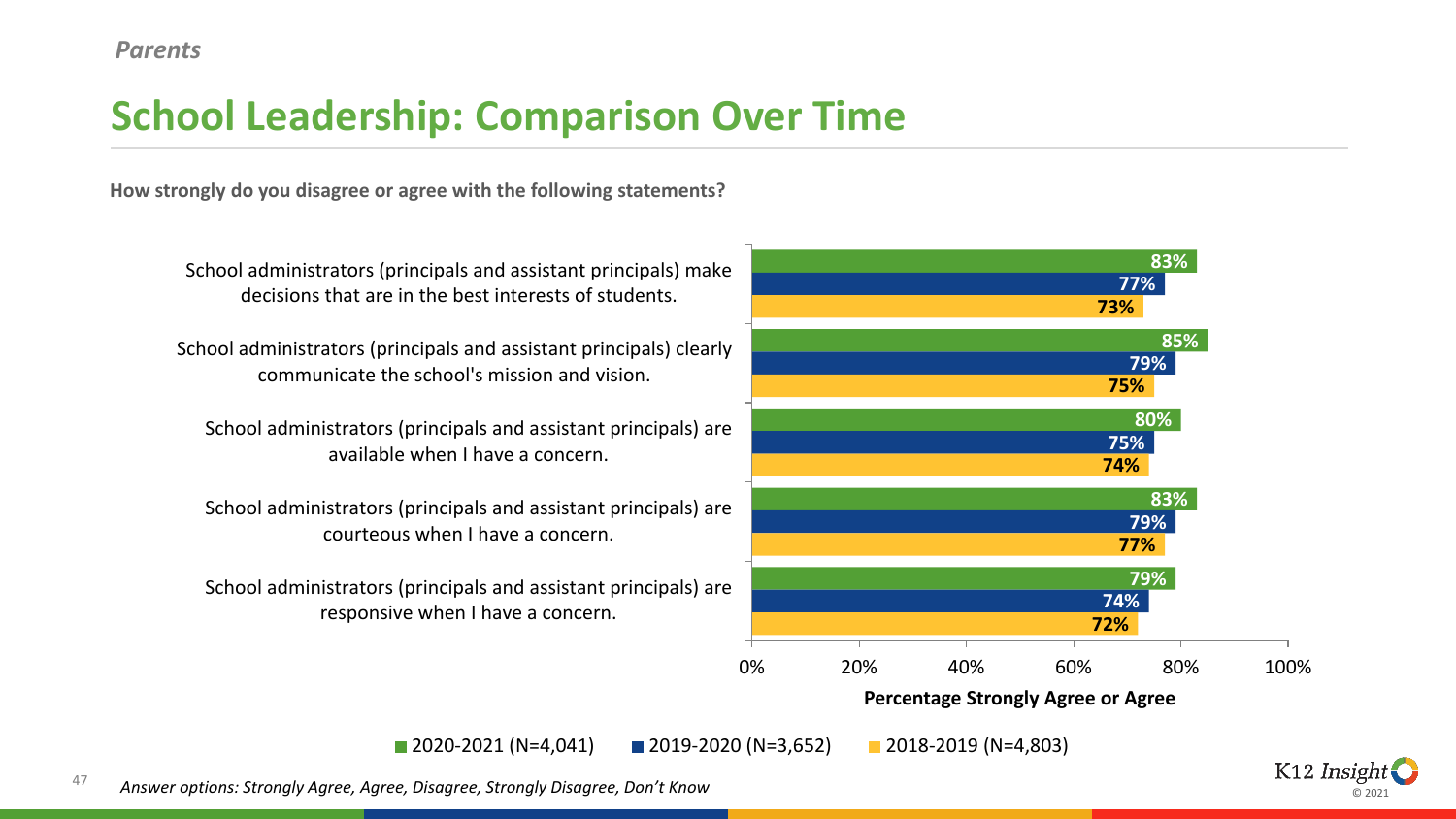# **School Leadership: Comparison Over Time**

**How strongly do you disagree or agree with the following statements?**



© 2021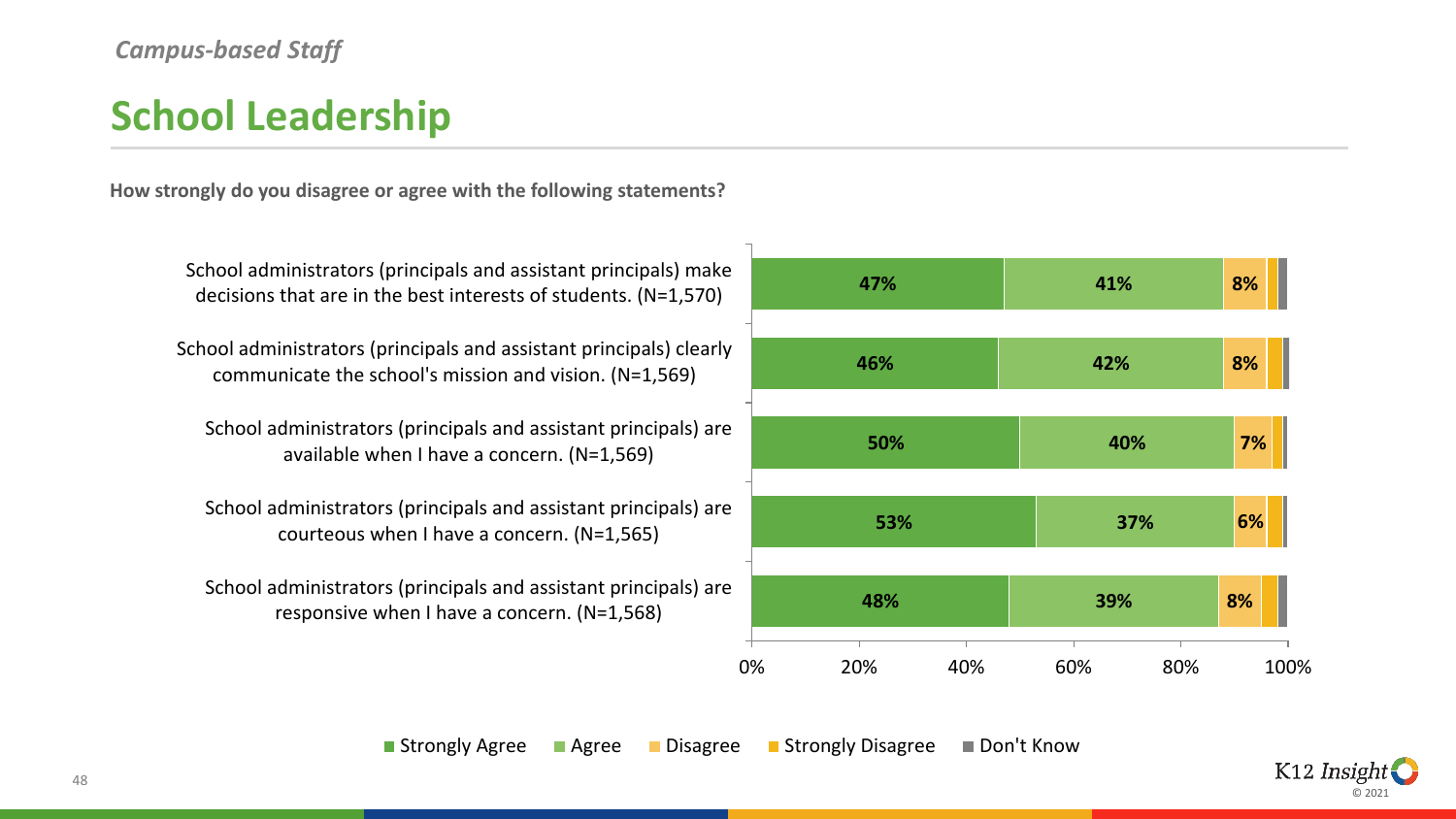#### *Campus-based Staff*

# **School Leadership**

**How strongly do you disagree or agree with the following statements?**



School administrators (principals and assistant principals) make decisions that are in the best interests of students. (N=1,570)

School administrators (principals and assistant principals) clearly communicate the school's mission and vision. (N=1,569)

School administrators (principals and assistant principals) are available when I have a concern. (N=1,569)

School administrators (principals and assistant principals) are courteous when I have a concern. (N=1,565)

School administrators (principals and assistant principals) are responsive when I have a concern. (N=1,568)

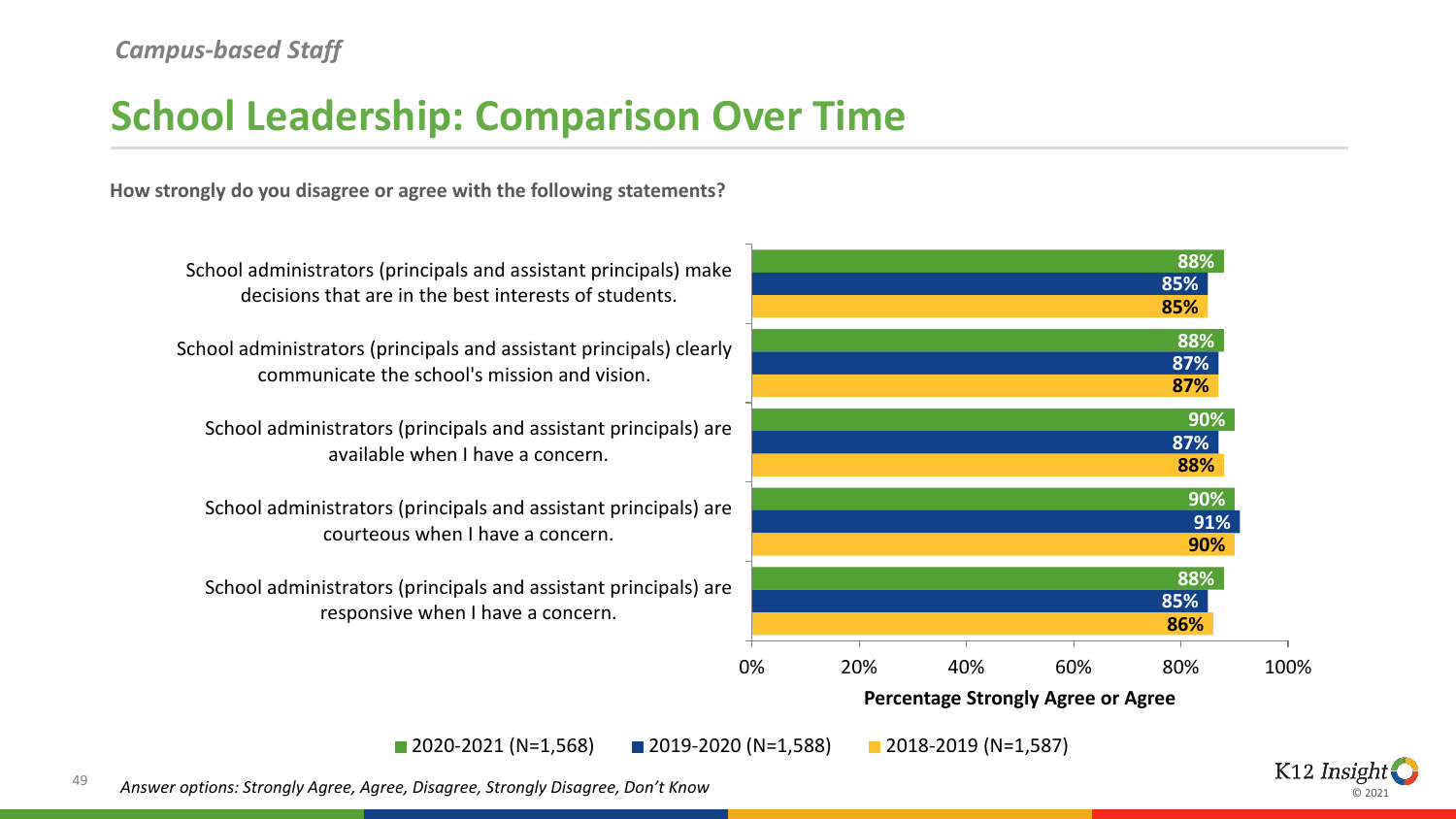#### *Campus-based Staff*

### **School Leadership: Comparison Over Time**

**How strongly do you disagree or agree with the following statements?**



© 2021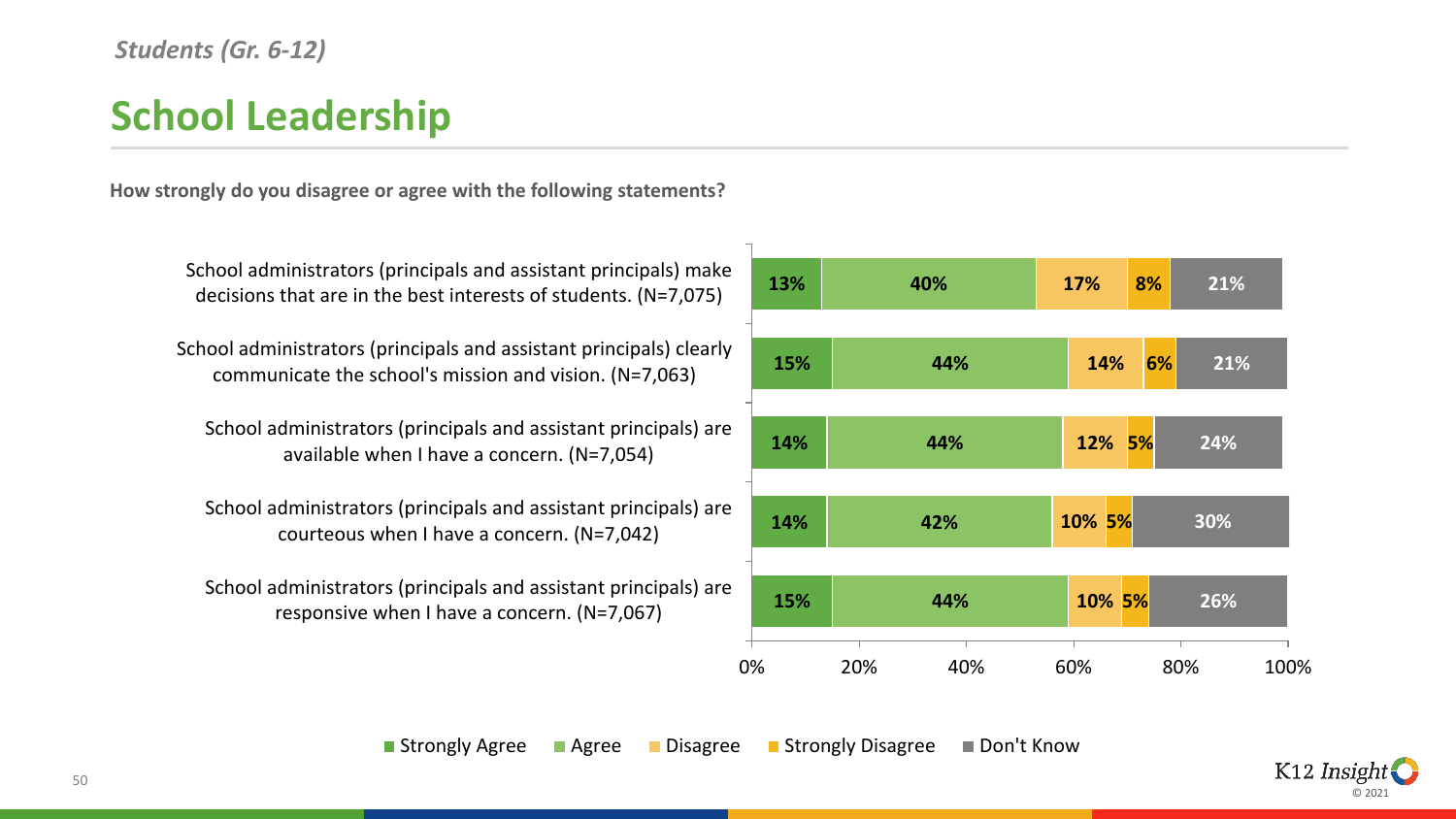#### *Students (Gr. 6-12)*

# **School Leadership**

**How strongly do you disagree or agree with the following statements?**



School administrators (principals and assistant principals) make decisions that are in the best interests of students. (N=7,075)

School administrators (principals and assistant principals) clearly communicate the school's mission and vision. (N=7,063)

School administrators (principals and assistant principals) are available when I have a concern. (N=7,054)

School administrators (principals and assistant principals) are courteous when I have a concern. (N=7,042)

School administrators (principals and assistant principals) are responsive when I have a concern. (N=7,067)

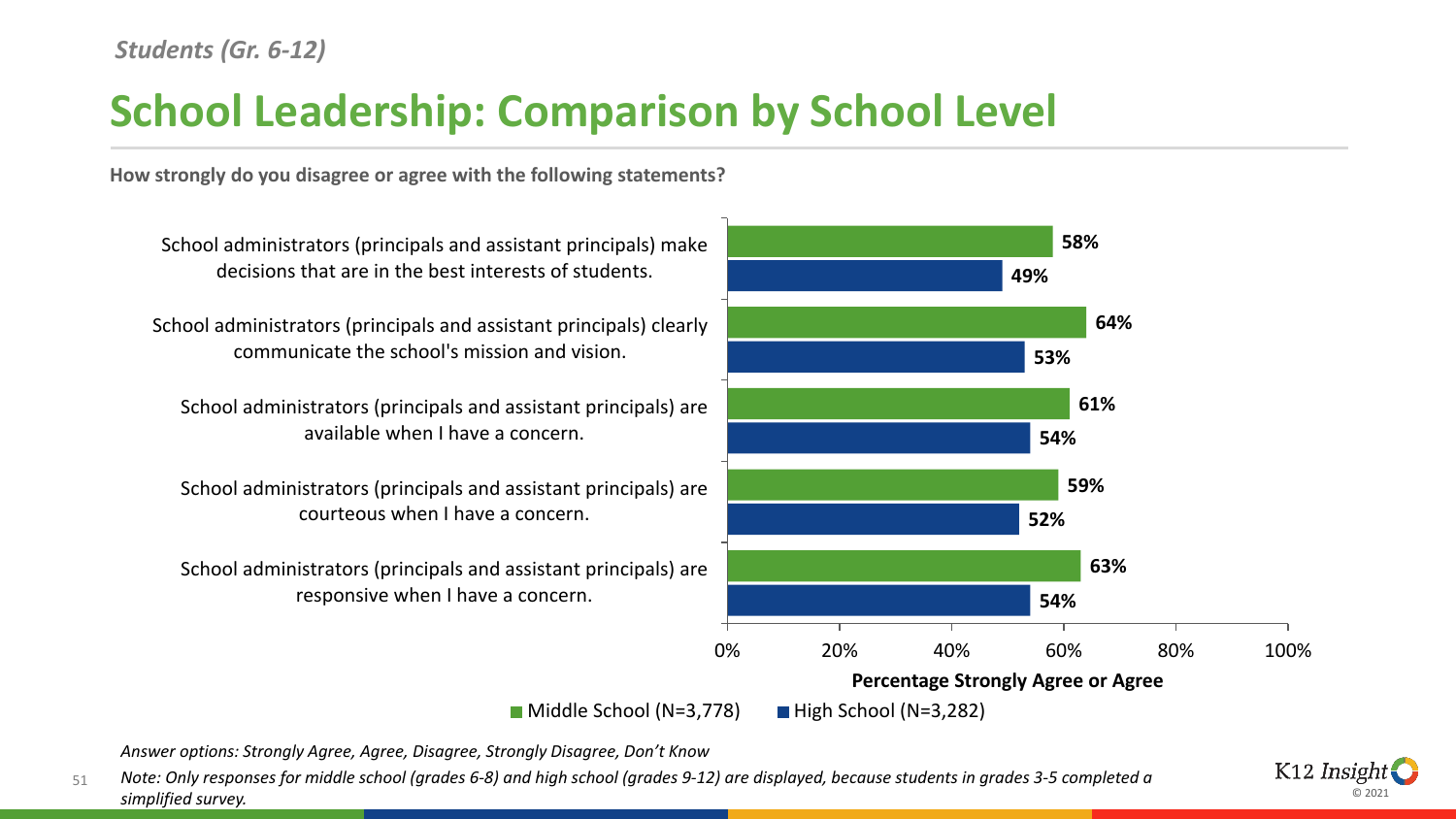# **School Leadership: Comparison by School Level**

**How strongly do you disagree or agree with the following statements?**



*Answer options: Strongly Agree, Agree, Disagree, Strongly Disagree, Don't Know*

51 *Note: Only responses for middle school (grades 6-8) and high school (grades 9-12) are displayed, because students in grades 3-5 completed a simplified survey.* 

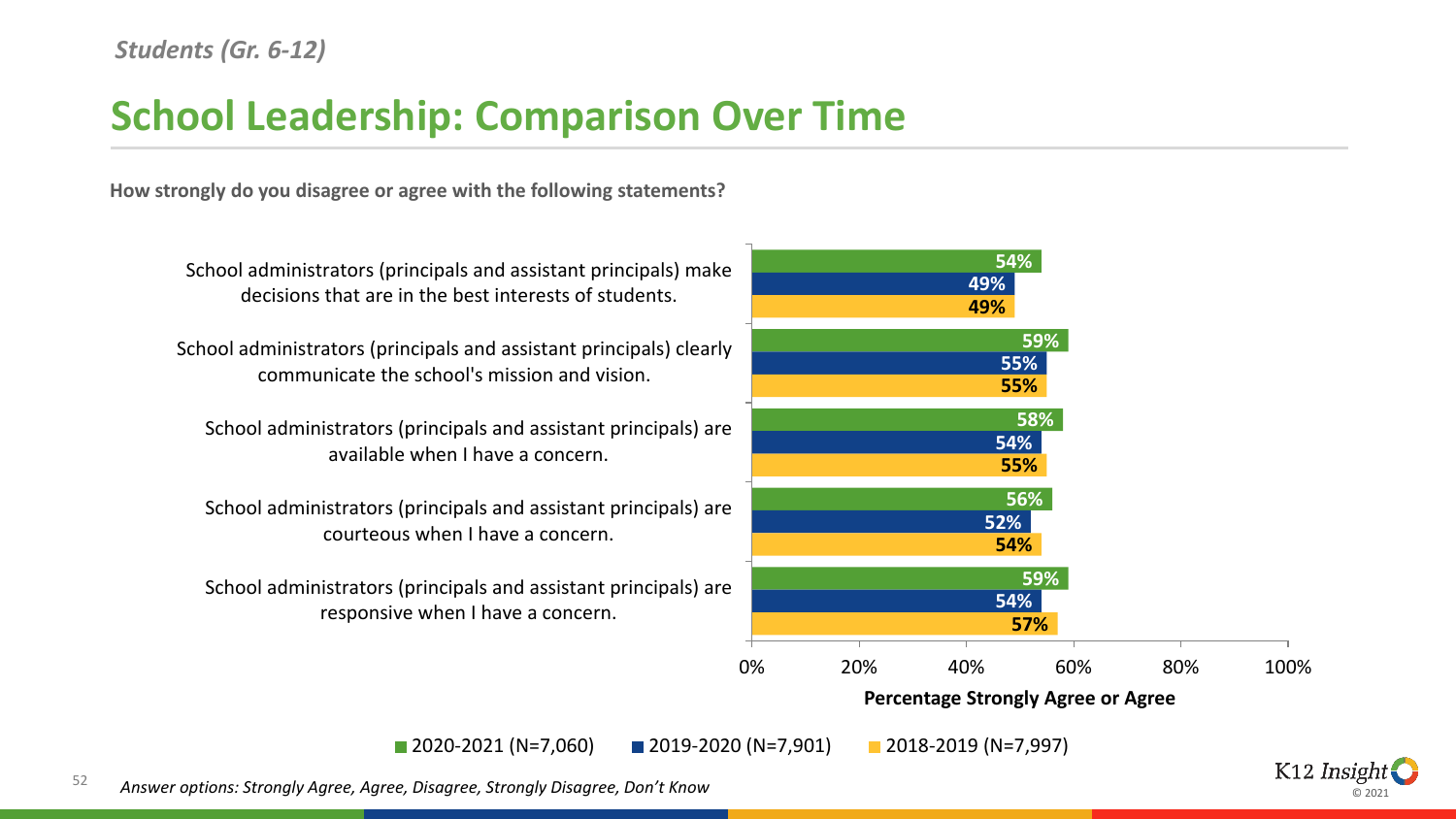## **School Leadership: Comparison Over Time**

**How strongly do you disagree or agree with the following statements?**



© 2021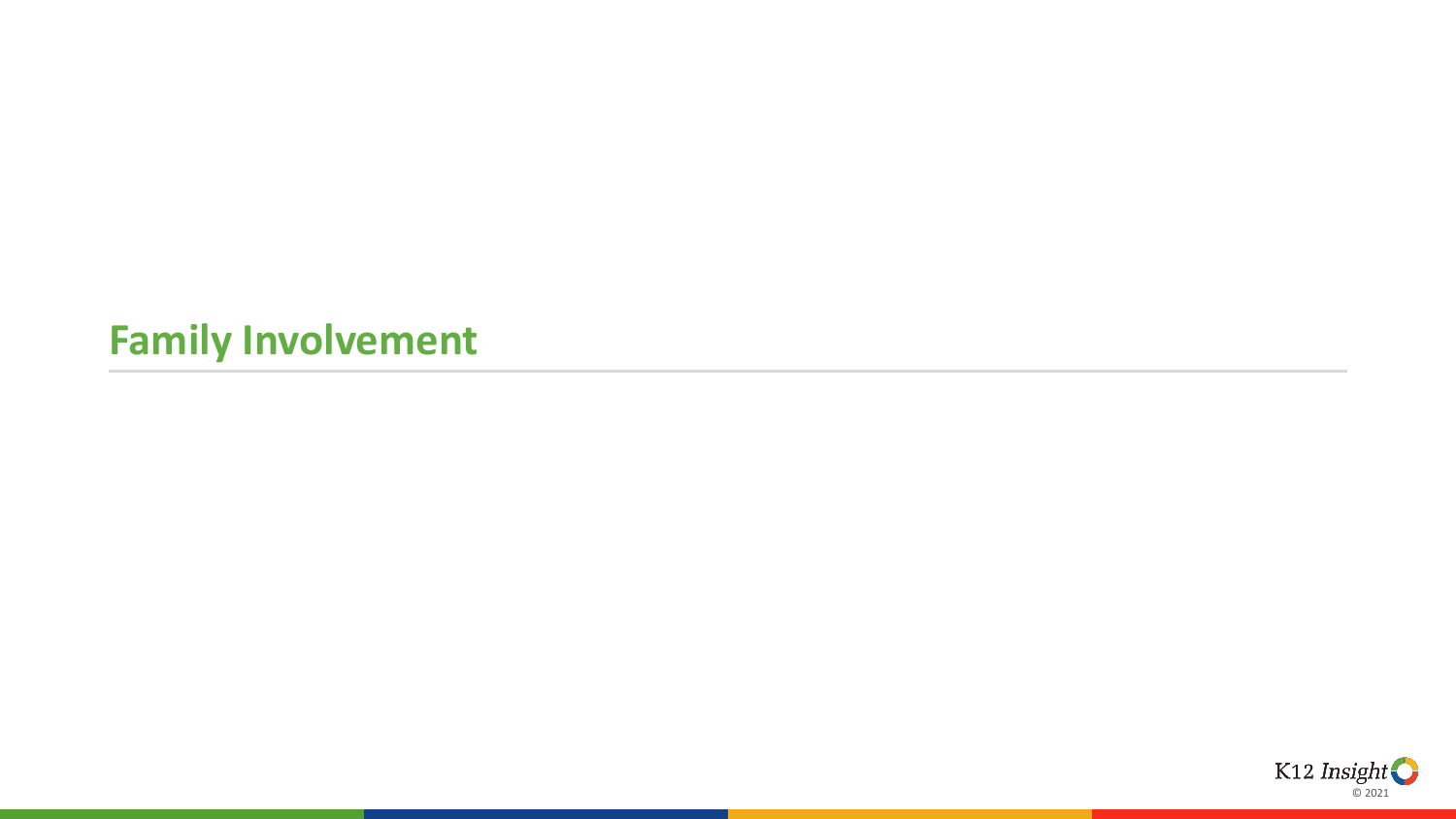# **Family Involvement**

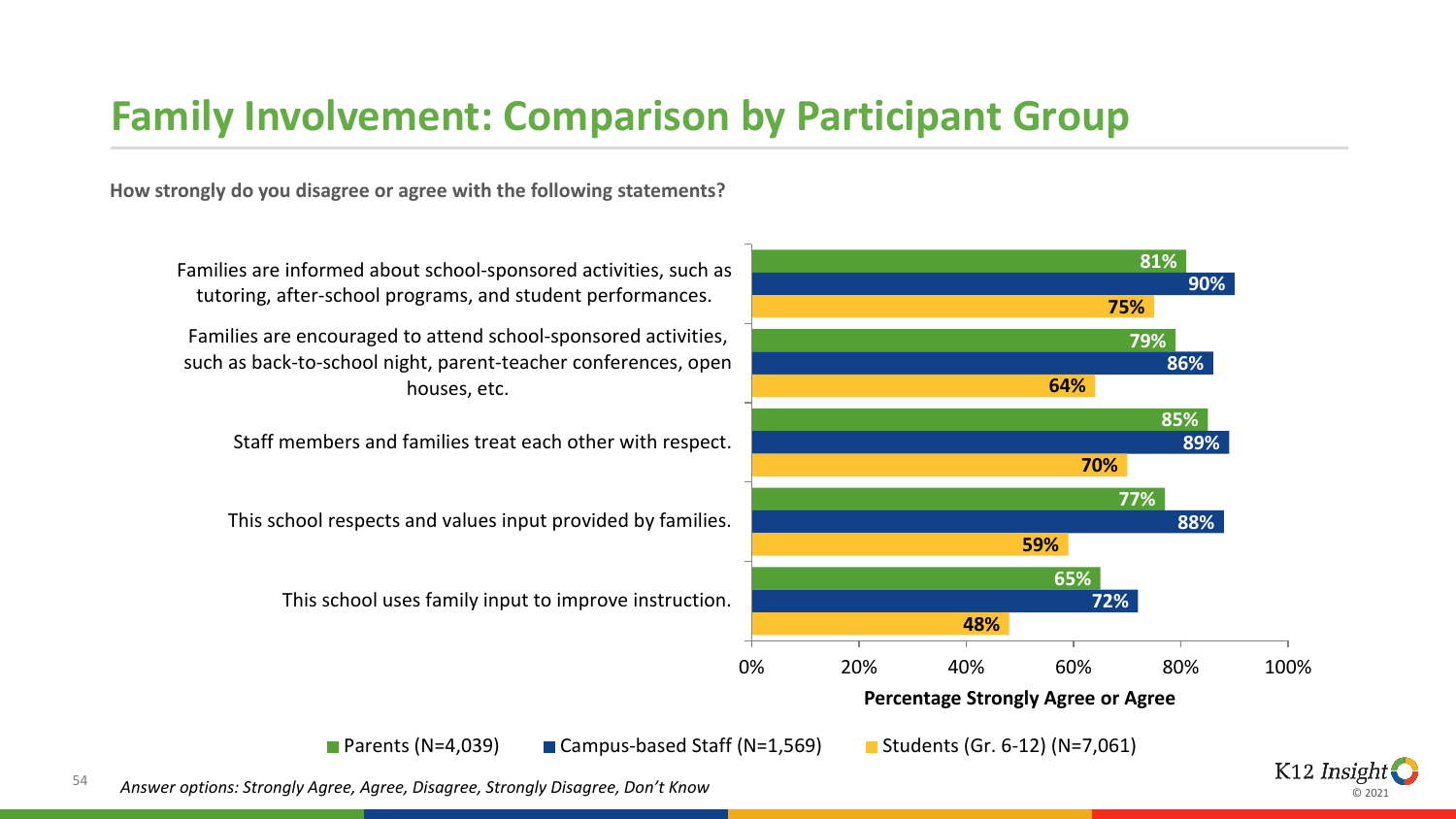### **Family Involvement: Comparison by Participant Group**

**How strongly do you disagree or agree with the following statements?**



© 2021

tutoring, after-school programs, and student performances. Families are encouraged to attend school-sponsored activities, such as back-to-school night, parent-teacher conferences, open

houses, etc.

Staff members and families treat each other with respect.

This school respects and values input provided by families.

This school uses family input to improve instruction.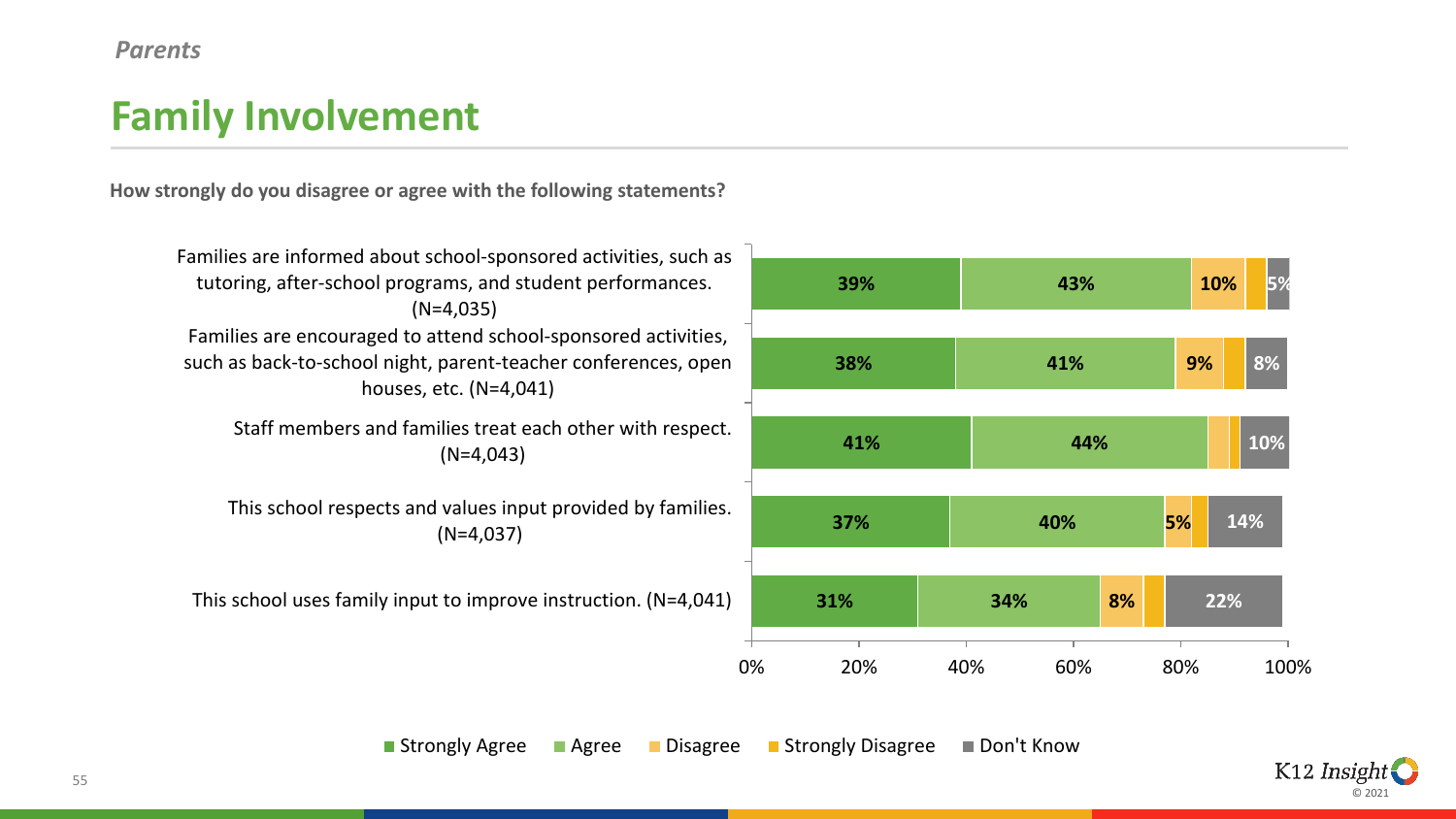#### *Parents*

# **Family Involvement**

**How strongly do you disagree or agree with the following statements?**



**Strongly Agree Bulleting Controllet Agree Controllet Agree Controllet Agree Controllet Agree Controllet Agree Controllet Agree Controllet Agree Controllet Agree Controllet Agree Controllet Agree Controllet Agree Controlle** 

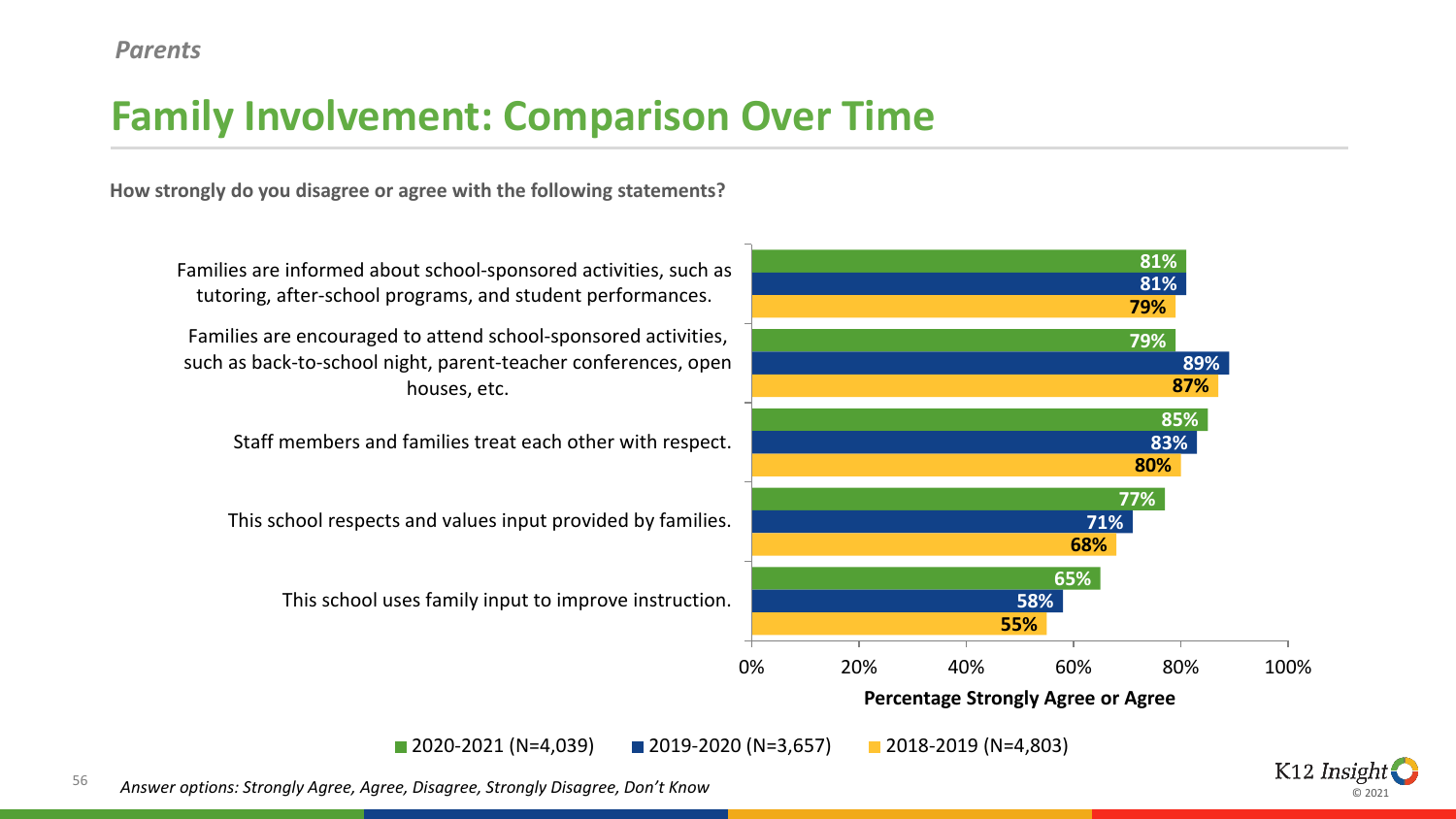# **Family Involvement: Comparison Over Time**

**How strongly do you disagree or agree with the following statements?**



© 2021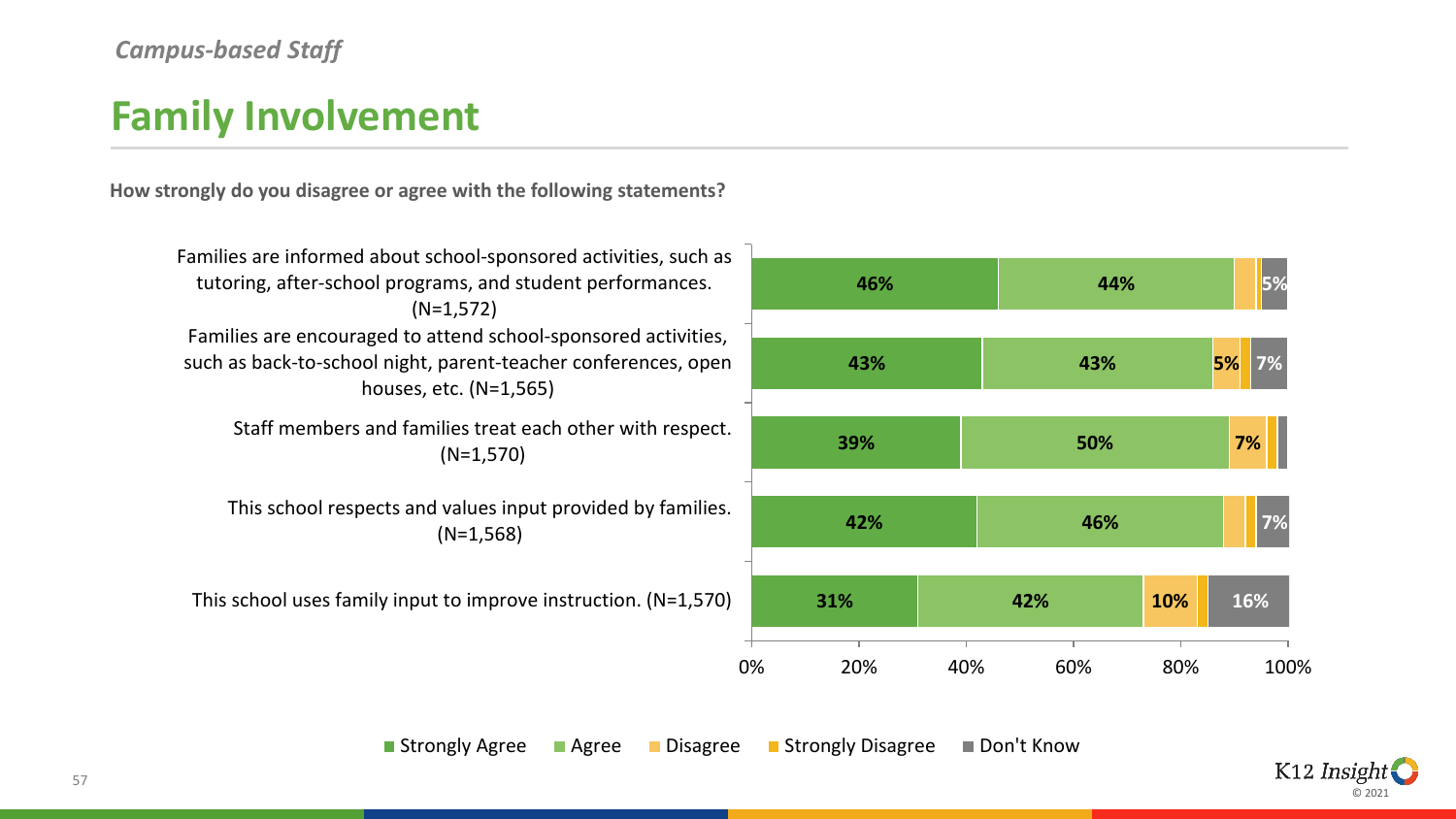#### *Campus-based Staff*

## **Family Involvement**

**How strongly do you disagree or agree with the following statements?**



**Strongly Agree Bulleting Controllet Agree Controllet Agree Controllet Agree Controllet Agree Controllet Agree Controllet Agree Controllet Agree Controllet Agree Controllet Agree Controllet Agree Controllet Agree Controlle** 

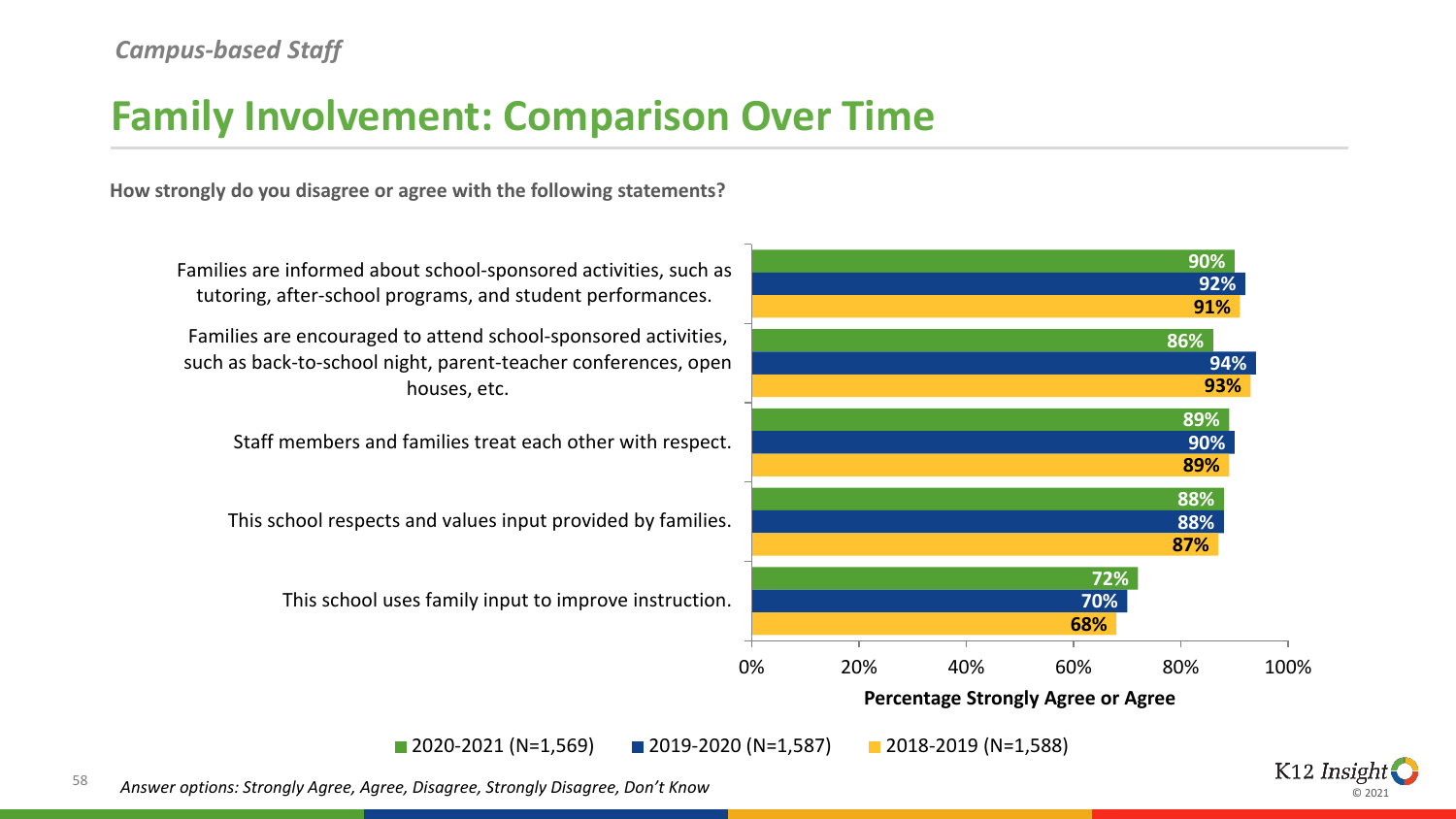### **Family Involvement: Comparison Over Time**

**How strongly do you disagree or agree with the following statements?**



© 2021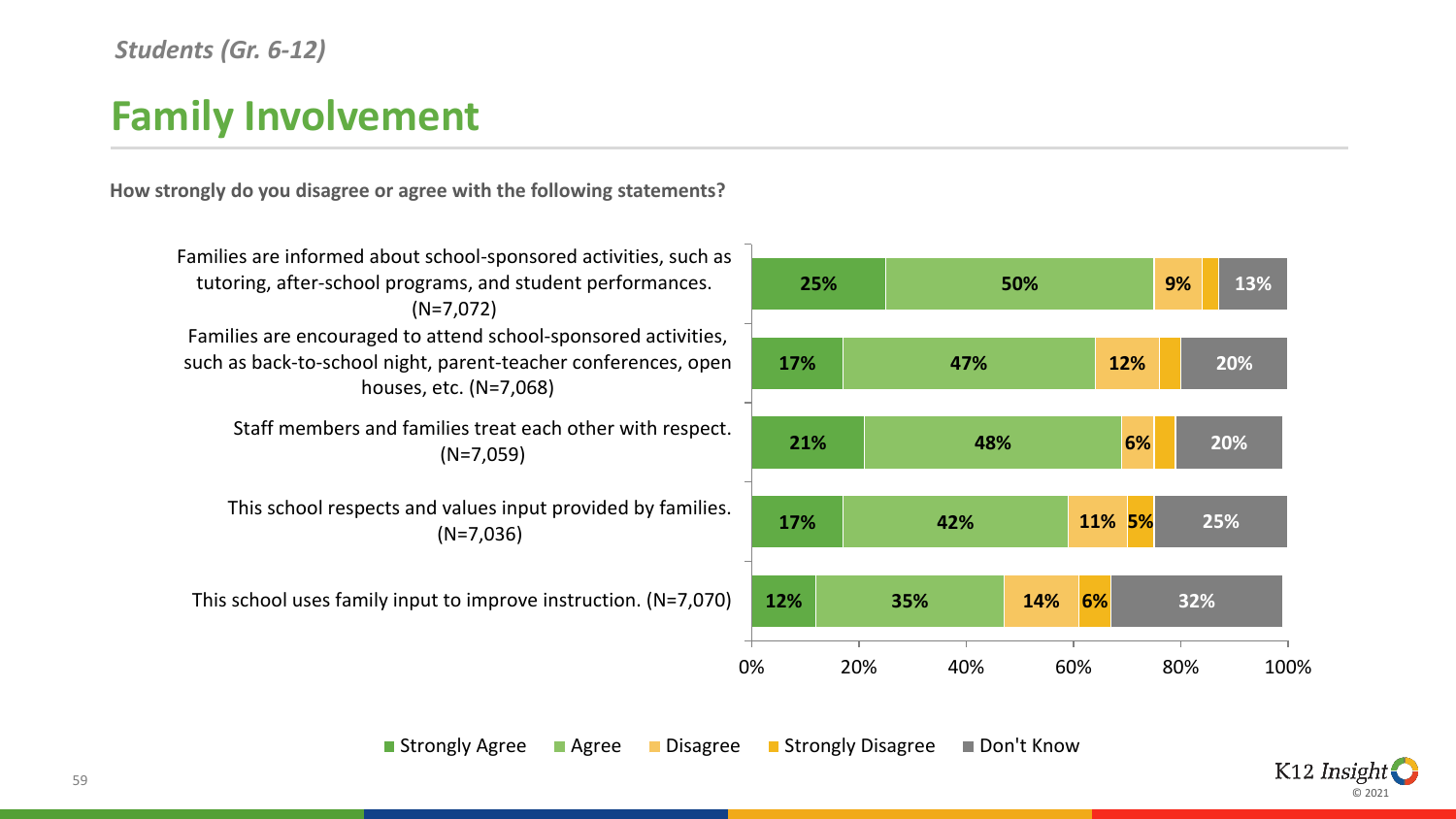#### *Students (Gr. 6-12)*

# **Family Involvement**

**How strongly do you disagree or agree with the following statements?**



**Strongly Agree Bulleting Controllet Agree Controllet Agree Controllet Agree Controllet Agree Controllet Agree Controllet Agree Controllet Agree Controllet Agree Controllet Agree Controllet Agree Controllet Agree Controlle** 

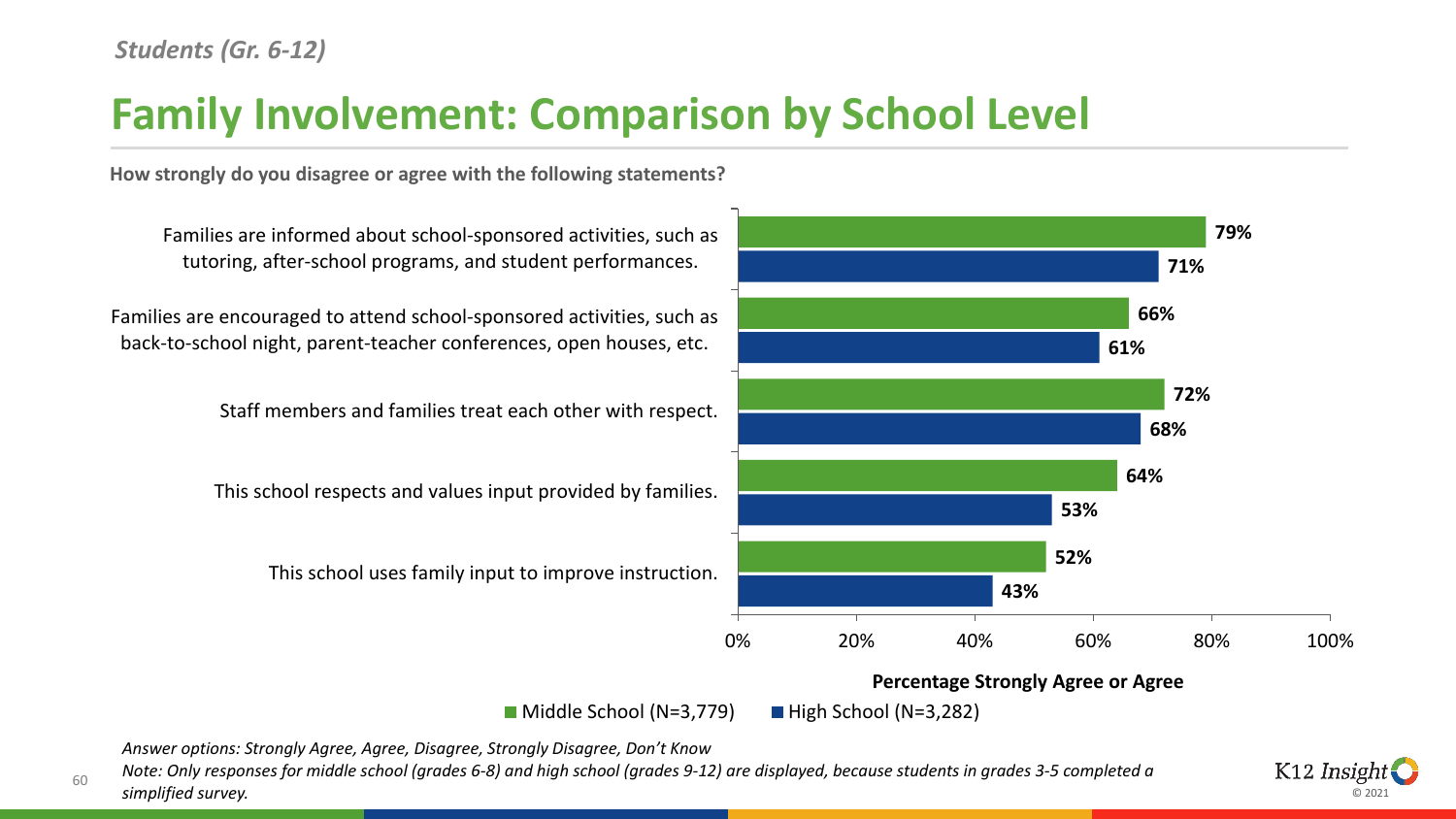# **Family Involvement: Comparison by School Level**

**How strongly do you disagree or agree with the following statements?**



*Answer options: Strongly Agree, Agree, Disagree, Strongly Disagree, Don't Know*

<sup>60</sup> *Note: Only responses for middle school (grades 6-8) and high school (grades 9-12) are displayed, because students in grades 3-5 completed a simplified survey.* 

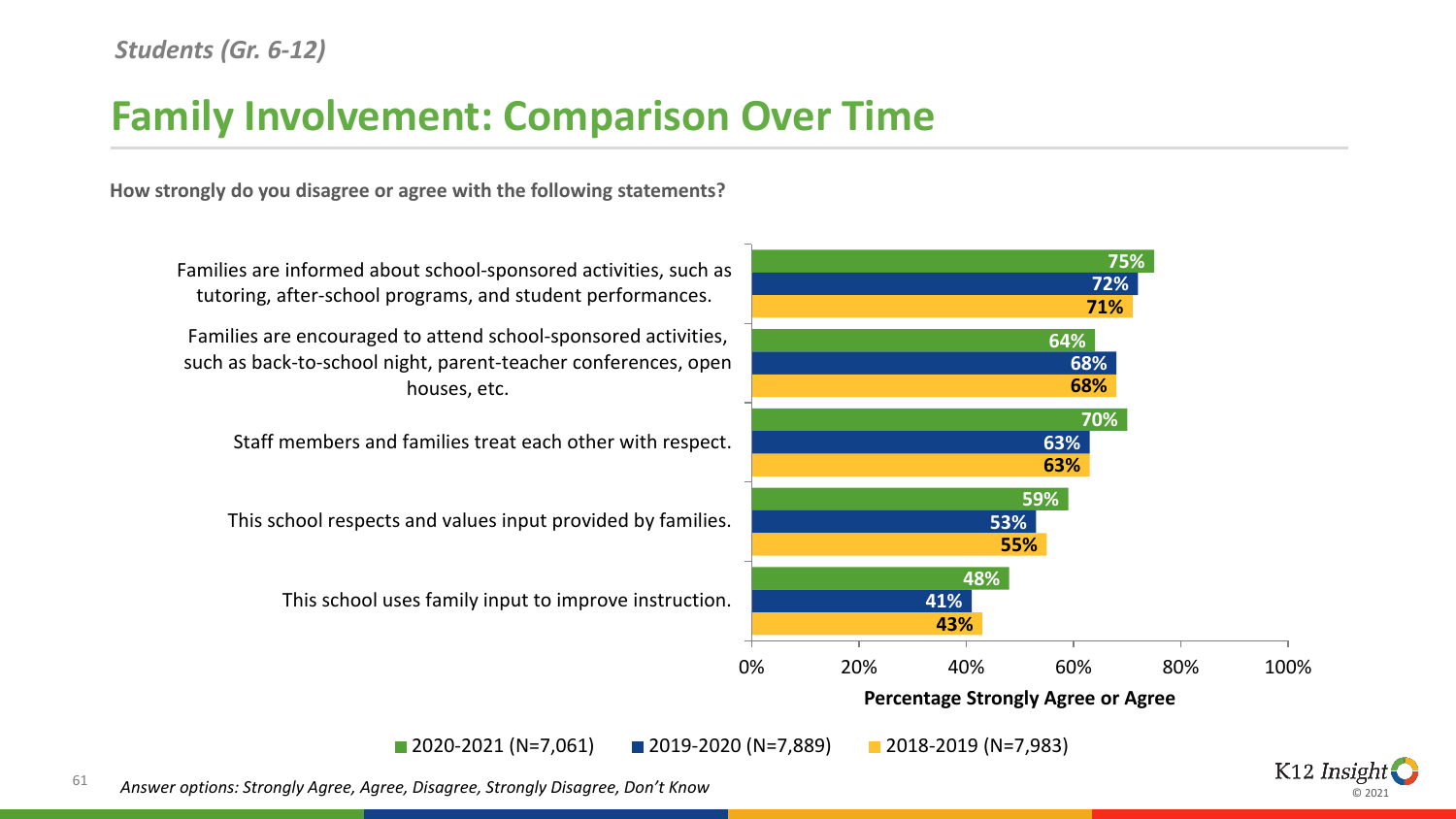### **Family Involvement: Comparison Over Time**

**How strongly do you disagree or agree with the following statements?**



© 2021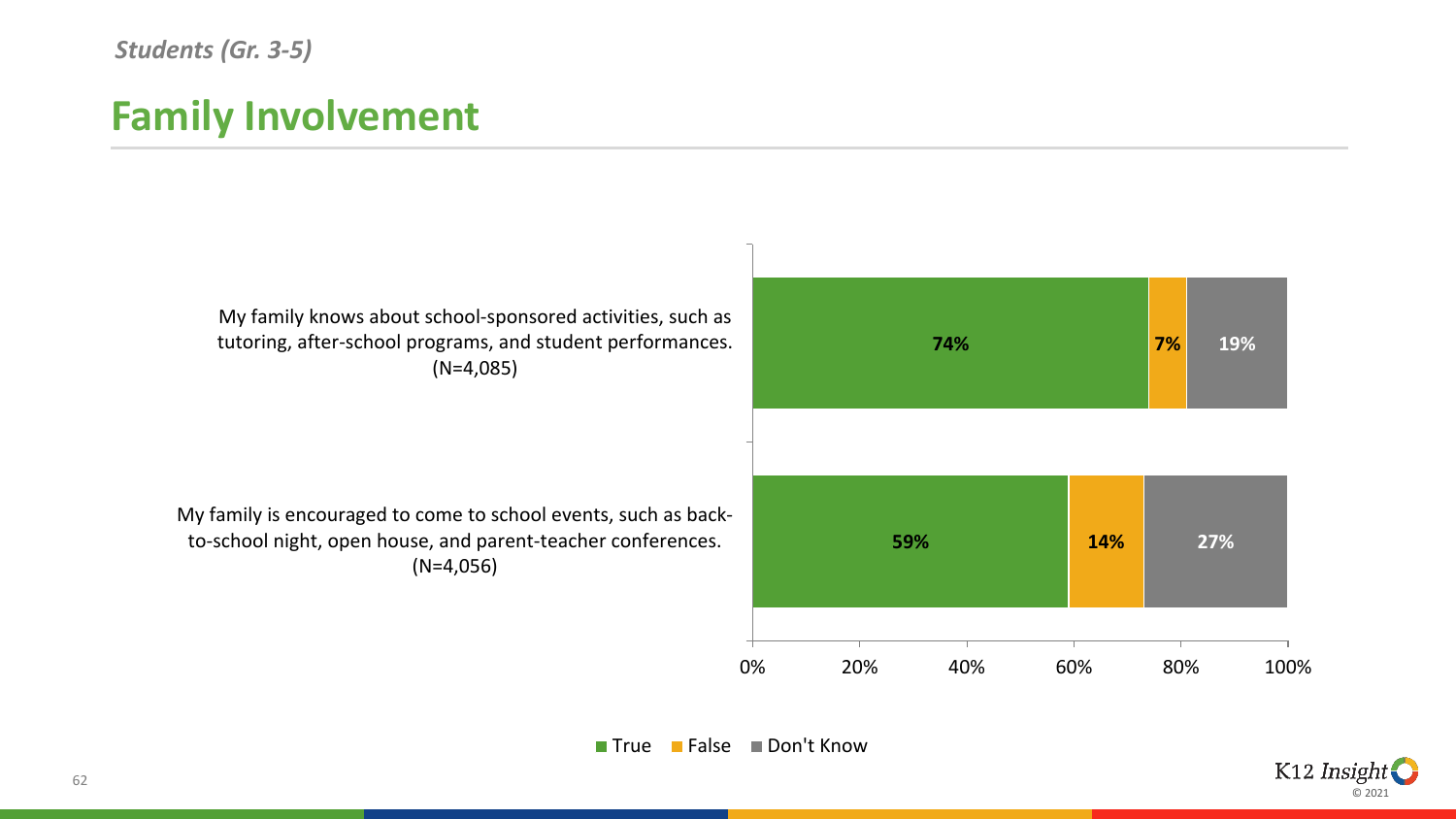#### *Students (Gr. 3-5)*

#### **Family Involvement**



**True False Don't Know** 

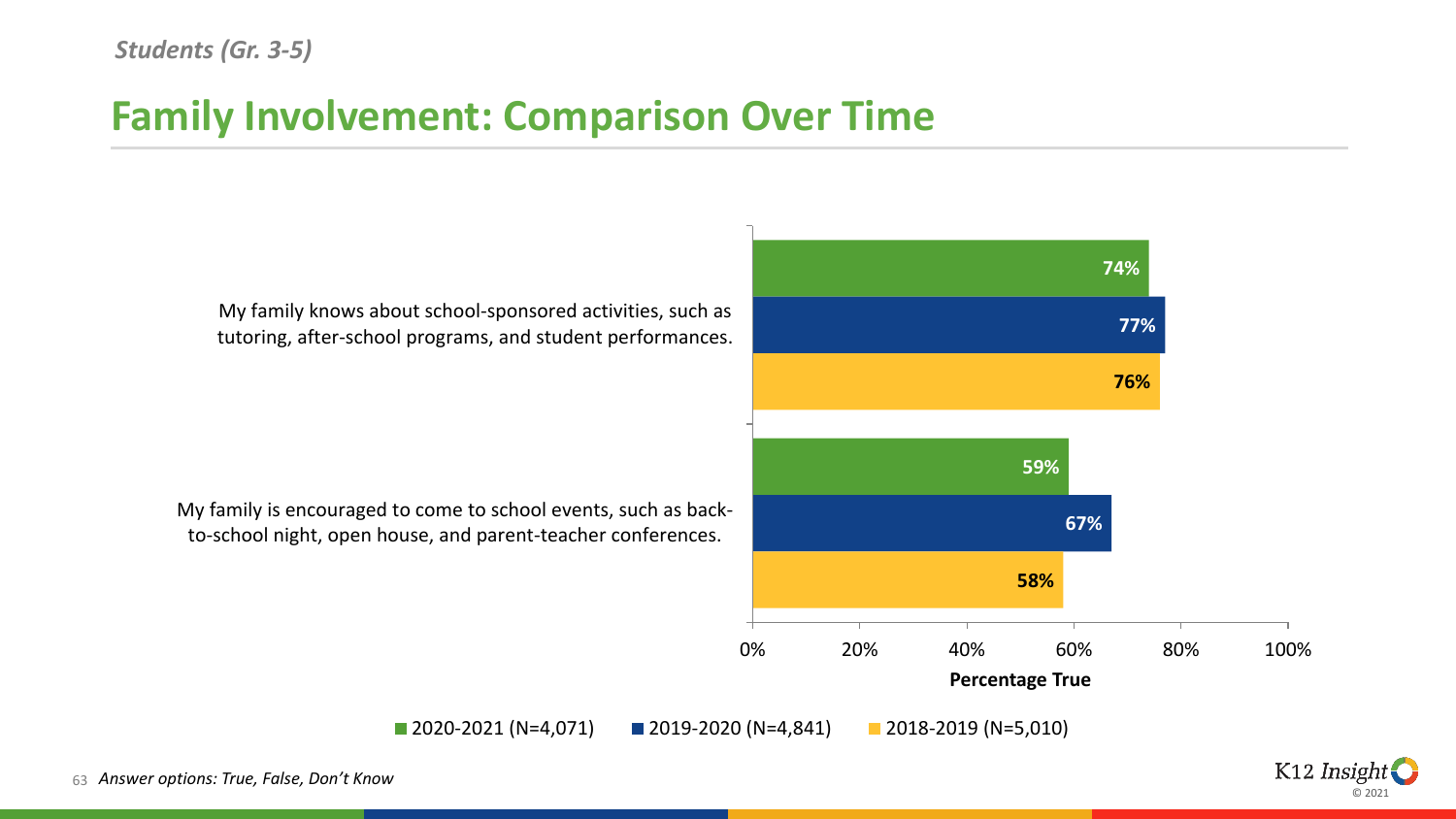#### *Students (Gr. 3-5)*

### **Family Involvement: Comparison Over Time**

**74% 59% 77% 67% 76% 58%** 0% 20% 40% 60% 80% 100% My family knows about school-sponsored activities, such as tutoring, after-school programs, and student performances. My family is encouraged to come to school events, such as backto-school night, open house, and parent-teacher conferences. **Percentage True** 2020-2021 (N=4,071) 2019-2020 (N=4,841) 2018-2019 (N=5,010)

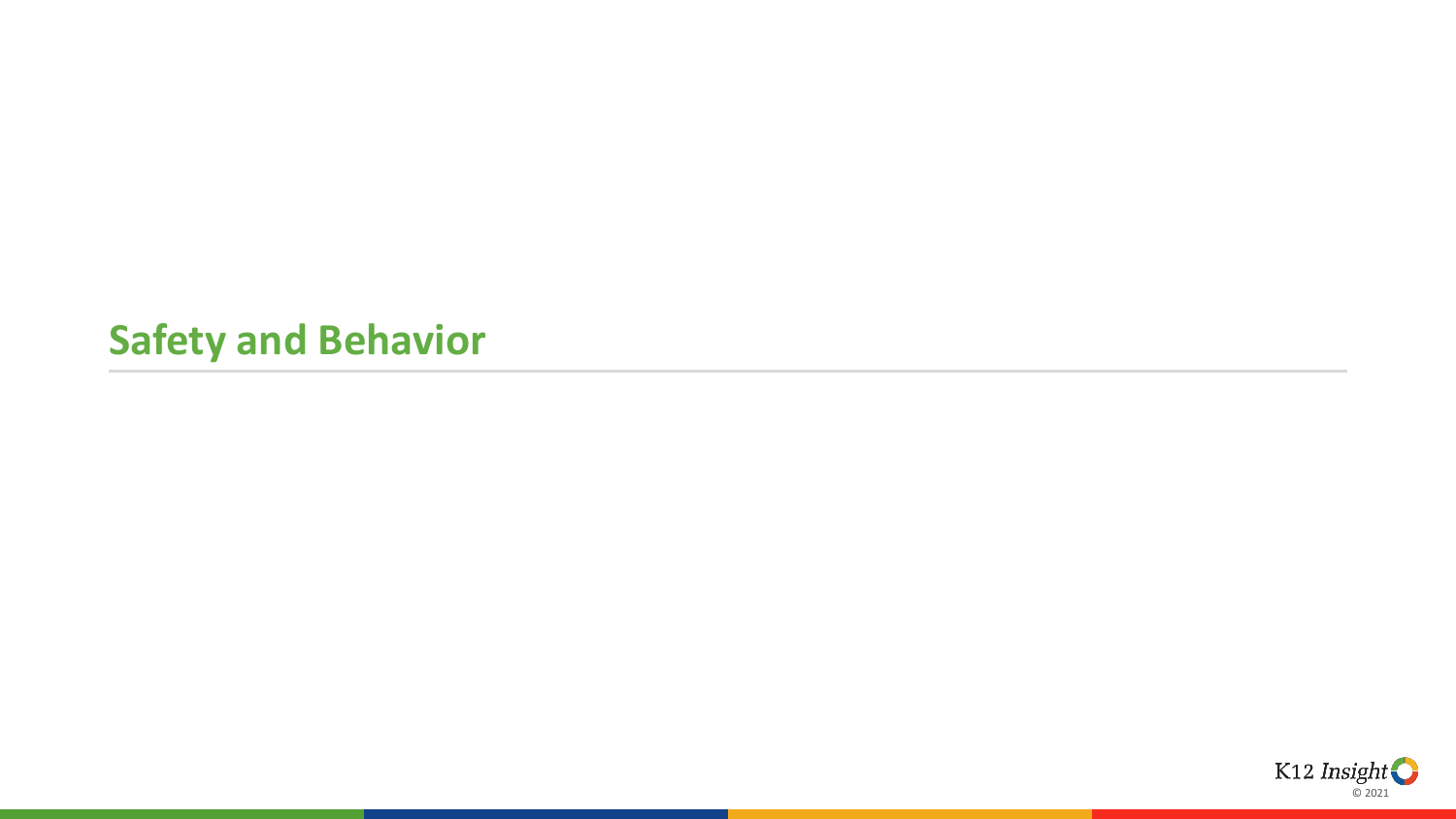#### **Safety and Behavior**

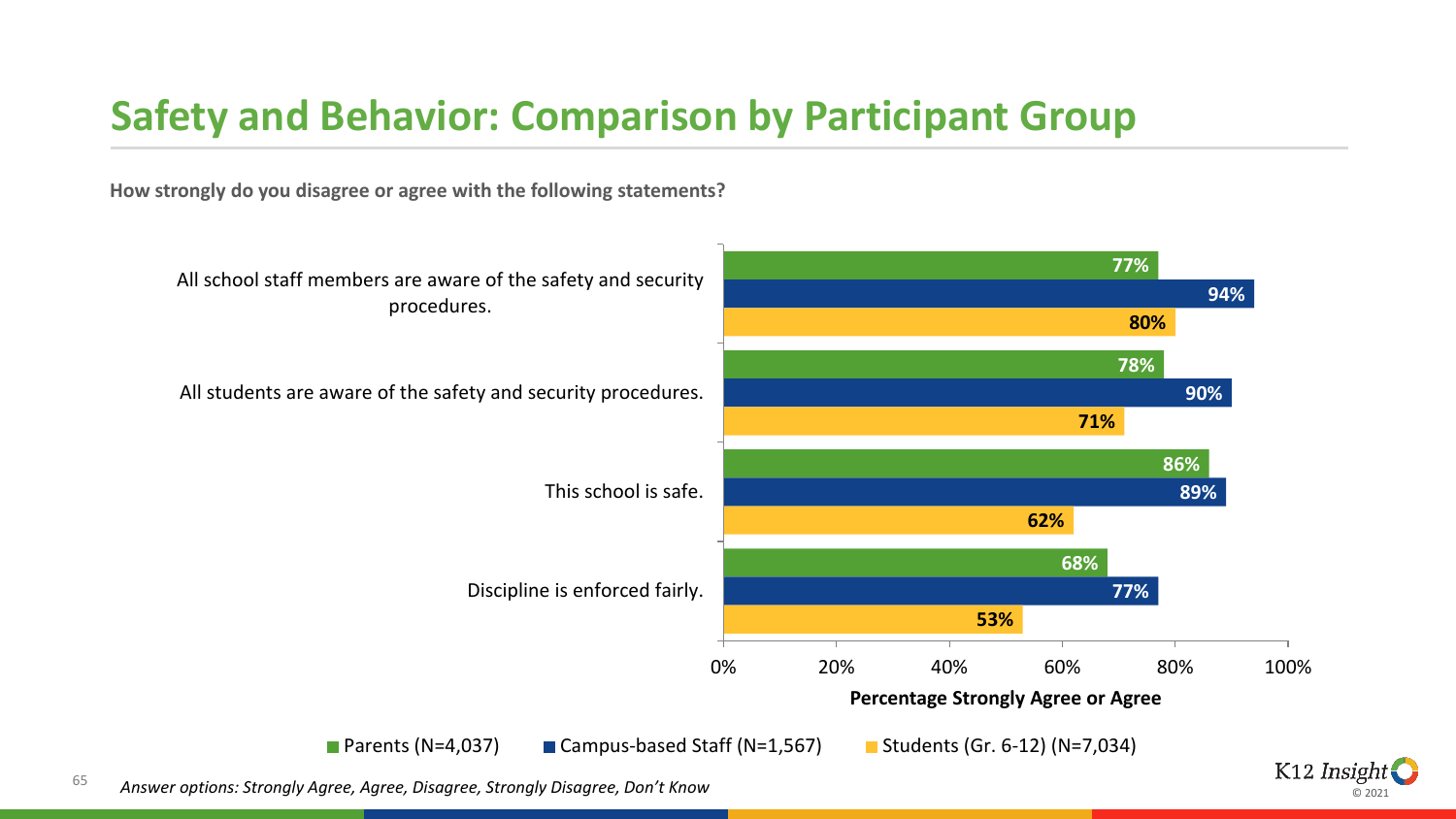### **Safety and Behavior: Comparison by Participant Group**

**How strongly do you disagree or agree with the following statements?**



© 2021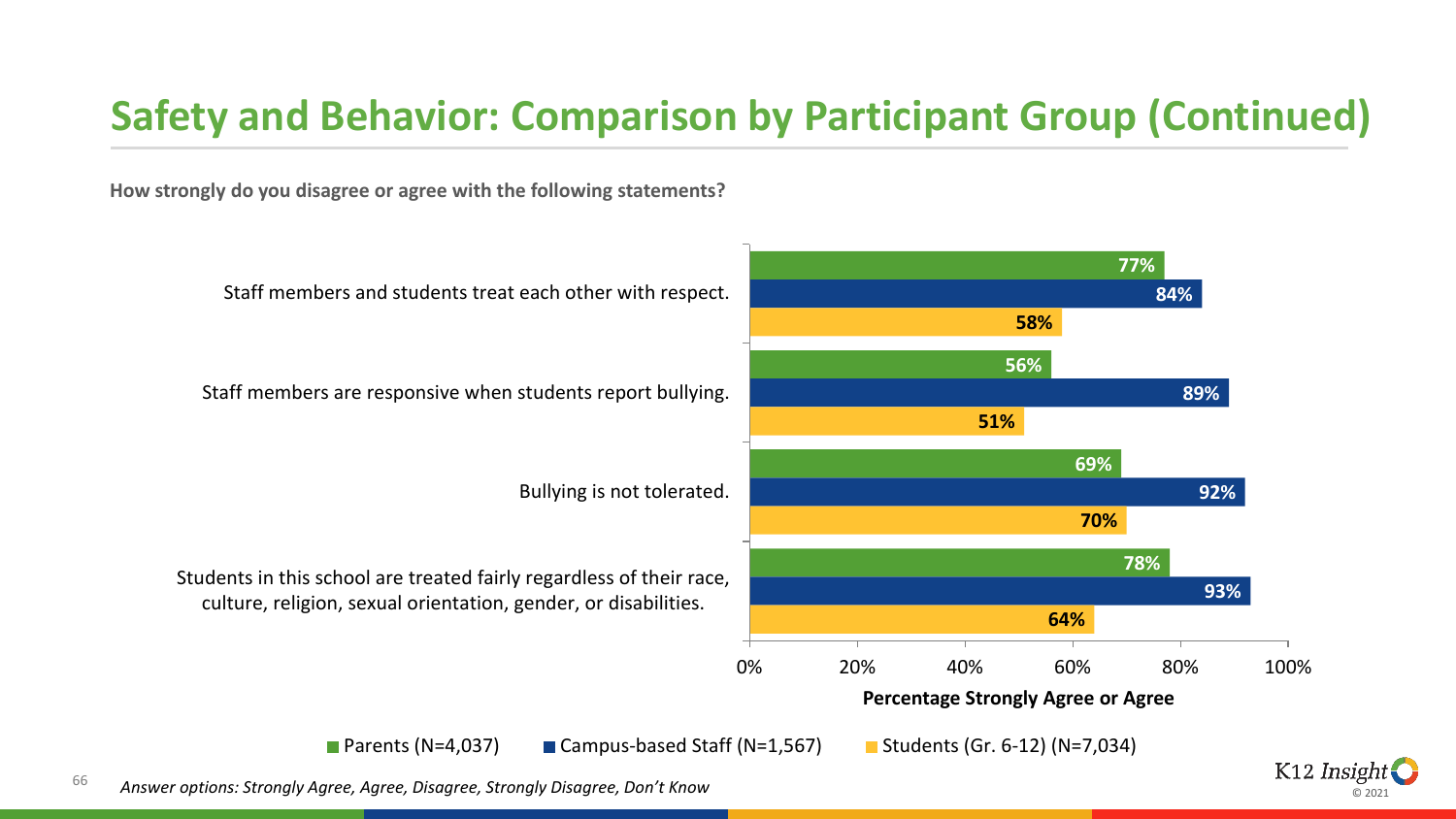# **Safety and Behavior: Comparison by Participant Group (Continued)**

**How strongly do you disagree or agree with the following statements?**



ര ാ∩ാ∙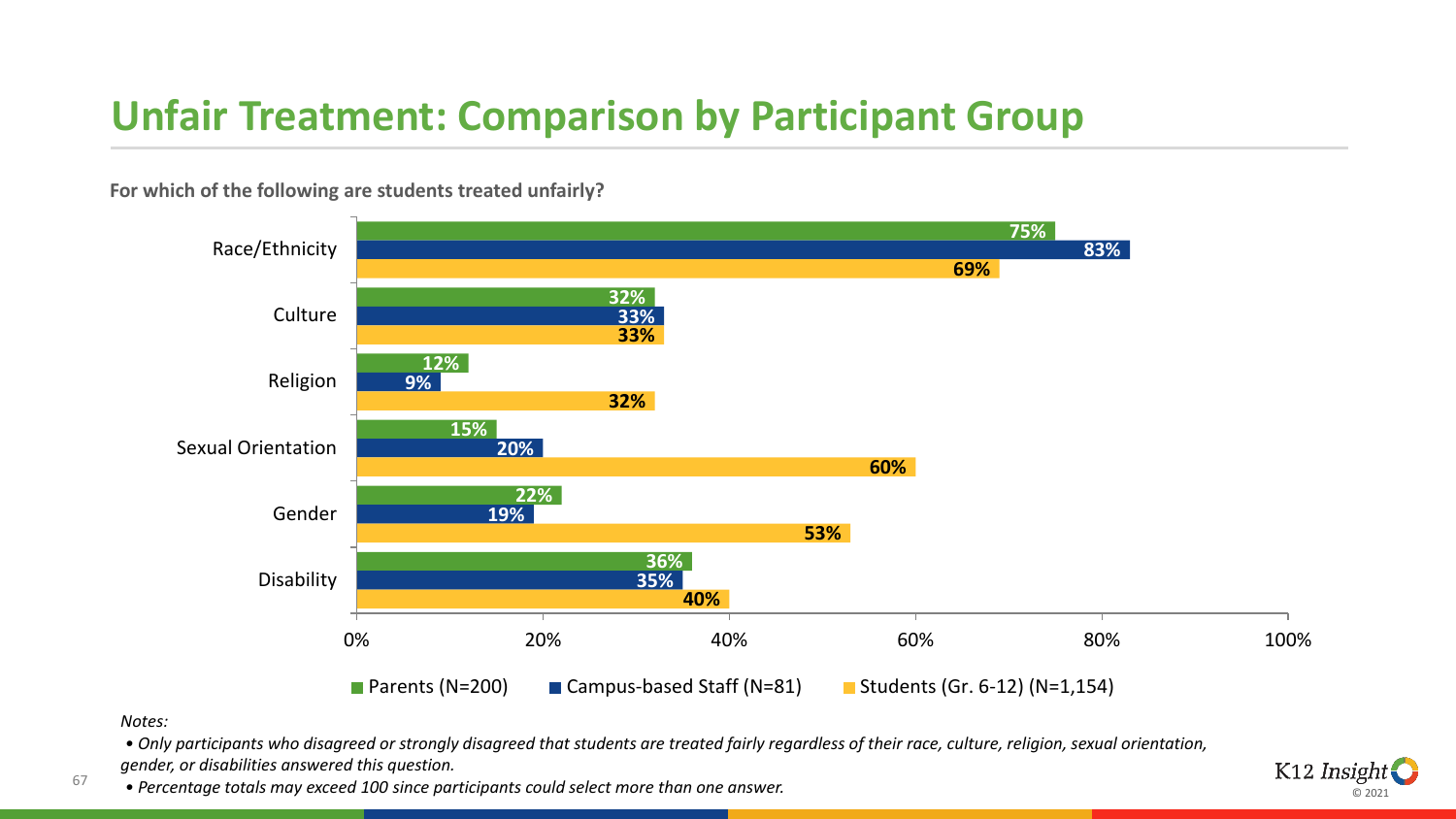# **Unfair Treatment: Comparison by Participant Group**



**For which of the following are students treated unfairly?**

*Notes:*

67

*• Only participants who disagreed or strongly disagreed that students are treated fairly regardless of their race, culture, religion, sexual orientation, gender, or disabilities answered this question.*

*• Percentage totals may exceed 100 since participants could select more than one answer.*

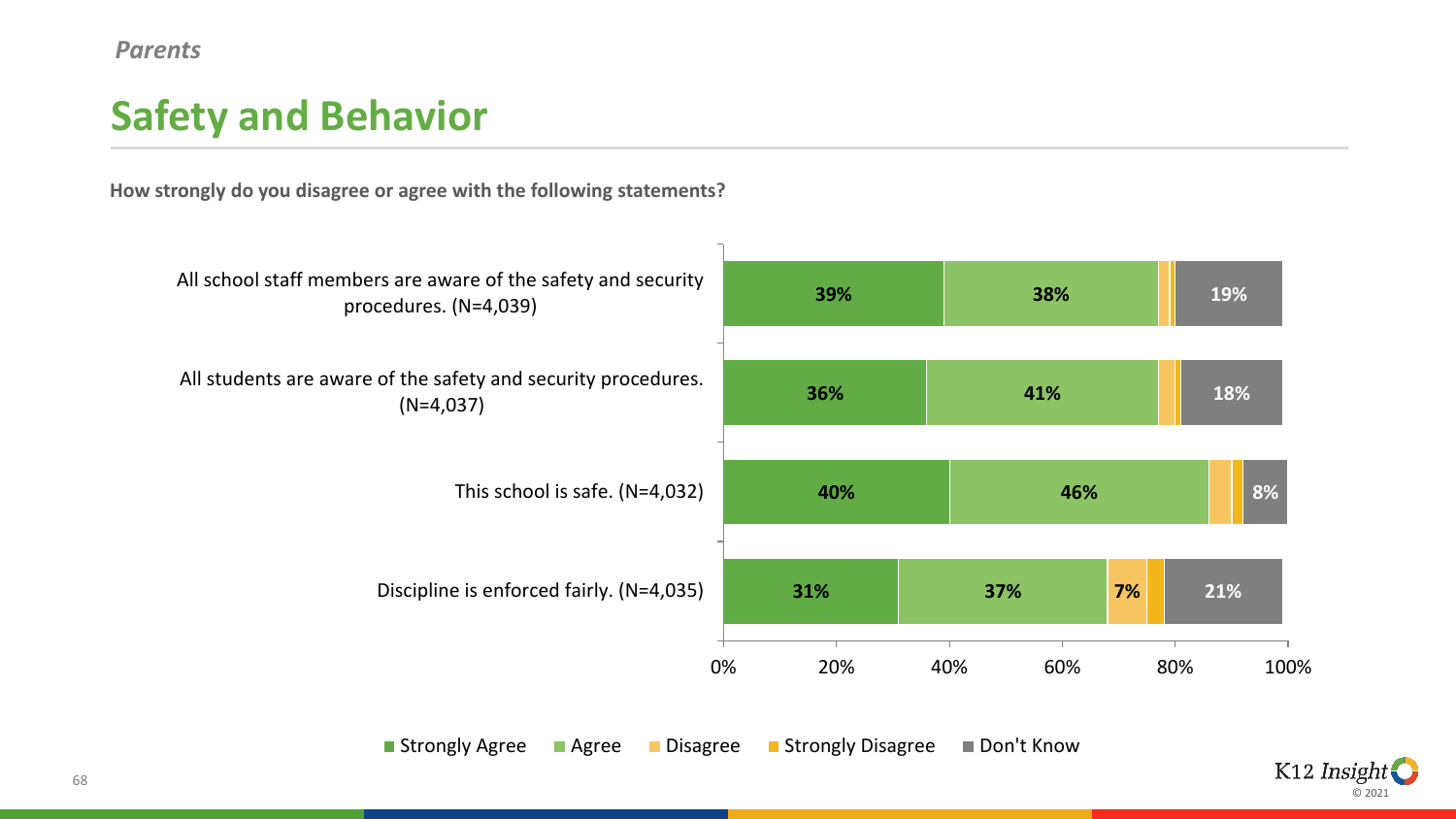#### *Parents*

# **Safety and Behavior**

**How strongly do you disagree or agree with the following statements?**



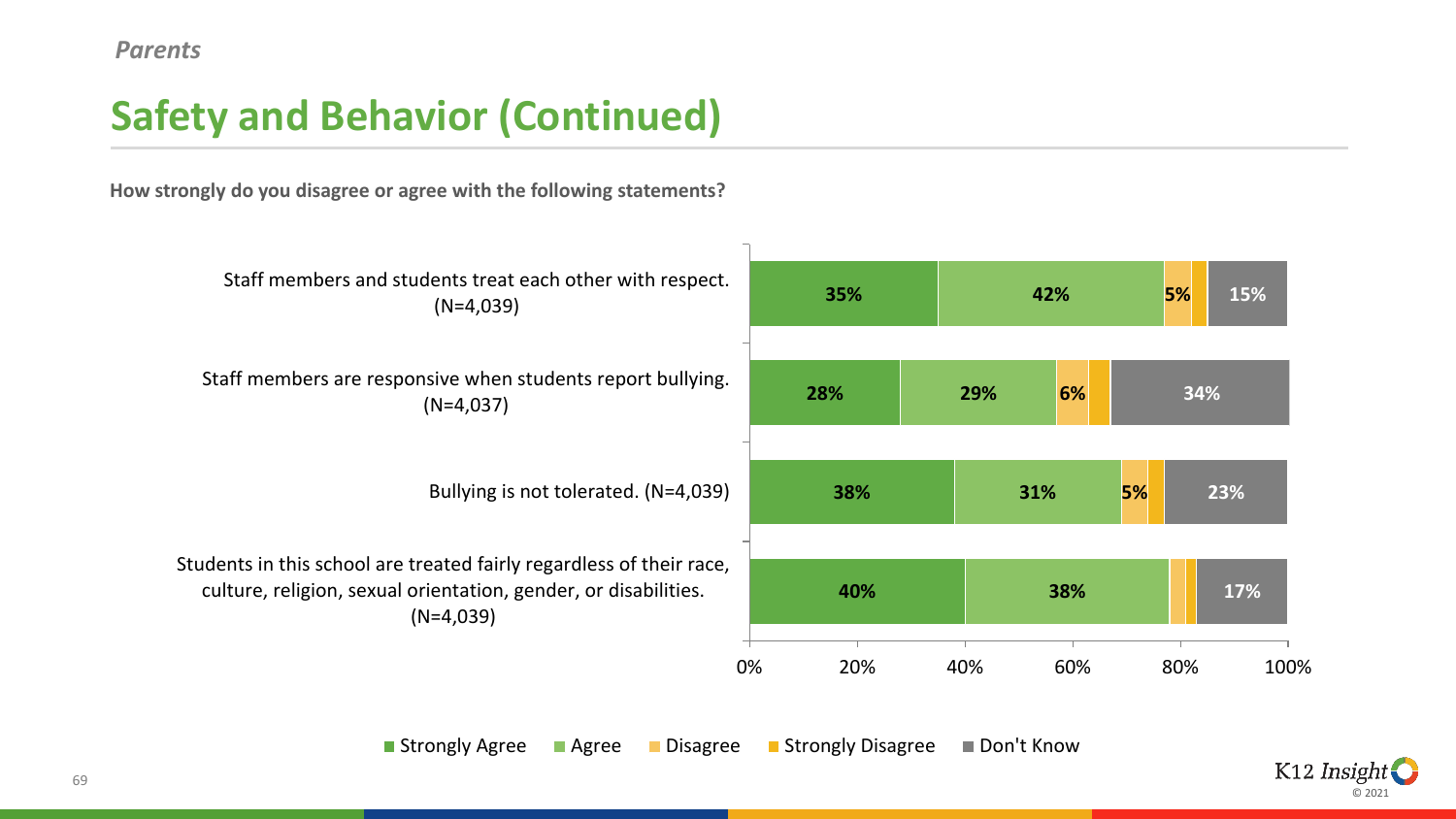# **Safety and Behavior (Continued)**

**How strongly do you disagree or agree with the following statements?**



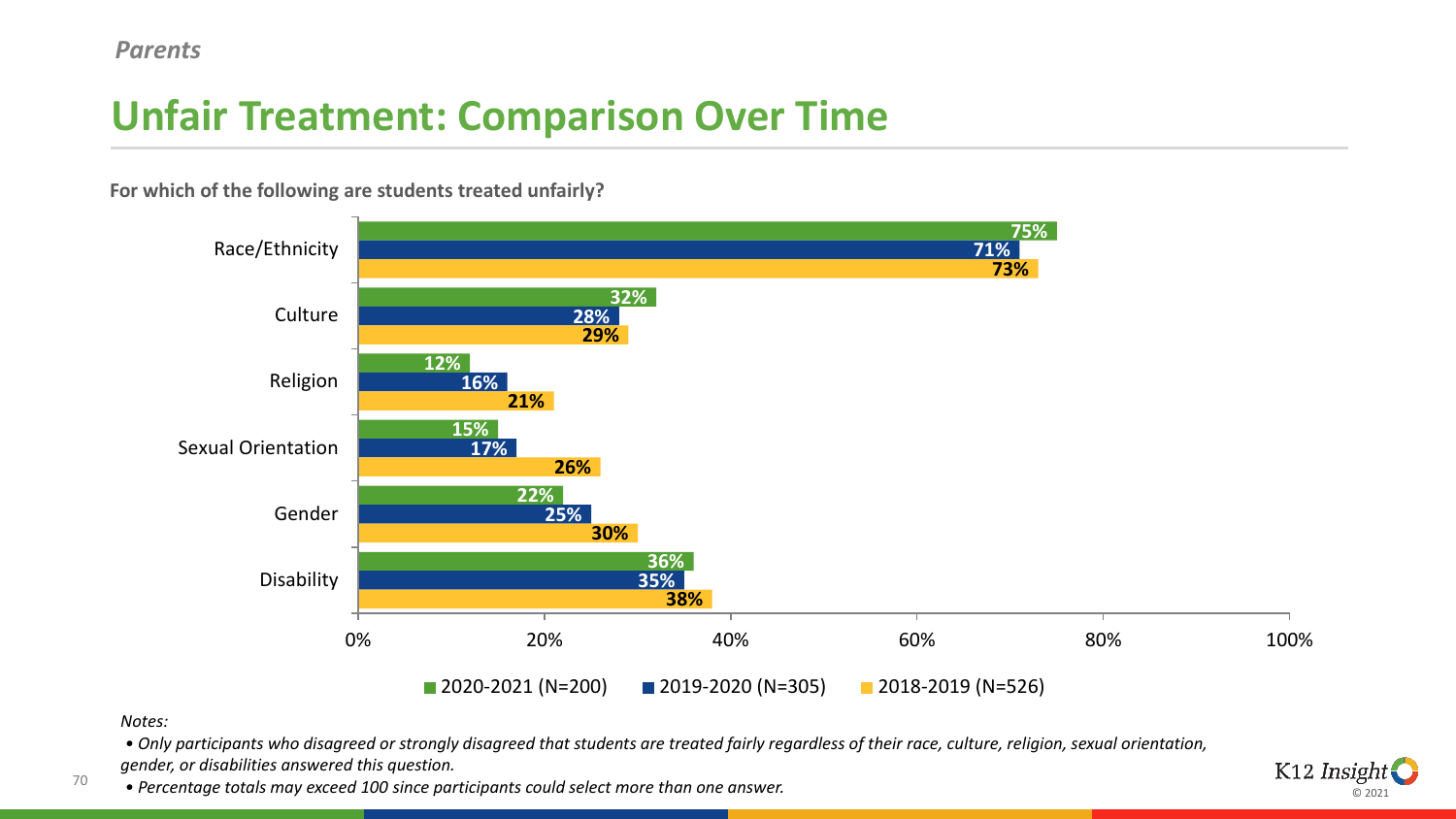#### *Parents*

# **Unfair Treatment: Comparison Over Time**



**For which of the following are students treated unfairly?**

*Notes:*

70

*• Only participants who disagreed or strongly disagreed that students are treated fairly regardless of their race, culture, religion, sexual orientation, gender, or disabilities answered this question.*

*• Percentage totals may exceed 100 since participants could select more than one answer.*

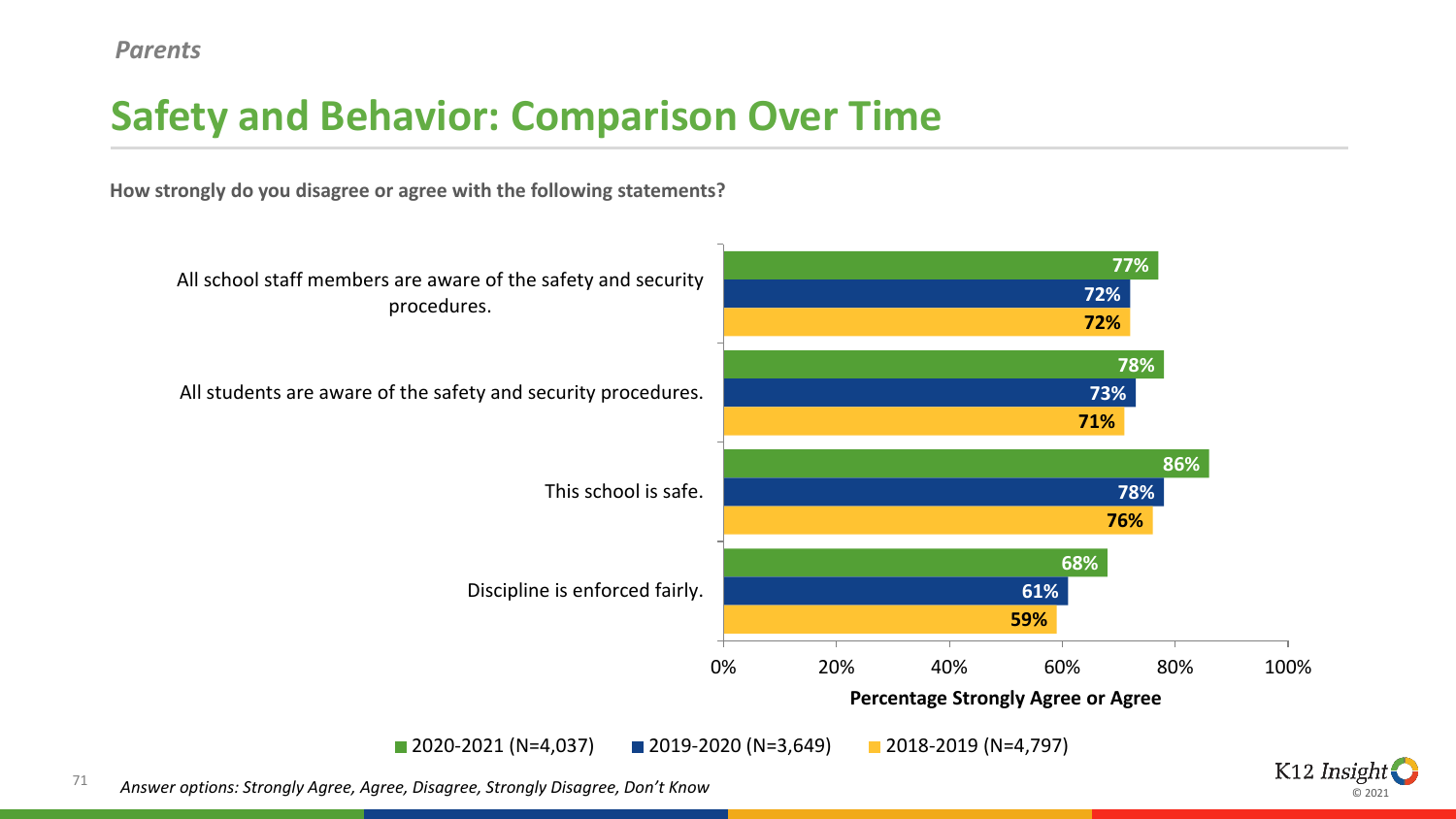# **Safety and Behavior: Comparison Over Time**

**How strongly do you disagree or agree with the following statements?**



© 2021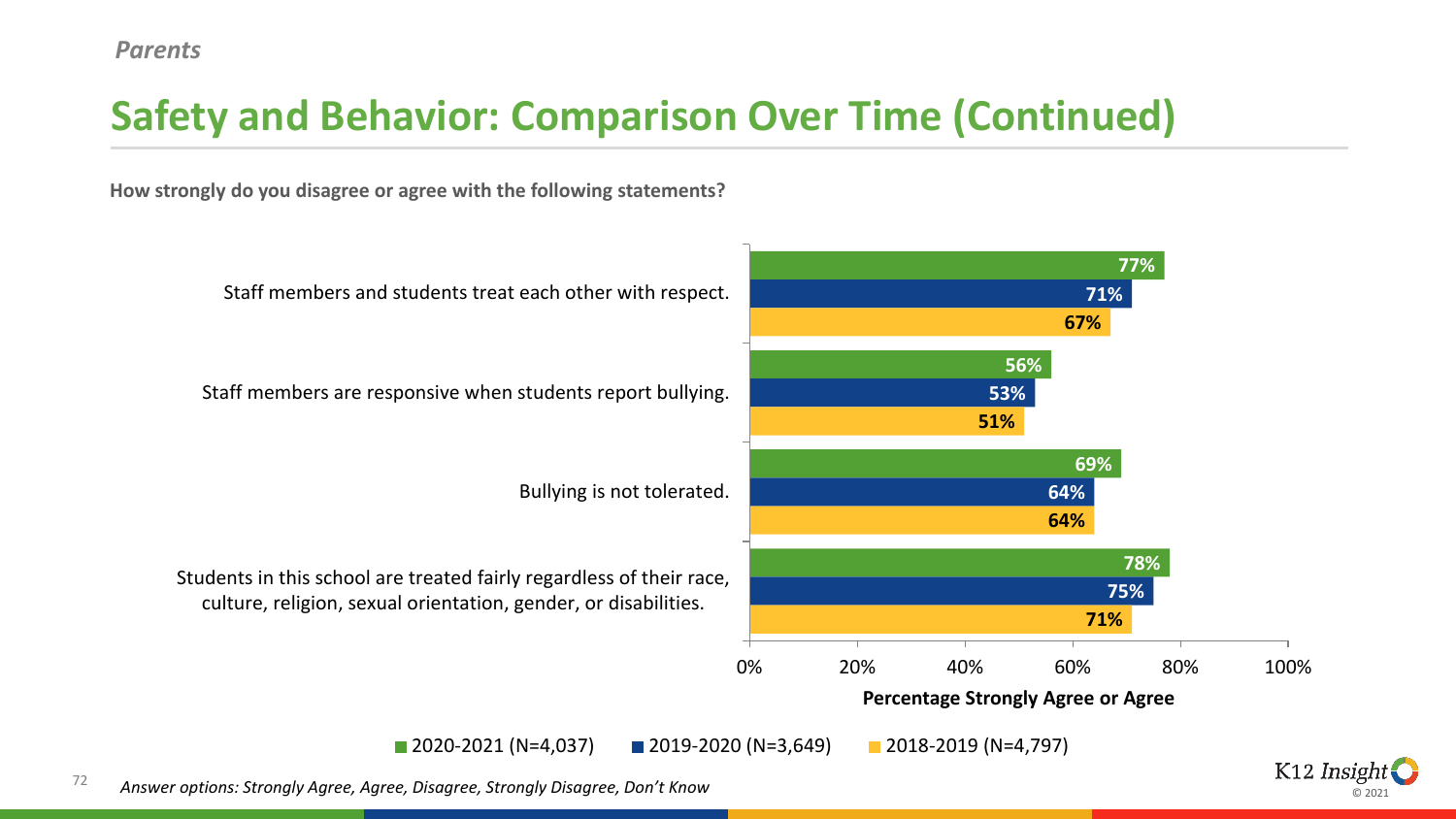# **Safety and Behavior: Comparison Over Time (Continued)**

**How strongly do you disagree or agree with the following statements?**



ര ാ∩ാ∙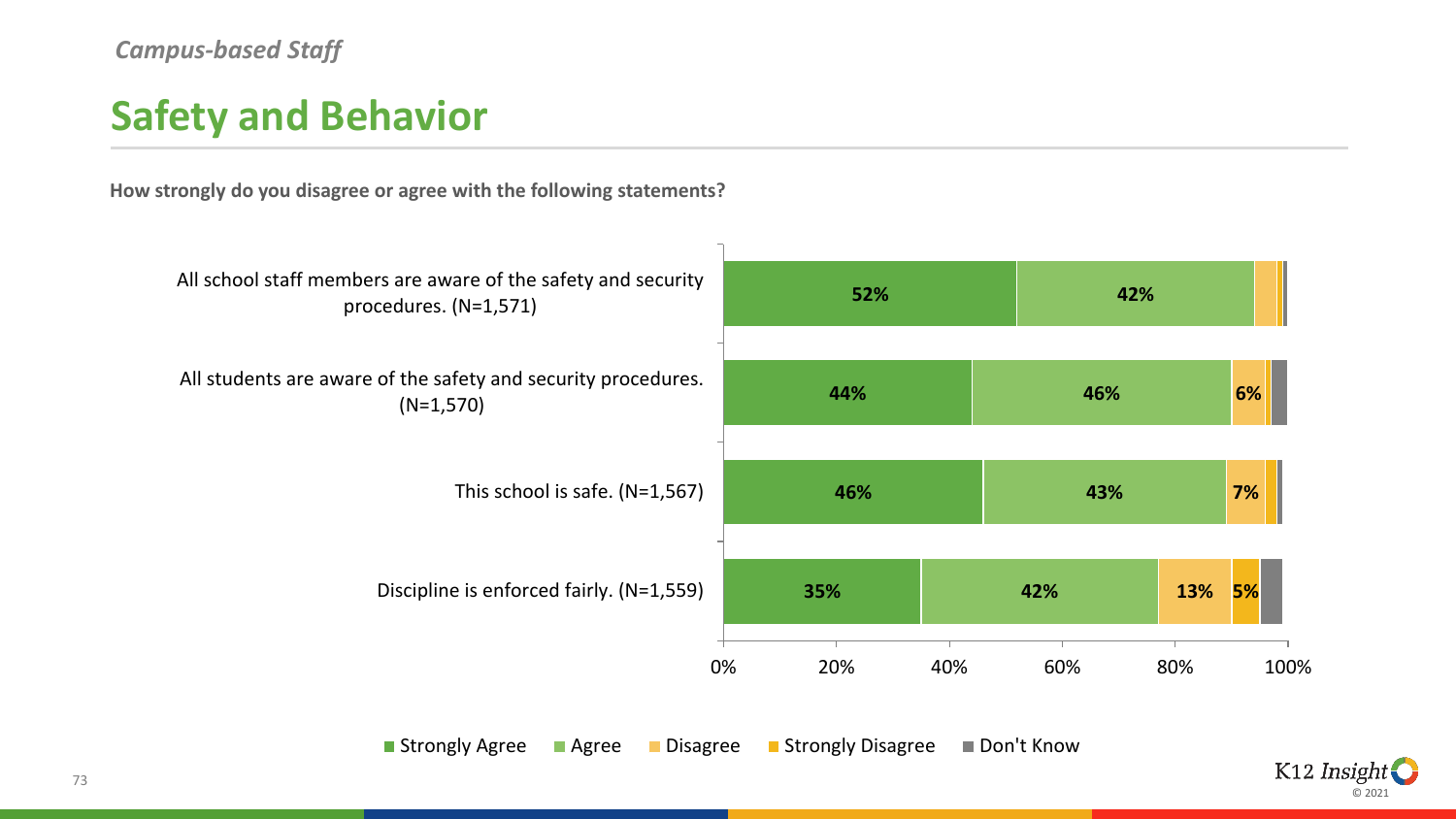## **Safety and Behavior**

**How strongly do you disagree or agree with the following statements?**



■ Strongly Agree ■ Agree ■ Disagree ■ Strongly Disagree ■ Don't Know

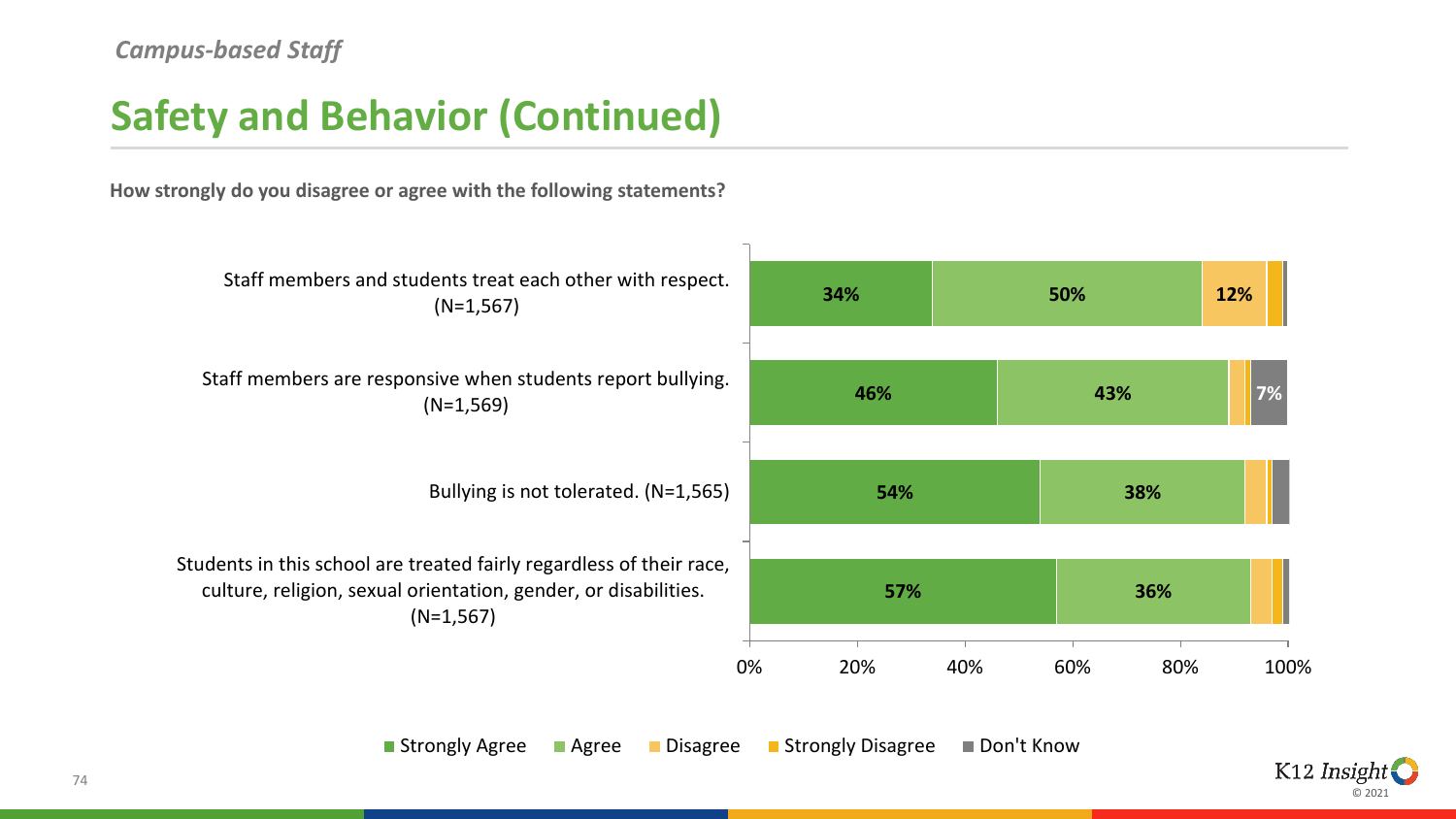## **Safety and Behavior (Continued)**

**How strongly do you disagree or agree with the following statements?**



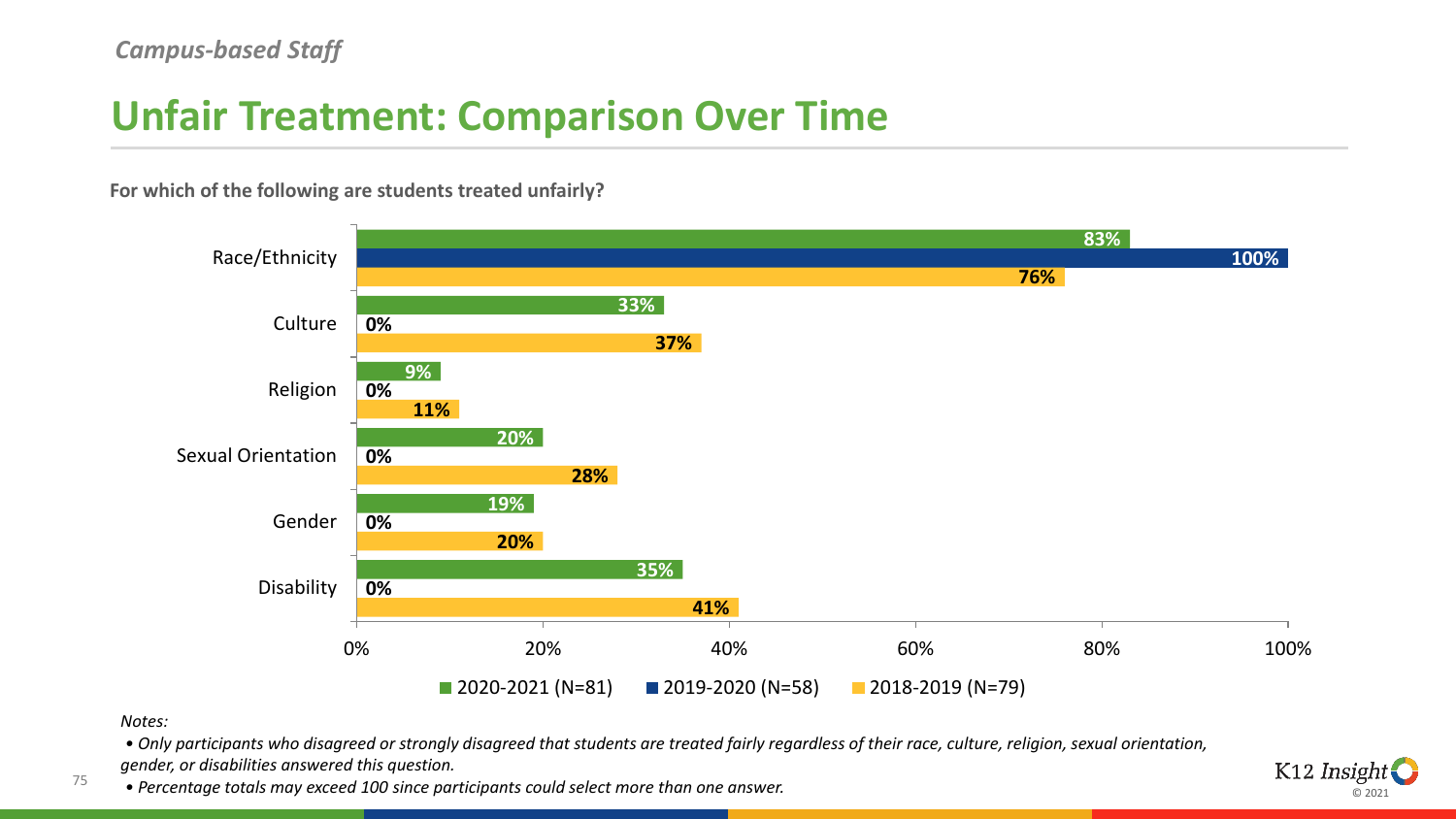## **Unfair Treatment: Comparison Over Time**

**For which of the following are students treated unfairly?**



#### *Notes:*

75

*• Only participants who disagreed or strongly disagreed that students are treated fairly regardless of their race, culture, religion, sexual orientation, gender, or disabilities answered this question.*

*• Percentage totals may exceed 100 since participants could select more than one answer.*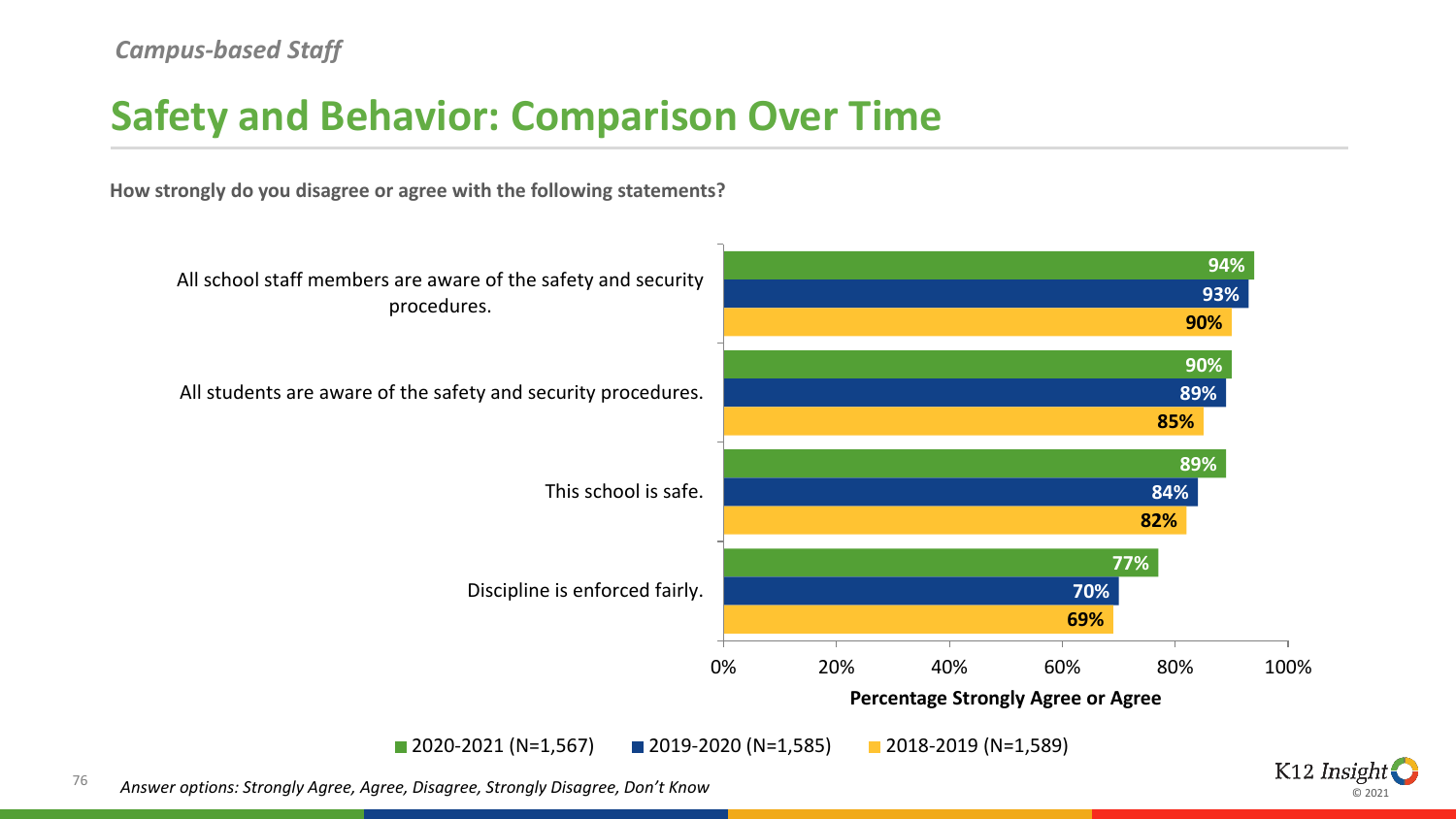#### **Safety and Behavior: Comparison Over Time**

**How strongly do you disagree or agree with the following statements?**



© 2021

76 *Answer options: Strongly Agree, Agree, Disagree, Strongly Disagree, Don't Know*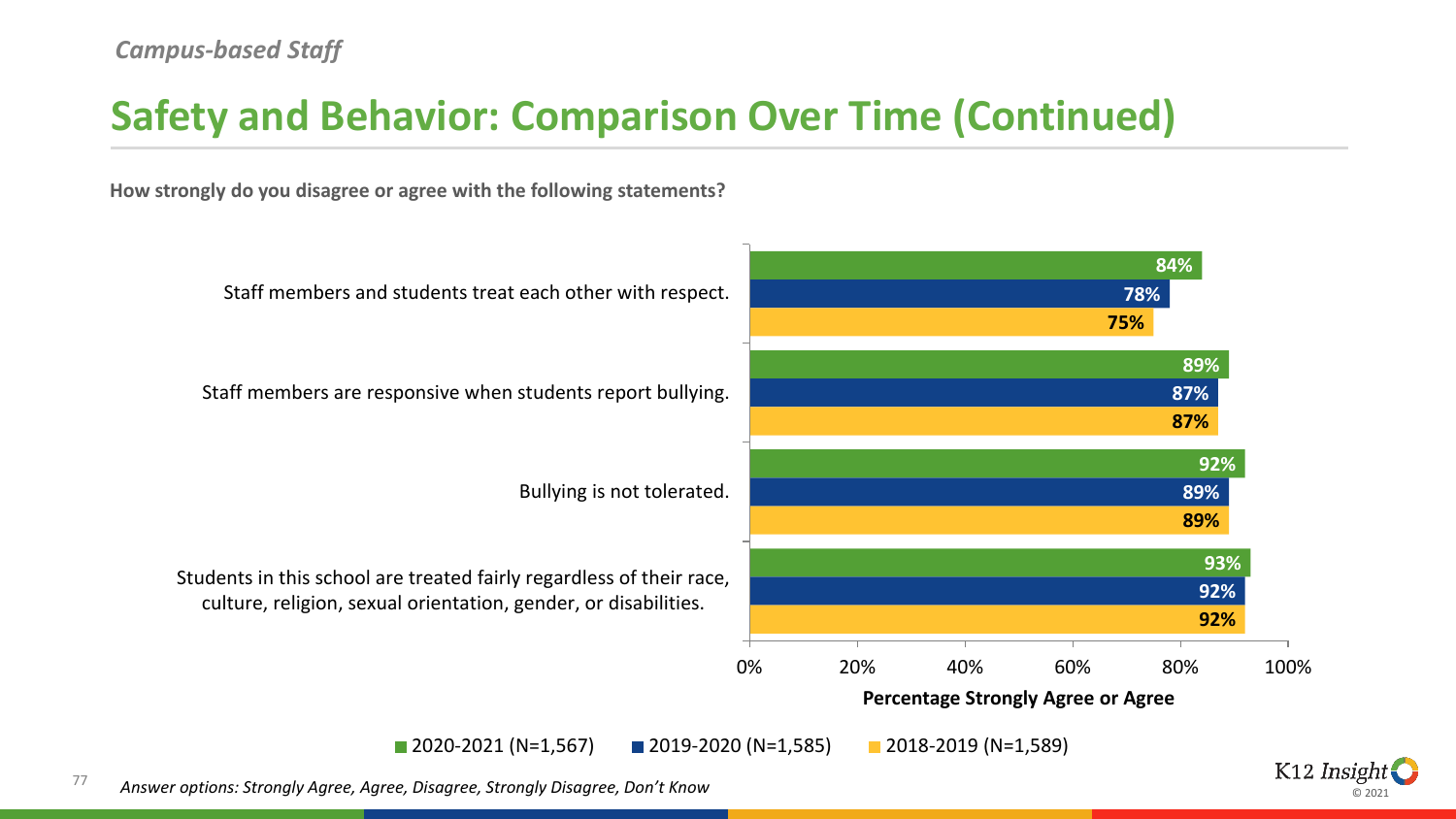## **Safety and Behavior: Comparison Over Time (Continued)**

**How strongly do you disagree or agree with the following statements?**



ര ാറാ

77 *Answer options: Strongly Agree, Agree, Disagree, Strongly Disagree, Don't Know*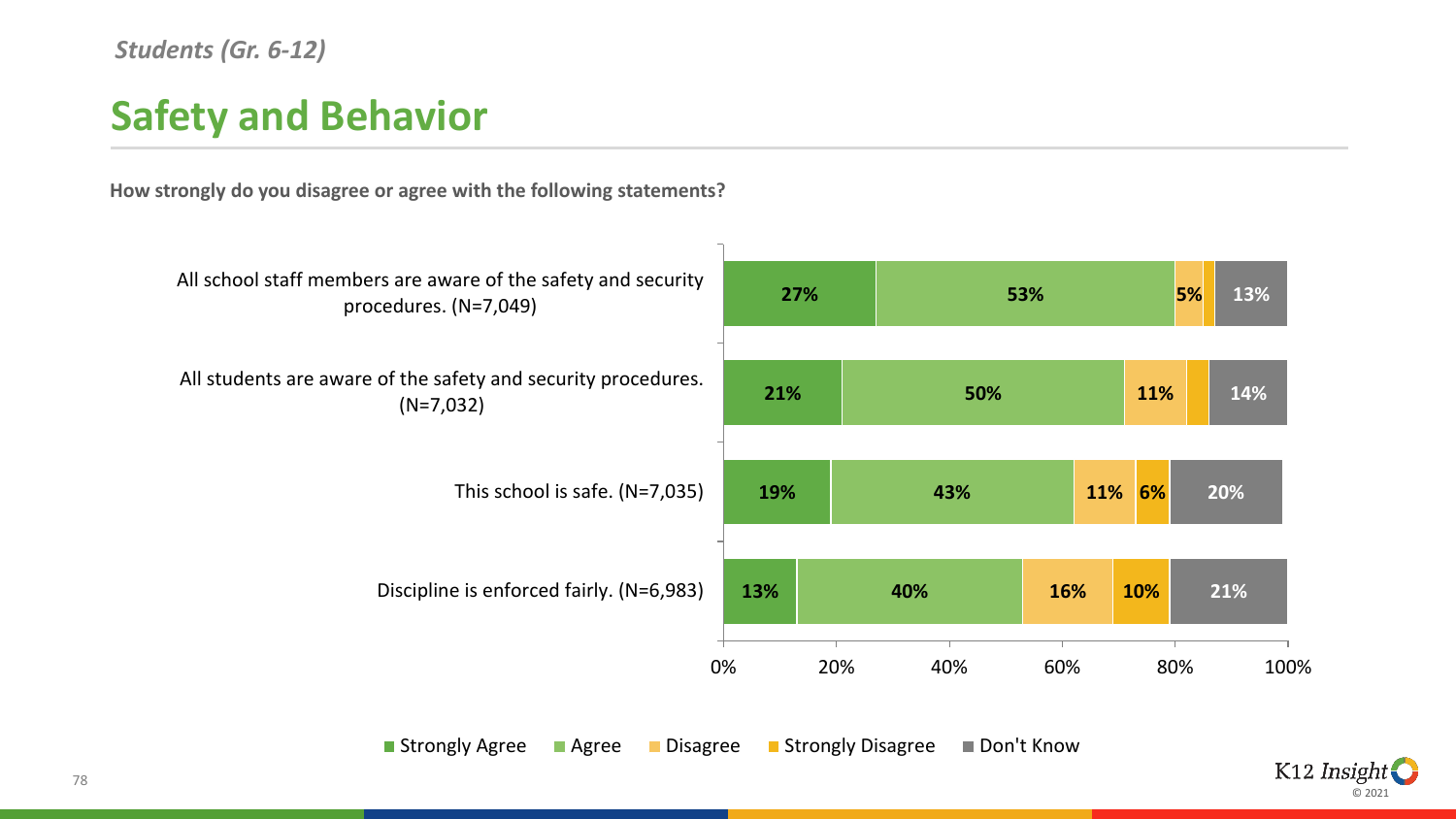#### *Students (Gr. 6-12)*

## **Safety and Behavior**

**How strongly do you disagree or agree with the following statements?**



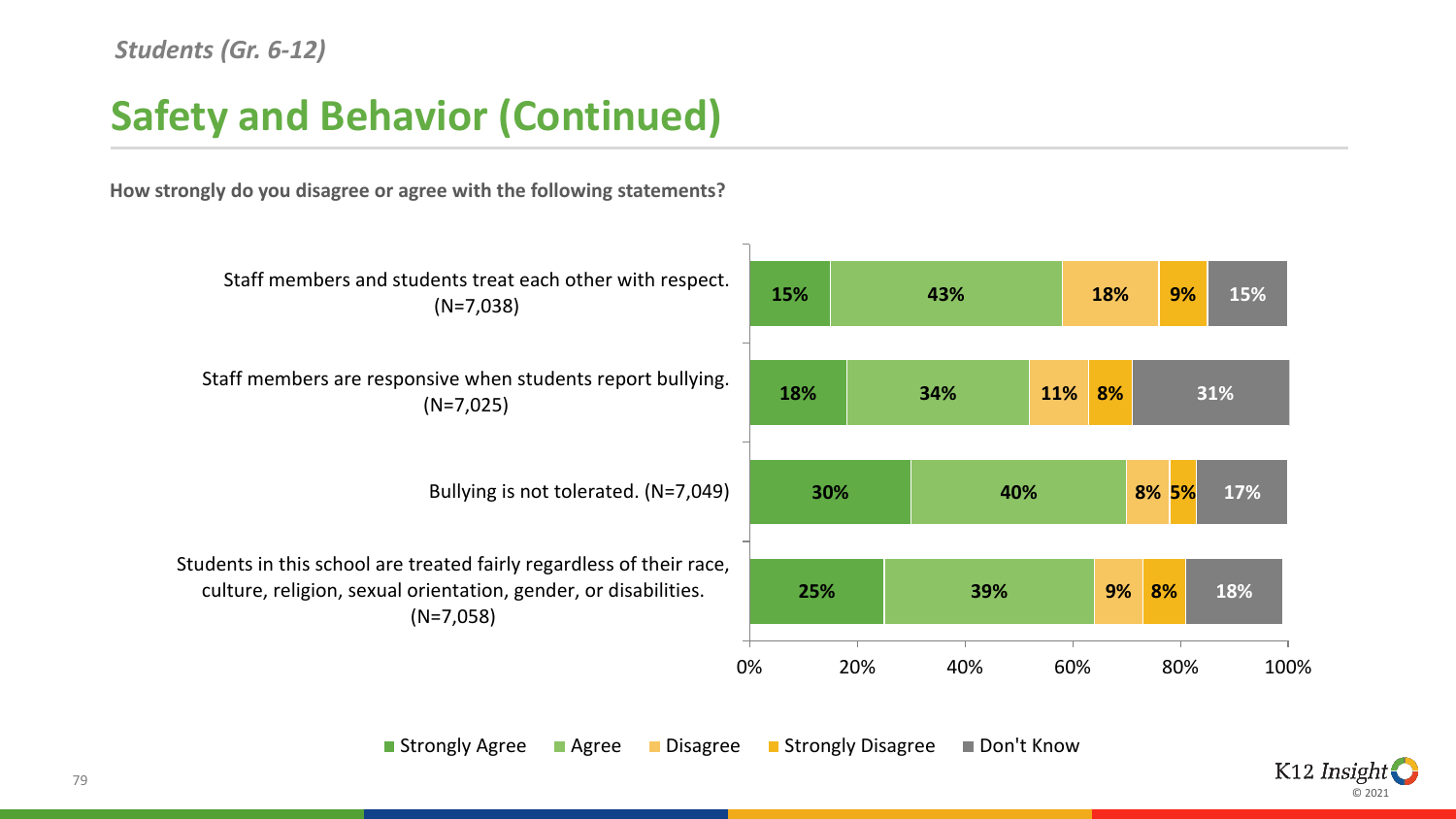## **Safety and Behavior (Continued)**

**How strongly do you disagree or agree with the following statements?**



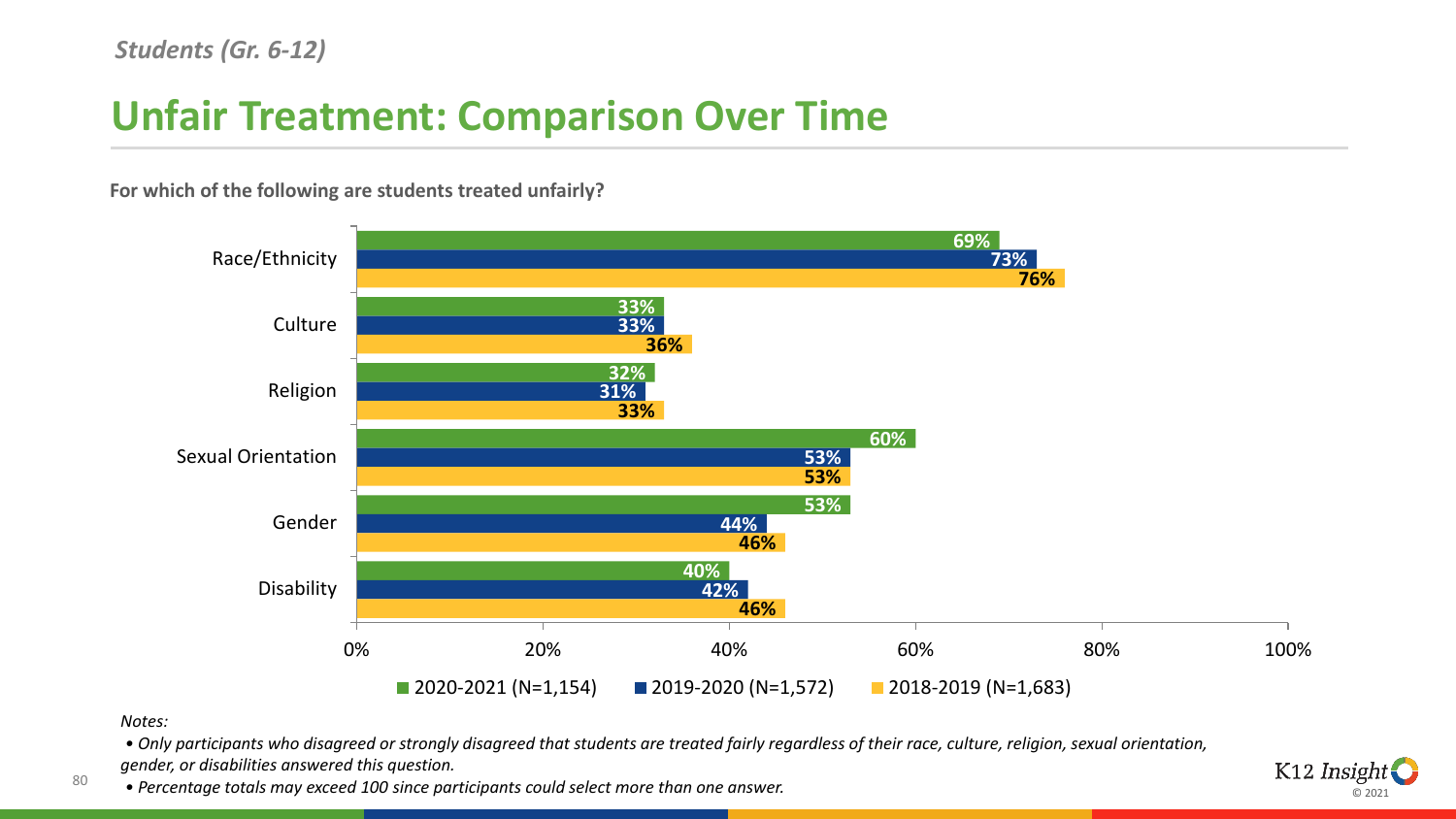## **Unfair Treatment: Comparison Over Time**



**For which of the following are students treated unfairly?**

*Notes:*

80

*• Only participants who disagreed or strongly disagreed that students are treated fairly regardless of their race, culture, religion, sexual orientation, gender, or disabilities answered this question.*

*• Percentage totals may exceed 100 since participants could select more than one answer.*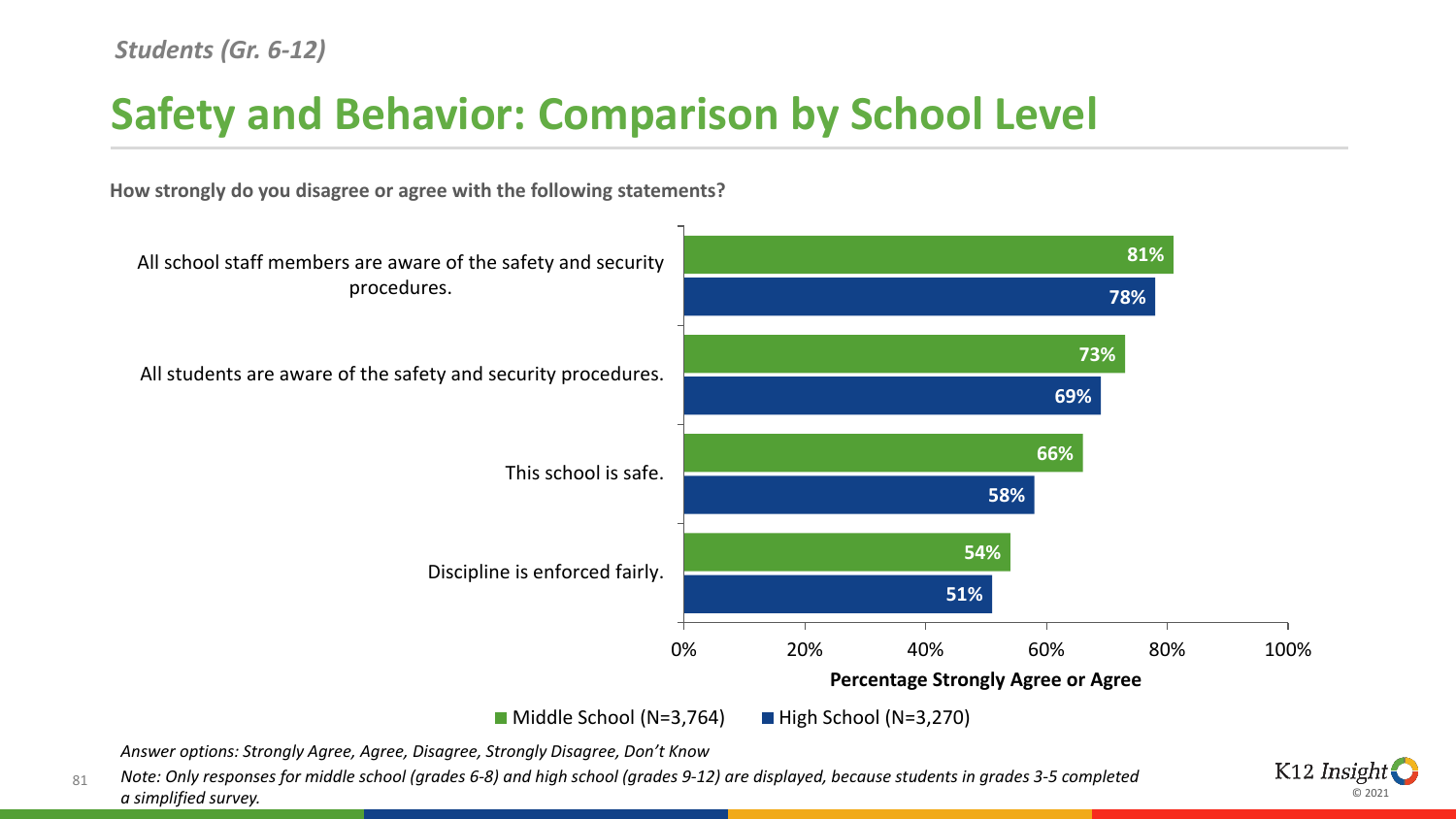## **Safety and Behavior: Comparison by School Level**



**How strongly do you disagree or agree with the following statements?**

*Answer options: Strongly Agree, Agree, Disagree, Strongly Disagree, Don't Know*

81 *Note: Only responses for middle school (grades 6-8) and high school (grades 9-12) are displayed, because students in grades 3-5 completed a simplified survey.* 

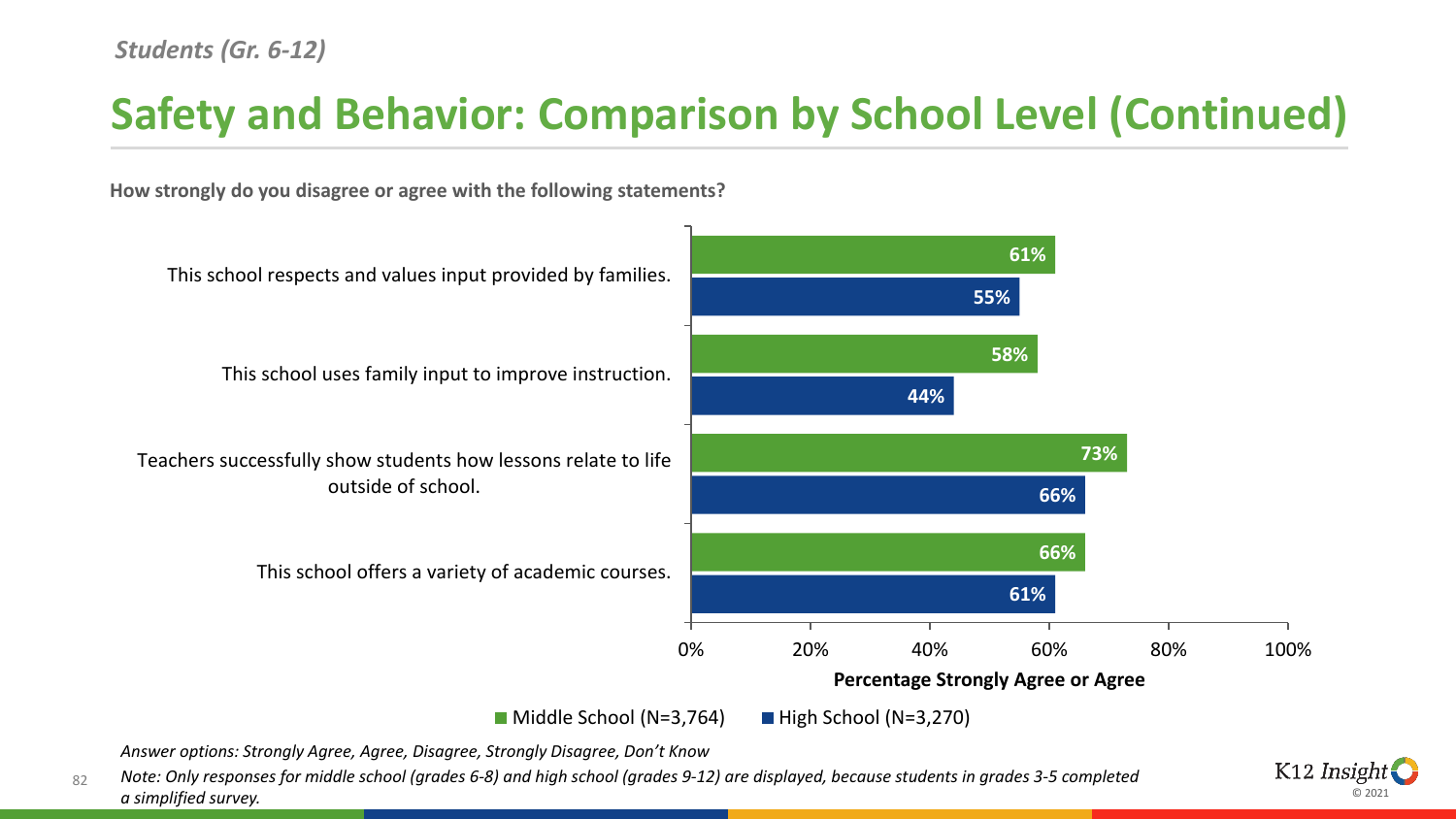## **Safety and Behavior: Comparison by School Level (Continued)**

**How strongly do you disagree or agree with the following statements?**



*Answer options: Strongly Agree, Agree, Disagree, Strongly Disagree, Don't Know*

82 *Note: Only responses for middle school (grades 6-8) and high school (grades 9-12) are displayed, because students in grades 3-5 completed a simplified survey.* 

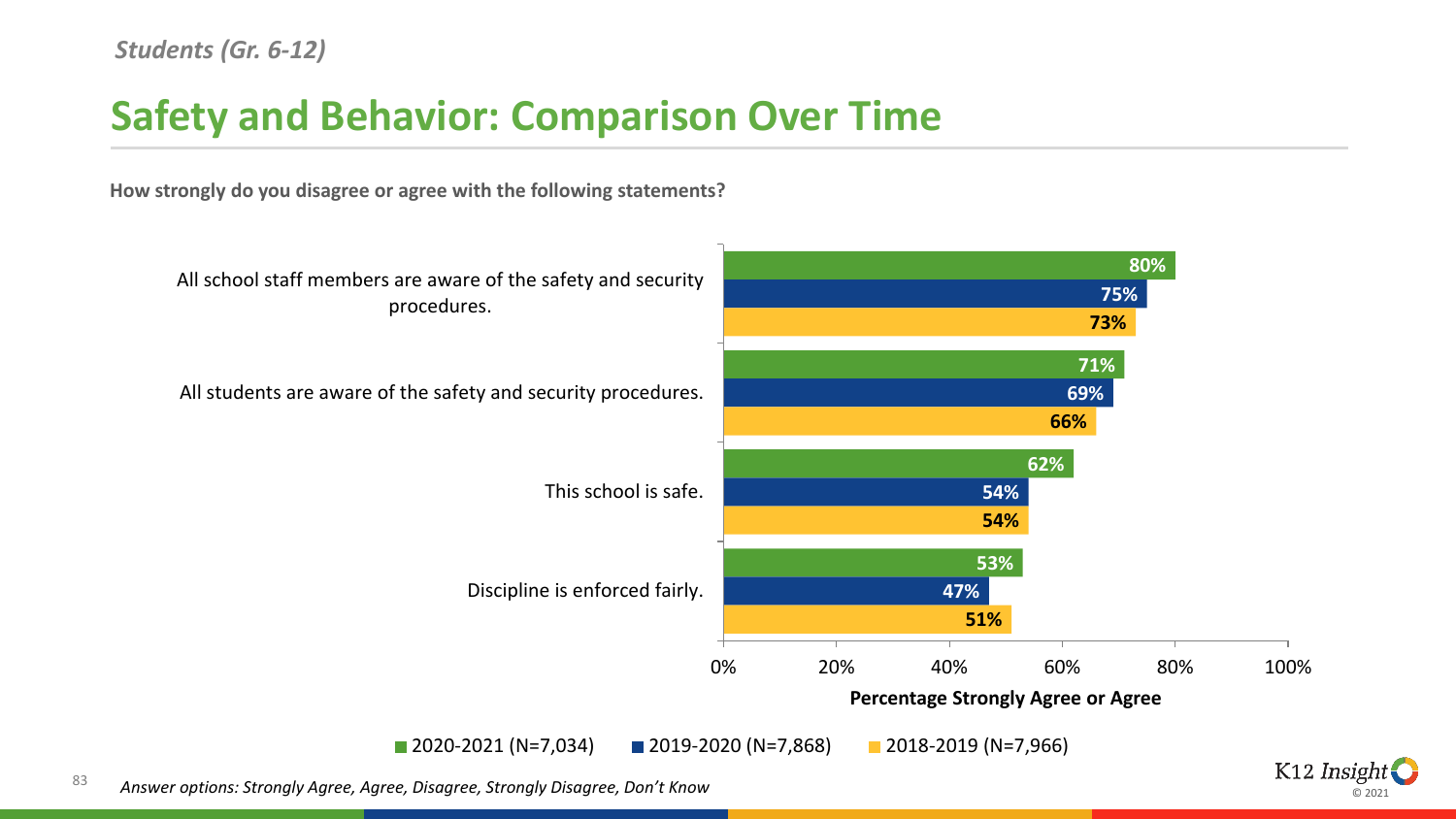## **Safety and Behavior: Comparison Over Time**

**How strongly do you disagree or agree with the following statements?**



⊚ ാ∩ാ

83 *Answer options: Strongly Agree, Agree, Disagree, Strongly Disagree, Don't Know*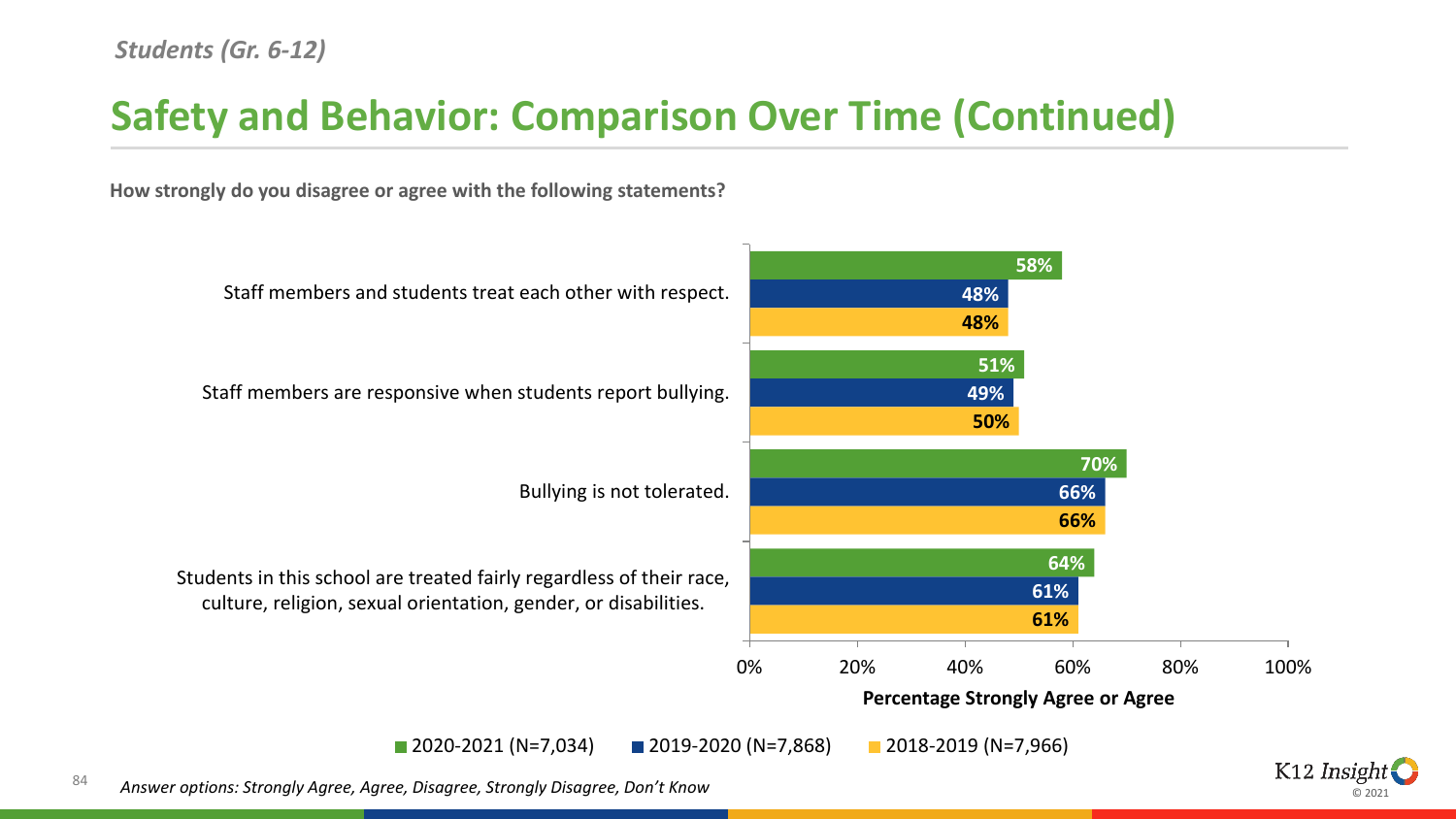## **Safety and Behavior: Comparison Over Time (Continued)**

**How strongly do you disagree or agree with the following statements?**



ര ാറാ

84 *Answer options: Strongly Agree, Agree, Disagree, Strongly Disagree, Don't Know*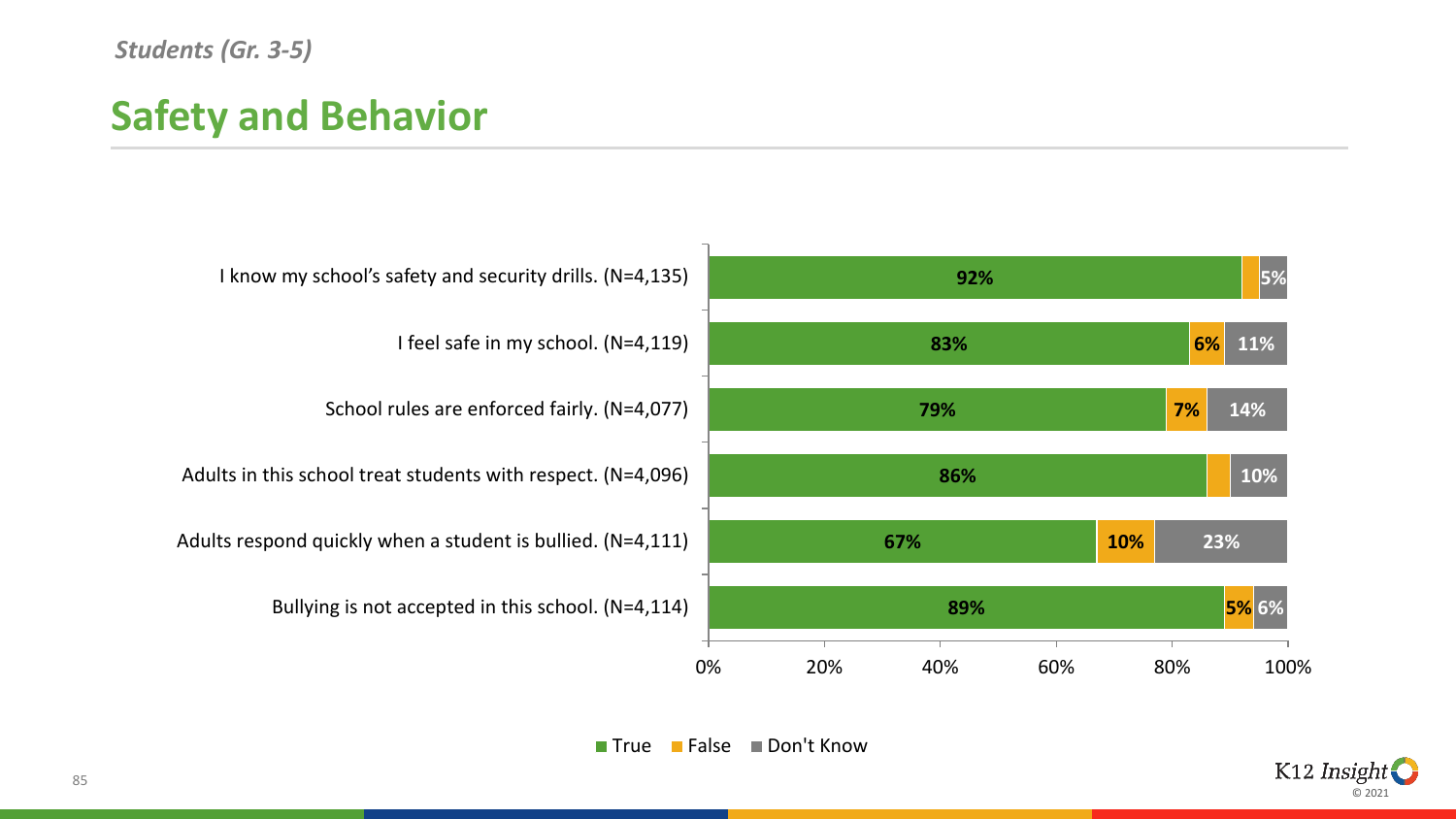#### *Students (Gr. 3-5)*

## **Safety and Behavior**



■ True ■ False ■ Don't Know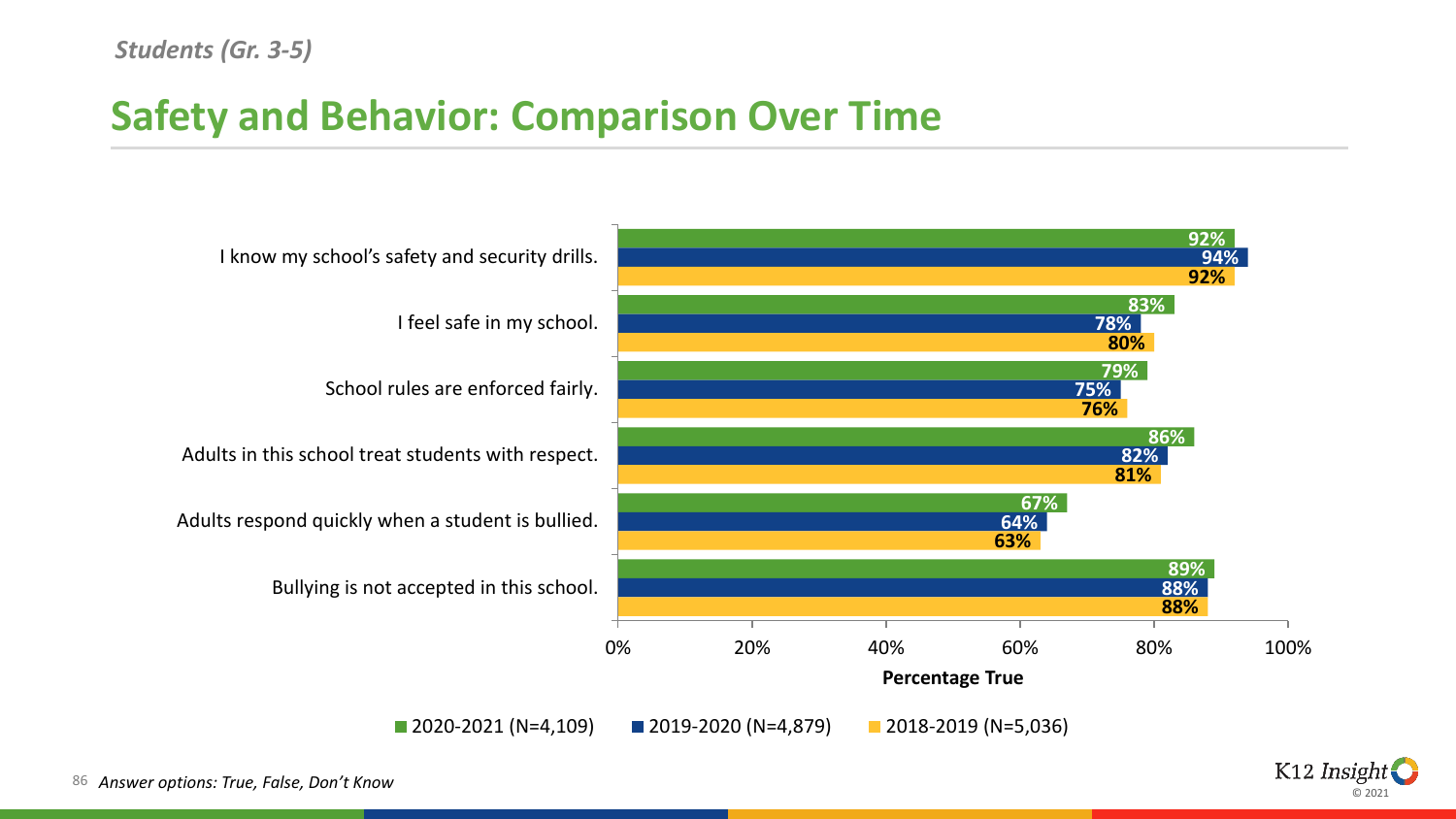### **Safety and Behavior: Comparison Over Time**



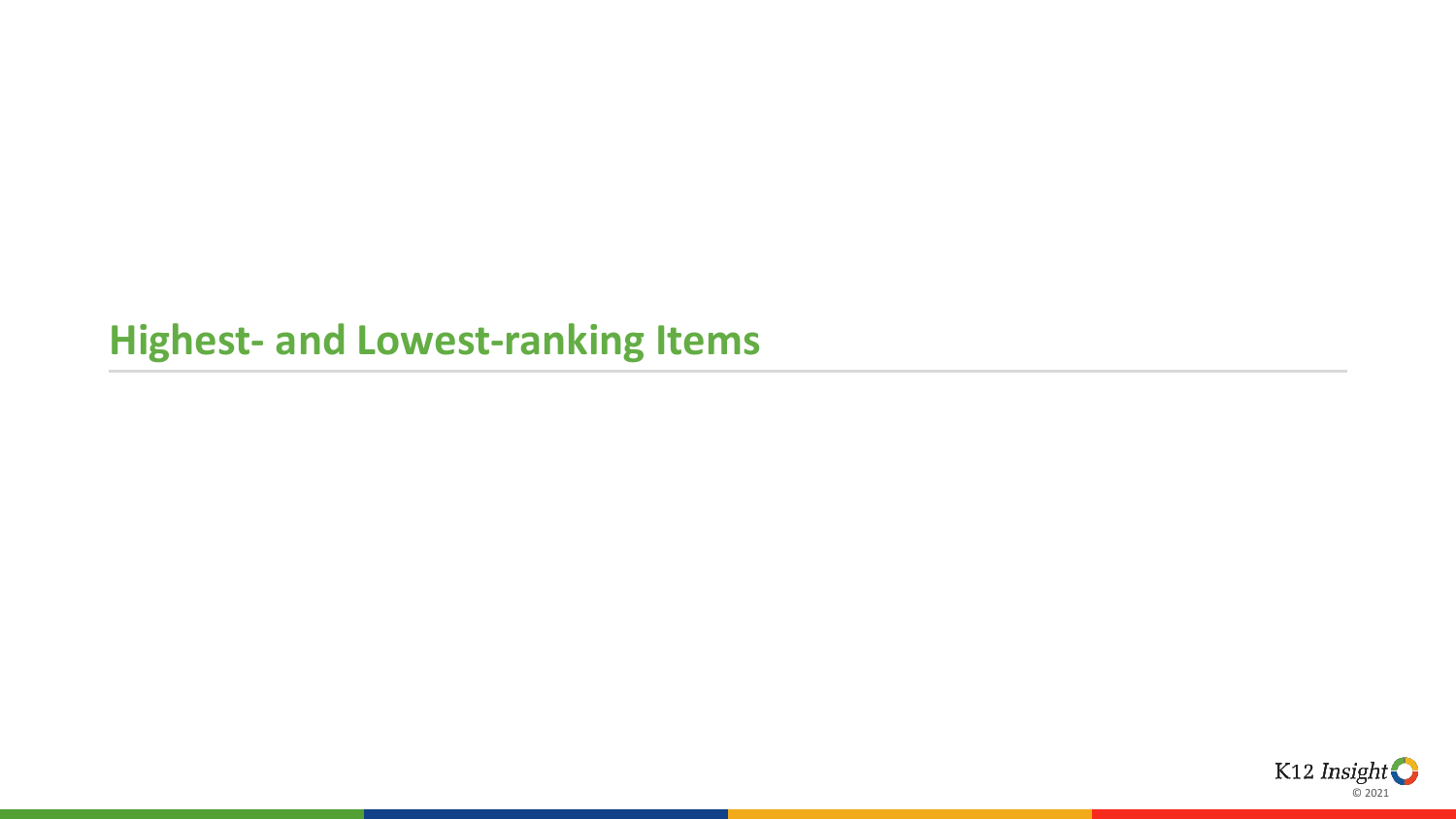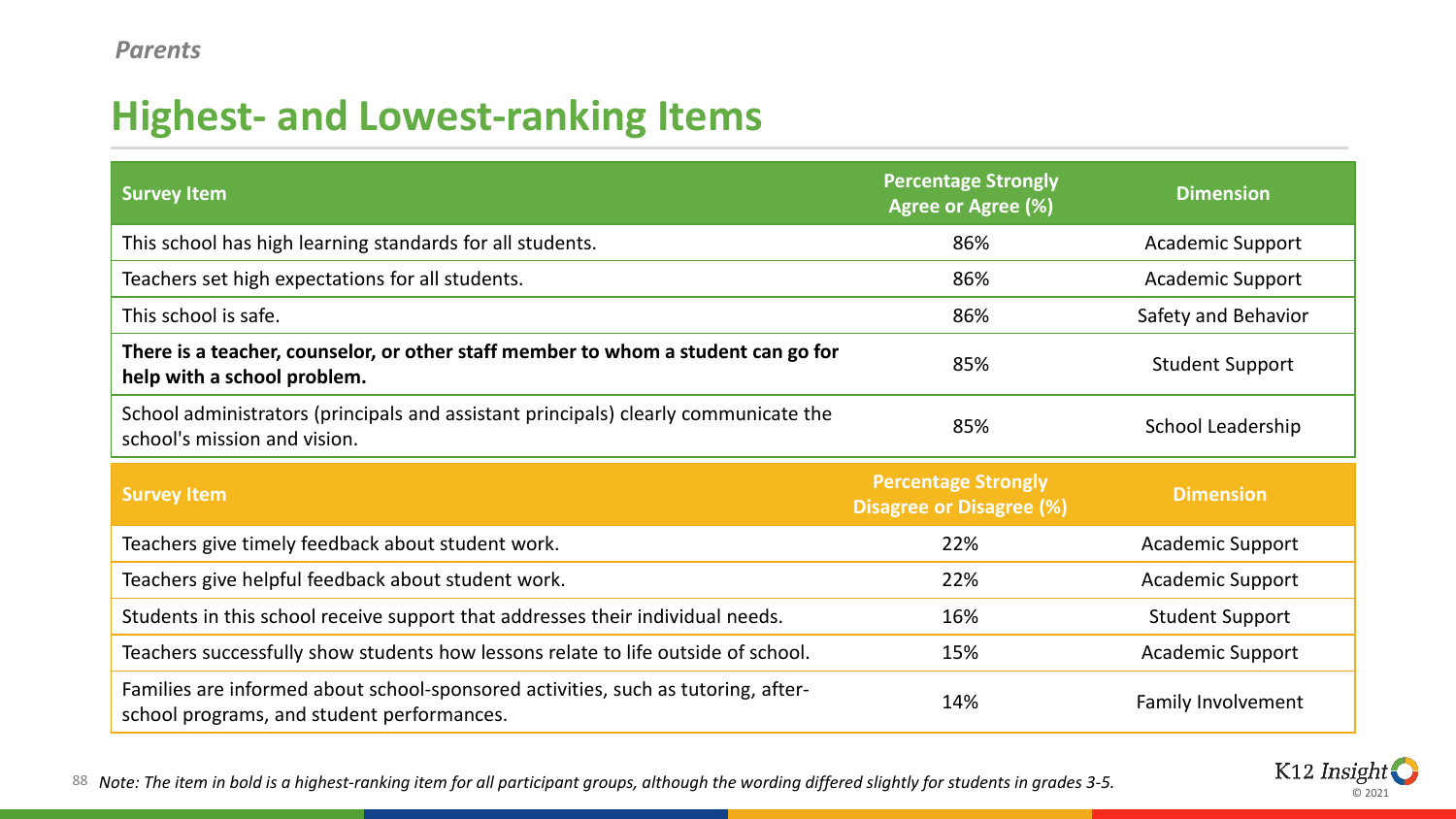| <b>Survey Item</b>                                                                                                  | <b>Percentage Strongly</b><br>Agree or Agree (%)              | <b>Dimension</b>        |
|---------------------------------------------------------------------------------------------------------------------|---------------------------------------------------------------|-------------------------|
| This school has high learning standards for all students.                                                           | 86%                                                           | <b>Academic Support</b> |
| Teachers set high expectations for all students.                                                                    | 86%                                                           | <b>Academic Support</b> |
| This school is safe.                                                                                                | 86%                                                           | Safety and Behavior     |
| There is a teacher, counselor, or other staff member to whom a student can go for<br>help with a school problem.    | 85%                                                           | <b>Student Support</b>  |
| School administrators (principals and assistant principals) clearly communicate the<br>school's mission and vision. | 85%                                                           | School Leadership       |
| <b>Survey Item</b>                                                                                                  | <b>Percentage Strongly</b><br><b>Disagree or Disagree (%)</b> | <b>Dimension</b>        |
| Teachers give timely feedback about student work.                                                                   | 22%                                                           | <b>Academic Support</b> |
| Teachers give helpful feedback about student work.                                                                  | 22%                                                           | <b>Academic Support</b> |
| Students in this school receive support that addresses their individual needs.                                      | 16%                                                           | <b>Student Support</b>  |
| Teachers successfully show students how lessons relate to life outside of school.                                   | 15%                                                           | <b>Academic Support</b> |
|                                                                                                                     |                                                               |                         |



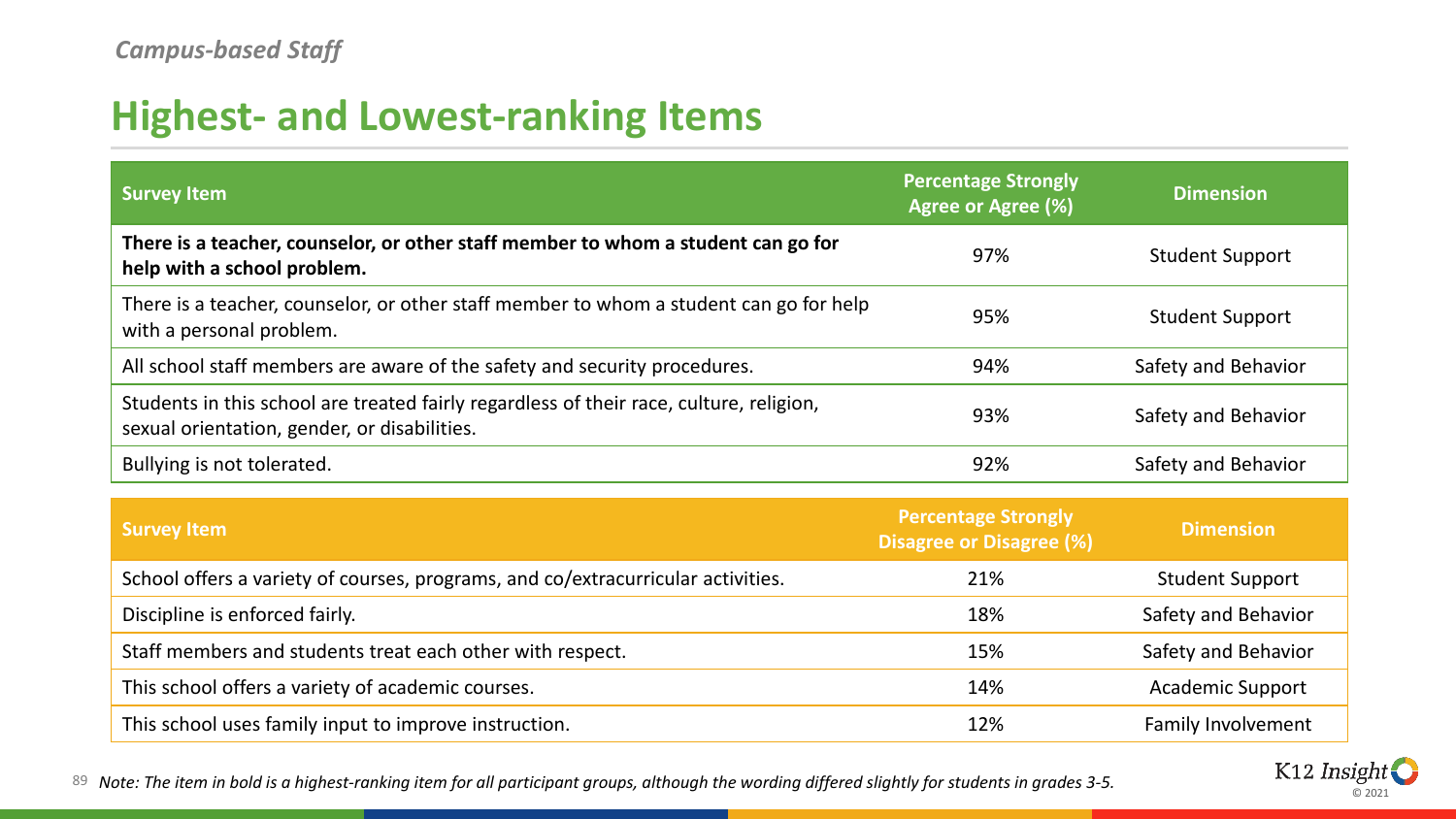| <b>Survey Item</b>                                                                                                                      | <b>Percentage Strongly</b><br>Agree or Agree (%)              | <b>Dimension</b>          |
|-----------------------------------------------------------------------------------------------------------------------------------------|---------------------------------------------------------------|---------------------------|
| There is a teacher, counselor, or other staff member to whom a student can go for<br>help with a school problem.                        | 97%                                                           | <b>Student Support</b>    |
| There is a teacher, counselor, or other staff member to whom a student can go for help<br>with a personal problem.                      | 95%                                                           | <b>Student Support</b>    |
| All school staff members are aware of the safety and security procedures.                                                               | 94%                                                           | Safety and Behavior       |
| Students in this school are treated fairly regardless of their race, culture, religion,<br>sexual orientation, gender, or disabilities. | 93%                                                           | Safety and Behavior       |
| Bullying is not tolerated.                                                                                                              | 92%                                                           | Safety and Behavior       |
| <b>Survey Item</b>                                                                                                                      | <b>Percentage Strongly</b><br><b>Disagree or Disagree (%)</b> | <b>Dimension</b>          |
| School offers a variety of courses, programs, and co/extracurricular activities.                                                        | 21%                                                           | <b>Student Support</b>    |
| Discipline is enforced fairly.                                                                                                          | 18%                                                           | Safety and Behavior       |
| Staff members and students treat each other with respect.                                                                               | 15%                                                           | Safety and Behavior       |
| This school offers a variety of academic courses.                                                                                       | 14%                                                           | <b>Academic Support</b>   |
| This school uses family input to improve instruction.                                                                                   | 12%                                                           | <b>Family Involvement</b> |

89 *Note: The item in bold is a highest-ranking item for all participant groups, although the wording differed slightly for students in grades 3-5.*

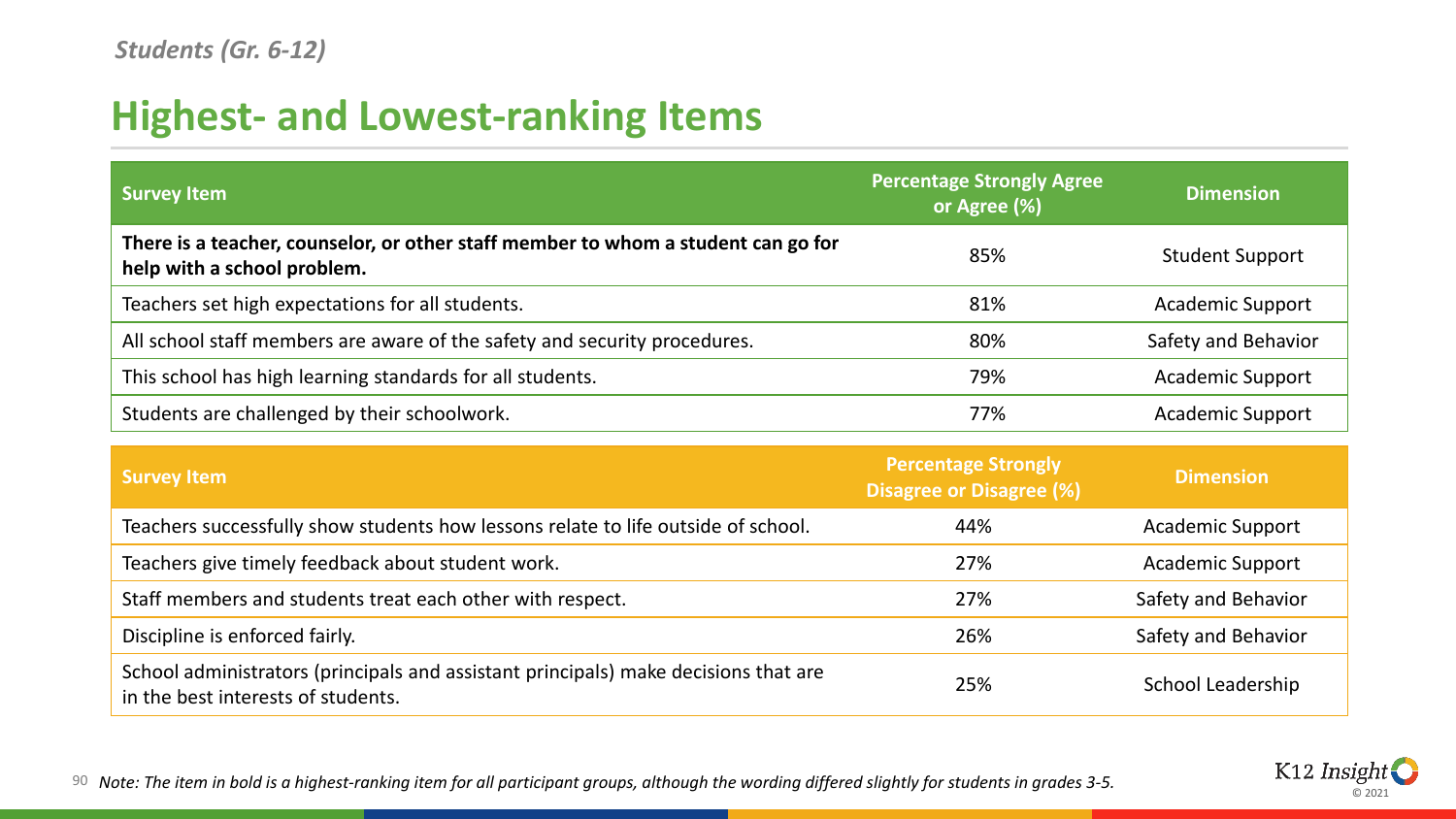| <b>Survey Item</b>                                                                                               | <b>Percentage Strongly Agree</b><br>or Agree (%)              | <b>Dimension</b>        |
|------------------------------------------------------------------------------------------------------------------|---------------------------------------------------------------|-------------------------|
| There is a teacher, counselor, or other staff member to whom a student can go for<br>help with a school problem. | 85%                                                           | <b>Student Support</b>  |
| Teachers set high expectations for all students.                                                                 | 81%                                                           | <b>Academic Support</b> |
| All school staff members are aware of the safety and security procedures.                                        | 80%                                                           | Safety and Behavior     |
| This school has high learning standards for all students.                                                        | 79%                                                           | <b>Academic Support</b> |
| Students are challenged by their schoolwork.                                                                     | 77%                                                           | <b>Academic Support</b> |
| <b>Survey Item</b>                                                                                               | <b>Percentage Strongly</b><br><b>Disagree or Disagree (%)</b> | <b>Dimension</b>        |
| Teachers successfully show students how lessons relate to life outside of school.                                | 44%                                                           | Academic Support        |

Teachers give timely feedback about student work. 27% 27% Academic Support Staff members and students treat each other with respect. 27% Safety and Behavior Discipline is enforced fairly. The same state of the state of the state of the Safety and Behavior School administrators (principals and assistant principals) make decisions that are in the best interests of students.<br>
25% School Leadership (School Leadership) 35% School Leadership



90 *Note: The item in bold is a highest-ranking item for all participant groups, although the wording differed slightly for students in grades 3-5.*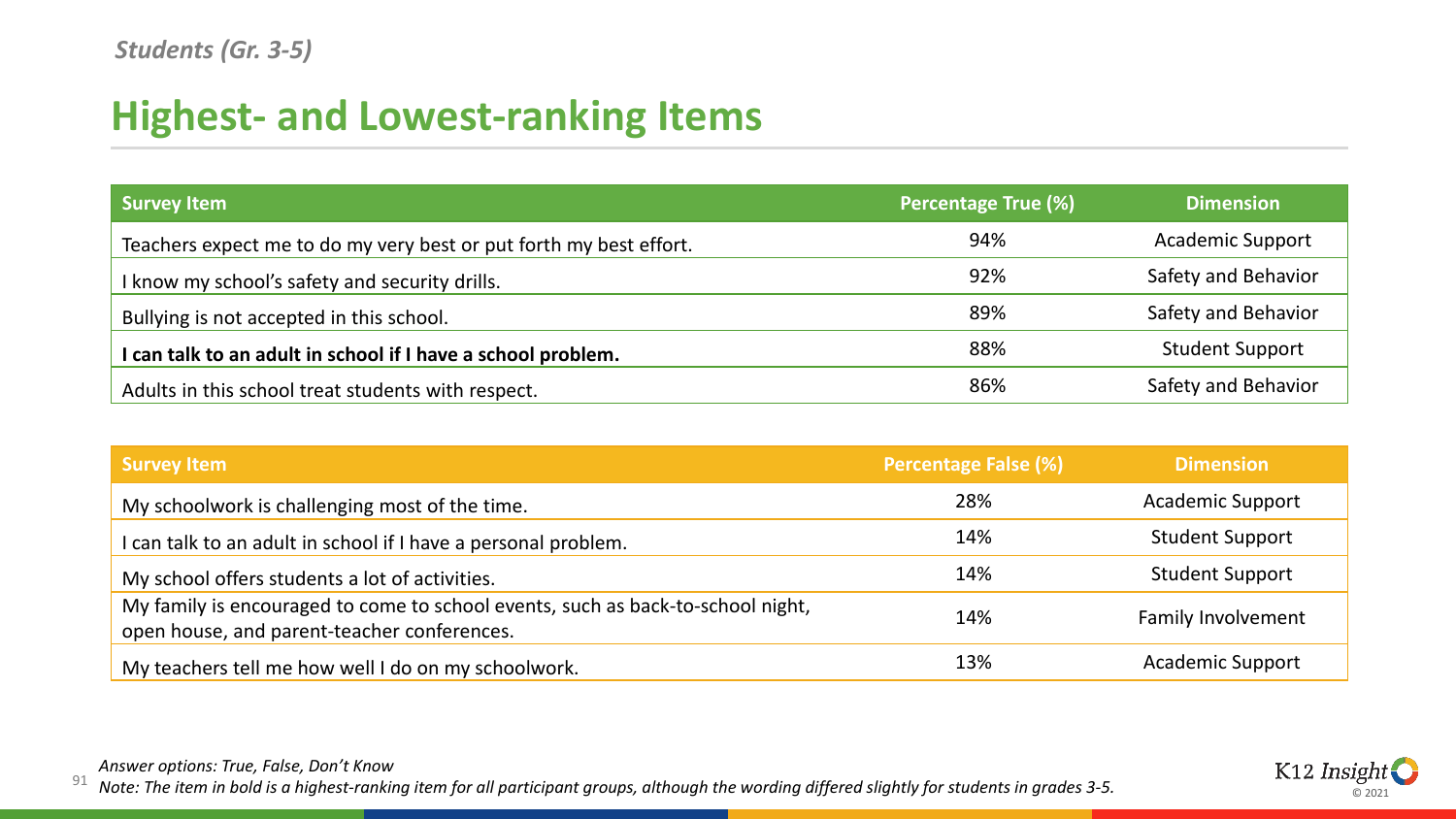| <b>Survey Item</b>                                                 | <b>Percentage True (%)</b> | <b>Dimension</b>        |
|--------------------------------------------------------------------|----------------------------|-------------------------|
| Teachers expect me to do my very best or put forth my best effort. | 94%                        | <b>Academic Support</b> |
| I know my school's safety and security drills.                     | 92%                        | Safety and Behavior     |
| Bullying is not accepted in this school.                           | 89%                        | Safety and Behavior     |
| I can talk to an adult in school if I have a school problem.       | 88%                        | <b>Student Support</b>  |
| Adults in this school treat students with respect.                 | 86%                        | Safety and Behavior     |

| <b>Survey Item</b>                                                                                                             | <b>Percentage False (%)</b> | <b>Dimension</b>          |
|--------------------------------------------------------------------------------------------------------------------------------|-----------------------------|---------------------------|
| My schoolwork is challenging most of the time.                                                                                 | 28%                         | <b>Academic Support</b>   |
| can talk to an adult in school if I have a personal problem.                                                                   | 14%                         | <b>Student Support</b>    |
| My school offers students a lot of activities.                                                                                 | 14%                         | <b>Student Support</b>    |
| My family is encouraged to come to school events, such as back-to-school night,<br>open house, and parent-teacher conferences. | 14%                         | <b>Family Involvement</b> |
| My teachers tell me how well I do on my schoolwork.                                                                            | 13%                         | <b>Academic Support</b>   |

*Answer options: True, False, Don't Know* 

91 *Note: The item in bold is a highest-ranking item for all participant groups, although the wording differed slightly for students in grades 3-5.*

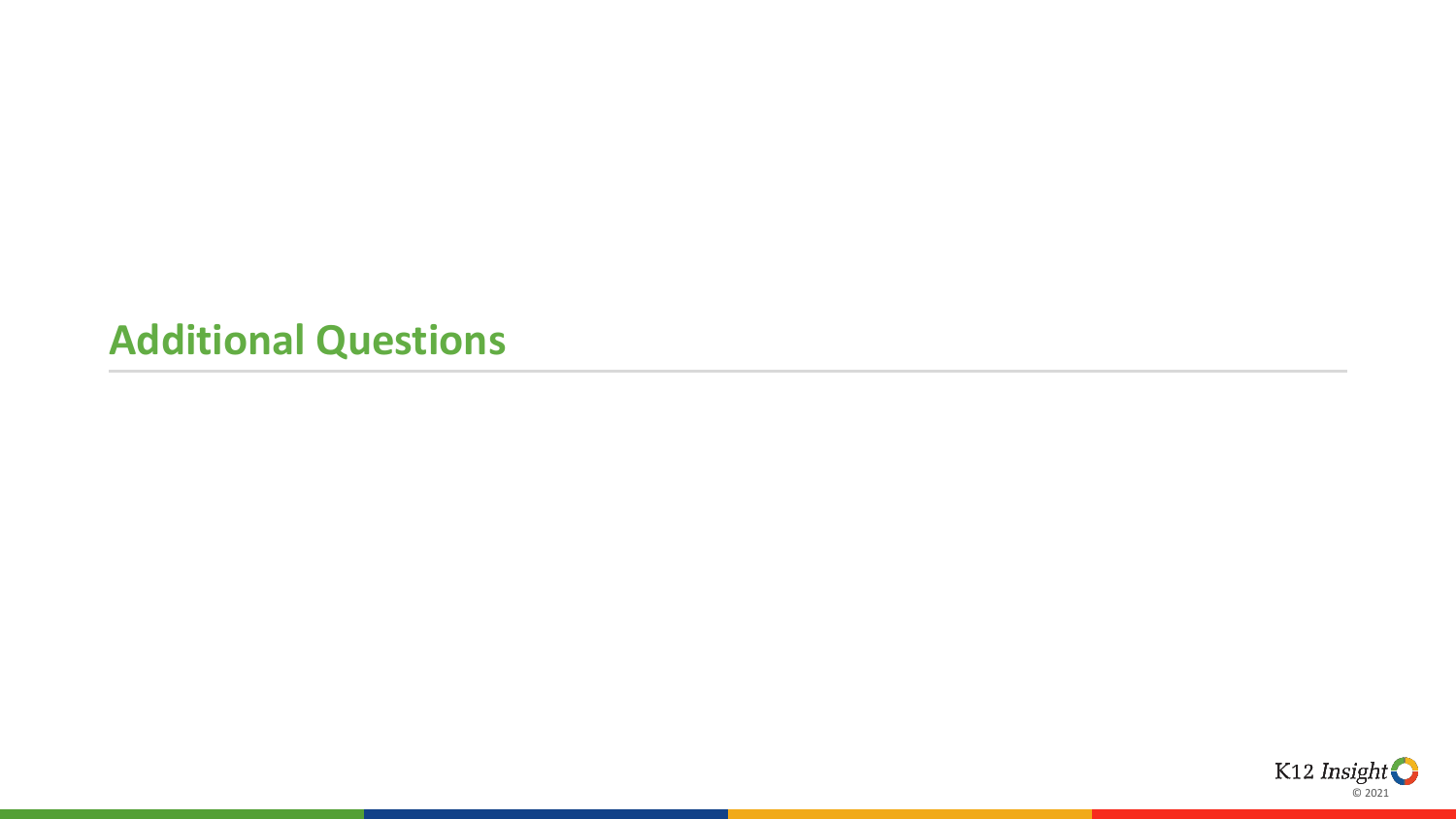#### **Additional Questions**

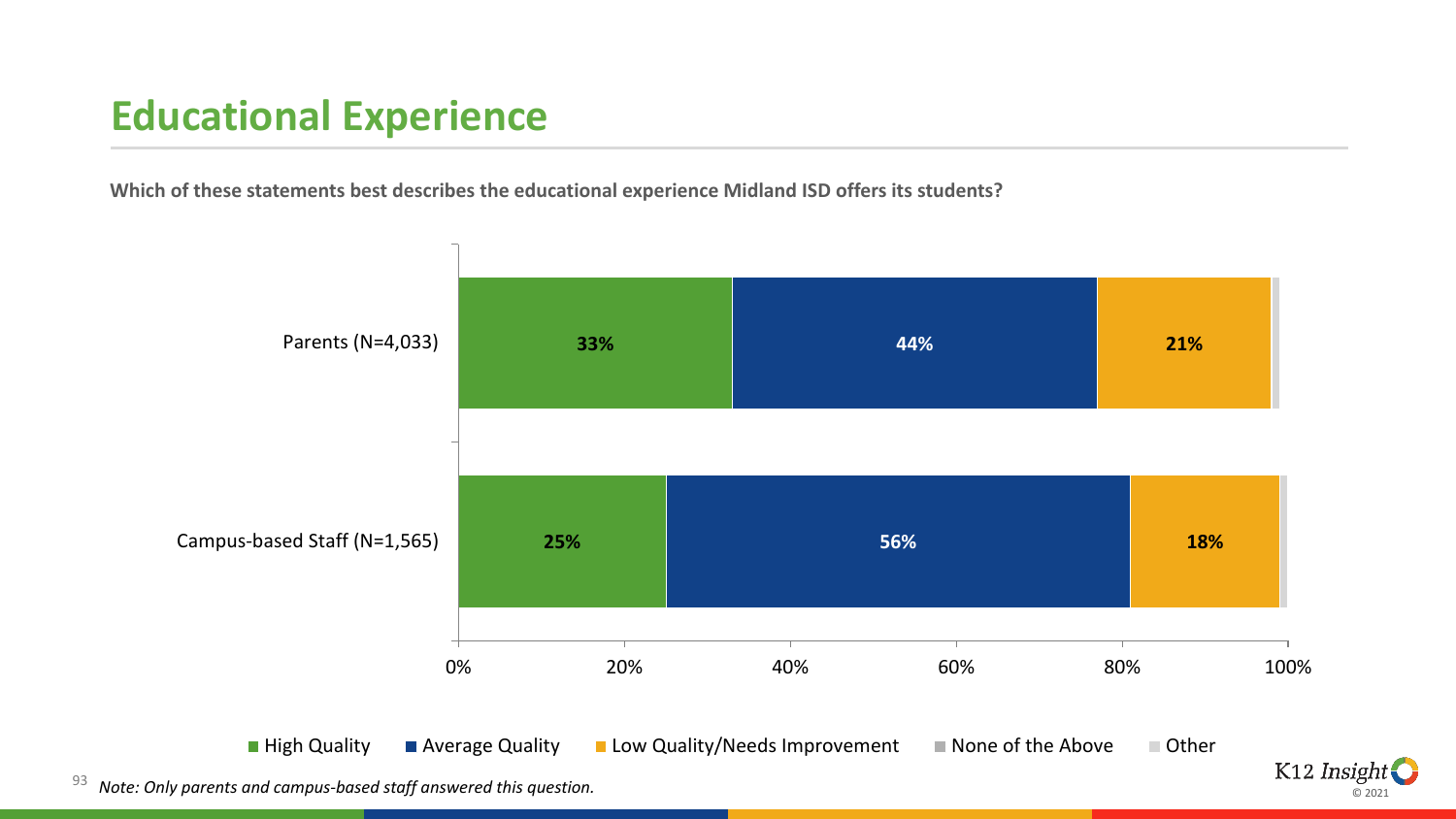## **Educational Experience**

**Which of these statements best describes the educational experience Midland ISD offers its students?** 



© 2021

93 *Note: Only parents and campus-based staff answered this question.*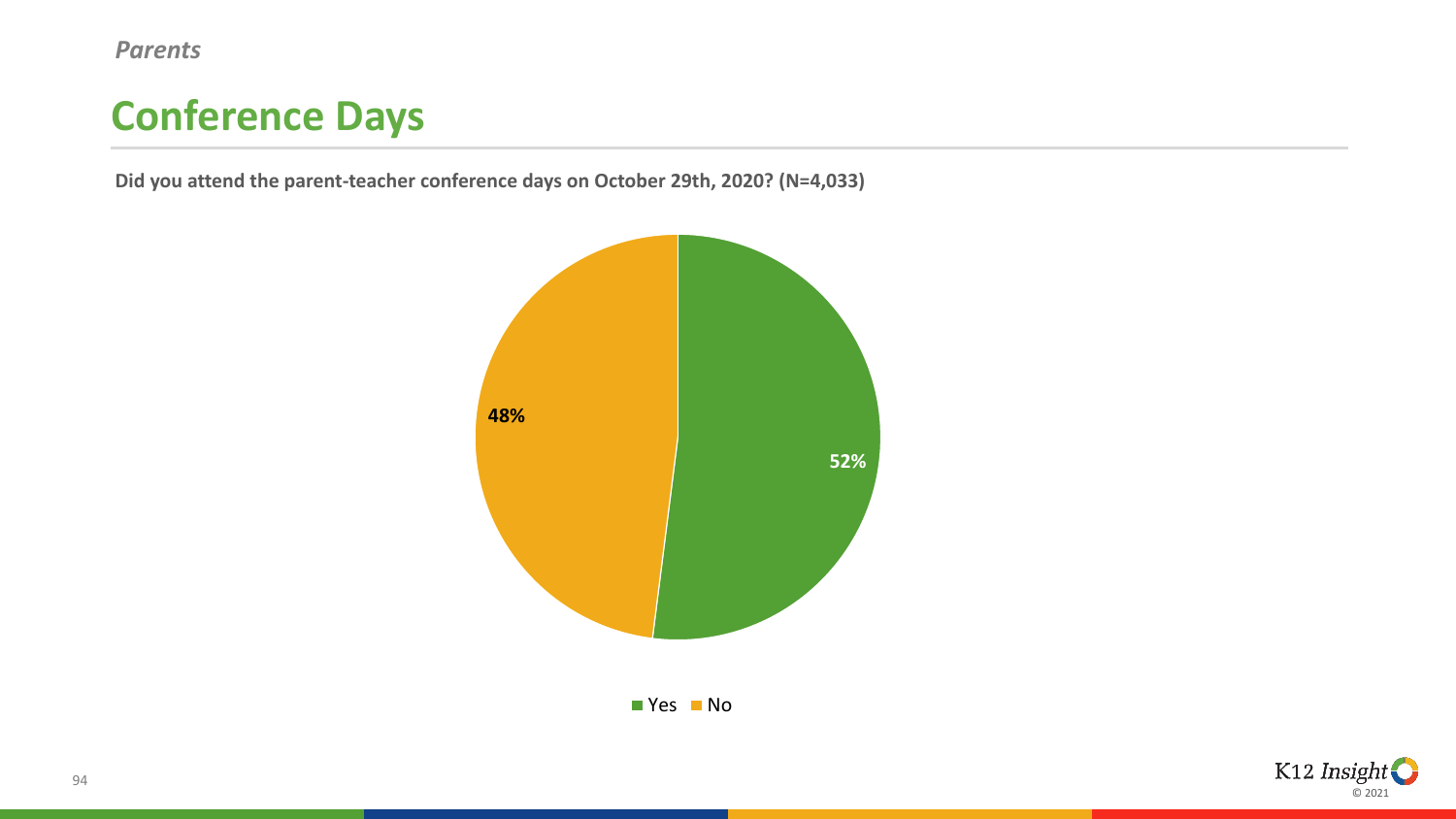*Parents*

## **Conference Days**

**Did you attend the parent-teacher conference days on October 29th, 2020? (N=4,033)**



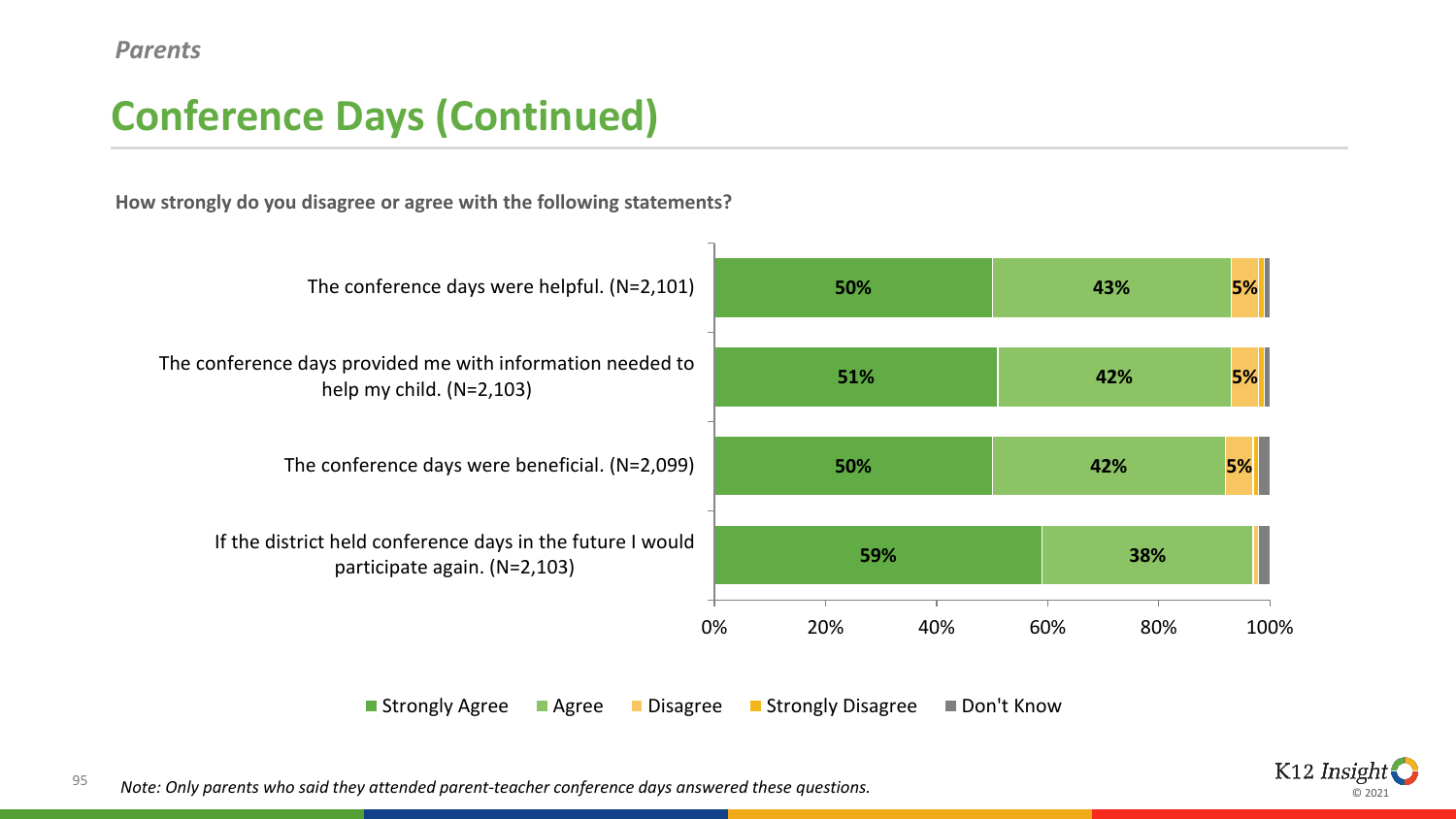## **Conference Days (Continued)**

**How strongly do you disagree or agree with the following statements?**



■ Strongly Agree ■ Agree ■ Disagree ■ Strongly Disagree ■ Don't Know



95 *Note: Only parents who said they attended parent-teacher conference days answered these questions.*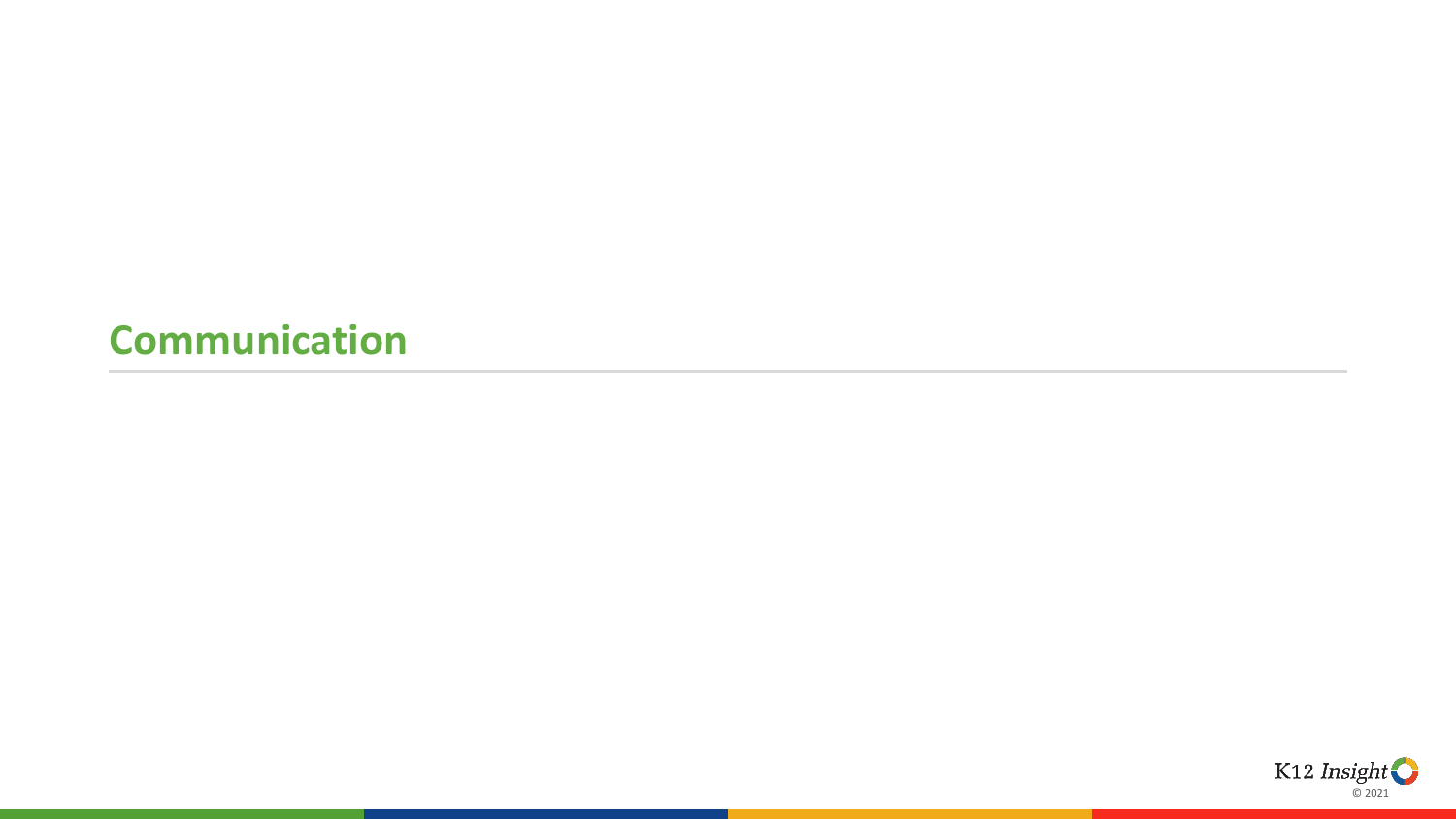#### **Communication**

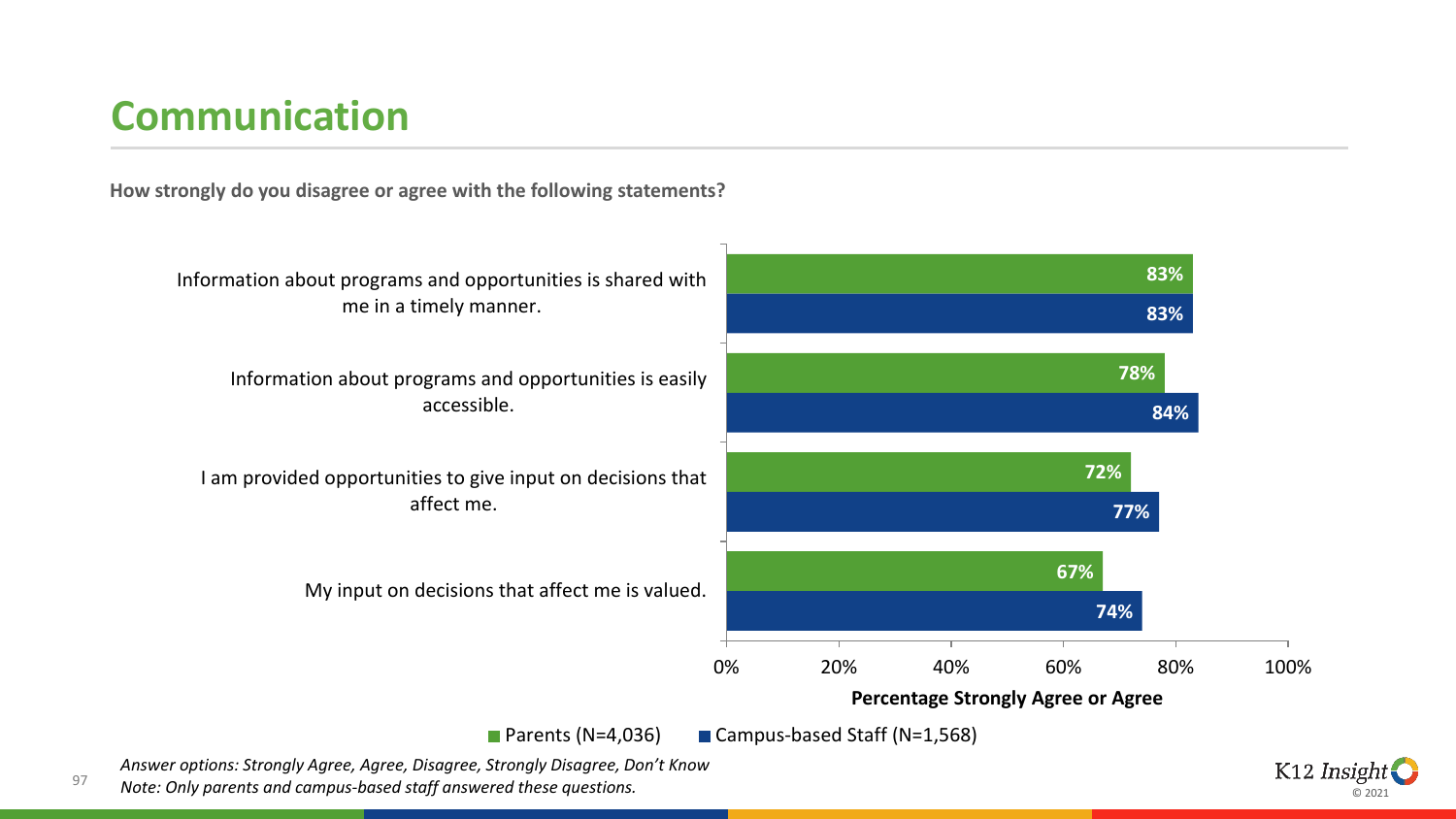## **Communication**

**How strongly do you disagree or agree with the following statements?**



ค วกว

*Answer options: Strongly Agree, Agree, Disagree, Strongly Disagree, Don't Know Note: Only parents and campus-based staff answered these questions.*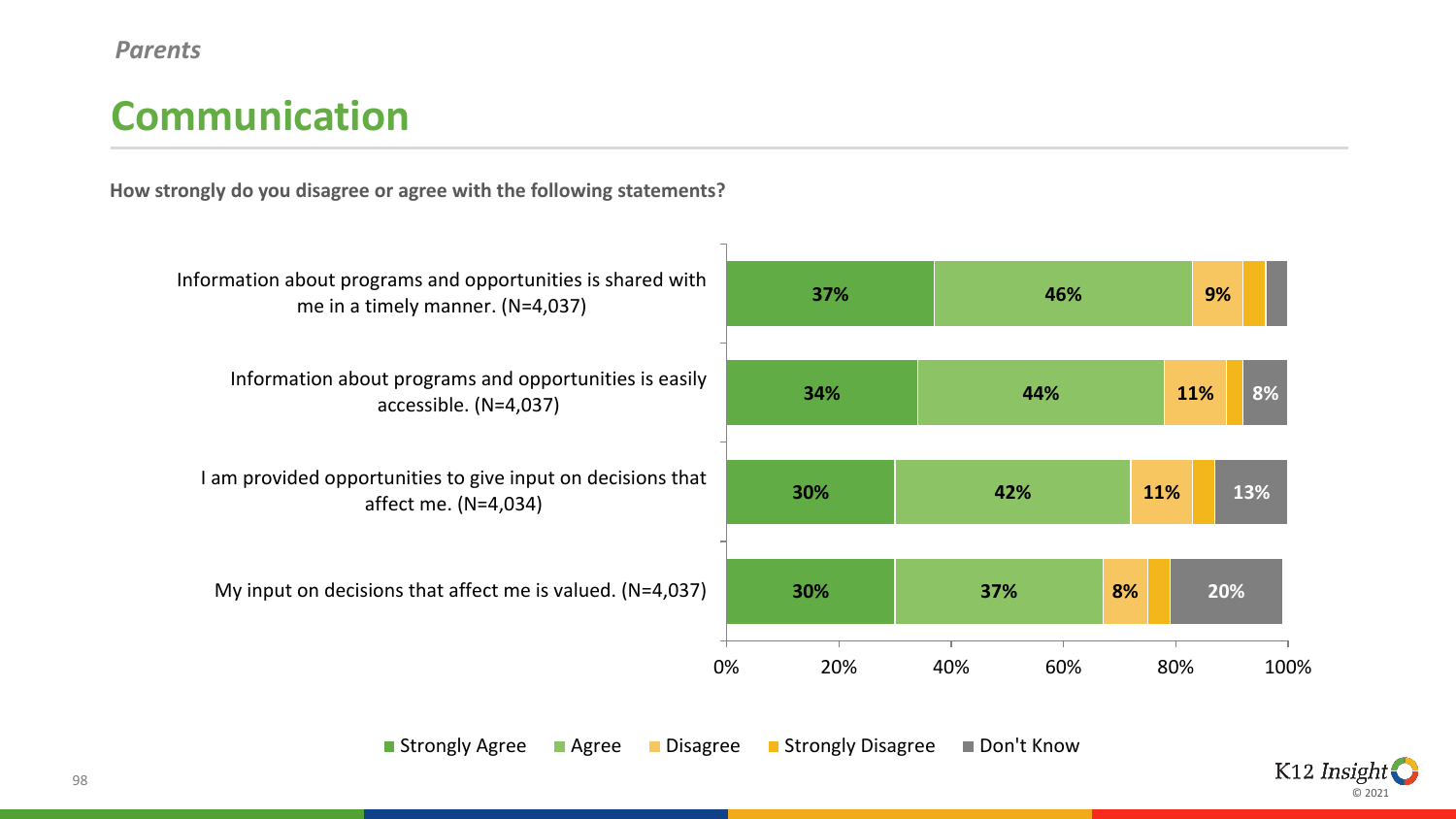#### *Parents*

### **Communication**

**How strongly do you disagree or agree with the following statements?**

| Information about programs and opportunities is shared with<br>me in a timely manner. (N=4,037) | 37%       | 46%        | 9%          |
|-------------------------------------------------------------------------------------------------|-----------|------------|-------------|
| Information about programs and opportunities is easily<br>accessible. (N=4,037)                 | 34%       | 44%        | 8%<br>11%   |
| am provided opportunities to give input on decisions that<br>affect me. (N=4,034)               | 30%       | 42%        | 11%<br>13%  |
| My input on decisions that affect me is valued. $(N=4,037)$                                     | 30%       | 8%<br>37%  | 20%         |
|                                                                                                 | 0%<br>20% | 40%<br>60% | 80%<br>100% |

■ Strongly Agree ■ Agree ■ Disagree ■ Strongly Disagree ■ Don't Know

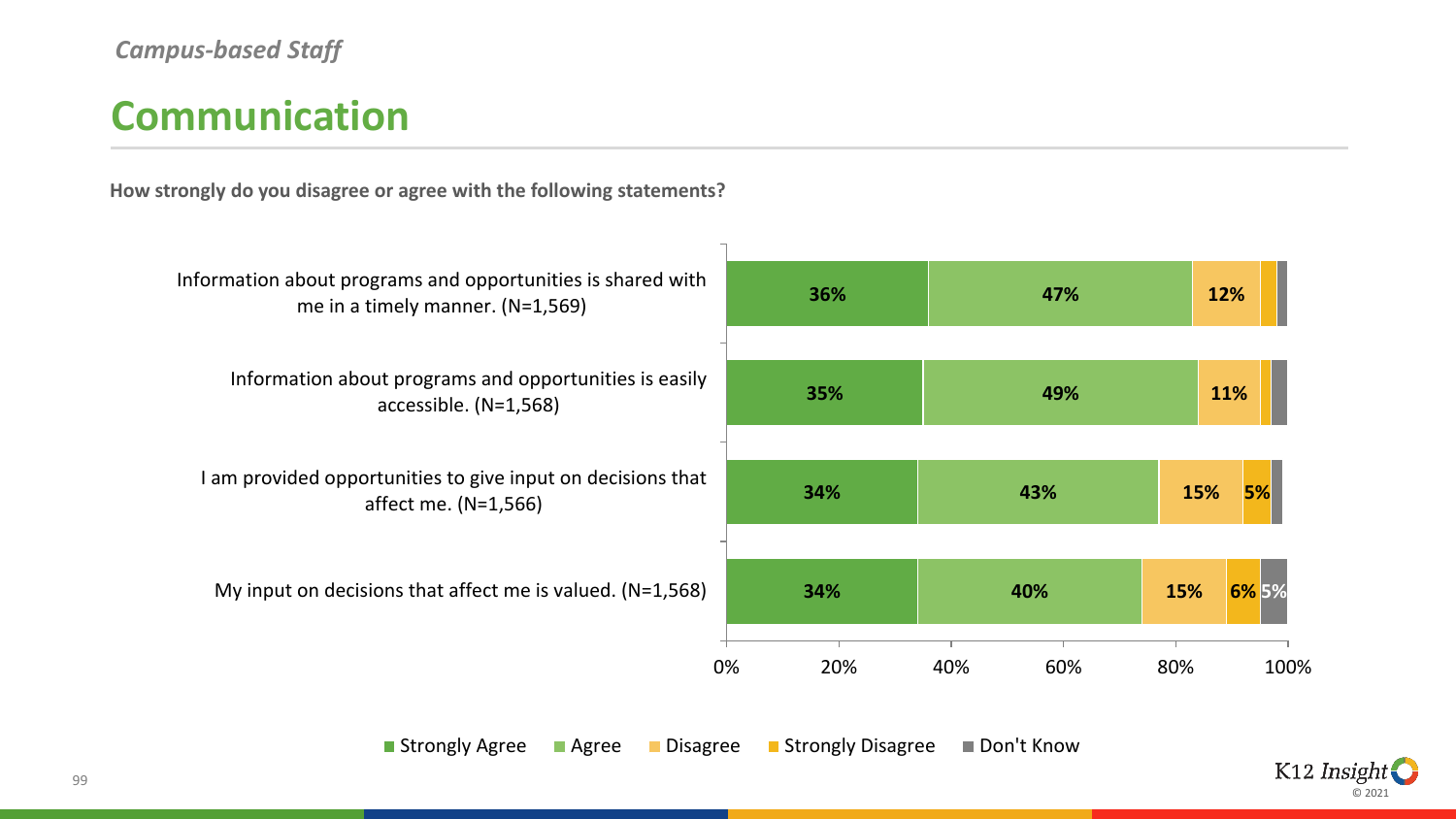## **Communication**

**How strongly do you disagree or agree with the following statements?**



■ Strongly Agree ■ Agree ■ Disagree ■ Strongly Disagree ■ Don't Know

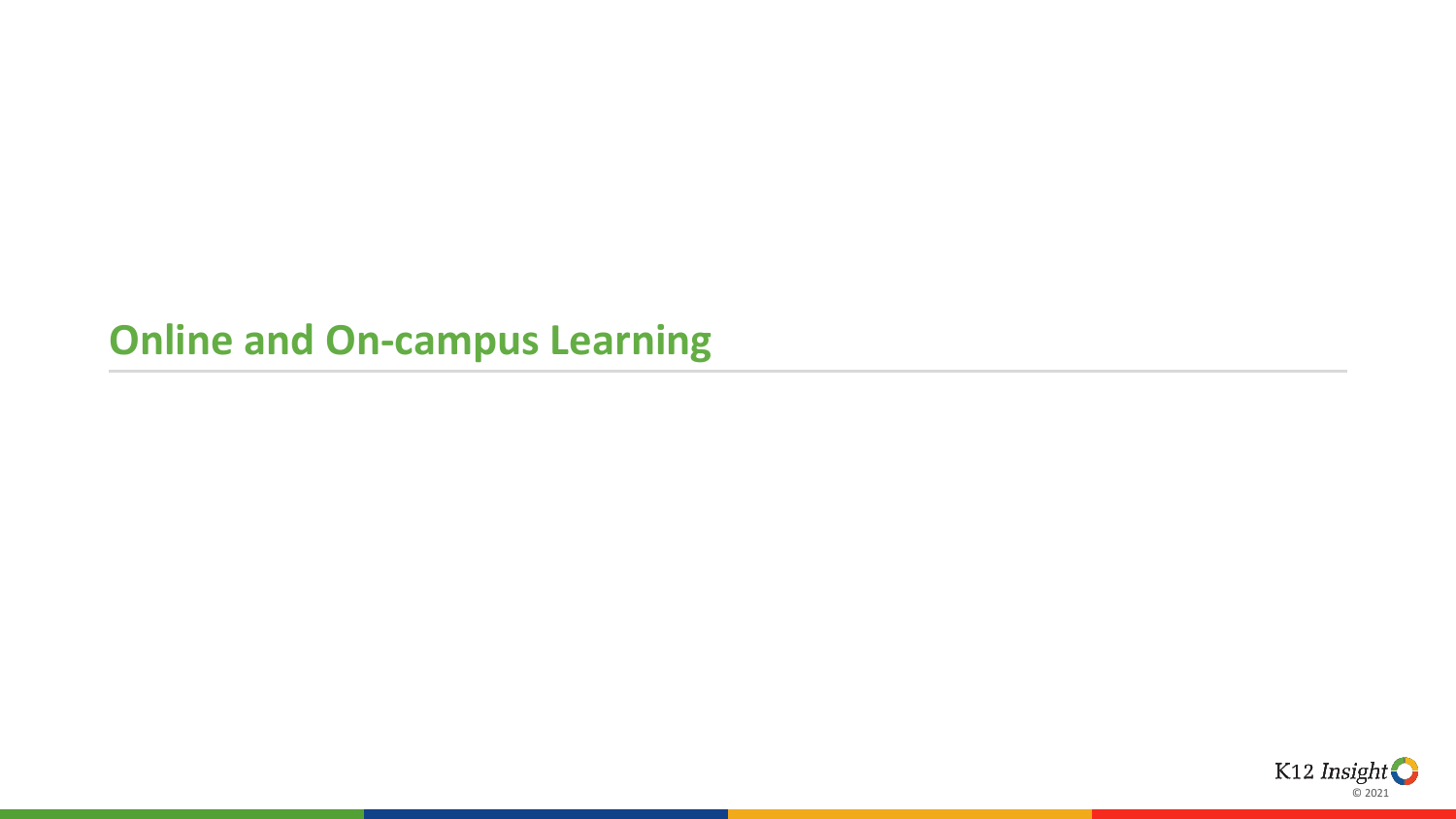### **Online and On-campus Learning**

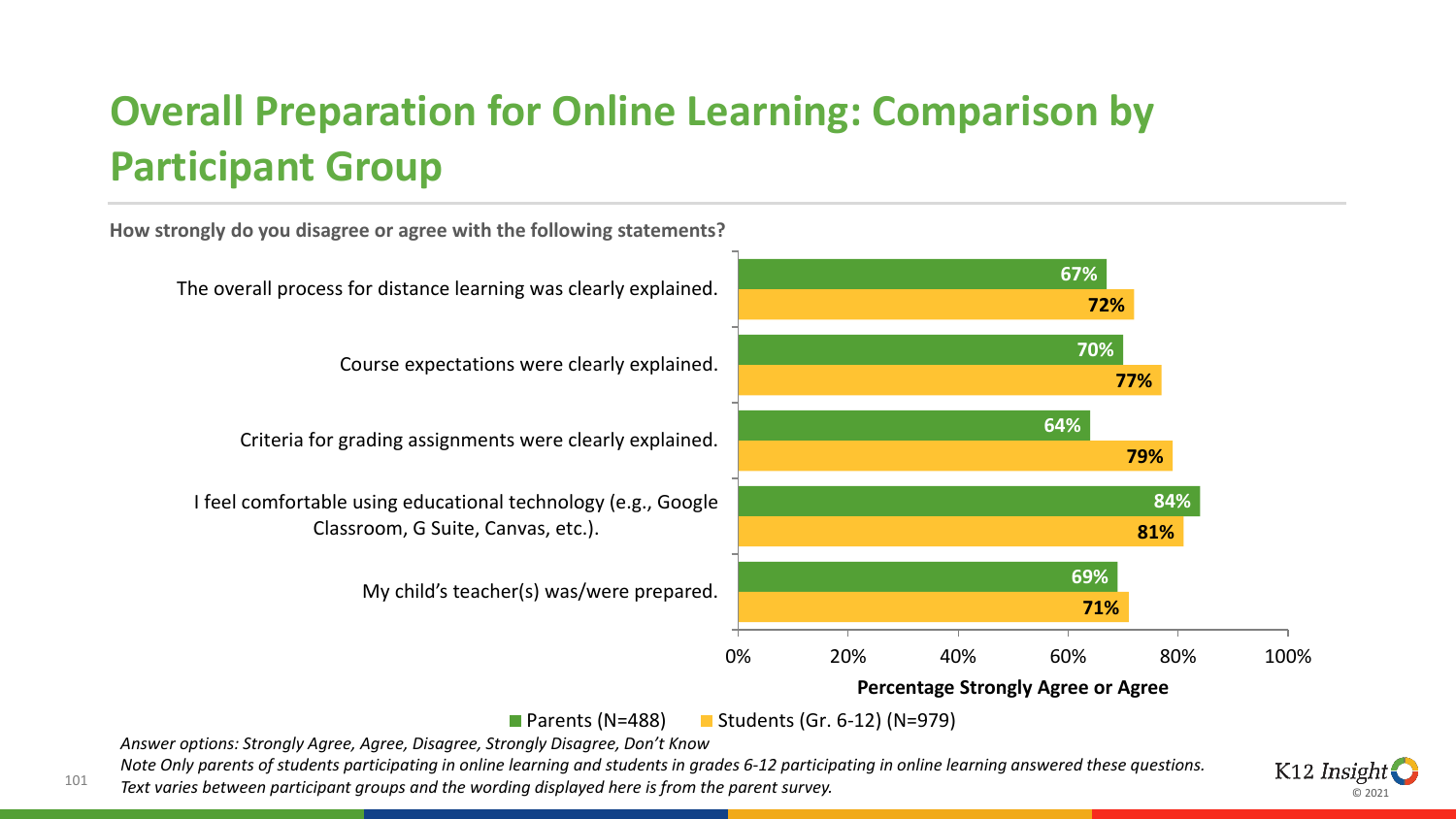# **Overall Preparation for Online Learning: Comparison by Participant Group**

**How strongly do you disagree or agree with the following statements? 67% 70% 64% 84% 69% 72% 77% 79% 81% 71%** 0% 20% 40% 60% 80% 100% The overall process for distance learning was clearly explained. Course expectations were clearly explained. Criteria for grading assignments were clearly explained. I feel comfortable using educational technology (e.g., Google Classroom, G Suite, Canvas, etc.). My child's teacher(s) was/were prepared. **Percentage Strongly Agree or Agree**

**Parents (N=488)** Students (Gr. 6-12) (N=979)

*Answer options: Strongly Agree, Agree, Disagree, Strongly Disagree, Don't Know* 

101

*Note Only parents of students participating in online learning and students in grades 6-12 participating in online learning answered these questions. Text varies between participant groups and the wording displayed here is from the parent survey.* 

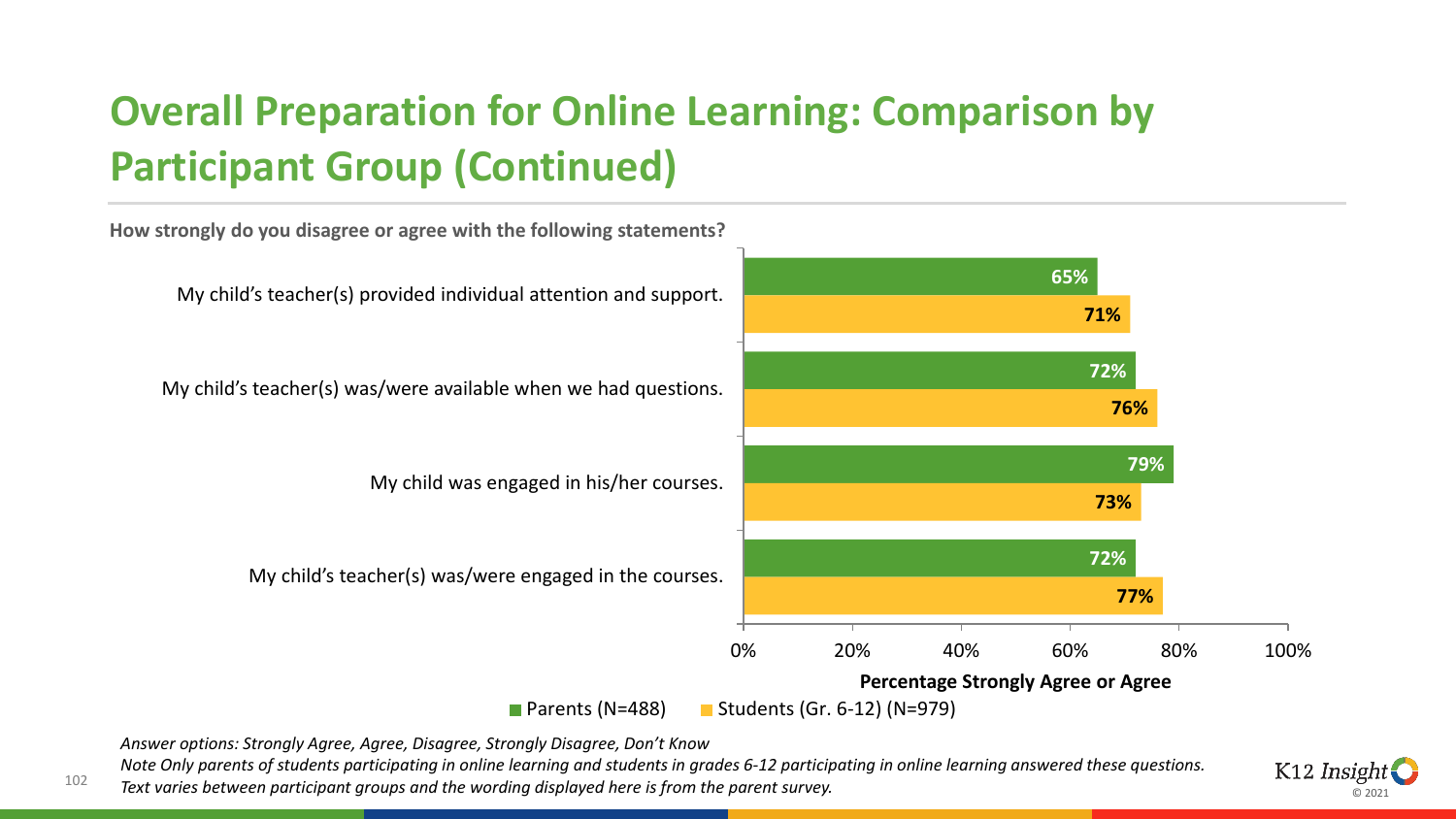# **Overall Preparation for Online Learning: Comparison by Participant Group (Continued)**

**How strongly do you disagree or agree with the following statements?**



*Answer options: Strongly Agree, Agree, Disagree, Strongly Disagree, Don't Know* 

102

*Note Only parents of students participating in online learning and students in grades 6-12 participating in online learning answered these questions. Text varies between participant groups and the wording displayed here is from the parent survey.* 

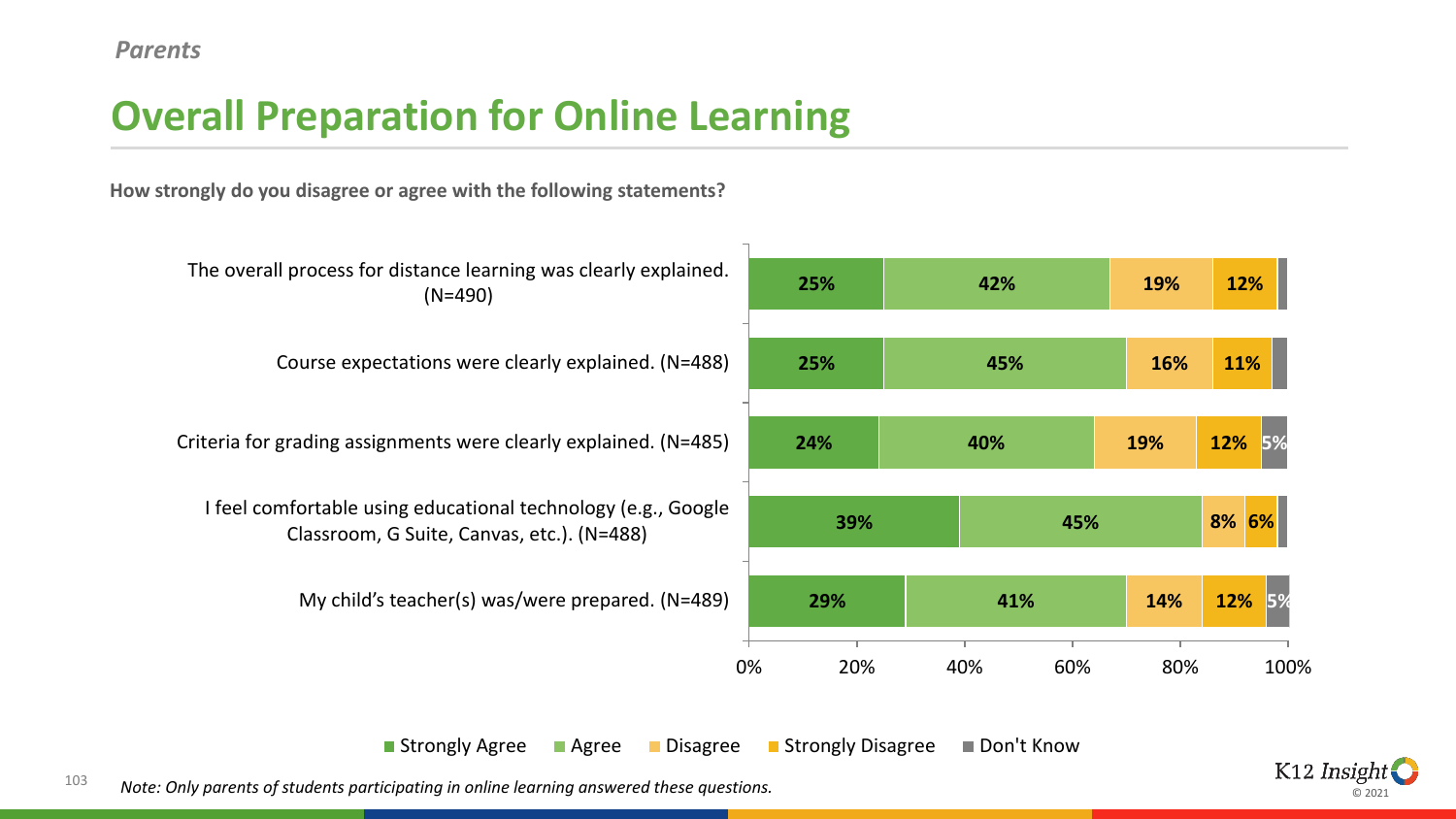## **Overall Preparation for Online Learning**

**How strongly do you disagree or agree with the following statements?**



**Strongly Agree Bulleting Controller Controller Agree Conservation Controller Controller Agree Conservation** 



103 *Note: Only parents of students participating in online learning answered these questions.*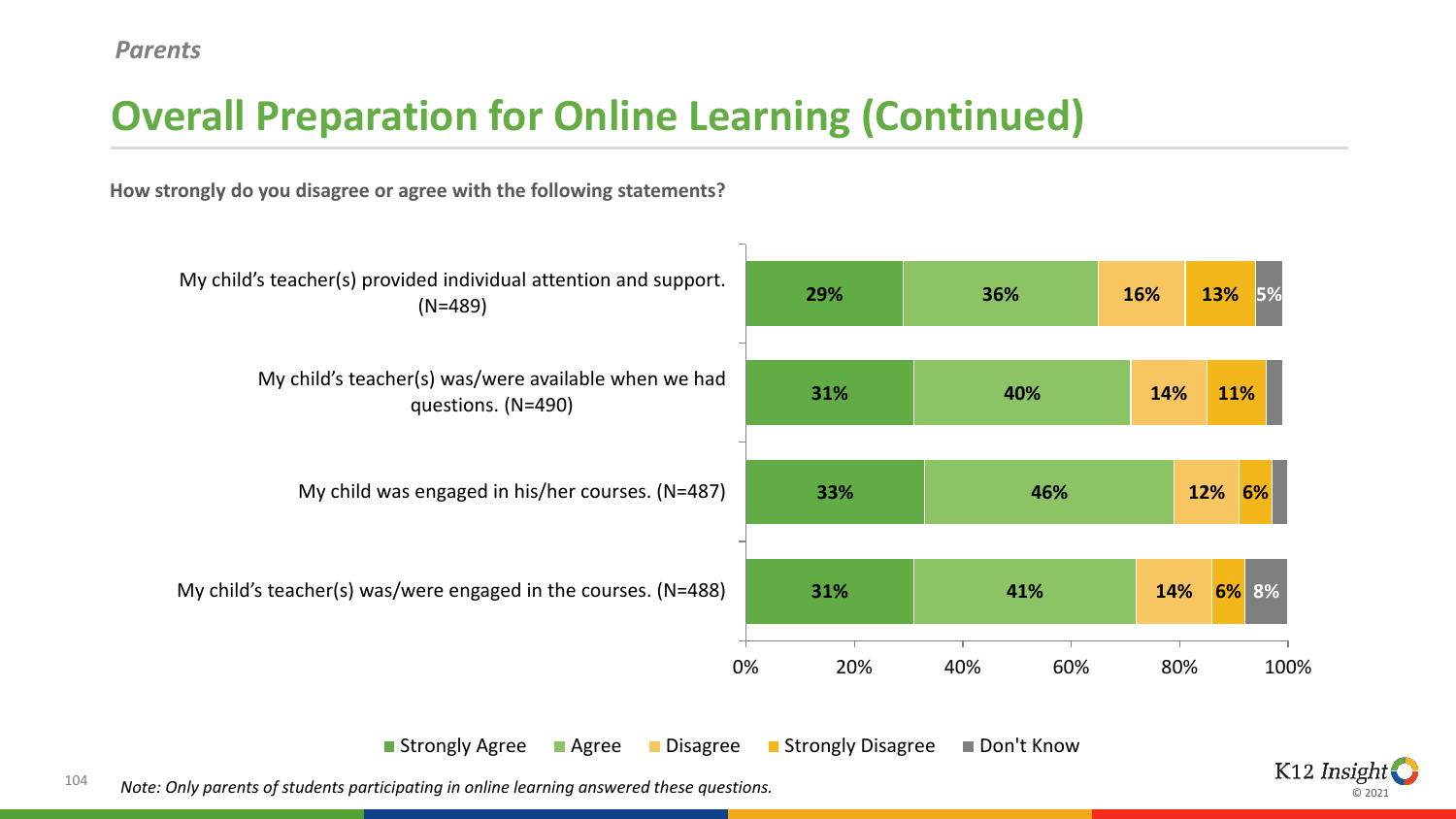## **Overall Preparation for Online Learning (Continued)**

**How strongly do you disagree or agree with the following statements?**



104 *Note: Only parents of students participating in online learning answered these questions.* 

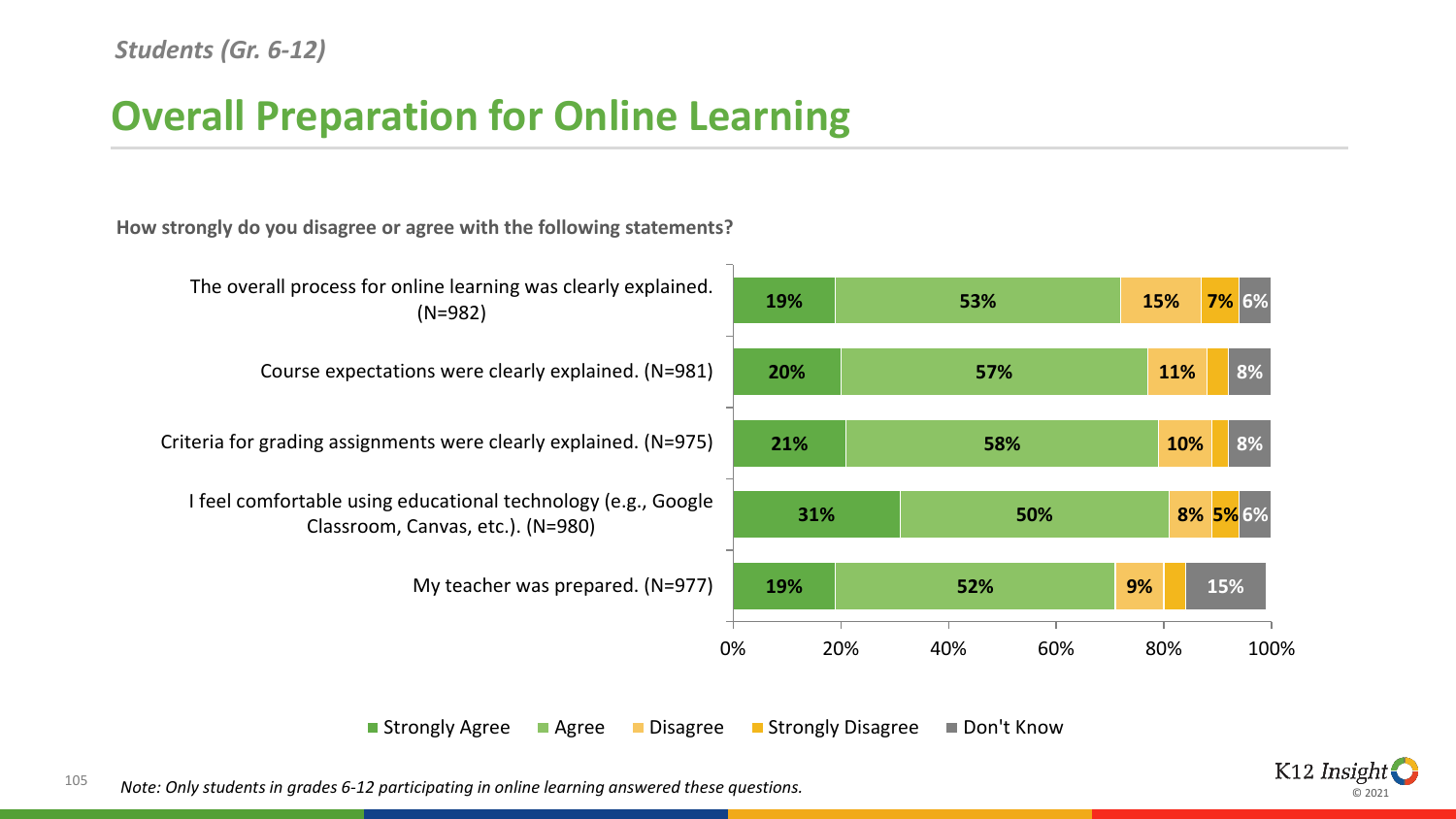## **Overall Preparation for Online Learning**

**How strongly do you disagree or agree with the following statements?**



Strongly Agree Agree Disagree Strongly Disagree Don't Know

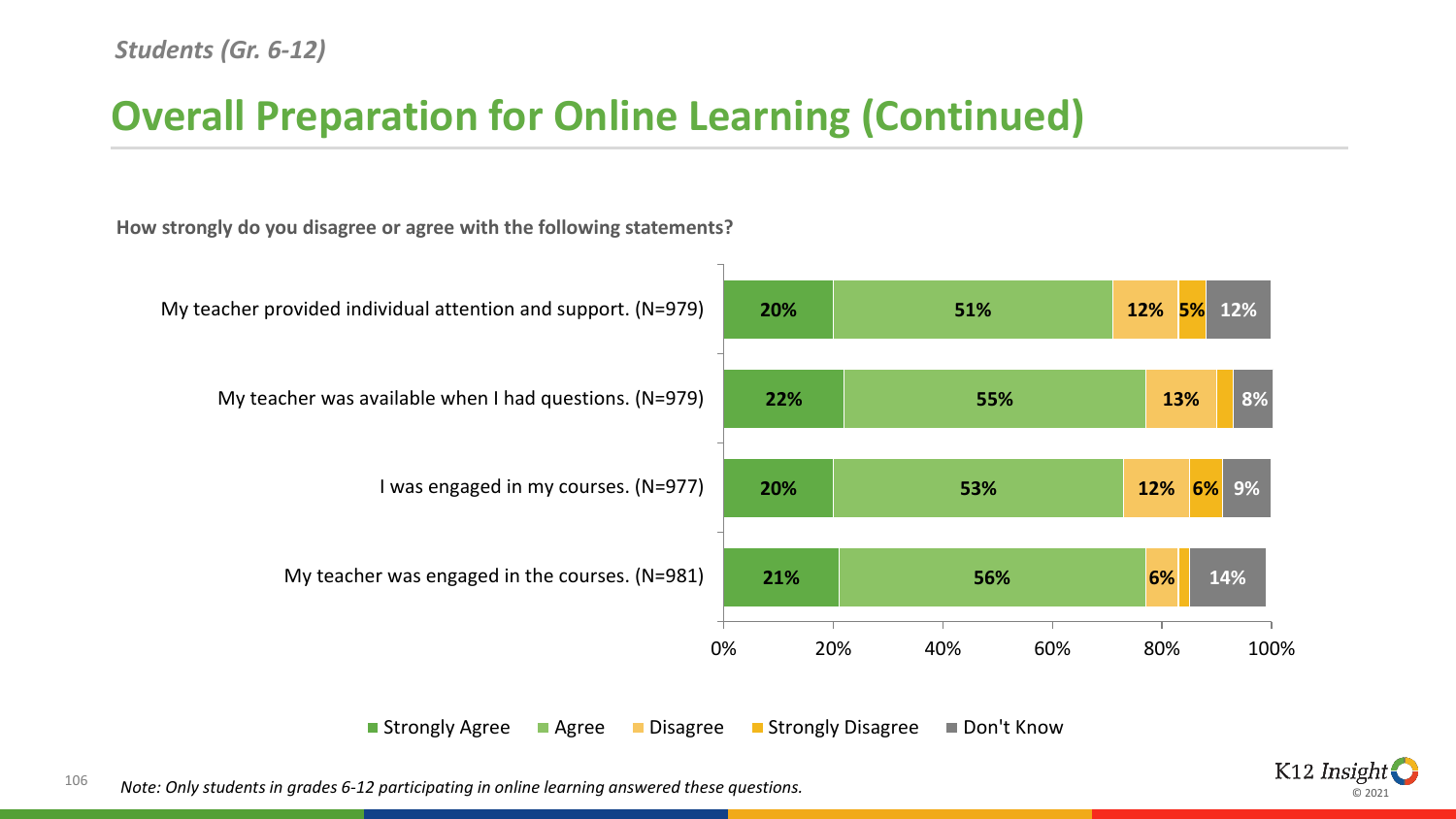## **Overall Preparation for Online Learning (Continued)**

**How strongly do you disagree or agree with the following statements?**



Strongly Agree Agree Disagree Strongly Disagree Don't Know

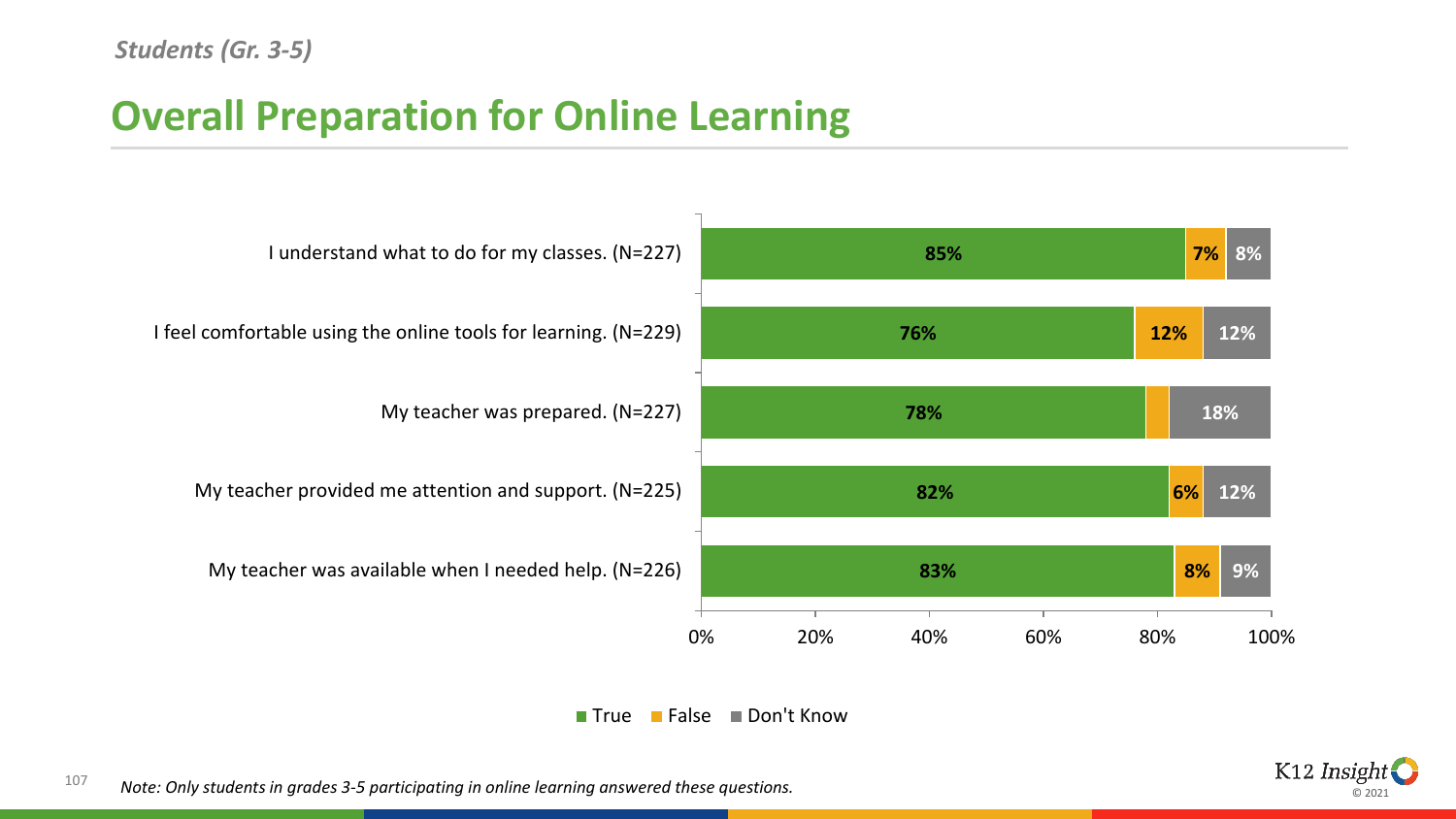## **Overall Preparation for Online Learning**







107 *Note: Only students in grades 3-5 participating in online learning answered these questions.*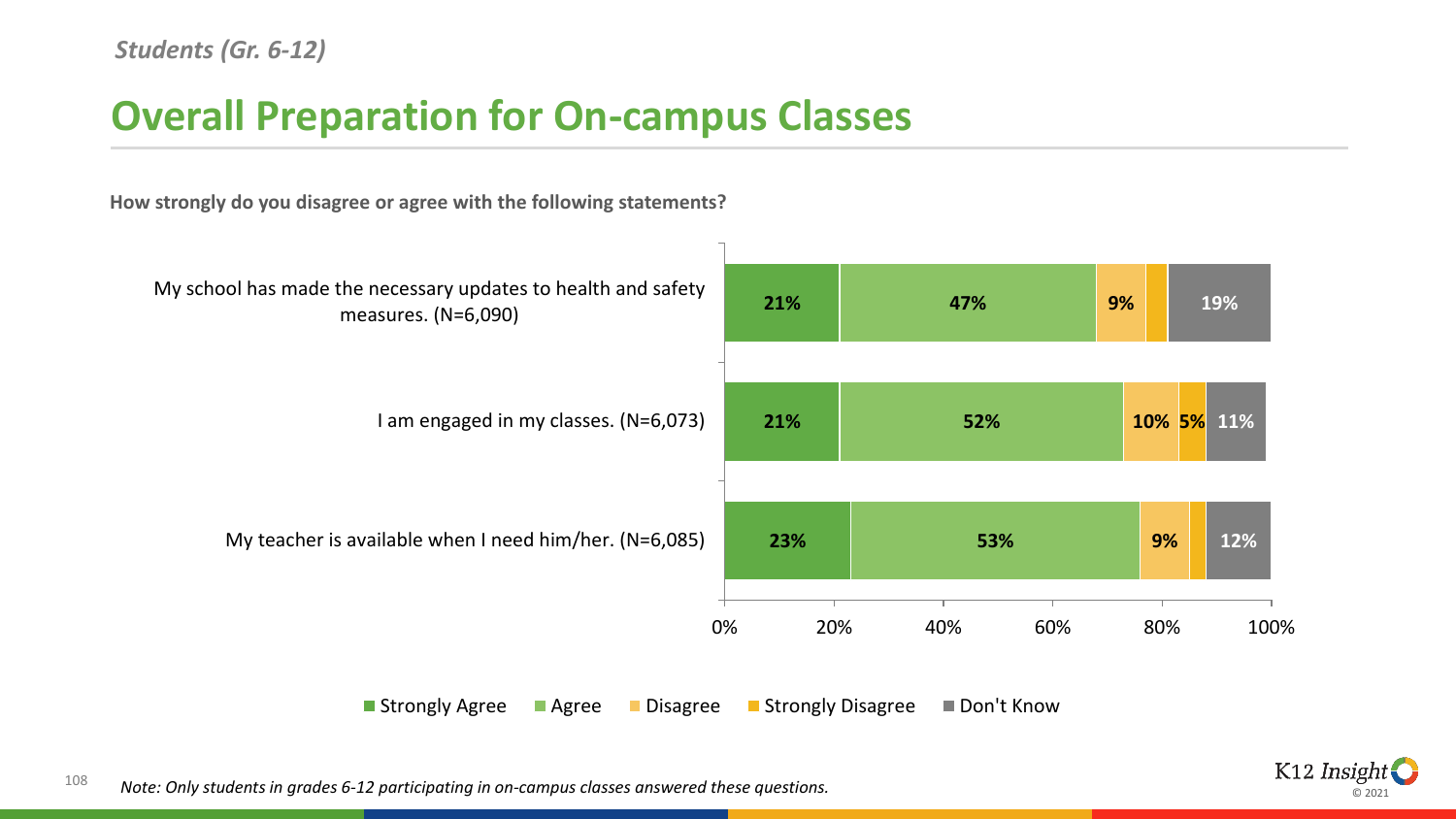### **Overall Preparation for On-campus Classes**

**How strongly do you disagree or agree with the following statements?**



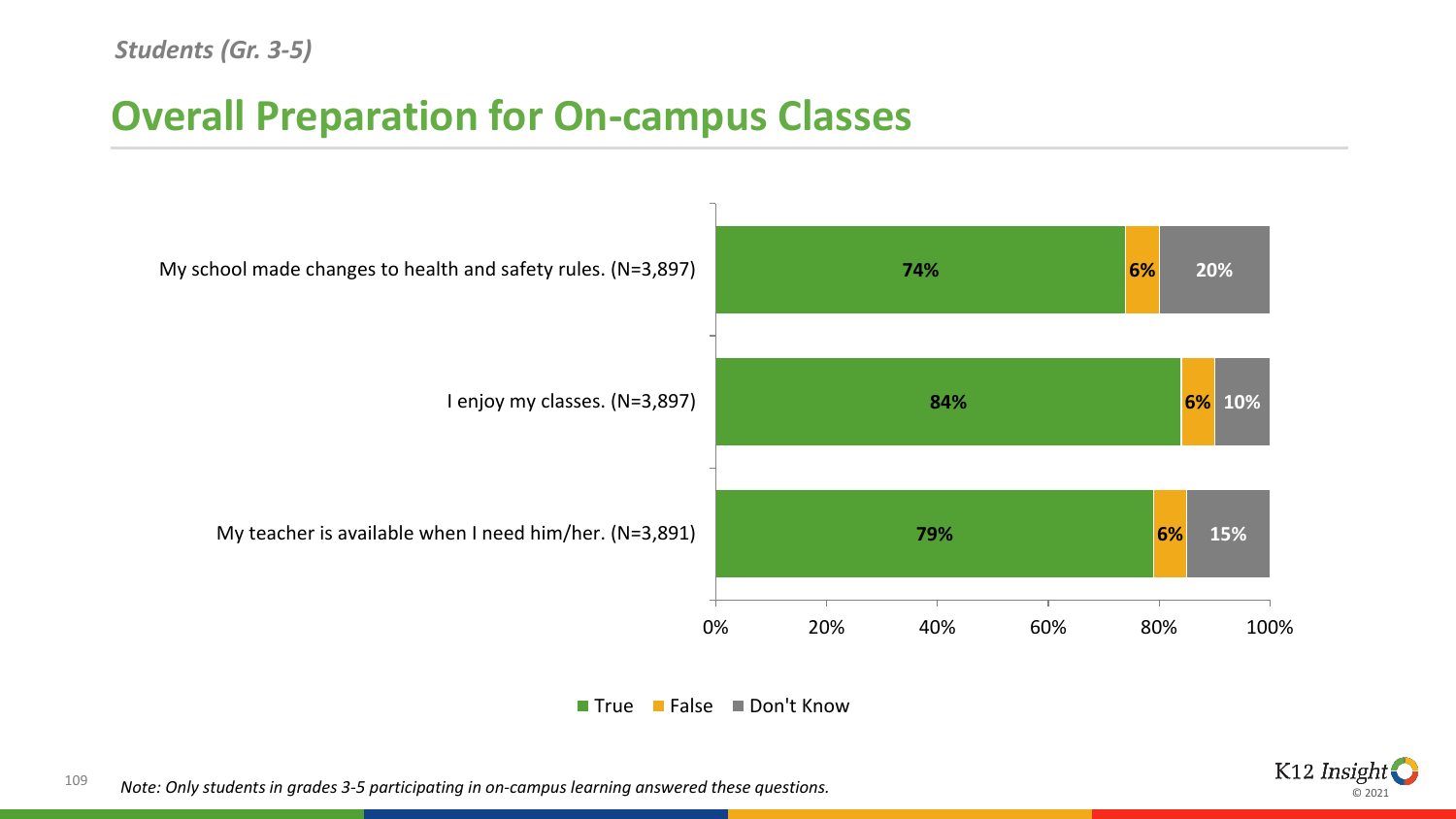### **Overall Preparation for On-campus Classes**







109 *Note: Only students in grades 3-5 participating in on-campus learning answered these questions.*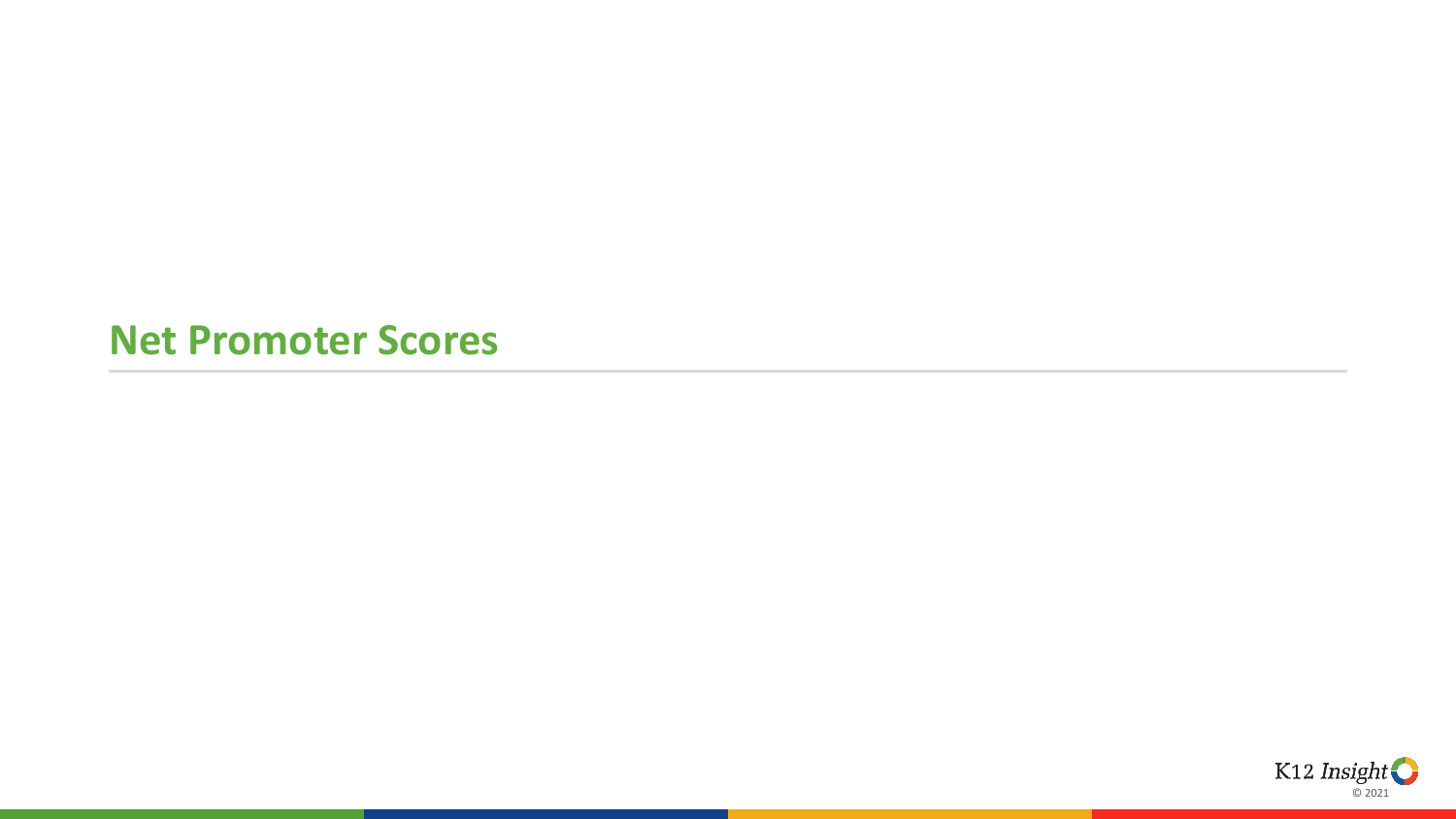#### **Net Promoter Scores**

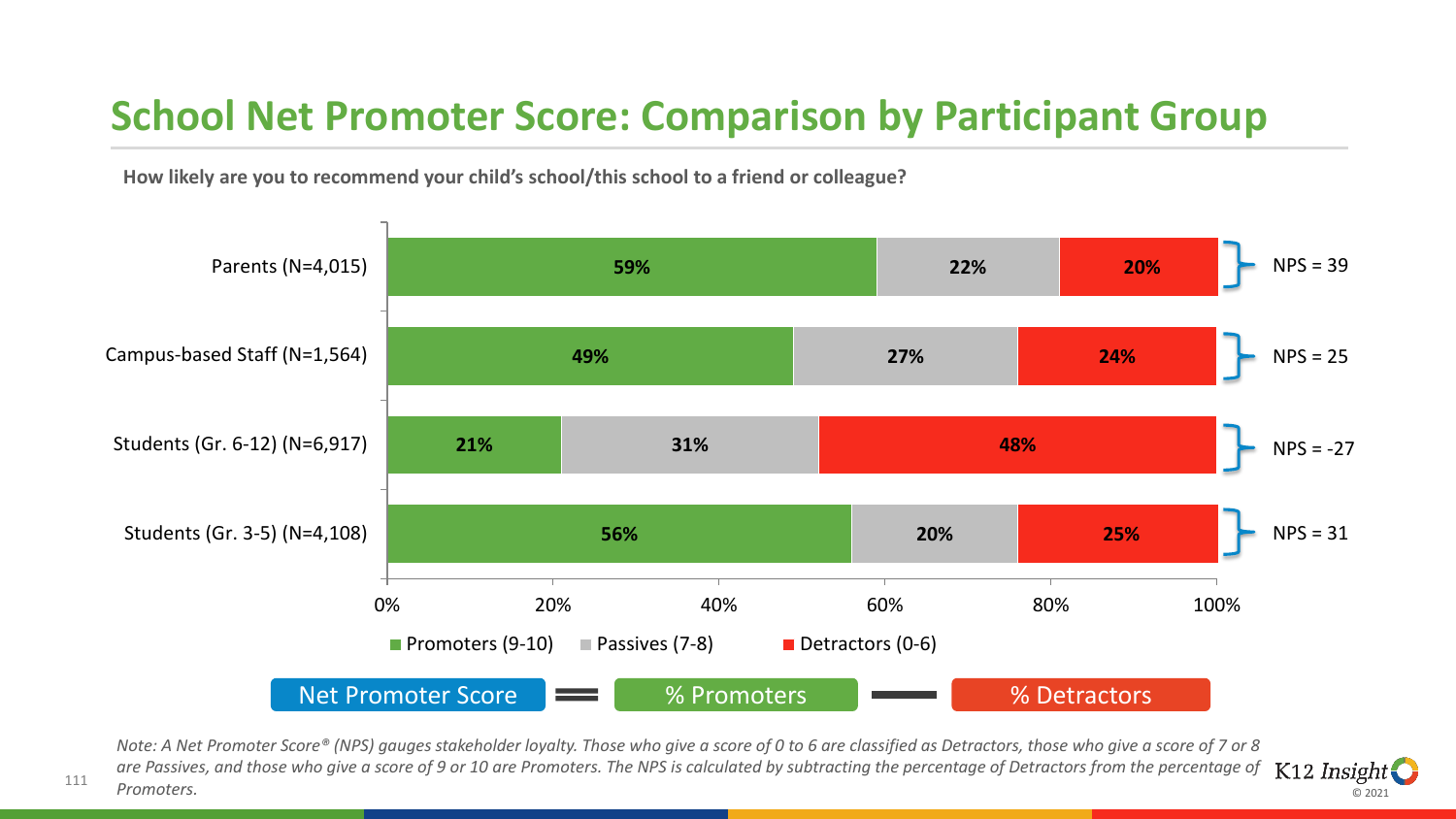### **School Net Promoter Score: Comparison by Participant Group**

**How likely are you to recommend your child's school/this school to a friend or colleague?** 



*Note: A Net Promoter Score® (NPS) gauges stakeholder loyalty. Those who give a score of 0 to 6 are classified as Detractors, those who give a score of 7 or 8 are Passives, and those who give a score of 9 or 10 are Promoters. The NPS is calculated by subtracting the percentage of Detractors from the percentage of*   $K12$  *Insight Promoters.*

© 2021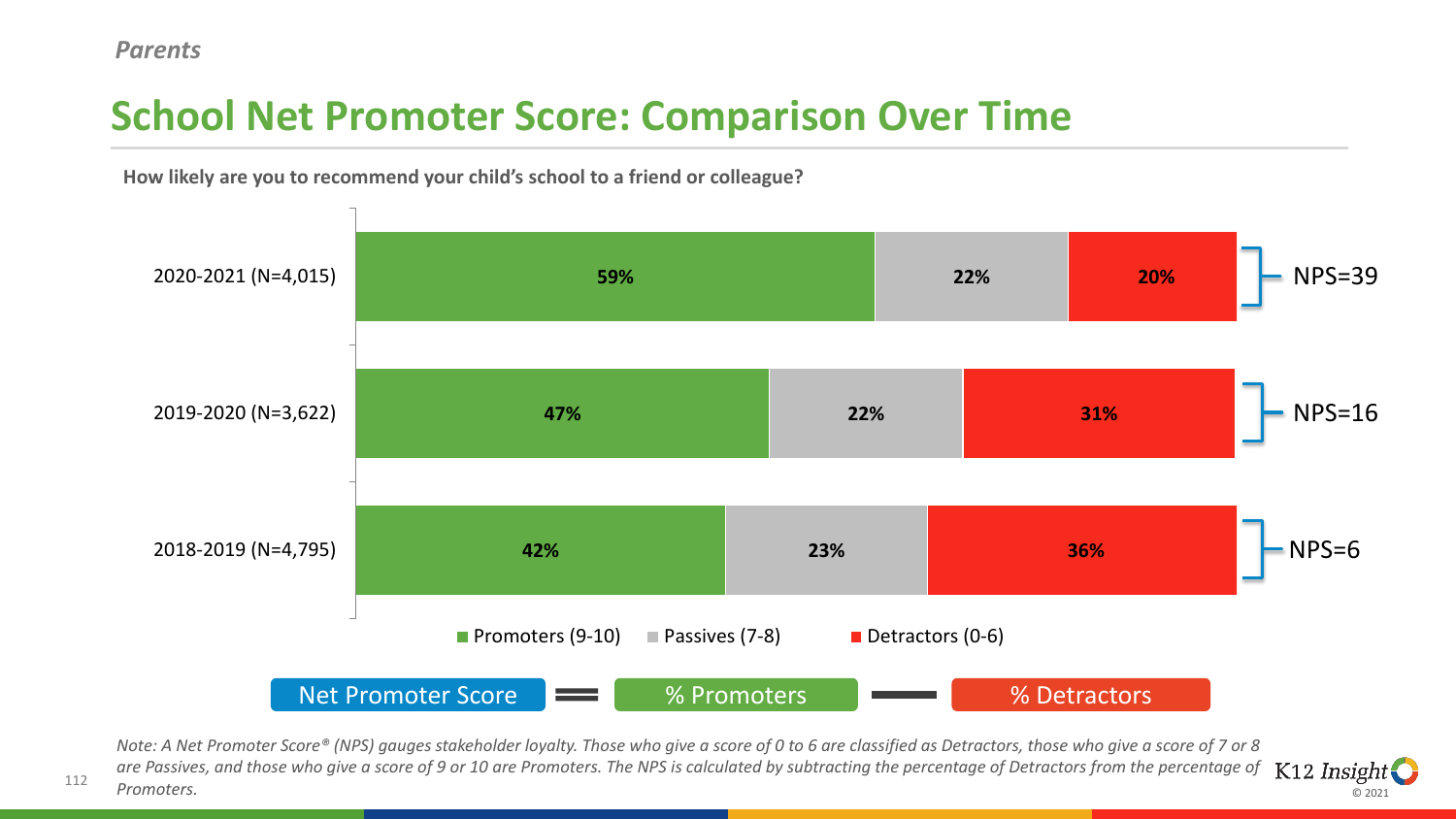# **School Net Promoter Score: Comparison Over Time**



© 2021

**How likely are you to recommend your child's school to a friend or colleague?** 

*Note: A Net Promoter Score® (NPS) gauges stakeholder loyalty. Those who give a score of 0 to 6 are classified as Detractors, those who give a score of 7 or 8 are Passives, and those who give a score of 9 or 10 are Promoters. The NPS is calculated by subtracting the percentage of Detractors from the percentage of*   $K12$  *Insight Promoters.*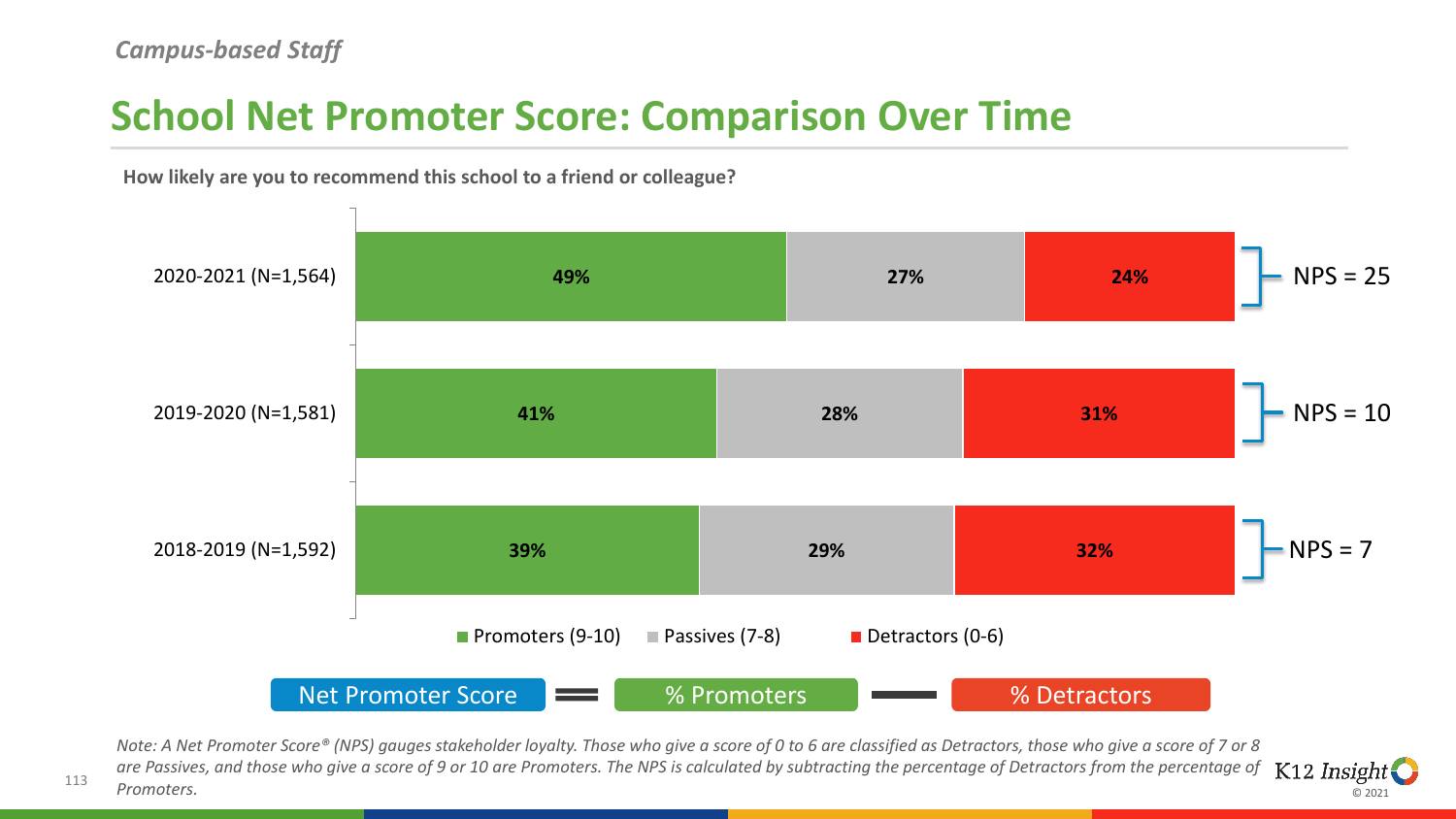### **School Net Promoter Score: Comparison Over Time**



© 2021

**How likely are you to recommend this school to a friend or colleague?** 

*Note: A Net Promoter Score® (NPS) gauges stakeholder loyalty. Those who give a score of 0 to 6 are classified as Detractors, those who give a score of 7 or 8 are Passives, and those who give a score of 9 or 10 are Promoters. The NPS is calculated by subtracting the percentage of Detractors from the percentage of*   $K12$  *Insight Promoters.*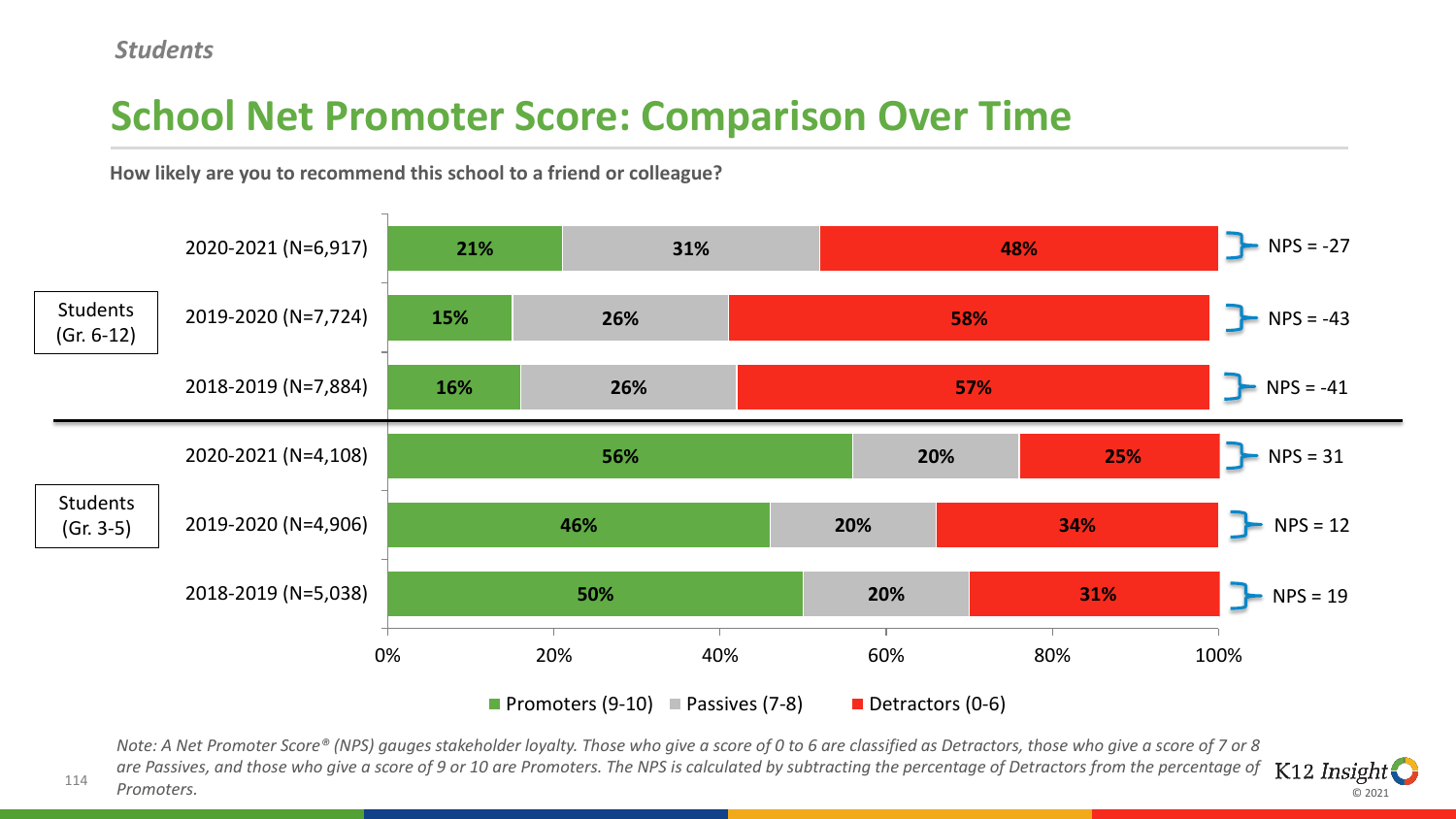114

# **School Net Promoter Score: Comparison Over Time**

**How likely are you to recommend this school to a friend or colleague?**



*Note: A Net Promoter Score® (NPS) gauges stakeholder loyalty. Those who give a score of 0 to 6 are classified as Detractors, those who give a score of 7 or 8 are Passives, and those who give a score of 9 or 10 are Promoters. The NPS is calculated by subtracting the percentage of Detractors from the percentage of*   $K12$  *Insight Promoters.*

© 2021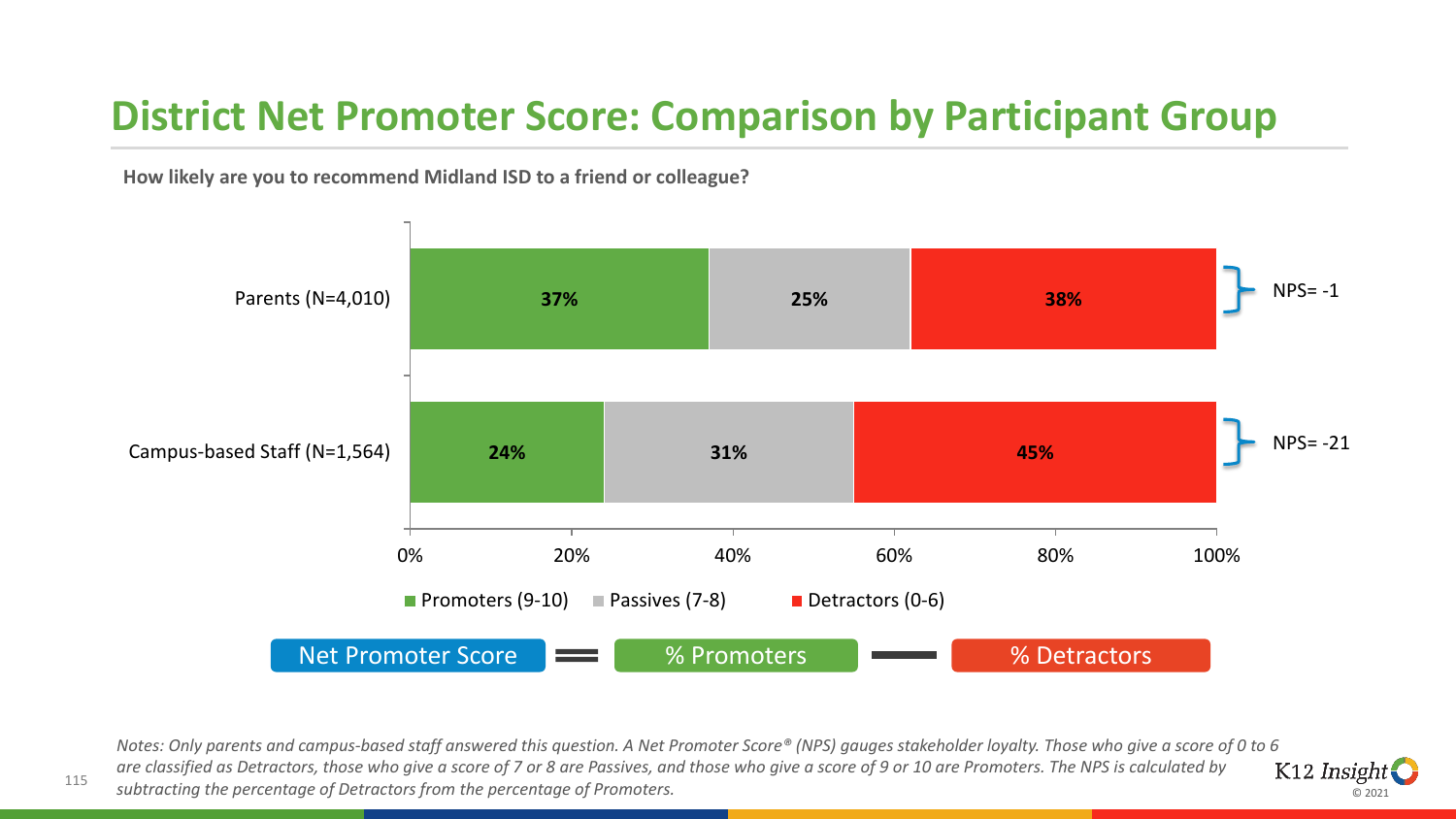### **District Net Promoter Score: Comparison by Participant Group**

**How likely are you to recommend Midland ISD to a friend or colleague?** 



*Notes: Only parents and campus-based staff answered this question. A Net Promoter Score® (NPS) gauges stakeholder loyalty. Those who give a score of 0 to 6 are classified as Detractors, those who give a score of 7 or 8 are Passives, and those who give a score of 9 or 10 are Promoters. The NPS is calculated by*  K12 Insight *subtracting the percentage of Detractors from the percentage of Promoters.*

© 2021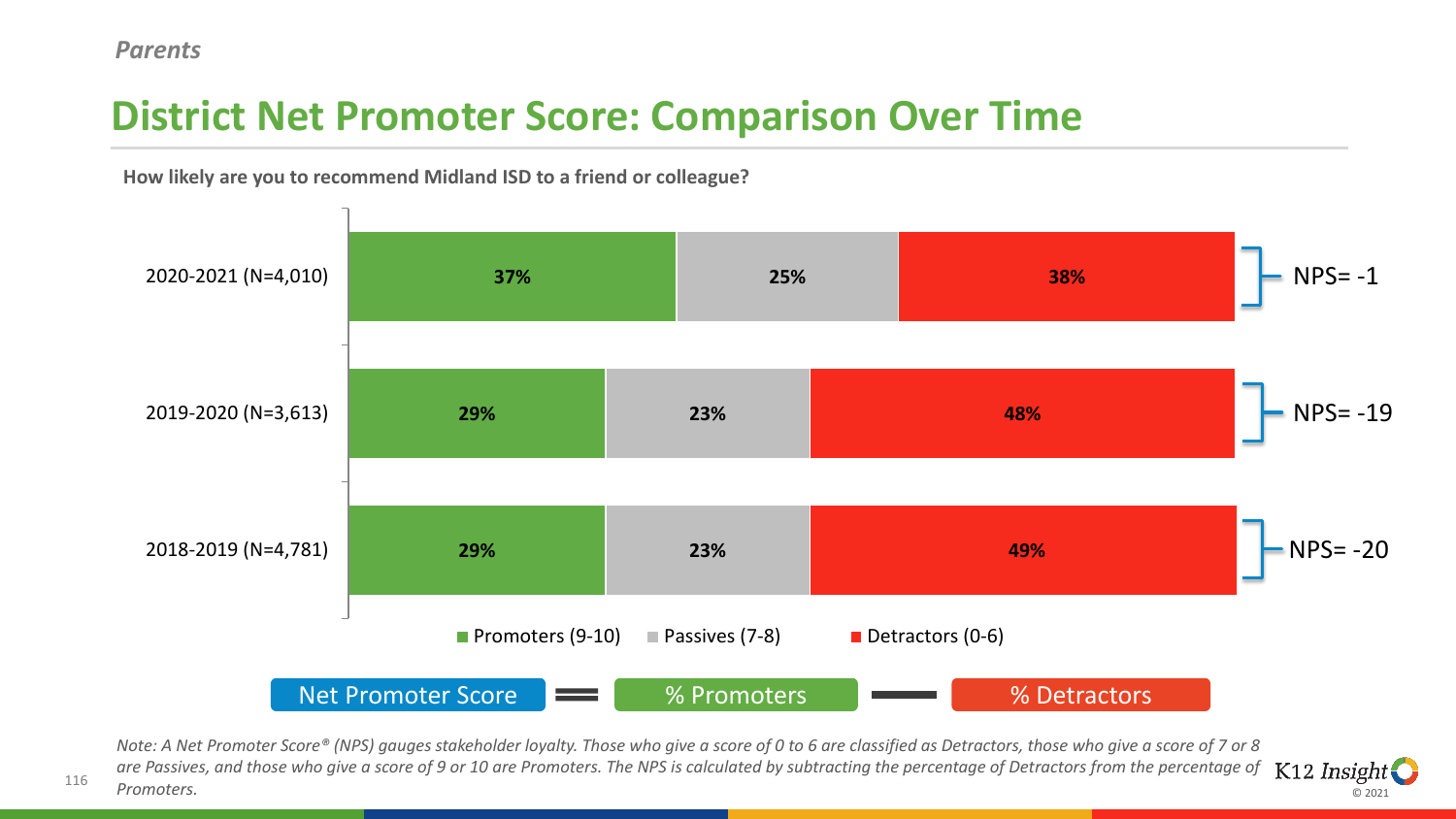# **District Net Promoter Score: Comparison Over Time**



© 2021

**How likely are you to recommend Midland ISD to a friend or colleague?** 

*Note: A Net Promoter Score® (NPS) gauges stakeholder loyalty. Those who give a score of 0 to 6 are classified as Detractors, those who give a score of 7 or 8 are Passives, and those who give a score of 9 or 10 are Promoters. The NPS is calculated by subtracting the percentage of Detractors from the percentage of*   $K12$  *Insight Promoters.*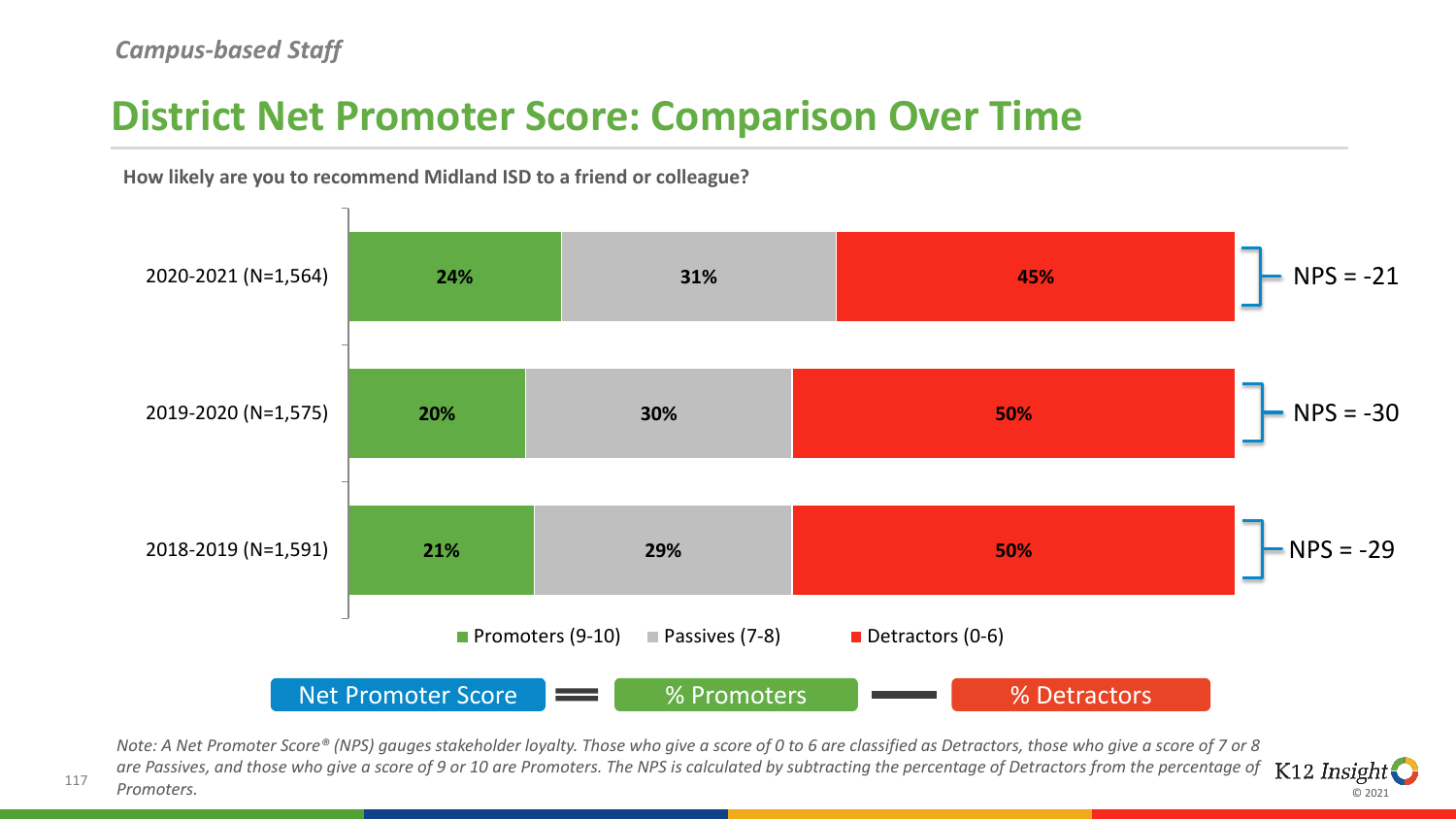#### **District Net Promoter Score: Comparison Over Time**



© 2021

**How likely are you to recommend Midland ISD to a friend or colleague?** 

*Note: A Net Promoter Score® (NPS) gauges stakeholder loyalty. Those who give a score of 0 to 6 are classified as Detractors, those who give a score of 7 or 8 are Passives, and those who give a score of 9 or 10 are Promoters. The NPS is calculated by subtracting the percentage of Detractors from the percentage of*   $K12$  *Insight Promoters.*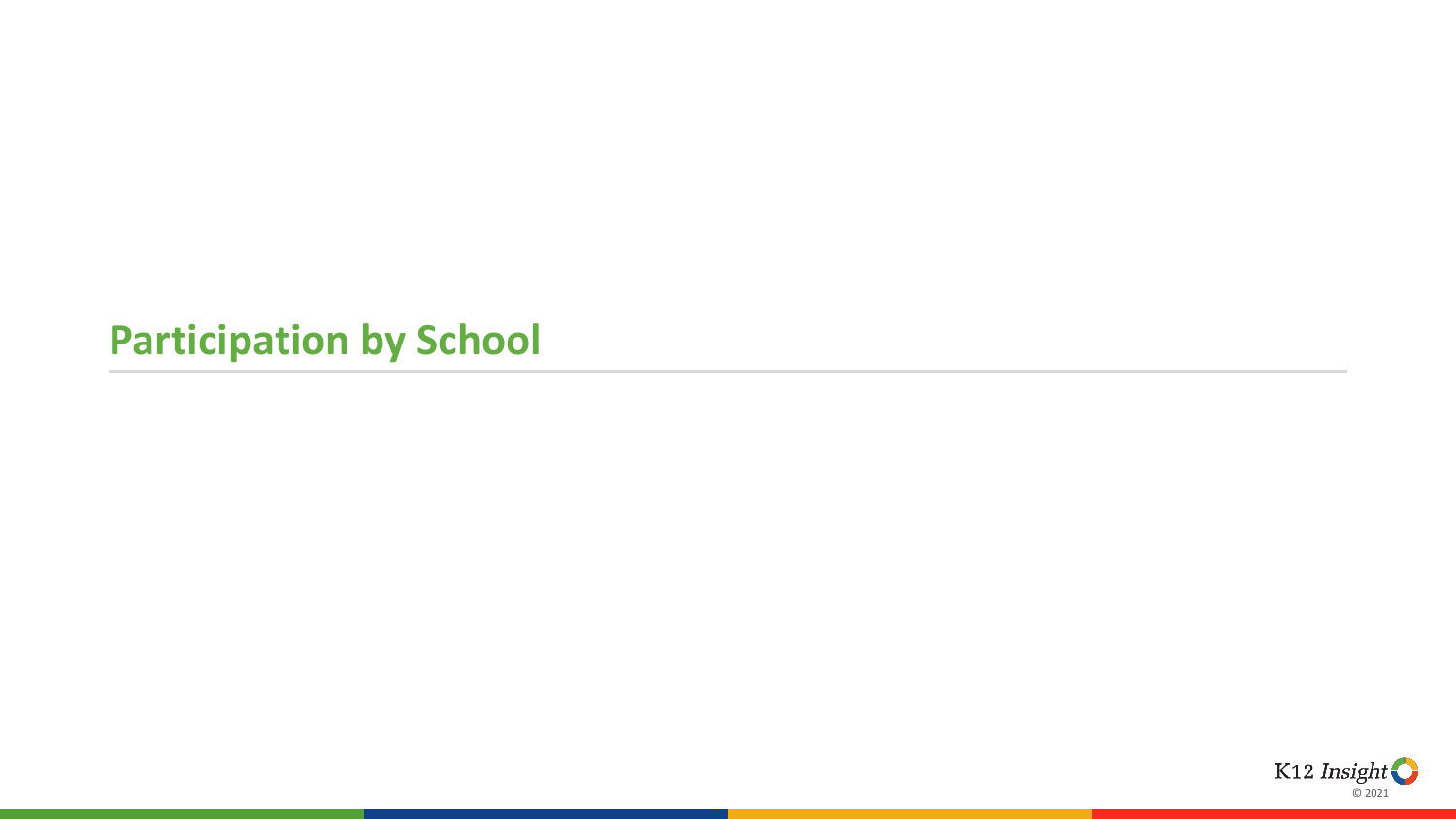#### **Participation by School**

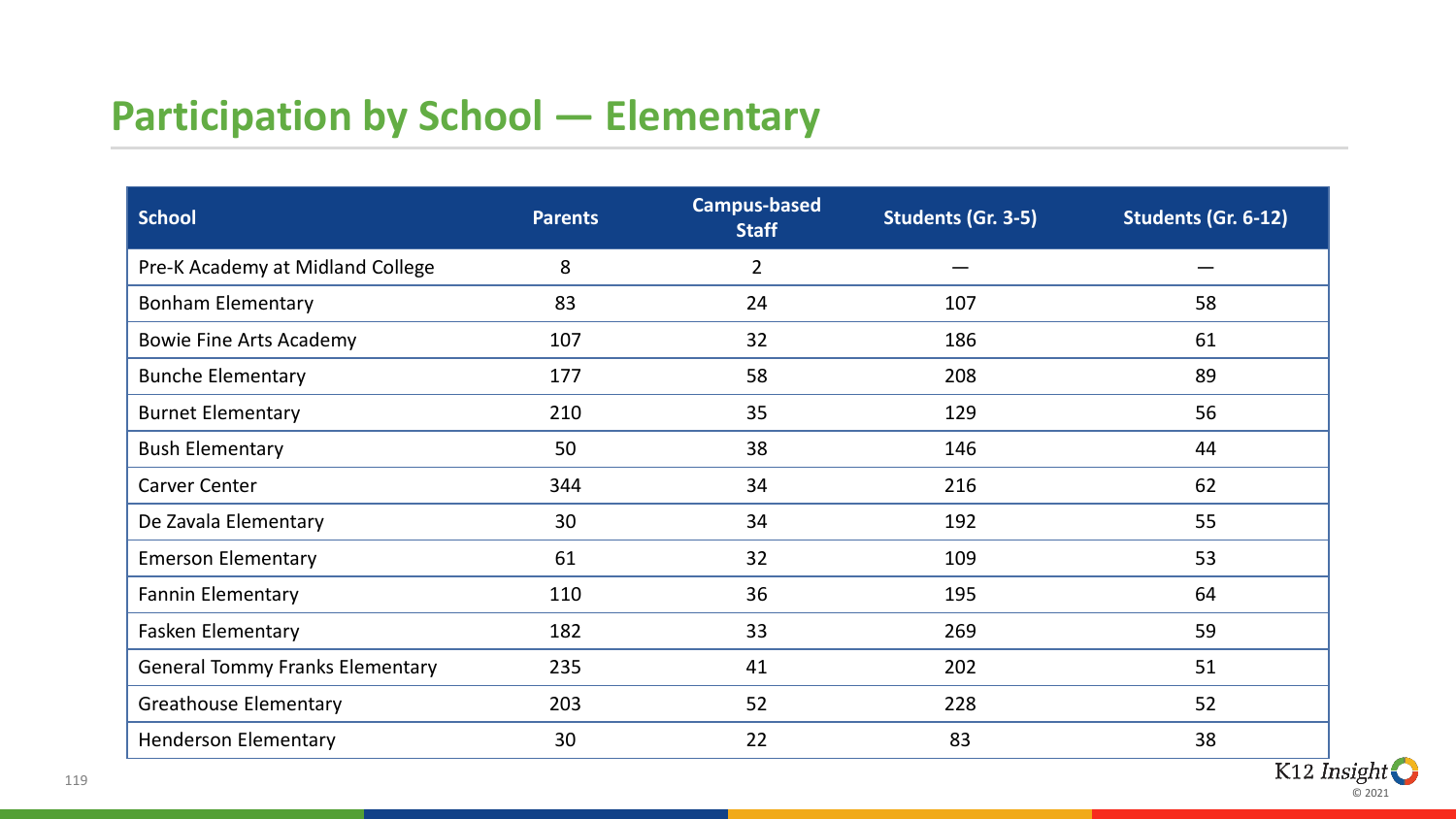# **Participation by School — Elementary**

| <b>School</b>                          | <b>Parents</b> | <b>Campus-based</b><br><b>Staff</b> | Students (Gr. 3-5) | Students (Gr. 6-12) |
|----------------------------------------|----------------|-------------------------------------|--------------------|---------------------|
| Pre-K Academy at Midland College       | 8              | $\overline{2}$                      |                    |                     |
| <b>Bonham Elementary</b>               | 83             | 24                                  | 107                | 58                  |
| <b>Bowie Fine Arts Academy</b>         | 107            | 32                                  | 186                | 61                  |
| <b>Bunche Elementary</b>               | 177            | 58                                  | 208                | 89                  |
| <b>Burnet Elementary</b>               | 210            | 35                                  | 129                | 56                  |
| <b>Bush Elementary</b>                 | 50             | 38                                  | 146                | 44                  |
| <b>Carver Center</b>                   | 344            | 34                                  | 216                | 62                  |
| De Zavala Elementary                   | 30             | 34                                  | 192                | 55                  |
| <b>Emerson Elementary</b>              | 61             | 32                                  | 109                | 53                  |
| <b>Fannin Elementary</b>               | 110            | 36                                  | 195                | 64                  |
| <b>Fasken Elementary</b>               | 182            | 33                                  | 269                | 59                  |
| <b>General Tommy Franks Elementary</b> | 235            | 41                                  | 202                | 51                  |
| <b>Greathouse Elementary</b>           | 203            | 52                                  | 228                | 52                  |
| <b>Henderson Elementary</b>            | 30             | 22                                  | 83                 | 38                  |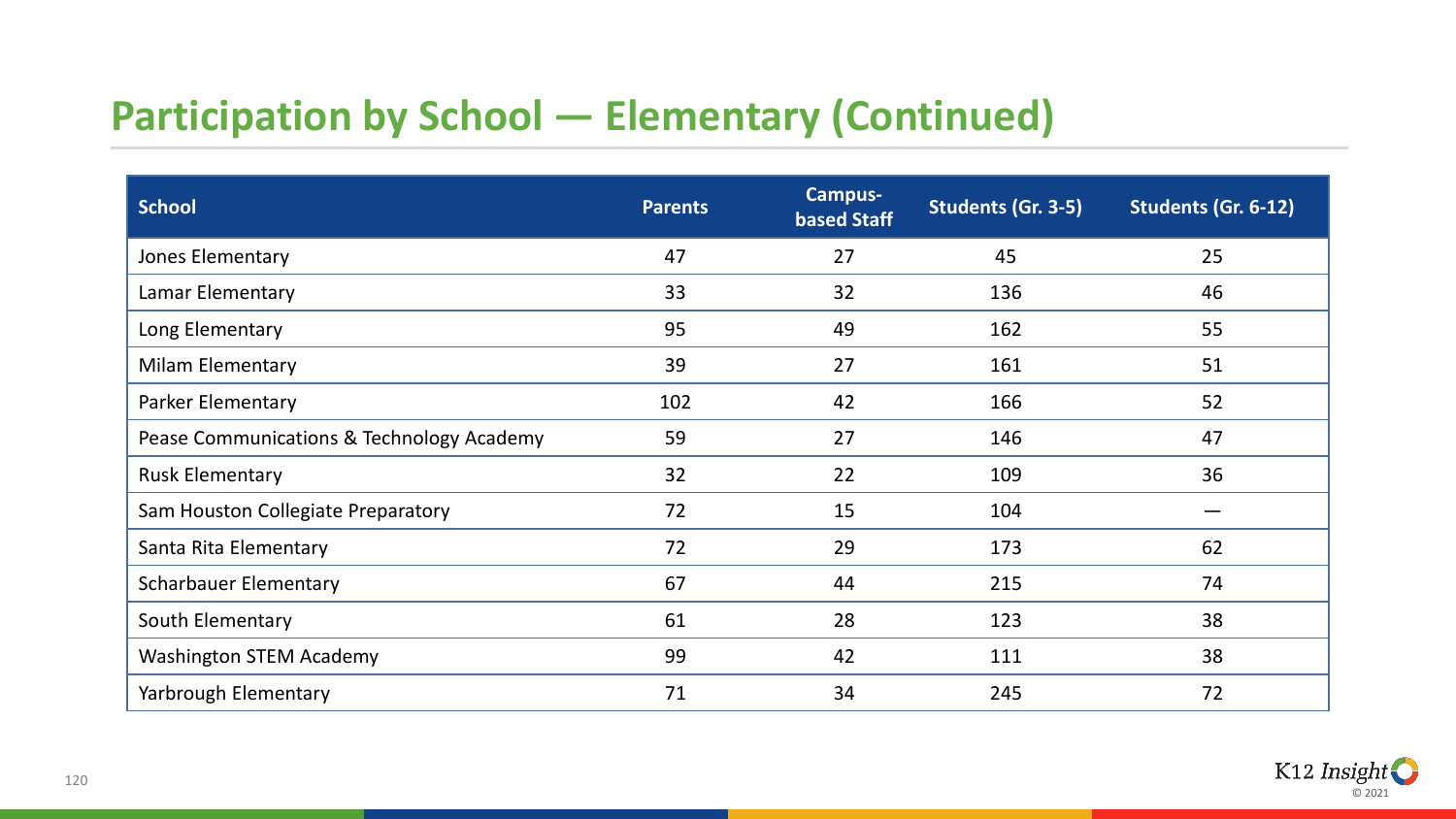# **Participation by School — Elementary (Continued)**

| <b>School</b>                             | <b>Parents</b> | <b>Campus-</b><br><b>based Staff</b> | Students (Gr. 3-5) | Students (Gr. 6-12) |
|-------------------------------------------|----------------|--------------------------------------|--------------------|---------------------|
| Jones Elementary                          | 47             | 27                                   | 45                 | 25                  |
| Lamar Elementary                          | 33             | 32                                   | 136                | 46                  |
| Long Elementary                           | 95             | 49                                   | 162                | 55                  |
| <b>Milam Elementary</b>                   | 39             | 27                                   | 161                | 51                  |
| <b>Parker Elementary</b>                  | 102            | 42                                   | 166                | 52                  |
| Pease Communications & Technology Academy | 59             | 27                                   | 146                | 47                  |
| <b>Rusk Elementary</b>                    | 32             | 22                                   | 109                | 36                  |
| Sam Houston Collegiate Preparatory        | 72             | 15                                   | 104                |                     |
| Santa Rita Elementary                     | 72             | 29                                   | 173                | 62                  |
| <b>Scharbauer Elementary</b>              | 67             | 44                                   | 215                | 74                  |
| South Elementary                          | 61             | 28                                   | 123                | 38                  |
| <b>Washington STEM Academy</b>            | 99             | 42                                   | 111                | 38                  |
| Yarbrough Elementary                      | 71             | 34                                   | 245                | 72                  |

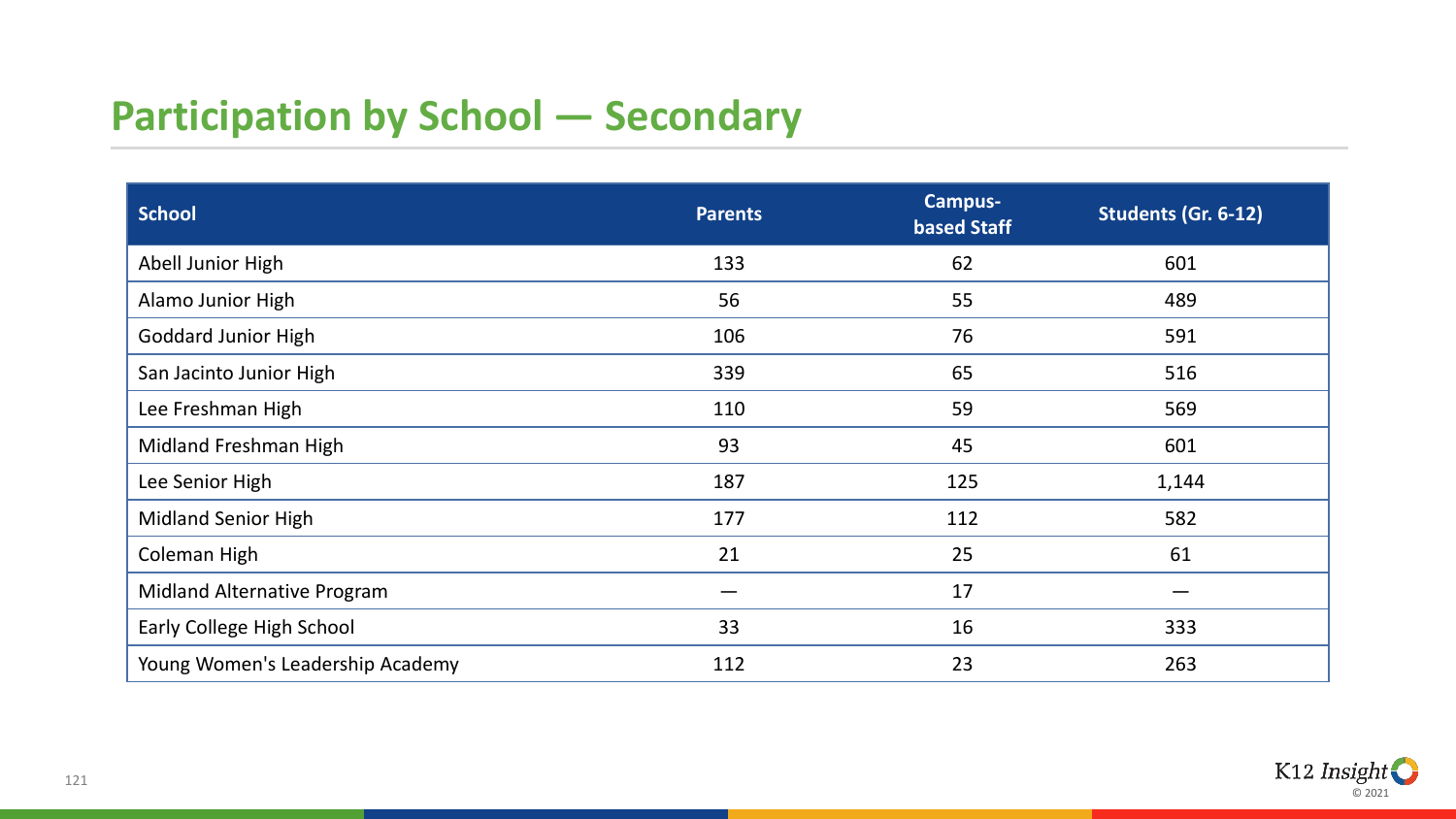# **Participation by School — Secondary**

| <b>School</b>                    | <b>Parents</b> | <b>Campus-</b><br><b>based Staff</b> | Students (Gr. 6-12) |
|----------------------------------|----------------|--------------------------------------|---------------------|
| Abell Junior High                | 133            | 62                                   | 601                 |
| Alamo Junior High                | 56             | 55                                   | 489                 |
| <b>Goddard Junior High</b>       | 106            | 76                                   | 591                 |
| San Jacinto Junior High          | 339            | 65                                   | 516                 |
| Lee Freshman High                | 110            | 59                                   | 569                 |
| Midland Freshman High            | 93             | 45                                   | 601                 |
| Lee Senior High                  | 187            | 125                                  | 1,144               |
| <b>Midland Senior High</b>       | 177            | 112                                  | 582                 |
| Coleman High                     | 21             | 25                                   | 61                  |
| Midland Alternative Program      |                | 17                                   |                     |
| Early College High School        | 33             | 16                                   | 333                 |
| Young Women's Leadership Academy | 112            | 23                                   | 263                 |